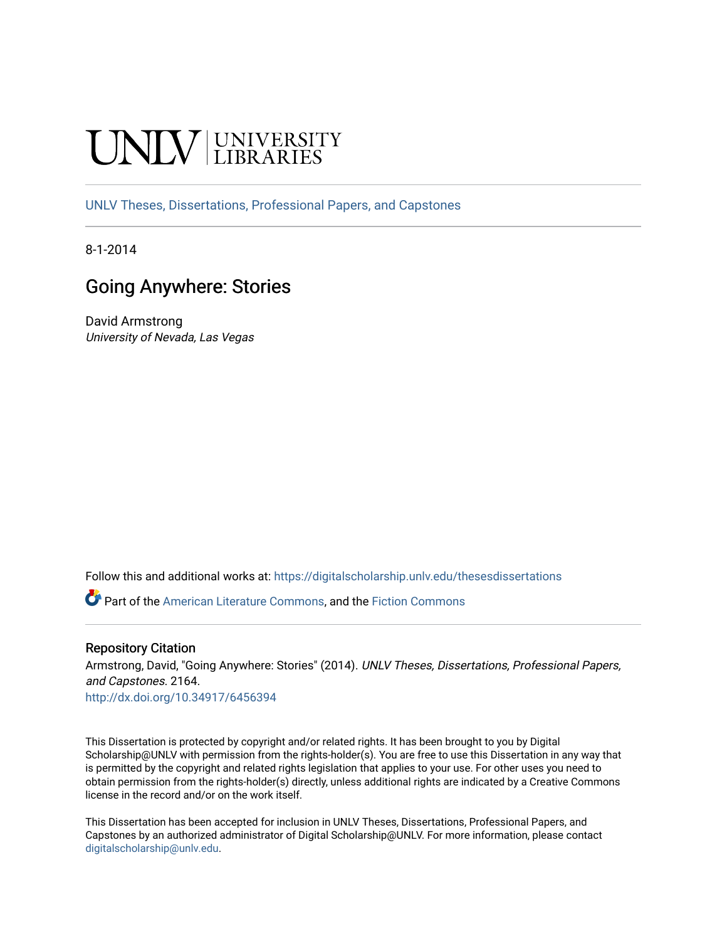# **INIVERSITY**

[UNLV Theses, Dissertations, Professional Papers, and Capstones](https://digitalscholarship.unlv.edu/thesesdissertations)

8-1-2014

## Going Anywhere: Stories

David Armstrong University of Nevada, Las Vegas

Follow this and additional works at: [https://digitalscholarship.unlv.edu/thesesdissertations](https://digitalscholarship.unlv.edu/thesesdissertations?utm_source=digitalscholarship.unlv.edu%2Fthesesdissertations%2F2164&utm_medium=PDF&utm_campaign=PDFCoverPages)

Part of the [American Literature Commons](http://network.bepress.com/hgg/discipline/441?utm_source=digitalscholarship.unlv.edu%2Fthesesdissertations%2F2164&utm_medium=PDF&utm_campaign=PDFCoverPages), and the [Fiction Commons](http://network.bepress.com/hgg/discipline/1151?utm_source=digitalscholarship.unlv.edu%2Fthesesdissertations%2F2164&utm_medium=PDF&utm_campaign=PDFCoverPages) 

### Repository Citation

Armstrong, David, "Going Anywhere: Stories" (2014). UNLV Theses, Dissertations, Professional Papers, and Capstones. 2164.

<http://dx.doi.org/10.34917/6456394>

This Dissertation is protected by copyright and/or related rights. It has been brought to you by Digital Scholarship@UNLV with permission from the rights-holder(s). You are free to use this Dissertation in any way that is permitted by the copyright and related rights legislation that applies to your use. For other uses you need to obtain permission from the rights-holder(s) directly, unless additional rights are indicated by a Creative Commons license in the record and/or on the work itself.

This Dissertation has been accepted for inclusion in UNLV Theses, Dissertations, Professional Papers, and Capstones by an authorized administrator of Digital Scholarship@UNLV. For more information, please contact [digitalscholarship@unlv.edu](mailto:digitalscholarship@unlv.edu).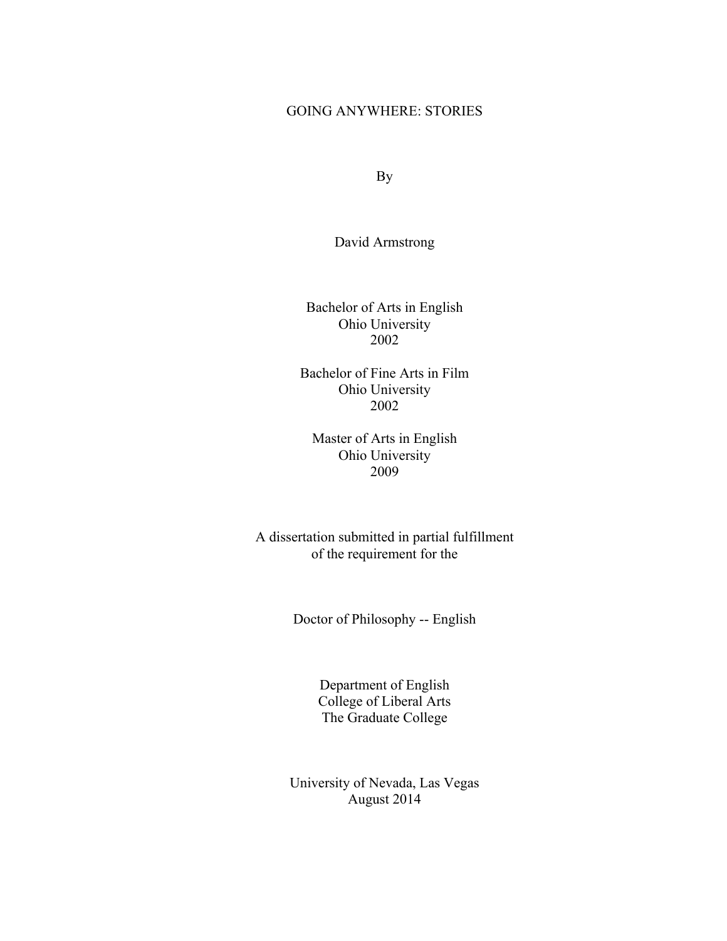## GOING ANYWHERE: STORIES

By

David Armstrong

Bachelor of Arts in English Ohio University 2002

Bachelor of Fine Arts in Film Ohio University 2002

Master of Arts in English Ohio University 2009

A dissertation submitted in partial fulfillment of the requirement for the

Doctor of Philosophy -- English

Department of English College of Liberal Arts The Graduate College

University of Nevada, Las Vegas August 2014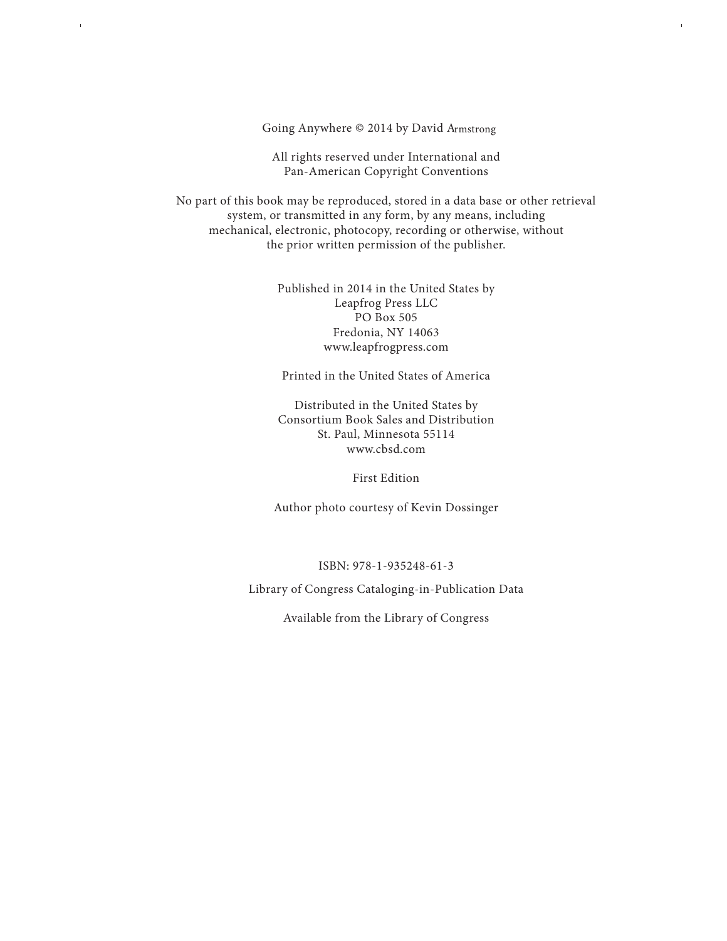Going Anywhere © 2014 by David Armstrong

 $\bar{1}$ 

All rights reserved under International and All rights reserved under International and Pan-American Copyright Conventions Pan-American Copyright Conventions

No part of this book may be reproduced, stored in a data base or other retrieval No part of this book may be reproduced, stored in a data base or other retrieval system, or transmitted in any form, by any means, including mechanical, electronic, photocopy, recording or otherwise, without the prior written permission of the publisher. book may be reproduced, stored in a data base or o

> Published in 2014 in the United States by Leapfrog Press LLC PO Box 505 Fredonia, NY 14063 www.leapfrogpress.com  $\frac{4 \text{ m}}{2}$

Printed in the United States of America med in the Office States of Americ

Distributed in the United States by Consortium Book Sales and Distribution St. Paul, Minnesota 55114 www.cbsd.com St. Paul, Minnesota 55114 in the United

First Edition

Author photo courtesy of Kevin Dossinger

ISBN: 978-1-935248-61-3

Library of Congress Cataloging-in-Publication Data

Available from the Library of Congress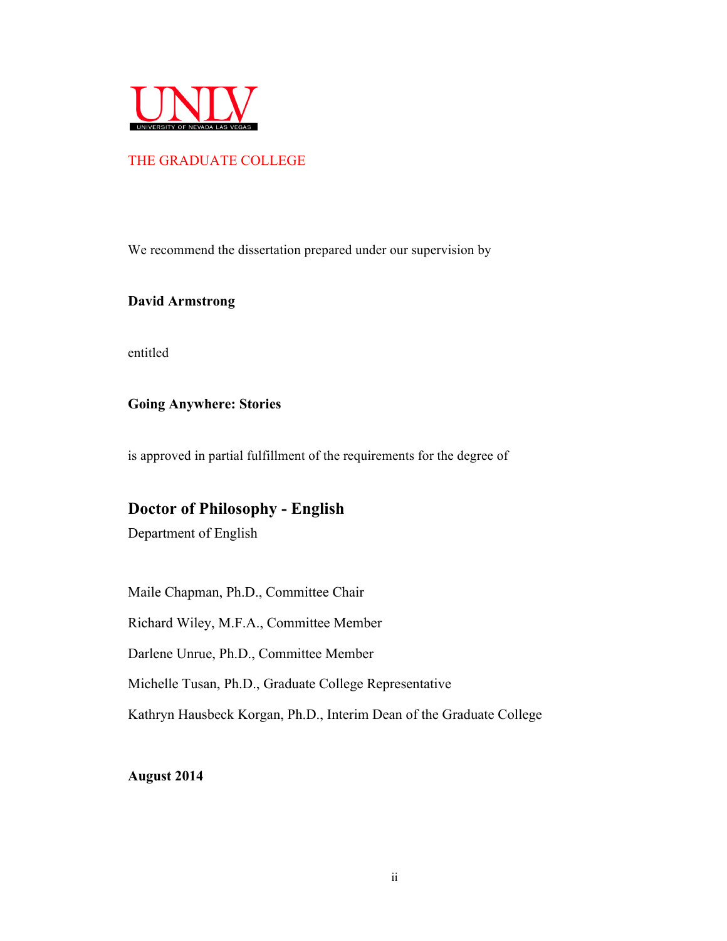

## THE GRADUATE COLLEGE

We recommend the dissertation prepared under our supervision by

**David Armstrong**

entitled

**Going Anywhere: Stories**

is approved in partial fulfillment of the requirements for the degree of

## **Doctor of Philosophy - English**

Department of English

Maile Chapman, Ph.D., Committee Chair

Richard Wiley, M.F.A., Committee Member

Darlene Unrue, Ph.D., Committee Member

Michelle Tusan, Ph.D., Graduate College Representative

Kathryn Hausbeck Korgan, Ph.D., Interim Dean of the Graduate College

**August 2014**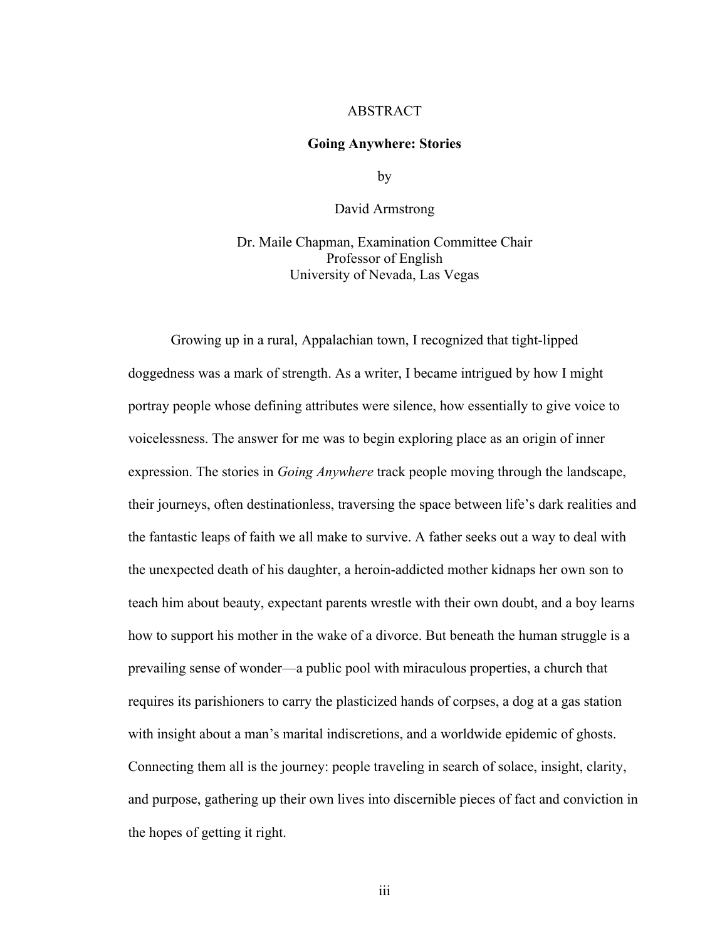## ABSTRACT

#### **Going Anywhere: Stories**

by

David Armstrong

Dr. Maile Chapman, Examination Committee Chair Professor of English University of Nevada, Las Vegas

Growing up in a rural, Appalachian town, I recognized that tight-lipped doggedness was a mark of strength. As a writer, I became intrigued by how I might portray people whose defining attributes were silence, how essentially to give voice to voicelessness. The answer for me was to begin exploring place as an origin of inner expression. The stories in *Going Anywhere* track people moving through the landscape, their journeys, often destinationless, traversing the space between life's dark realities and the fantastic leaps of faith we all make to survive. A father seeks out a way to deal with the unexpected death of his daughter, a heroin-addicted mother kidnaps her own son to teach him about beauty, expectant parents wrestle with their own doubt, and a boy learns how to support his mother in the wake of a divorce. But beneath the human struggle is a prevailing sense of wonder—a public pool with miraculous properties, a church that requires its parishioners to carry the plasticized hands of corpses, a dog at a gas station with insight about a man's marital indiscretions, and a worldwide epidemic of ghosts. Connecting them all is the journey: people traveling in search of solace, insight, clarity, and purpose, gathering up their own lives into discernible pieces of fact and conviction in the hopes of getting it right.

iii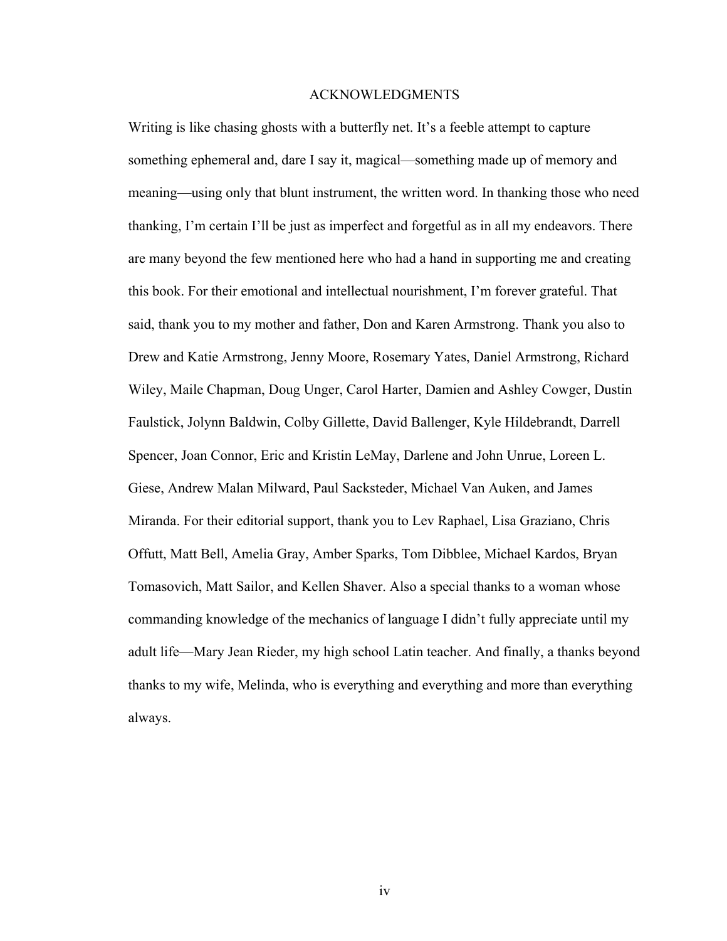#### ACKNOWLEDGMENTS

Writing is like chasing ghosts with a butterfly net. It's a feeble attempt to capture something ephemeral and, dare I say it, magical—something made up of memory and meaning—using only that blunt instrument, the written word. In thanking those who need thanking, I'm certain I'll be just as imperfect and forgetful as in all my endeavors. There are many beyond the few mentioned here who had a hand in supporting me and creating this book. For their emotional and intellectual nourishment, I'm forever grateful. That said, thank you to my mother and father, Don and Karen Armstrong. Thank you also to Drew and Katie Armstrong, Jenny Moore, Rosemary Yates, Daniel Armstrong, Richard Wiley, Maile Chapman, Doug Unger, Carol Harter, Damien and Ashley Cowger, Dustin Faulstick, Jolynn Baldwin, Colby Gillette, David Ballenger, Kyle Hildebrandt, Darrell Spencer, Joan Connor, Eric and Kristin LeMay, Darlene and John Unrue, Loreen L. Giese, Andrew Malan Milward, Paul Sacksteder, Michael Van Auken, and James Miranda. For their editorial support, thank you to Lev Raphael, Lisa Graziano, Chris Offutt, Matt Bell, Amelia Gray, Amber Sparks, Tom Dibblee, Michael Kardos, Bryan Tomasovich, Matt Sailor, and Kellen Shaver. Also a special thanks to a woman whose commanding knowledge of the mechanics of language I didn't fully appreciate until my adult life—Mary Jean Rieder, my high school Latin teacher. And finally, a thanks beyond thanks to my wife, Melinda, who is everything and everything and more than everything always.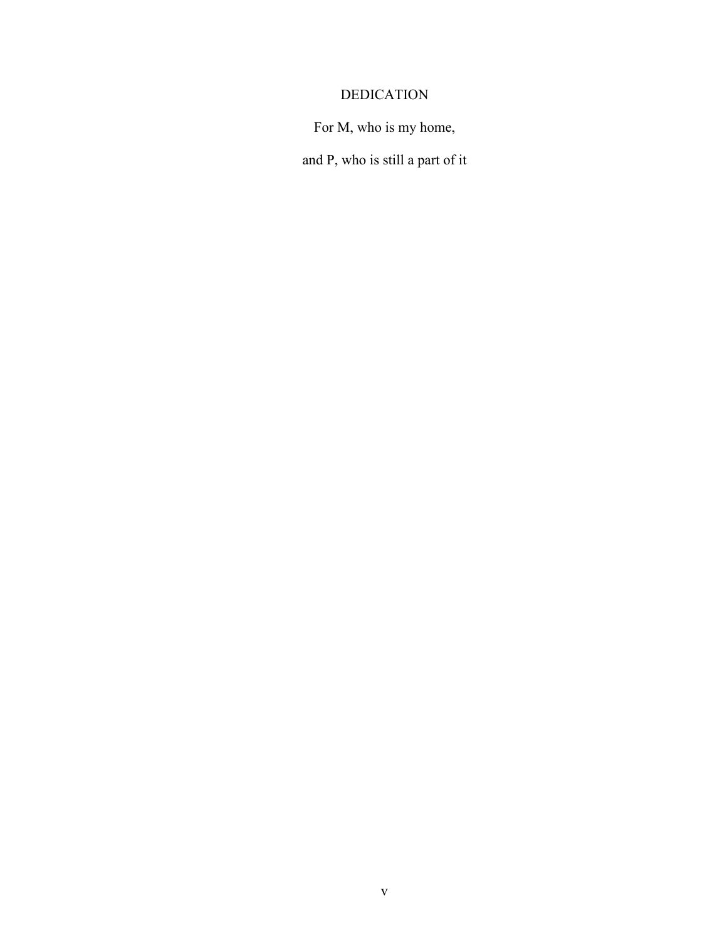## DEDICATION

For M, who is my home,

and P, who is still a part of it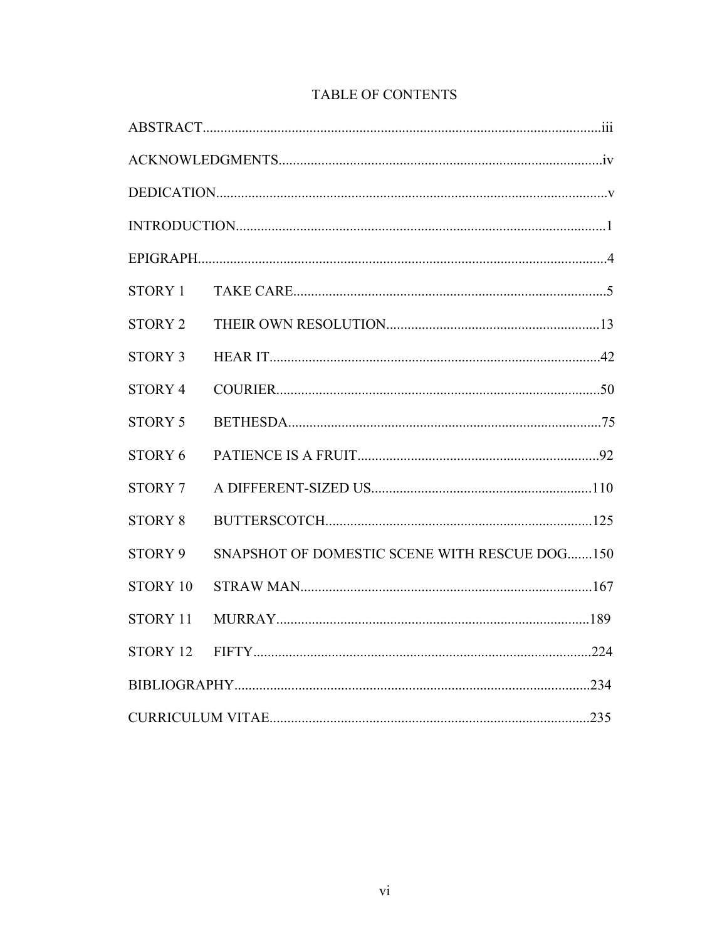| STORY 1            |                                               |  |
|--------------------|-----------------------------------------------|--|
| <b>STORY 2</b>     |                                               |  |
| <b>STORY 3</b>     |                                               |  |
| STORY <sub>4</sub> |                                               |  |
| <b>STORY 5</b>     |                                               |  |
| STORY 6            |                                               |  |
| <b>STORY 7</b>     |                                               |  |
| <b>STORY 8</b>     |                                               |  |
| STORY 9            | SNAPSHOT OF DOMESTIC SCENE WITH RESCUE DOG150 |  |
| STORY 10           |                                               |  |
| STORY 11           |                                               |  |
| STORY 12           |                                               |  |
|                    |                                               |  |
|                    |                                               |  |

## TABLE OF CONTENTS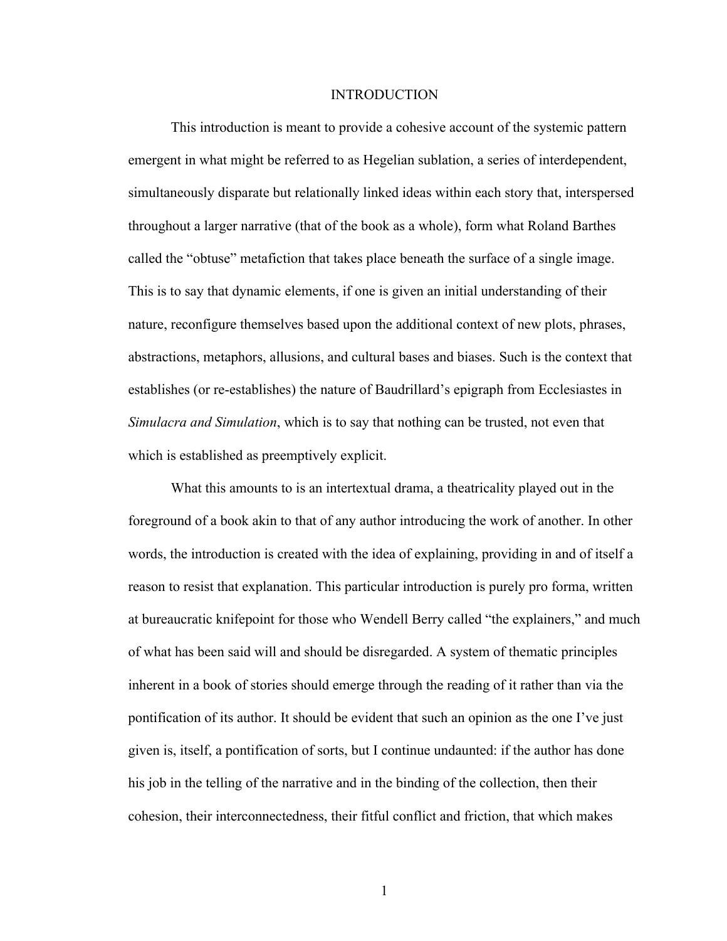#### INTRODUCTION

This introduction is meant to provide a cohesive account of the systemic pattern emergent in what might be referred to as Hegelian sublation, a series of interdependent, simultaneously disparate but relationally linked ideas within each story that, interspersed throughout a larger narrative (that of the book as a whole), form what Roland Barthes called the "obtuse" metafiction that takes place beneath the surface of a single image. This is to say that dynamic elements, if one is given an initial understanding of their nature, reconfigure themselves based upon the additional context of new plots, phrases, abstractions, metaphors, allusions, and cultural bases and biases. Such is the context that establishes (or re-establishes) the nature of Baudrillard's epigraph from Ecclesiastes in *Simulacra and Simulation*, which is to say that nothing can be trusted, not even that which is established as preemptively explicit.

What this amounts to is an intertextual drama, a theatricality played out in the foreground of a book akin to that of any author introducing the work of another. In other words, the introduction is created with the idea of explaining, providing in and of itself a reason to resist that explanation. This particular introduction is purely pro forma, written at bureaucratic knifepoint for those who Wendell Berry called "the explainers," and much of what has been said will and should be disregarded. A system of thematic principles inherent in a book of stories should emerge through the reading of it rather than via the pontification of its author. It should be evident that such an opinion as the one I've just given is, itself, a pontification of sorts, but I continue undaunted: if the author has done his job in the telling of the narrative and in the binding of the collection, then their cohesion, their interconnectedness, their fitful conflict and friction, that which makes

1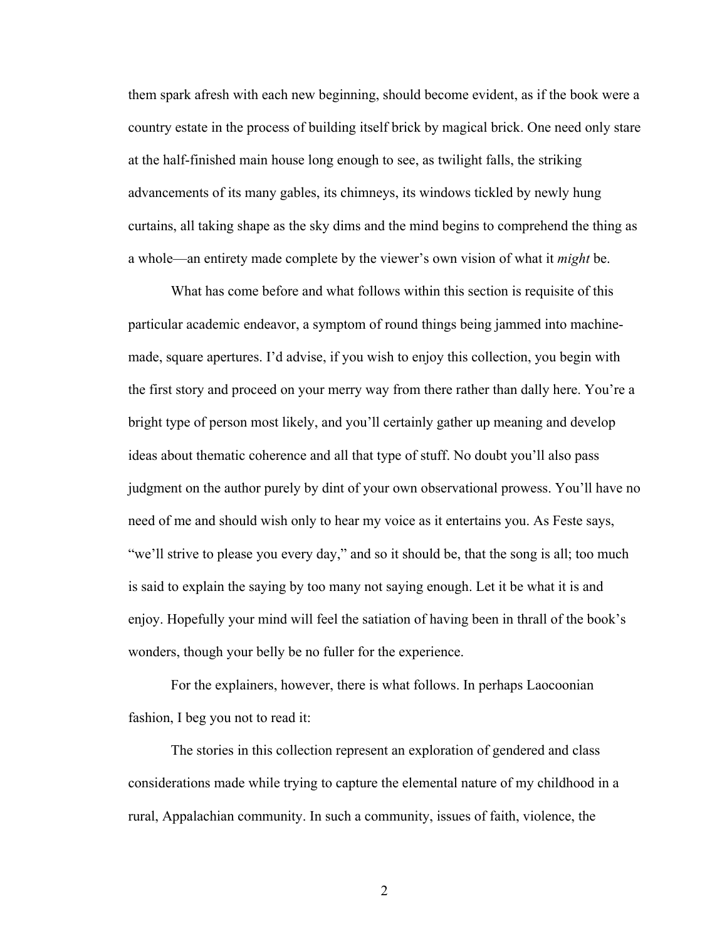them spark afresh with each new beginning, should become evident, as if the book were a country estate in the process of building itself brick by magical brick. One need only stare at the half-finished main house long enough to see, as twilight falls, the striking advancements of its many gables, its chimneys, its windows tickled by newly hung curtains, all taking shape as the sky dims and the mind begins to comprehend the thing as a whole—an entirety made complete by the viewer's own vision of what it *might* be.

What has come before and what follows within this section is requisite of this particular academic endeavor, a symptom of round things being jammed into machinemade, square apertures. I'd advise, if you wish to enjoy this collection, you begin with the first story and proceed on your merry way from there rather than dally here. You're a bright type of person most likely, and you'll certainly gather up meaning and develop ideas about thematic coherence and all that type of stuff. No doubt you'll also pass judgment on the author purely by dint of your own observational prowess. You'll have no need of me and should wish only to hear my voice as it entertains you. As Feste says, "we'll strive to please you every day," and so it should be, that the song is all; too much is said to explain the saying by too many not saying enough. Let it be what it is and enjoy. Hopefully your mind will feel the satiation of having been in thrall of the book's wonders, though your belly be no fuller for the experience.

For the explainers, however, there is what follows. In perhaps Laocoonian fashion, I beg you not to read it:

The stories in this collection represent an exploration of gendered and class considerations made while trying to capture the elemental nature of my childhood in a rural, Appalachian community. In such a community, issues of faith, violence, the

2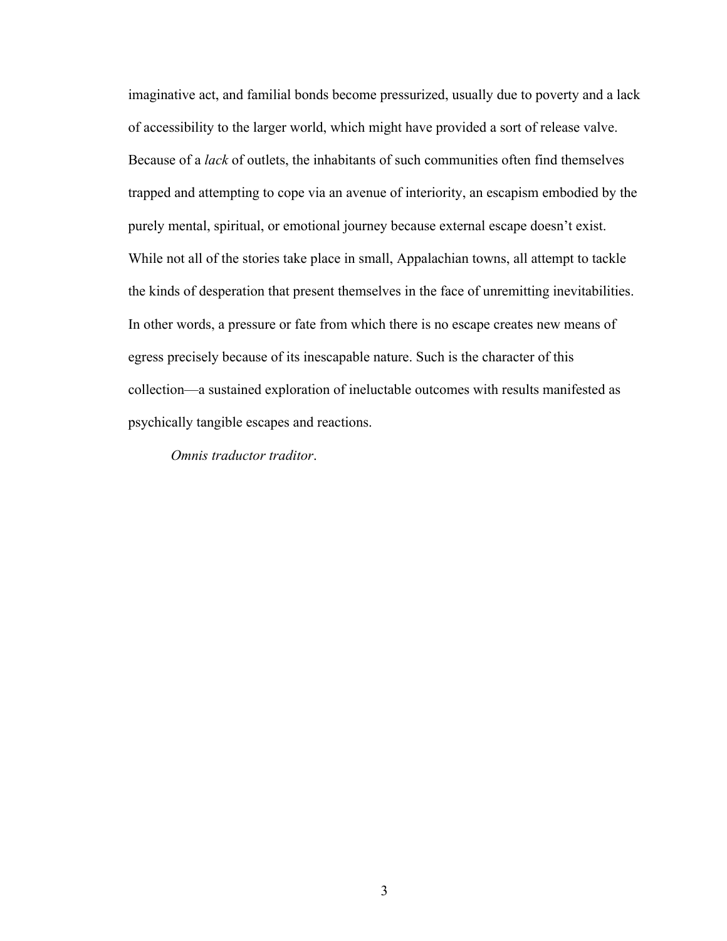imaginative act, and familial bonds become pressurized, usually due to poverty and a lack of accessibility to the larger world, which might have provided a sort of release valve. Because of a *lack* of outlets, the inhabitants of such communities often find themselves trapped and attempting to cope via an avenue of interiority, an escapism embodied by the purely mental, spiritual, or emotional journey because external escape doesn't exist. While not all of the stories take place in small, Appalachian towns, all attempt to tackle the kinds of desperation that present themselves in the face of unremitting inevitabilities. In other words, a pressure or fate from which there is no escape creates new means of egress precisely because of its inescapable nature. Such is the character of this collection—a sustained exploration of ineluctable outcomes with results manifested as psychically tangible escapes and reactions.

*Omnis traductor traditor*.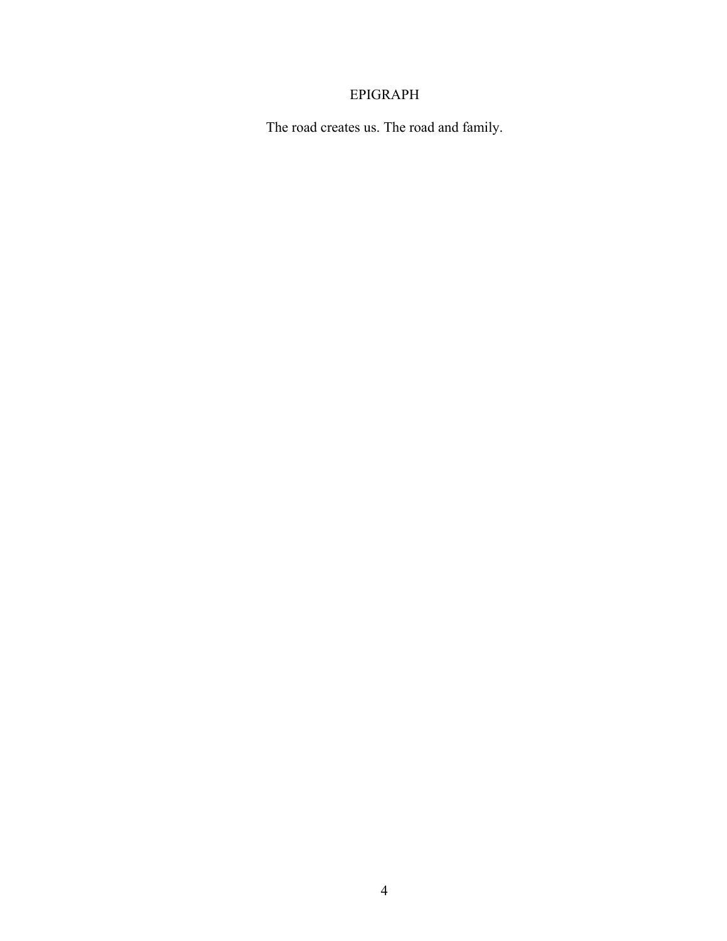## EPIGRAPH

The road creates us. The road and family.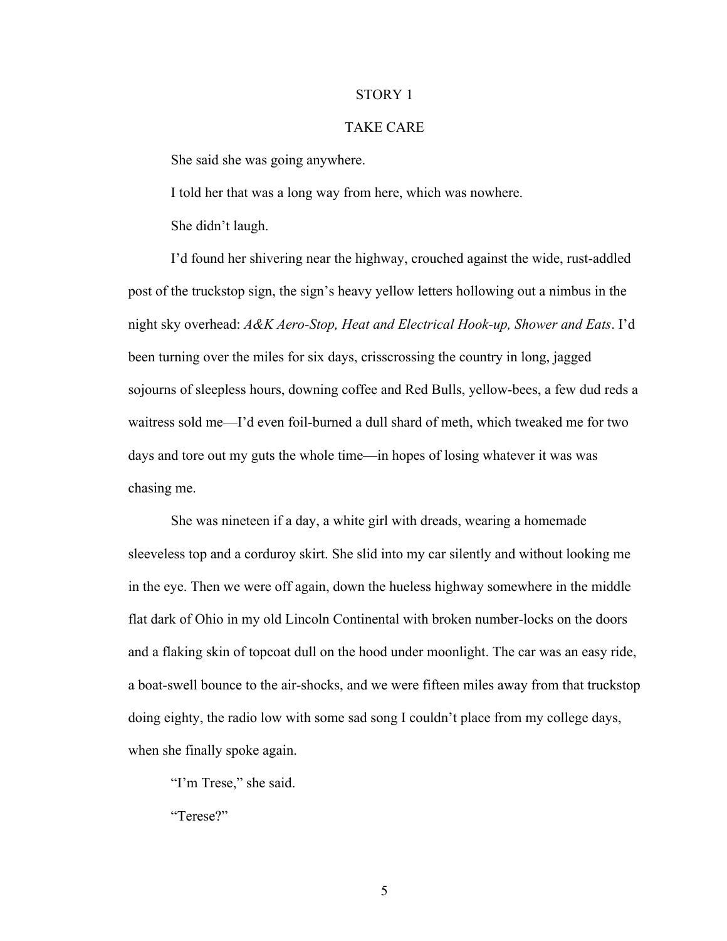#### STORY 1

## TAKE CARE

She said she was going anywhere.

I told her that was a long way from here, which was nowhere.

She didn't laugh.

I'd found her shivering near the highway, crouched against the wide, rust-addled post of the truckstop sign, the sign's heavy yellow letters hollowing out a nimbus in the night sky overhead: *A&K Aero-Stop, Heat and Electrical Hook-up, Shower and Eats*. I'd been turning over the miles for six days, crisscrossing the country in long, jagged sojourns of sleepless hours, downing coffee and Red Bulls, yellow-bees, a few dud reds a waitress sold me—I'd even foil-burned a dull shard of meth, which tweaked me for two days and tore out my guts the whole time—in hopes of losing whatever it was was chasing me.

She was nineteen if a day, a white girl with dreads, wearing a homemade sleeveless top and a corduroy skirt. She slid into my car silently and without looking me in the eye. Then we were off again, down the hueless highway somewhere in the middle flat dark of Ohio in my old Lincoln Continental with broken number-locks on the doors and a flaking skin of topcoat dull on the hood under moonlight. The car was an easy ride, a boat-swell bounce to the air-shocks, and we were fifteen miles away from that truckstop doing eighty, the radio low with some sad song I couldn't place from my college days, when she finally spoke again.

"I'm Trese," she said.

"Terese?"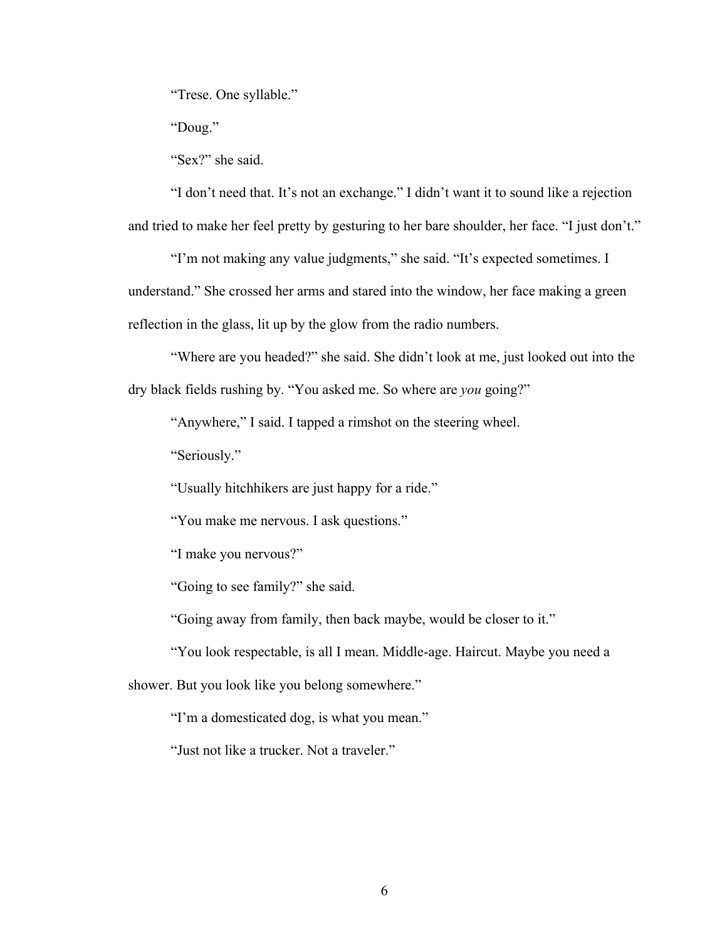"Trese. One syllable."

"Doug."

"Sex?" she said.

"I don't need that. It's not an exchange." I didn't want it to sound like a rejection and tried to make her feel pretty by gesturing to her bare shoulder, her face. "I just don't."

"I'm not making any value judgments," she said. "It's expected sometimes. I understand." She crossed her arms and stared into the window, her face making a green reflection in the glass, lit up by the glow from the radio numbers.

"Where are you headed?" she said. She didn't look at me, just looked out into the dry black fields rushing by. "You asked me. So where are *you* going?"

"Anywhere," I said. I tapped a rimshot on the steering wheel.

"Seriously."

"Usually hitchhikers are just happy for a ride."

"You make me nervous. I ask questions."

"I make you nervous?"

"Going to see family?" she said.

"Going away from family, then back maybe, would be closer to it."

"You look respectable, is all I mean. Middle-age. Haircut. Maybe you need a

shower. But you look like you belong somewhere."

"I'm a domesticated dog, is what you mean."

"Just not like a trucker. Not a traveler."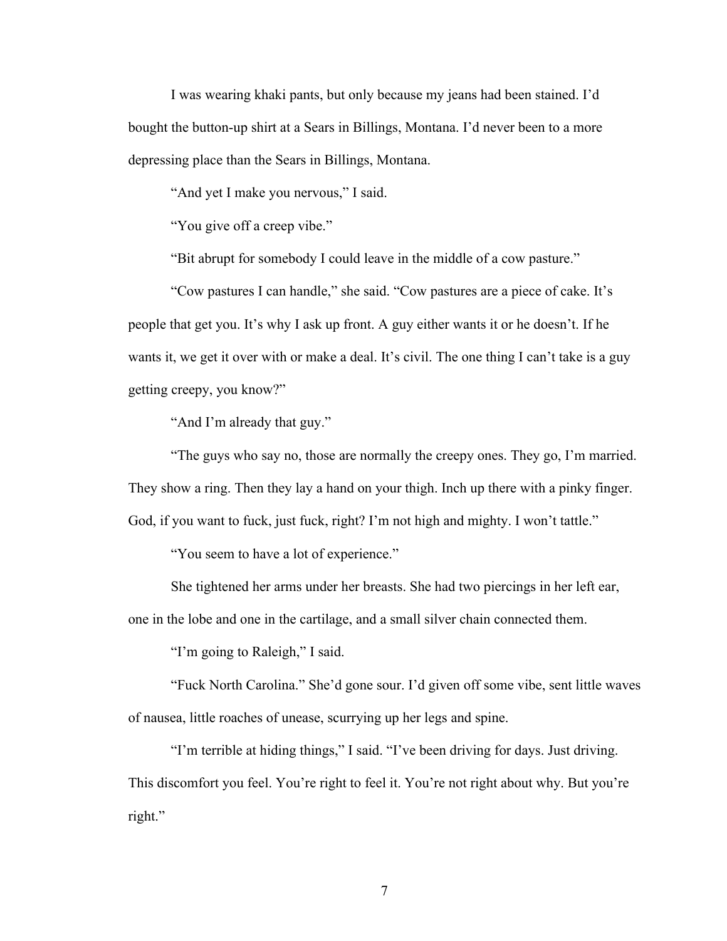I was wearing khaki pants, but only because my jeans had been stained. I'd bought the button-up shirt at a Sears in Billings, Montana. I'd never been to a more depressing place than the Sears in Billings, Montana.

"And yet I make you nervous," I said.

"You give off a creep vibe."

"Bit abrupt for somebody I could leave in the middle of a cow pasture."

"Cow pastures I can handle," she said. "Cow pastures are a piece of cake. It's people that get you. It's why I ask up front. A guy either wants it or he doesn't. If he wants it, we get it over with or make a deal. It's civil. The one thing I can't take is a guy getting creepy, you know?"

"And I'm already that guy."

"The guys who say no, those are normally the creepy ones. They go, I'm married. They show a ring. Then they lay a hand on your thigh. Inch up there with a pinky finger. God, if you want to fuck, just fuck, right? I'm not high and mighty. I won't tattle."

"You seem to have a lot of experience."

She tightened her arms under her breasts. She had two piercings in her left ear,

one in the lobe and one in the cartilage, and a small silver chain connected them.

"I'm going to Raleigh," I said.

"Fuck North Carolina." She'd gone sour. I'd given off some vibe, sent little waves of nausea, little roaches of unease, scurrying up her legs and spine.

"I'm terrible at hiding things," I said. "I've been driving for days. Just driving. This discomfort you feel. You're right to feel it. You're not right about why. But you're right."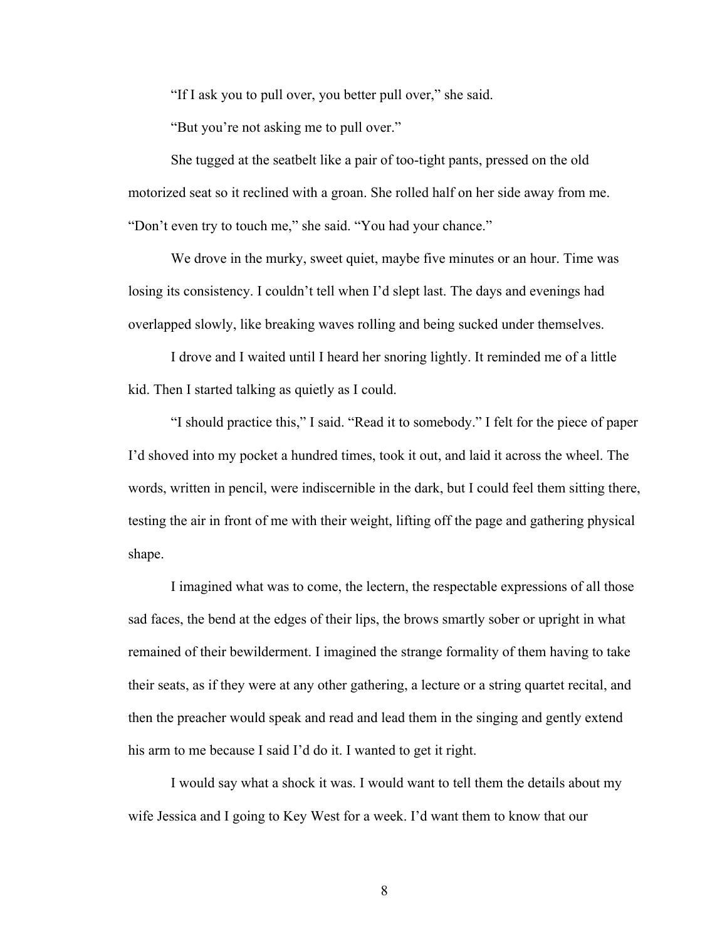"If I ask you to pull over, you better pull over," she said.

"But you're not asking me to pull over."

She tugged at the seatbelt like a pair of too-tight pants, pressed on the old motorized seat so it reclined with a groan. She rolled half on her side away from me. "Don't even try to touch me," she said. "You had your chance."

We drove in the murky, sweet quiet, maybe five minutes or an hour. Time was losing its consistency. I couldn't tell when I'd slept last. The days and evenings had overlapped slowly, like breaking waves rolling and being sucked under themselves.

I drove and I waited until I heard her snoring lightly. It reminded me of a little kid. Then I started talking as quietly as I could.

"I should practice this," I said. "Read it to somebody." I felt for the piece of paper I'd shoved into my pocket a hundred times, took it out, and laid it across the wheel. The words, written in pencil, were indiscernible in the dark, but I could feel them sitting there, testing the air in front of me with their weight, lifting off the page and gathering physical shape.

I imagined what was to come, the lectern, the respectable expressions of all those sad faces, the bend at the edges of their lips, the brows smartly sober or upright in what remained of their bewilderment. I imagined the strange formality of them having to take their seats, as if they were at any other gathering, a lecture or a string quartet recital, and then the preacher would speak and read and lead them in the singing and gently extend his arm to me because I said I'd do it. I wanted to get it right.

I would say what a shock it was. I would want to tell them the details about my wife Jessica and I going to Key West for a week. I'd want them to know that our

8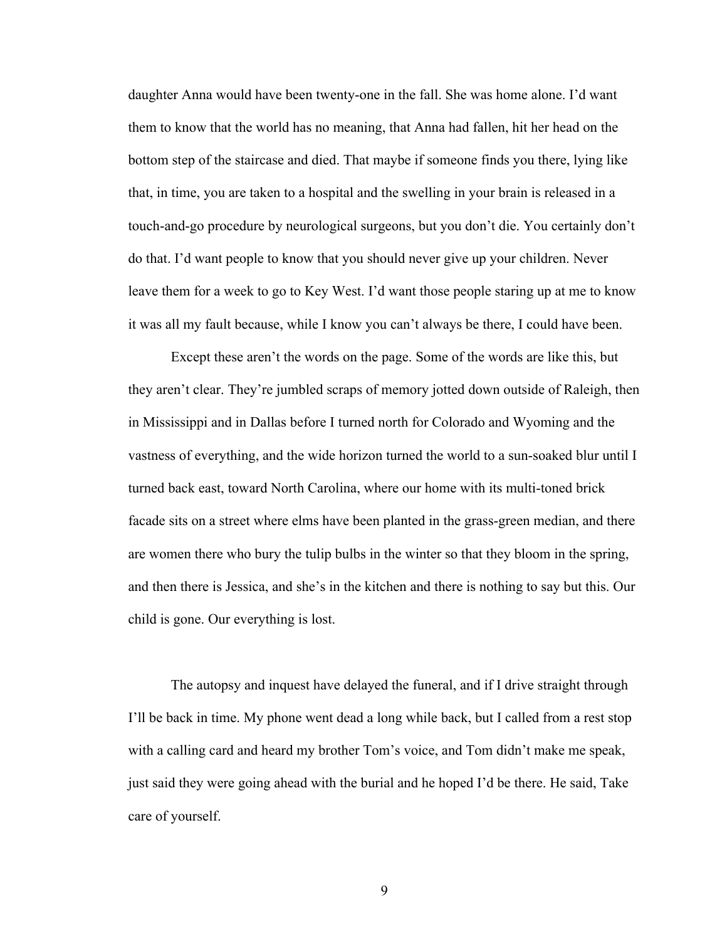daughter Anna would have been twenty-one in the fall. She was home alone. I'd want them to know that the world has no meaning, that Anna had fallen, hit her head on the bottom step of the staircase and died. That maybe if someone finds you there, lying like that, in time, you are taken to a hospital and the swelling in your brain is released in a touch-and-go procedure by neurological surgeons, but you don't die. You certainly don't do that. I'd want people to know that you should never give up your children. Never leave them for a week to go to Key West. I'd want those people staring up at me to know it was all my fault because, while I know you can't always be there, I could have been.

Except these aren't the words on the page. Some of the words are like this, but they aren't clear. They're jumbled scraps of memory jotted down outside of Raleigh, then in Mississippi and in Dallas before I turned north for Colorado and Wyoming and the vastness of everything, and the wide horizon turned the world to a sun-soaked blur until I turned back east, toward North Carolina, where our home with its multi-toned brick facade sits on a street where elms have been planted in the grass-green median, and there are women there who bury the tulip bulbs in the winter so that they bloom in the spring, and then there is Jessica, and she's in the kitchen and there is nothing to say but this. Our child is gone. Our everything is lost.

The autopsy and inquest have delayed the funeral, and if I drive straight through I'll be back in time. My phone went dead a long while back, but I called from a rest stop with a calling card and heard my brother Tom's voice, and Tom didn't make me speak, just said they were going ahead with the burial and he hoped I'd be there. He said, Take care of yourself.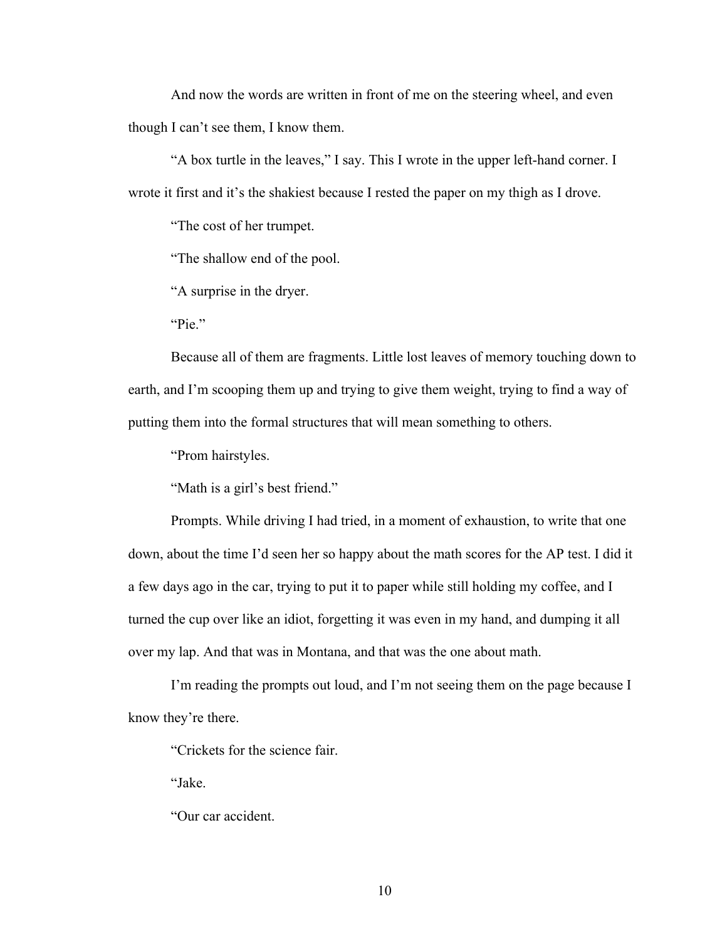And now the words are written in front of me on the steering wheel, and even though I can't see them, I know them.

"A box turtle in the leaves," I say. This I wrote in the upper left-hand corner. I wrote it first and it's the shakiest because I rested the paper on my thigh as I drove.

"The cost of her trumpet.

"The shallow end of the pool.

"A surprise in the dryer.

"Pie."

Because all of them are fragments. Little lost leaves of memory touching down to earth, and I'm scooping them up and trying to give them weight, trying to find a way of putting them into the formal structures that will mean something to others.

"Prom hairstyles.

"Math is a girl's best friend."

Prompts. While driving I had tried, in a moment of exhaustion, to write that one down, about the time I'd seen her so happy about the math scores for the AP test. I did it a few days ago in the car, trying to put it to paper while still holding my coffee, and I turned the cup over like an idiot, forgetting it was even in my hand, and dumping it all over my lap. And that was in Montana, and that was the one about math.

I'm reading the prompts out loud, and I'm not seeing them on the page because I know they're there.

"Crickets for the science fair.

"Jake.

"Our car accident.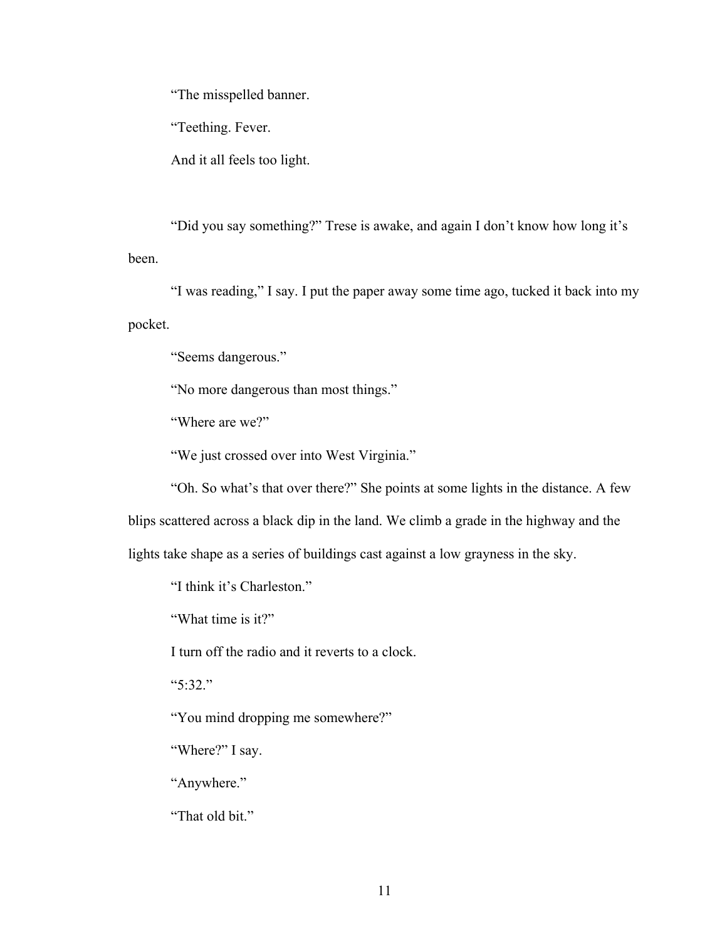"The misspelled banner.

"Teething. Fever.

And it all feels too light.

"Did you say something?" Trese is awake, and again I don't know how long it's been.

"I was reading," I say. I put the paper away some time ago, tucked it back into my pocket.

"Seems dangerous."

"No more dangerous than most things."

"Where are we?"

"We just crossed over into West Virginia."

"Oh. So what's that over there?" She points at some lights in the distance. A few blips scattered across a black dip in the land. We climb a grade in the highway and the lights take shape as a series of buildings cast against a low grayness in the sky.

"I think it's Charleston."

"What time is it?"

I turn off the radio and it reverts to a clock.

"5:32."

"You mind dropping me somewhere?"

"Where?" I say.

"Anywhere."

"That old bit."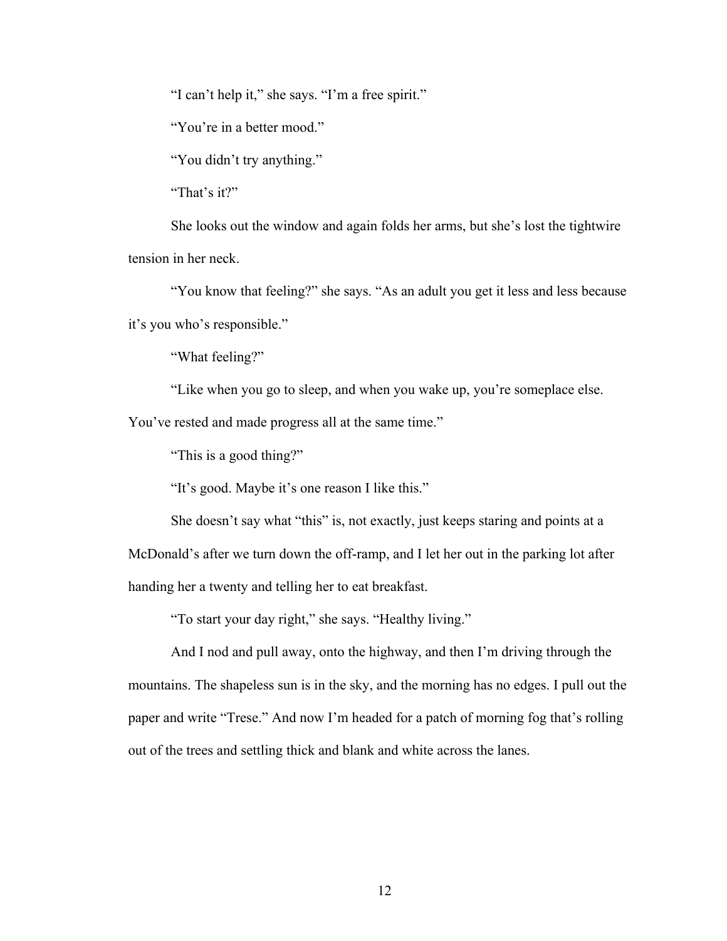"I can't help it," she says. "I'm a free spirit."

"You're in a better mood."

"You didn't try anything."

"That's it?"

She looks out the window and again folds her arms, but she's lost the tightwire tension in her neck.

"You know that feeling?" she says. "As an adult you get it less and less because it's you who's responsible."

"What feeling?"

"Like when you go to sleep, and when you wake up, you're someplace else.

You've rested and made progress all at the same time."

"This is a good thing?"

"It's good. Maybe it's one reason I like this."

She doesn't say what "this" is, not exactly, just keeps staring and points at a McDonald's after we turn down the off-ramp, and I let her out in the parking lot after handing her a twenty and telling her to eat breakfast.

"To start your day right," she says. "Healthy living."

And I nod and pull away, onto the highway, and then I'm driving through the mountains. The shapeless sun is in the sky, and the morning has no edges. I pull out the paper and write "Trese." And now I'm headed for a patch of morning fog that's rolling out of the trees and settling thick and blank and white across the lanes.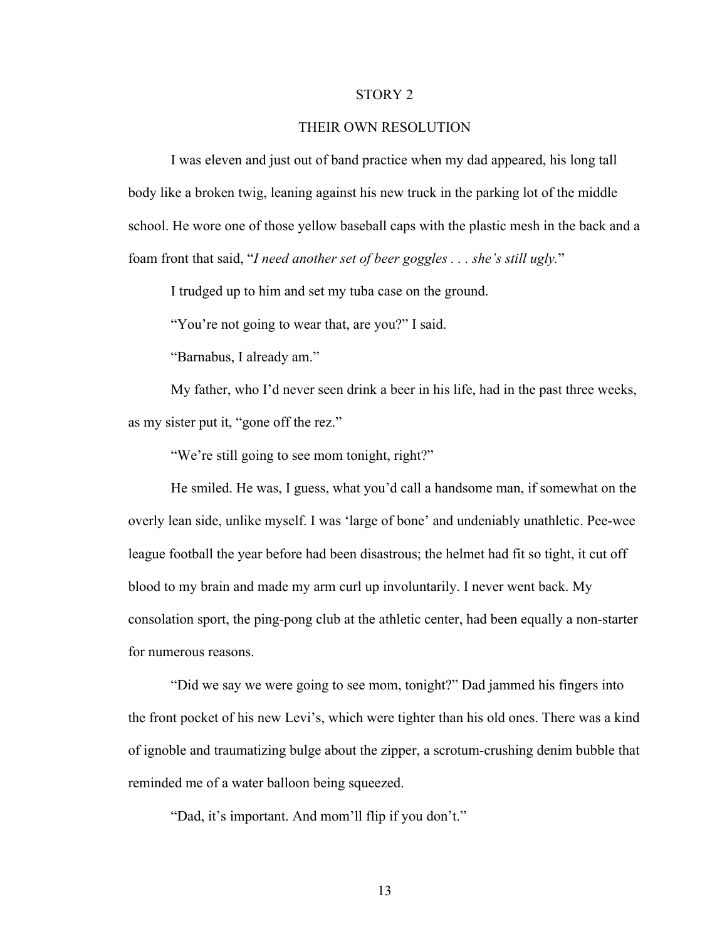#### STORY 2

#### THEIR OWN RESOLUTION

I was eleven and just out of band practice when my dad appeared, his long tall body like a broken twig, leaning against his new truck in the parking lot of the middle school. He wore one of those yellow baseball caps with the plastic mesh in the back and a foam front that said, "*I need another set of beer goggles . . . she's still ugly.*"

I trudged up to him and set my tuba case on the ground.

"You're not going to wear that, are you?" I said.

"Barnabus, I already am."

My father, who I'd never seen drink a beer in his life, had in the past three weeks, as my sister put it, "gone off the rez."

"We're still going to see mom tonight, right?"

He smiled. He was, I guess, what you'd call a handsome man, if somewhat on the overly lean side, unlike myself. I was 'large of bone' and undeniably unathletic. Pee-wee league football the year before had been disastrous; the helmet had fit so tight, it cut off blood to my brain and made my arm curl up involuntarily. I never went back. My consolation sport, the ping-pong club at the athletic center, had been equally a non-starter for numerous reasons.

"Did we say we were going to see mom, tonight?" Dad jammed his fingers into the front pocket of his new Levi's, which were tighter than his old ones. There was a kind of ignoble and traumatizing bulge about the zipper, a scrotum-crushing denim bubble that reminded me of a water balloon being squeezed.

"Dad, it's important. And mom'll flip if you don't."

13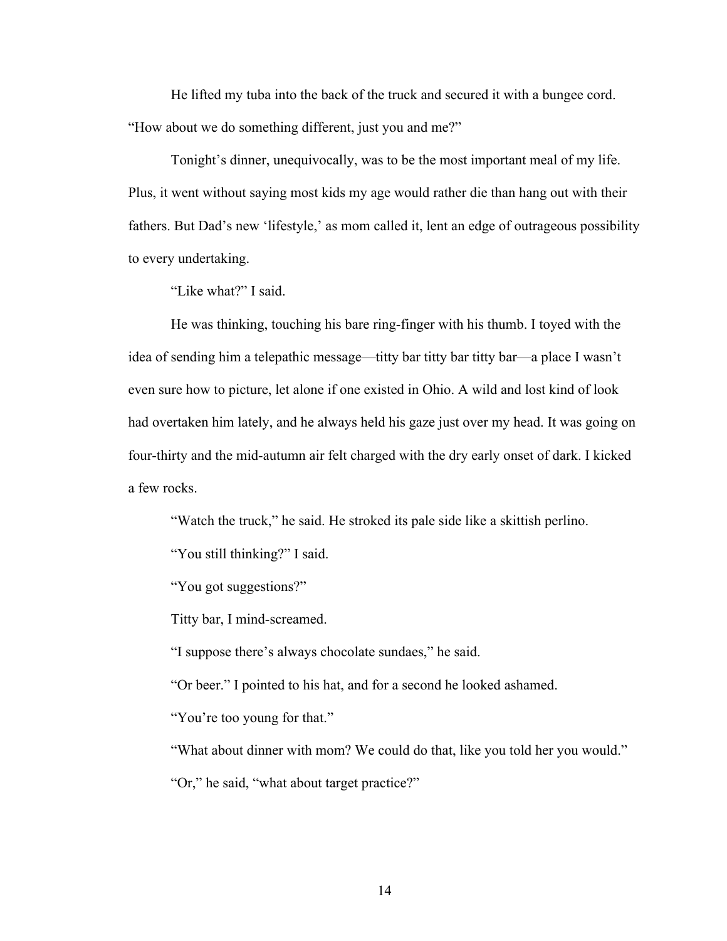He lifted my tuba into the back of the truck and secured it with a bungee cord. "How about we do something different, just you and me?"

Tonight's dinner, unequivocally, was to be the most important meal of my life. Plus, it went without saying most kids my age would rather die than hang out with their fathers. But Dad's new 'lifestyle,' as mom called it, lent an edge of outrageous possibility to every undertaking.

"Like what?" I said.

He was thinking, touching his bare ring-finger with his thumb. I toyed with the idea of sending him a telepathic message—titty bar titty bar titty bar—a place I wasn't even sure how to picture, let alone if one existed in Ohio. A wild and lost kind of look had overtaken him lately, and he always held his gaze just over my head. It was going on four-thirty and the mid-autumn air felt charged with the dry early onset of dark. I kicked a few rocks.

"Watch the truck," he said. He stroked its pale side like a skittish perlino.

"You still thinking?" I said.

"You got suggestions?"

Titty bar, I mind-screamed.

"I suppose there's always chocolate sundaes," he said.

"Or beer." I pointed to his hat, and for a second he looked ashamed.

"You're too young for that."

"What about dinner with mom? We could do that, like you told her you would."

"Or," he said, "what about target practice?"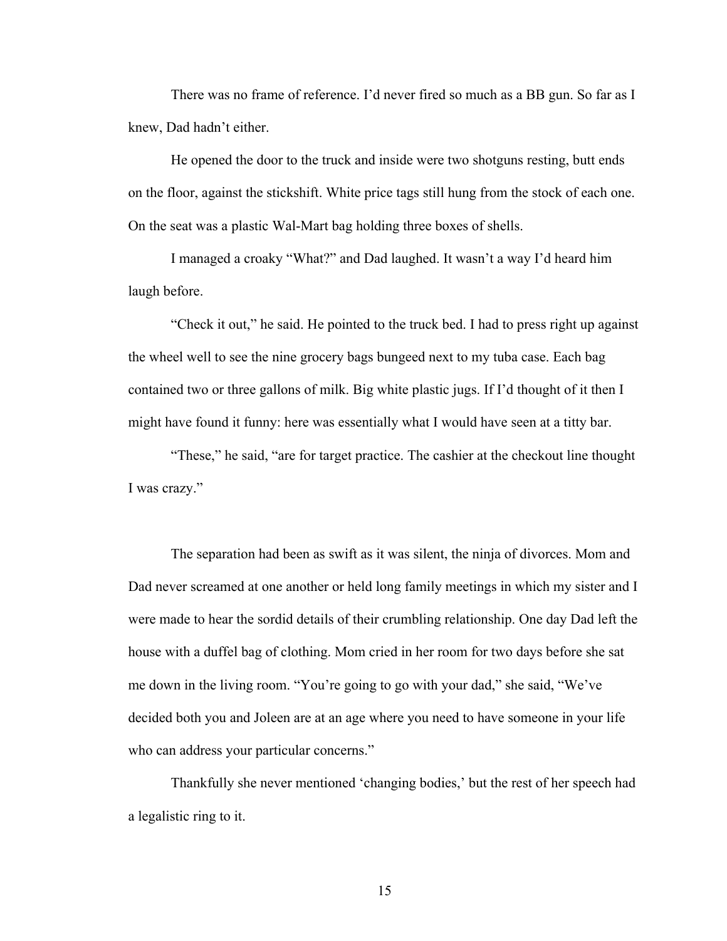There was no frame of reference. I'd never fired so much as a BB gun. So far as I knew, Dad hadn't either.

He opened the door to the truck and inside were two shotguns resting, butt ends on the floor, against the stickshift. White price tags still hung from the stock of each one. On the seat was a plastic Wal-Mart bag holding three boxes of shells.

I managed a croaky "What?" and Dad laughed. It wasn't a way I'd heard him laugh before.

"Check it out," he said. He pointed to the truck bed. I had to press right up against the wheel well to see the nine grocery bags bungeed next to my tuba case. Each bag contained two or three gallons of milk. Big white plastic jugs. If I'd thought of it then I might have found it funny: here was essentially what I would have seen at a titty bar.

"These," he said, "are for target practice. The cashier at the checkout line thought I was crazy."

The separation had been as swift as it was silent, the ninja of divorces. Mom and Dad never screamed at one another or held long family meetings in which my sister and I were made to hear the sordid details of their crumbling relationship. One day Dad left the house with a duffel bag of clothing. Mom cried in her room for two days before she sat me down in the living room. "You're going to go with your dad," she said, "We've decided both you and Joleen are at an age where you need to have someone in your life who can address your particular concerns."

Thankfully she never mentioned 'changing bodies,' but the rest of her speech had a legalistic ring to it.

15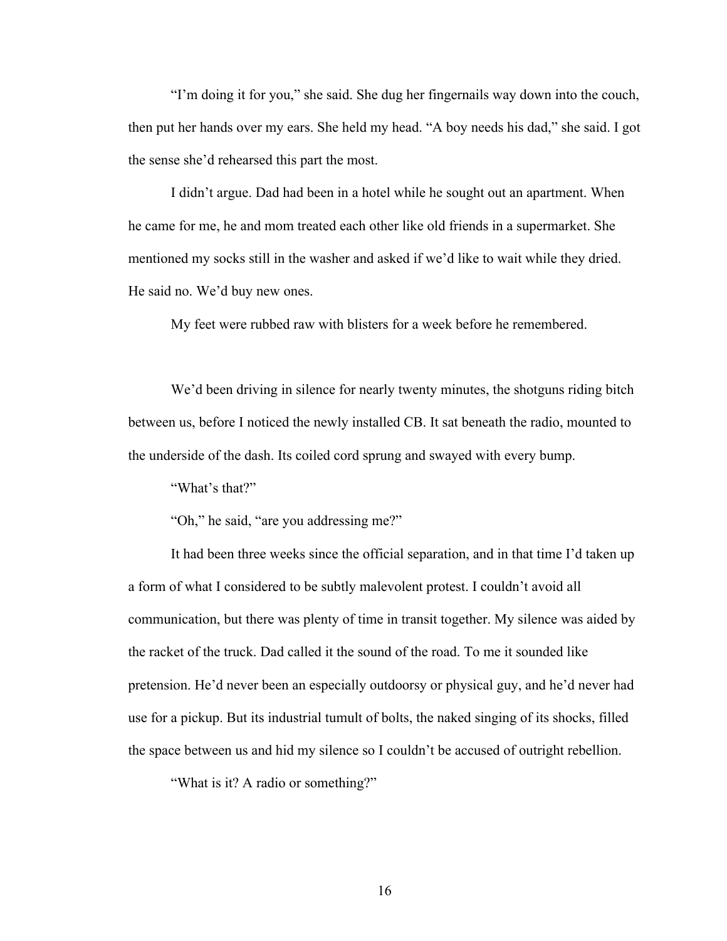"I'm doing it for you," she said. She dug her fingernails way down into the couch, then put her hands over my ears. She held my head. "A boy needs his dad," she said. I got the sense she'd rehearsed this part the most.

I didn't argue. Dad had been in a hotel while he sought out an apartment. When he came for me, he and mom treated each other like old friends in a supermarket. She mentioned my socks still in the washer and asked if we'd like to wait while they dried. He said no. We'd buy new ones.

My feet were rubbed raw with blisters for a week before he remembered.

We'd been driving in silence for nearly twenty minutes, the shotguns riding bitch between us, before I noticed the newly installed CB. It sat beneath the radio, mounted to the underside of the dash. Its coiled cord sprung and swayed with every bump.

"What's that?"

"Oh," he said, "are you addressing me?"

It had been three weeks since the official separation, and in that time I'd taken up a form of what I considered to be subtly malevolent protest. I couldn't avoid all communication, but there was plenty of time in transit together. My silence was aided by the racket of the truck. Dad called it the sound of the road. To me it sounded like pretension. He'd never been an especially outdoorsy or physical guy, and he'd never had use for a pickup. But its industrial tumult of bolts, the naked singing of its shocks, filled the space between us and hid my silence so I couldn't be accused of outright rebellion.

"What is it? A radio or something?"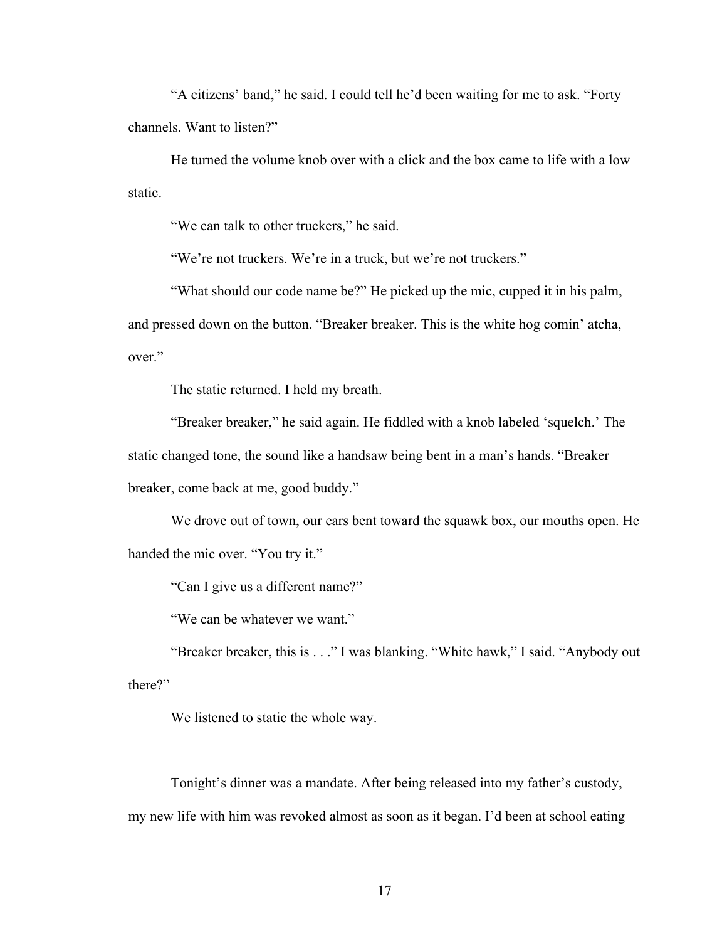"A citizens' band," he said. I could tell he'd been waiting for me to ask. "Forty channels. Want to listen?"

He turned the volume knob over with a click and the box came to life with a low static.

"We can talk to other truckers," he said.

"We're not truckers. We're in a truck, but we're not truckers."

"What should our code name be?" He picked up the mic, cupped it in his palm, and pressed down on the button. "Breaker breaker. This is the white hog comin' atcha, over"

The static returned. I held my breath.

"Breaker breaker," he said again. He fiddled with a knob labeled 'squelch.' The static changed tone, the sound like a handsaw being bent in a man's hands. "Breaker breaker, come back at me, good buddy."

We drove out of town, our ears bent toward the squawk box, our mouths open. He handed the mic over. "You try it."

"Can I give us a different name?"

"We can be whatever we want."

"Breaker breaker, this is . . ." I was blanking. "White hawk," I said. "Anybody out there?"

We listened to static the whole way.

Tonight's dinner was a mandate. After being released into my father's custody, my new life with him was revoked almost as soon as it began. I'd been at school eating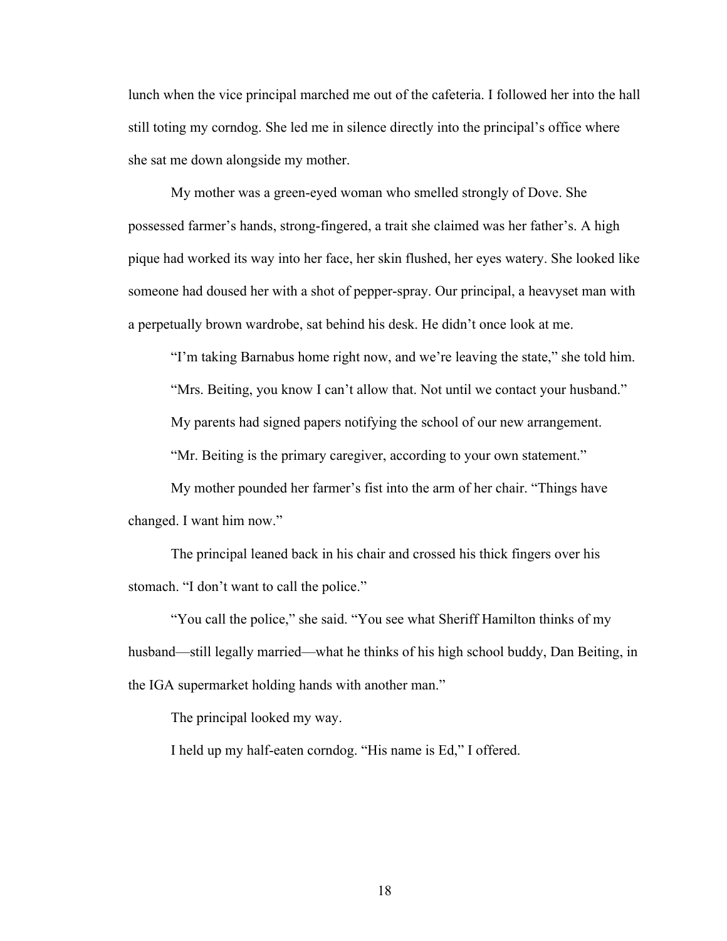lunch when the vice principal marched me out of the cafeteria. I followed her into the hall still toting my corndog. She led me in silence directly into the principal's office where she sat me down alongside my mother.

My mother was a green-eyed woman who smelled strongly of Dove. She possessed farmer's hands, strong-fingered, a trait she claimed was her father's. A high pique had worked its way into her face, her skin flushed, her eyes watery. She looked like someone had doused her with a shot of pepper-spray. Our principal, a heavyset man with a perpetually brown wardrobe, sat behind his desk. He didn't once look at me.

"I'm taking Barnabus home right now, and we're leaving the state," she told him.

"Mrs. Beiting, you know I can't allow that. Not until we contact your husband."

My parents had signed papers notifying the school of our new arrangement.

"Mr. Beiting is the primary caregiver, according to your own statement."

My mother pounded her farmer's fist into the arm of her chair. "Things have changed. I want him now."

The principal leaned back in his chair and crossed his thick fingers over his stomach. "I don't want to call the police."

"You call the police," she said. "You see what Sheriff Hamilton thinks of my husband—still legally married—what he thinks of his high school buddy, Dan Beiting, in the IGA supermarket holding hands with another man."

The principal looked my way.

I held up my half-eaten corndog. "His name is Ed," I offered.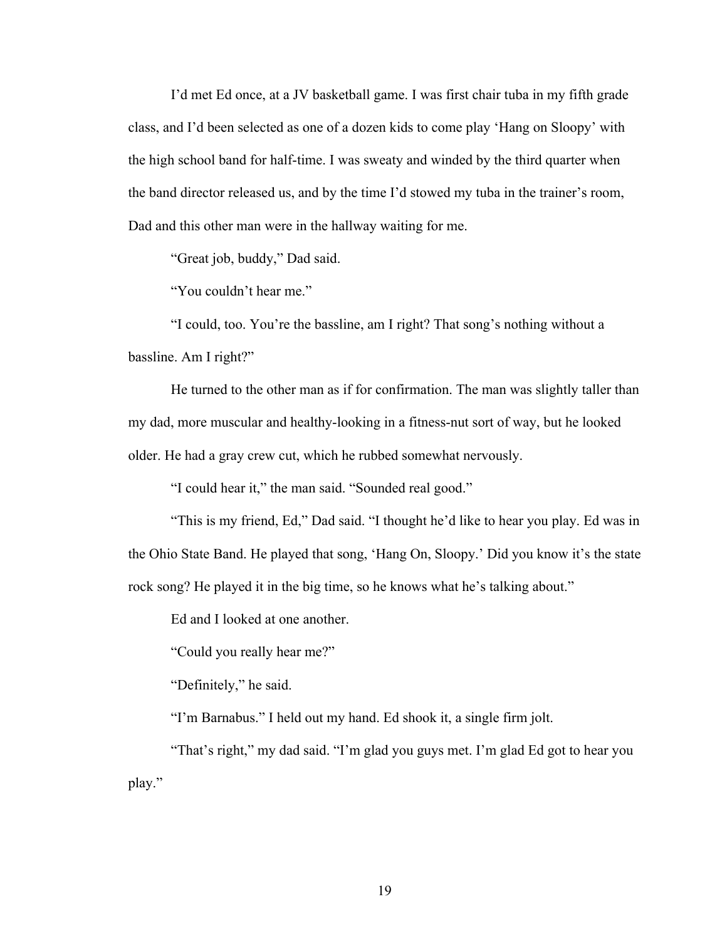I'd met Ed once, at a JV basketball game. I was first chair tuba in my fifth grade class, and I'd been selected as one of a dozen kids to come play 'Hang on Sloopy' with the high school band for half-time. I was sweaty and winded by the third quarter when the band director released us, and by the time I'd stowed my tuba in the trainer's room, Dad and this other man were in the hallway waiting for me.

"Great job, buddy," Dad said.

"You couldn't hear me."

"I could, too. You're the bassline, am I right? That song's nothing without a bassline. Am I right?"

He turned to the other man as if for confirmation. The man was slightly taller than my dad, more muscular and healthy-looking in a fitness-nut sort of way, but he looked older. He had a gray crew cut, which he rubbed somewhat nervously.

"I could hear it," the man said. "Sounded real good."

"This is my friend, Ed," Dad said. "I thought he'd like to hear you play. Ed was in the Ohio State Band. He played that song, 'Hang On, Sloopy.' Did you know it's the state rock song? He played it in the big time, so he knows what he's talking about."

Ed and I looked at one another.

"Could you really hear me?"

"Definitely," he said.

"I'm Barnabus." I held out my hand. Ed shook it, a single firm jolt.

"That's right," my dad said. "I'm glad you guys met. I'm glad Ed got to hear you play."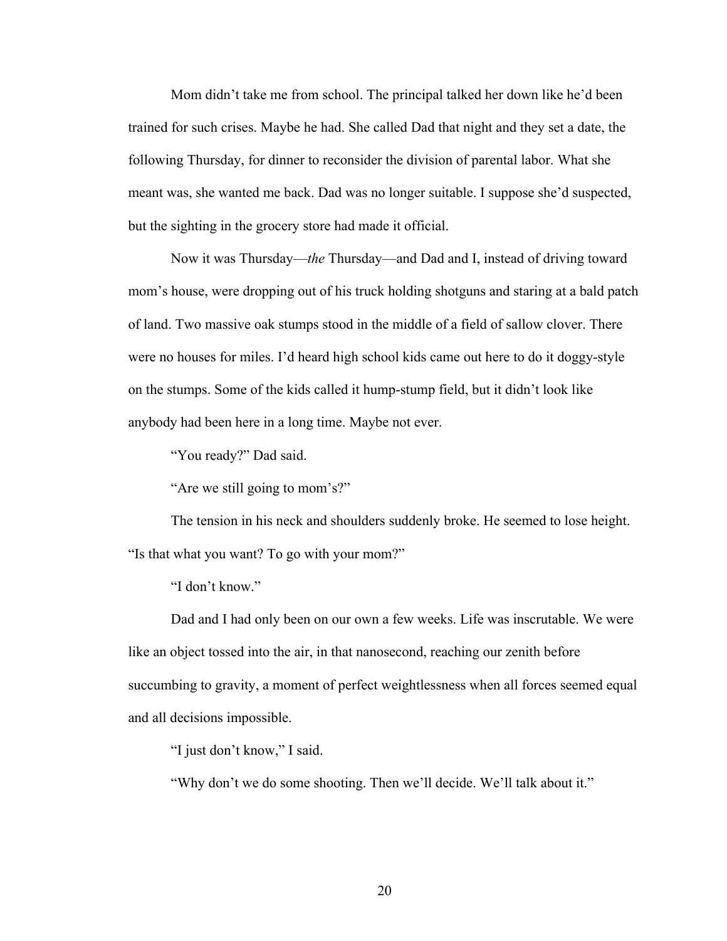Mom didn't take me from school. The principal talked her down like he'd been trained for such crises. Maybe he had. She called Dad that night and they set a date, the following Thursday, for dinner to reconsider the division of parental labor. What she meant was, she wanted me back. Dad was no longer suitable. I suppose she'd suspected, but the sighting in the grocery store had made it official.

Now it was Thursday—*the* Thursday—and Dad and I, instead of driving toward mom's house, were dropping out of his truck holding shotguns and staring at a bald patch of land. Two massive oak stumps stood in the middle of a field of sallow clover. There were no houses for miles. I'd heard high school kids came out here to do it doggy-style on the stumps. Some of the kids called it hump-stump field, but it didn't look like anybody had been here in a long time. Maybe not ever.

"You ready?" Dad said.

"Are we still going to mom's?"

The tension in his neck and shoulders suddenly broke. He seemed to lose height. "Is that what you want? To go with your mom?"

"I don't know."

Dad and I had only been on our own a few weeks. Life was inscrutable. We were like an object tossed into the air, in that nanosecond, reaching our zenith before succumbing to gravity, a moment of perfect weightlessness when all forces seemed equal and all decisions impossible.

"I just don't know," I said.

"Why don't we do some shooting. Then we'll decide. We'll talk about it."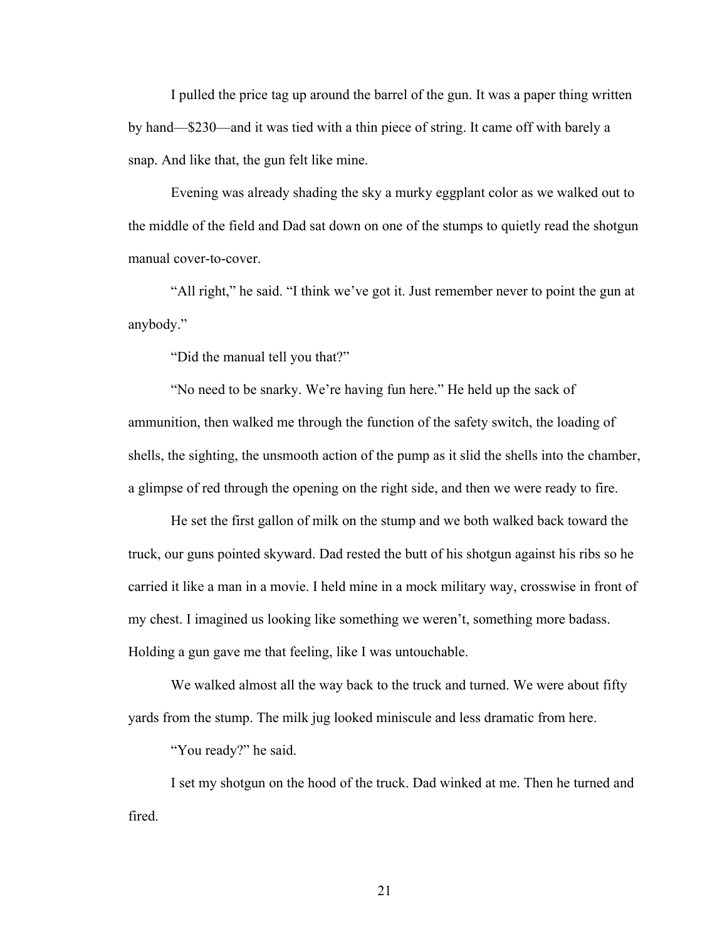I pulled the price tag up around the barrel of the gun. It was a paper thing written by hand—\$230—and it was tied with a thin piece of string. It came off with barely a snap. And like that, the gun felt like mine.

Evening was already shading the sky a murky eggplant color as we walked out to the middle of the field and Dad sat down on one of the stumps to quietly read the shotgun manual cover-to-cover.

"All right," he said. "I think we've got it. Just remember never to point the gun at anybody."

"Did the manual tell you that?"

"No need to be snarky. We're having fun here." He held up the sack of ammunition, then walked me through the function of the safety switch, the loading of shells, the sighting, the unsmooth action of the pump as it slid the shells into the chamber, a glimpse of red through the opening on the right side, and then we were ready to fire.

He set the first gallon of milk on the stump and we both walked back toward the truck, our guns pointed skyward. Dad rested the butt of his shotgun against his ribs so he carried it like a man in a movie. I held mine in a mock military way, crosswise in front of my chest. I imagined us looking like something we weren't, something more badass. Holding a gun gave me that feeling, like I was untouchable.

We walked almost all the way back to the truck and turned. We were about fifty yards from the stump. The milk jug looked miniscule and less dramatic from here.

"You ready?" he said.

I set my shotgun on the hood of the truck. Dad winked at me. Then he turned and fired.

21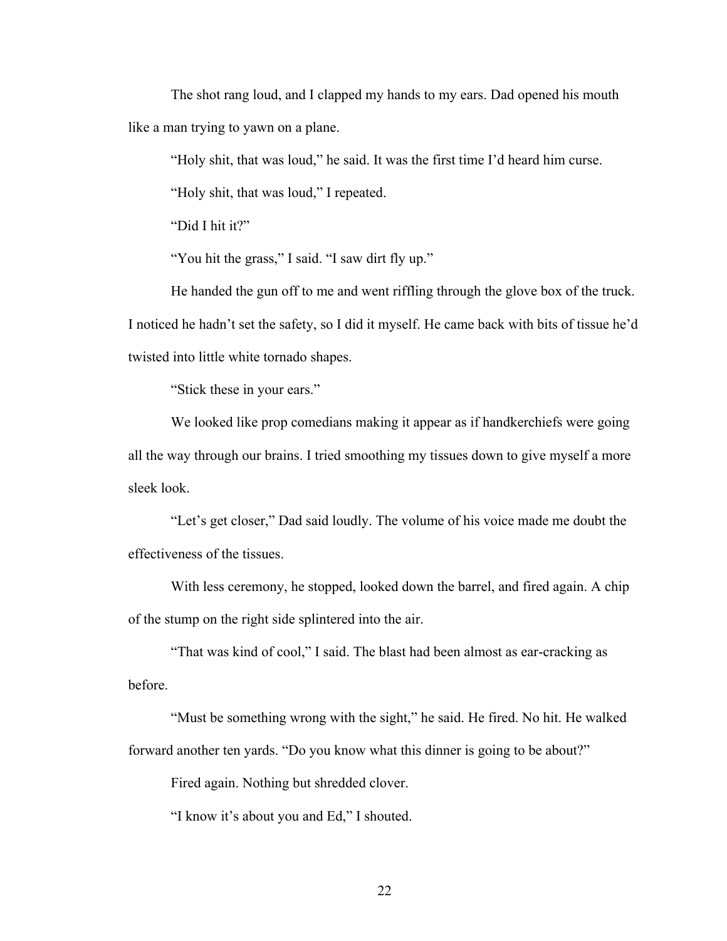The shot rang loud, and I clapped my hands to my ears. Dad opened his mouth like a man trying to yawn on a plane.

"Holy shit, that was loud," he said. It was the first time I'd heard him curse.

"Holy shit, that was loud," I repeated.

"Did I hit it?"

"You hit the grass," I said. "I saw dirt fly up."

He handed the gun off to me and went riffling through the glove box of the truck. I noticed he hadn't set the safety, so I did it myself. He came back with bits of tissue he'd twisted into little white tornado shapes.

"Stick these in your ears."

We looked like prop comedians making it appear as if handkerchiefs were going all the way through our brains. I tried smoothing my tissues down to give myself a more sleek look.

"Let's get closer," Dad said loudly. The volume of his voice made me doubt the effectiveness of the tissues.

With less ceremony, he stopped, looked down the barrel, and fired again. A chip of the stump on the right side splintered into the air.

"That was kind of cool," I said. The blast had been almost as ear-cracking as before.

"Must be something wrong with the sight," he said. He fired. No hit. He walked forward another ten yards. "Do you know what this dinner is going to be about?"

Fired again. Nothing but shredded clover.

"I know it's about you and Ed," I shouted.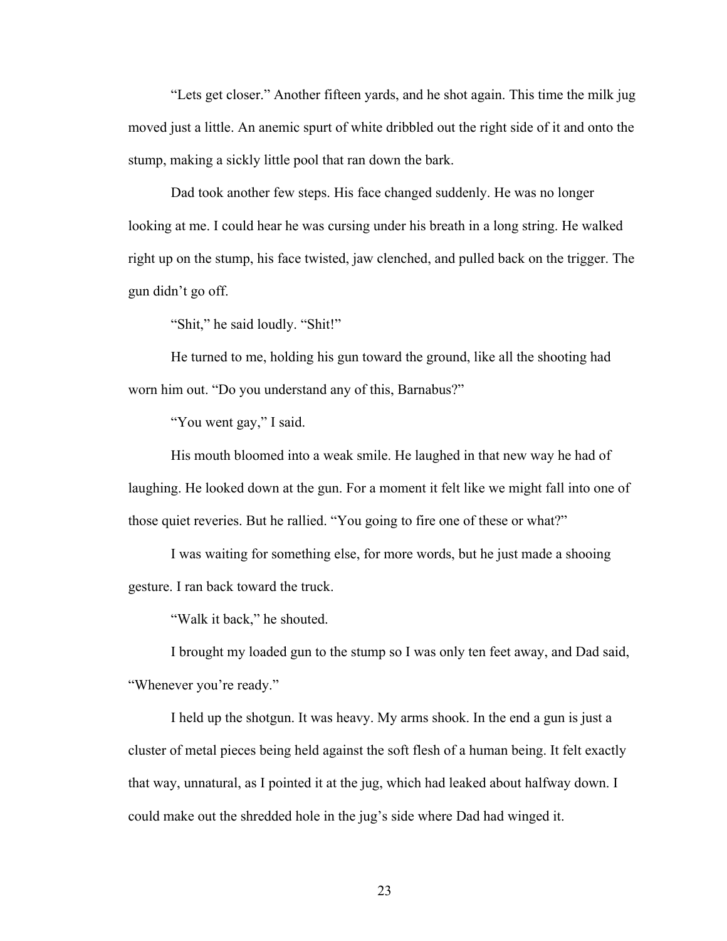"Lets get closer." Another fifteen yards, and he shot again. This time the milk jug moved just a little. An anemic spurt of white dribbled out the right side of it and onto the stump, making a sickly little pool that ran down the bark.

Dad took another few steps. His face changed suddenly. He was no longer looking at me. I could hear he was cursing under his breath in a long string. He walked right up on the stump, his face twisted, jaw clenched, and pulled back on the trigger. The gun didn't go off.

"Shit," he said loudly. "Shit!"

He turned to me, holding his gun toward the ground, like all the shooting had worn him out. "Do you understand any of this, Barnabus?"

"You went gay," I said.

His mouth bloomed into a weak smile. He laughed in that new way he had of laughing. He looked down at the gun. For a moment it felt like we might fall into one of those quiet reveries. But he rallied. "You going to fire one of these or what?"

I was waiting for something else, for more words, but he just made a shooing gesture. I ran back toward the truck.

"Walk it back," he shouted.

I brought my loaded gun to the stump so I was only ten feet away, and Dad said, "Whenever you're ready."

I held up the shotgun. It was heavy. My arms shook. In the end a gun is just a cluster of metal pieces being held against the soft flesh of a human being. It felt exactly that way, unnatural, as I pointed it at the jug, which had leaked about halfway down. I could make out the shredded hole in the jug's side where Dad had winged it.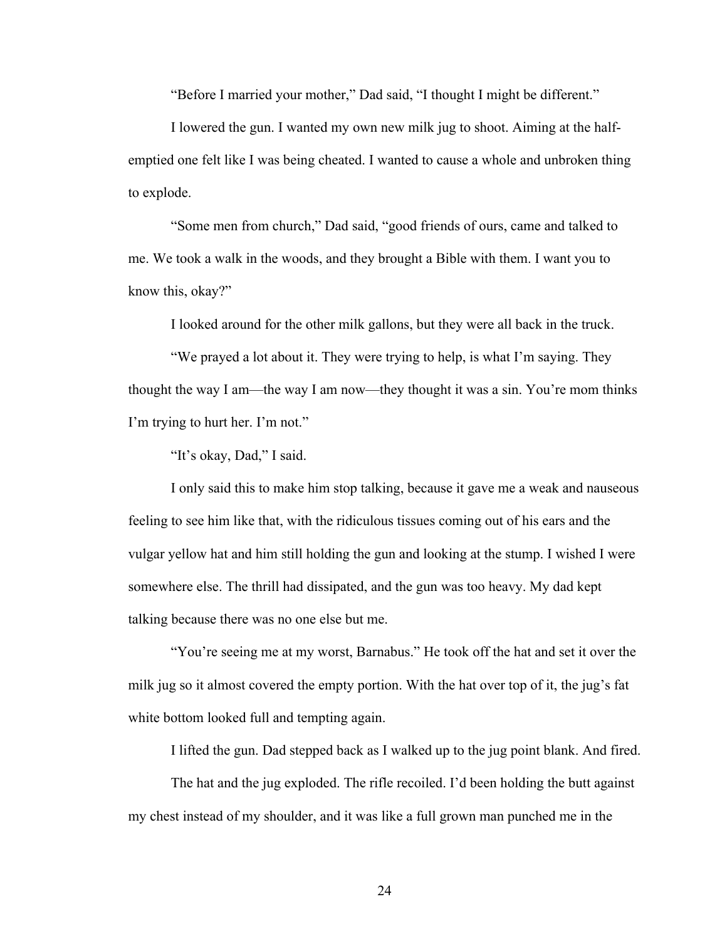"Before I married your mother," Dad said, "I thought I might be different."

I lowered the gun. I wanted my own new milk jug to shoot. Aiming at the halfemptied one felt like I was being cheated. I wanted to cause a whole and unbroken thing to explode.

"Some men from church," Dad said, "good friends of ours, came and talked to me. We took a walk in the woods, and they brought a Bible with them. I want you to know this, okay?"

I looked around for the other milk gallons, but they were all back in the truck.

"We prayed a lot about it. They were trying to help, is what I'm saying. They thought the way I am—the way I am now—they thought it was a sin. You're mom thinks I'm trying to hurt her. I'm not."

"It's okay, Dad," I said.

I only said this to make him stop talking, because it gave me a weak and nauseous feeling to see him like that, with the ridiculous tissues coming out of his ears and the vulgar yellow hat and him still holding the gun and looking at the stump. I wished I were somewhere else. The thrill had dissipated, and the gun was too heavy. My dad kept talking because there was no one else but me.

"You're seeing me at my worst, Barnabus." He took off the hat and set it over the milk jug so it almost covered the empty portion. With the hat over top of it, the jug's fat white bottom looked full and tempting again.

I lifted the gun. Dad stepped back as I walked up to the jug point blank. And fired.

The hat and the jug exploded. The rifle recoiled. I'd been holding the butt against my chest instead of my shoulder, and it was like a full grown man punched me in the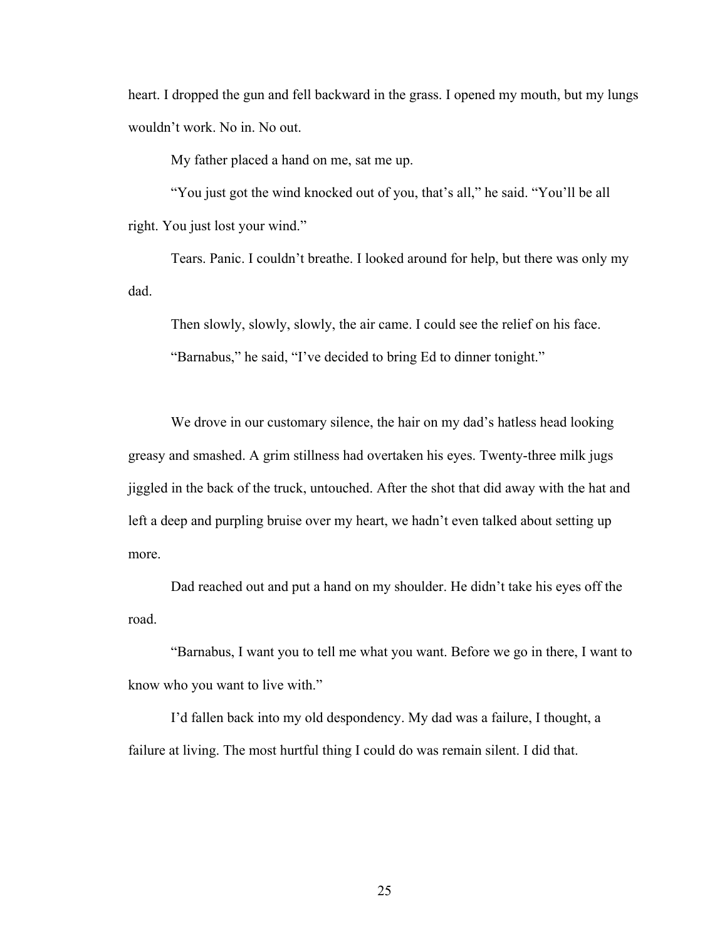heart. I dropped the gun and fell backward in the grass. I opened my mouth, but my lungs wouldn't work. No in. No out.

My father placed a hand on me, sat me up.

"You just got the wind knocked out of you, that's all," he said. "You'll be all right. You just lost your wind."

Tears. Panic. I couldn't breathe. I looked around for help, but there was only my dad.

Then slowly, slowly, slowly, the air came. I could see the relief on his face. "Barnabus," he said, "I've decided to bring Ed to dinner tonight."

We drove in our customary silence, the hair on my dad's hatless head looking greasy and smashed. A grim stillness had overtaken his eyes. Twenty-three milk jugs jiggled in the back of the truck, untouched. After the shot that did away with the hat and left a deep and purpling bruise over my heart, we hadn't even talked about setting up more.

Dad reached out and put a hand on my shoulder. He didn't take his eyes off the road.

"Barnabus, I want you to tell me what you want. Before we go in there, I want to know who you want to live with."

I'd fallen back into my old despondency. My dad was a failure, I thought, a failure at living. The most hurtful thing I could do was remain silent. I did that.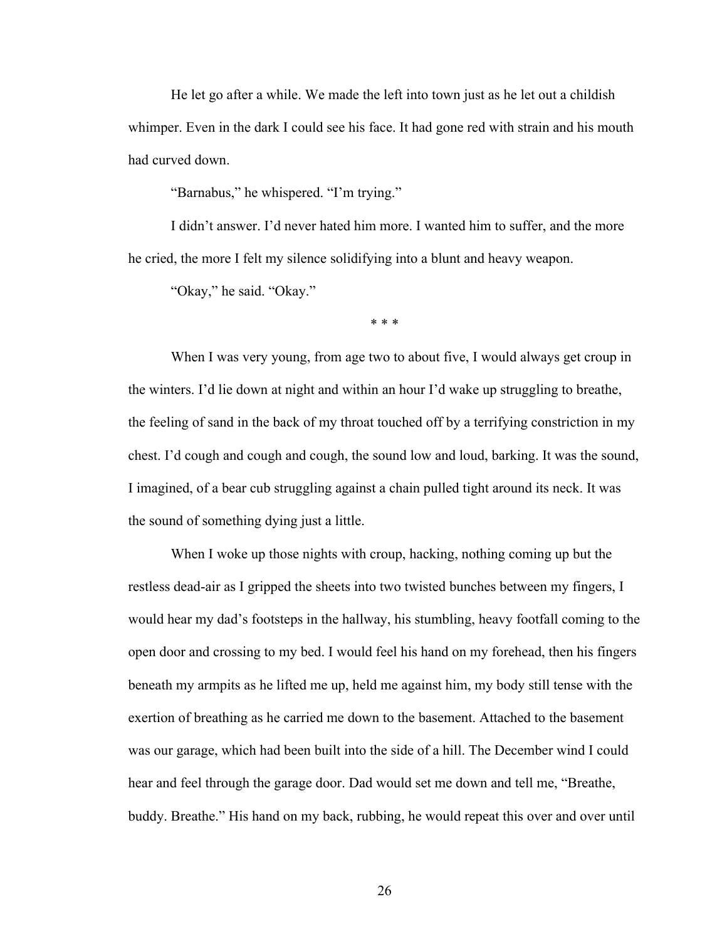He let go after a while. We made the left into town just as he let out a childish whimper. Even in the dark I could see his face. It had gone red with strain and his mouth had curved down.

"Barnabus," he whispered. "I'm trying."

I didn't answer. I'd never hated him more. I wanted him to suffer, and the more he cried, the more I felt my silence solidifying into a blunt and heavy weapon.

"Okay," he said. "Okay."

\* \* \*

When I was very young, from age two to about five, I would always get croup in the winters. I'd lie down at night and within an hour I'd wake up struggling to breathe, the feeling of sand in the back of my throat touched off by a terrifying constriction in my chest. I'd cough and cough and cough, the sound low and loud, barking. It was the sound, I imagined, of a bear cub struggling against a chain pulled tight around its neck. It was the sound of something dying just a little.

When I woke up those nights with croup, hacking, nothing coming up but the restless dead-air as I gripped the sheets into two twisted bunches between my fingers, I would hear my dad's footsteps in the hallway, his stumbling, heavy footfall coming to the open door and crossing to my bed. I would feel his hand on my forehead, then his fingers beneath my armpits as he lifted me up, held me against him, my body still tense with the exertion of breathing as he carried me down to the basement. Attached to the basement was our garage, which had been built into the side of a hill. The December wind I could hear and feel through the garage door. Dad would set me down and tell me, "Breathe, buddy. Breathe." His hand on my back, rubbing, he would repeat this over and over until

26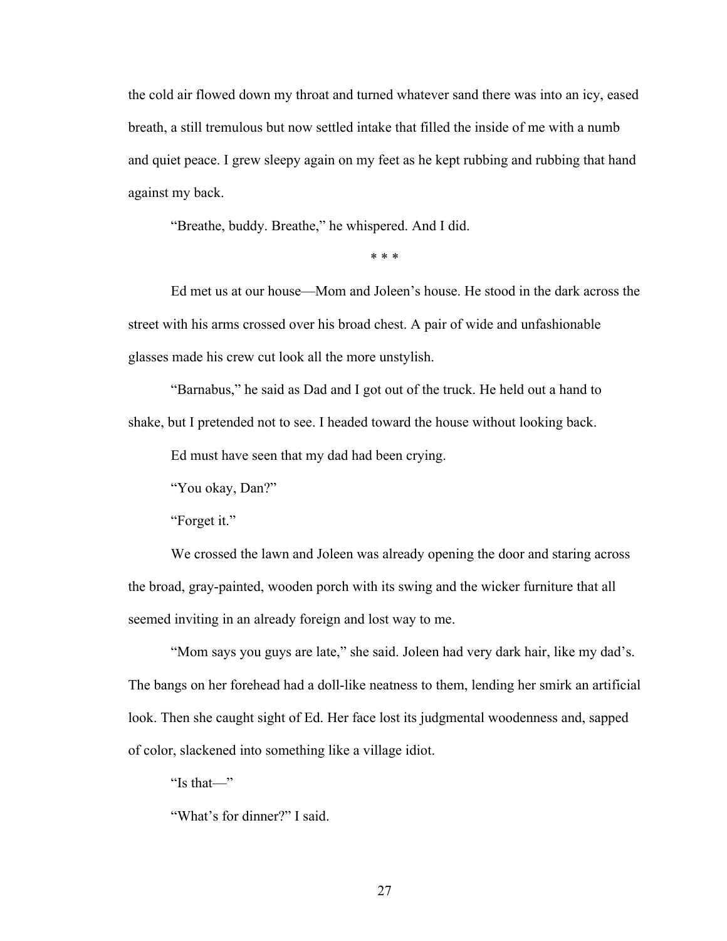the cold air flowed down my throat and turned whatever sand there was into an icy, eased breath, a still tremulous but now settled intake that filled the inside of me with a numb and quiet peace. I grew sleepy again on my feet as he kept rubbing and rubbing that hand against my back.

"Breathe, buddy. Breathe," he whispered. And I did.

\* \* \*

Ed met us at our house—Mom and Joleen's house. He stood in the dark across the street with his arms crossed over his broad chest. A pair of wide and unfashionable glasses made his crew cut look all the more unstylish.

"Barnabus," he said as Dad and I got out of the truck. He held out a hand to shake, but I pretended not to see. I headed toward the house without looking back.

Ed must have seen that my dad had been crying.

"You okay, Dan?"

"Forget it."

We crossed the lawn and Joleen was already opening the door and staring across the broad, gray-painted, wooden porch with its swing and the wicker furniture that all seemed inviting in an already foreign and lost way to me.

"Mom says you guys are late," she said. Joleen had very dark hair, like my dad's. The bangs on her forehead had a doll-like neatness to them, lending her smirk an artificial look. Then she caught sight of Ed. Her face lost its judgmental woodenness and, sapped of color, slackened into something like a village idiot.

"Is that—"

"What's for dinner?" I said.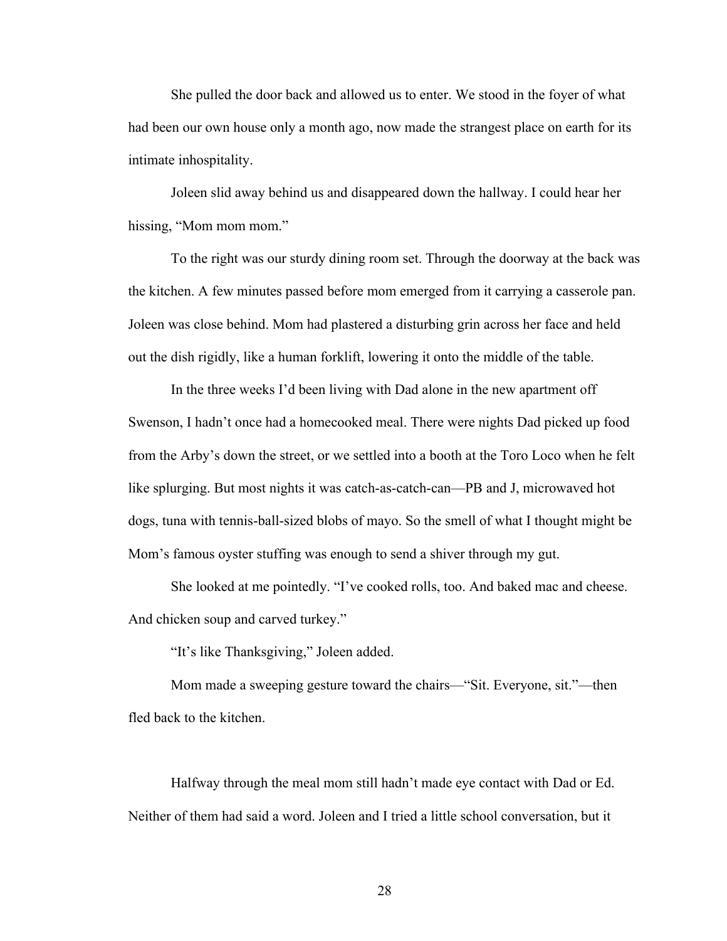She pulled the door back and allowed us to enter. We stood in the foyer of what had been our own house only a month ago, now made the strangest place on earth for its intimate inhospitality.

Joleen slid away behind us and disappeared down the hallway. I could hear her hissing, "Mom mom mom."

To the right was our sturdy dining room set. Through the doorway at the back was the kitchen. A few minutes passed before mom emerged from it carrying a casserole pan. Joleen was close behind. Mom had plastered a disturbing grin across her face and held out the dish rigidly, like a human forklift, lowering it onto the middle of the table.

In the three weeks I'd been living with Dad alone in the new apartment off Swenson, I hadn't once had a homecooked meal. There were nights Dad picked up food from the Arby's down the street, or we settled into a booth at the Toro Loco when he felt like splurging. But most nights it was catch-as-catch-can—PB and J, microwaved hot dogs, tuna with tennis-ball-sized blobs of mayo. So the smell of what I thought might be Mom's famous oyster stuffing was enough to send a shiver through my gut.

She looked at me pointedly. "I've cooked rolls, too. And baked mac and cheese. And chicken soup and carved turkey."

"It's like Thanksgiving," Joleen added.

Mom made a sweeping gesture toward the chairs—"Sit. Everyone, sit."—then fled back to the kitchen.

Halfway through the meal mom still hadn't made eye contact with Dad or Ed. Neither of them had said a word. Joleen and I tried a little school conversation, but it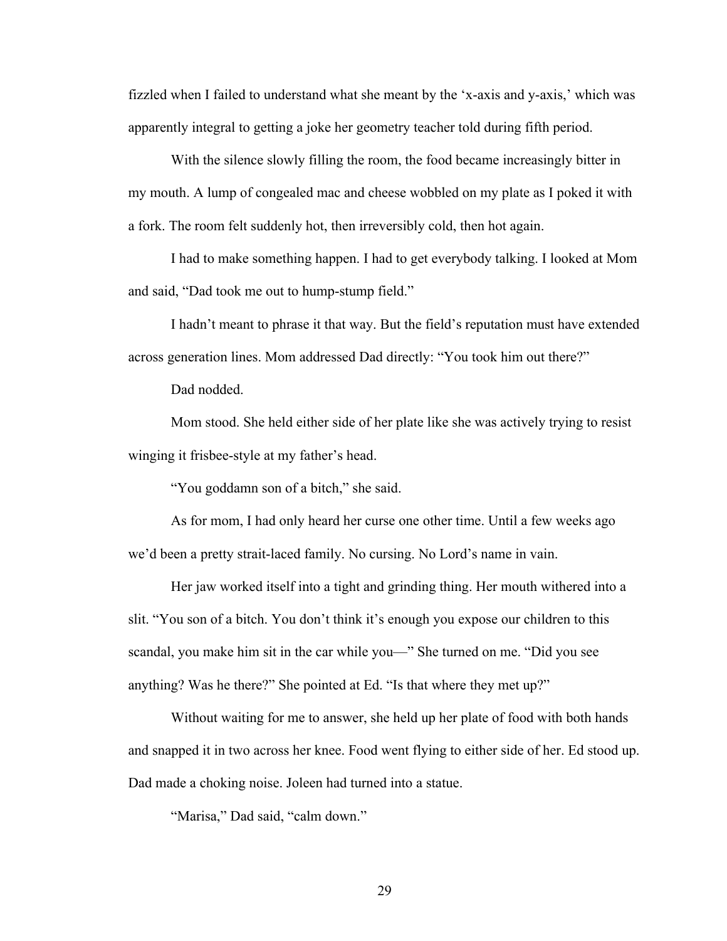fizzled when I failed to understand what she meant by the 'x-axis and y-axis,' which was apparently integral to getting a joke her geometry teacher told during fifth period.

With the silence slowly filling the room, the food became increasingly bitter in my mouth. A lump of congealed mac and cheese wobbled on my plate as I poked it with a fork. The room felt suddenly hot, then irreversibly cold, then hot again.

I had to make something happen. I had to get everybody talking. I looked at Mom and said, "Dad took me out to hump-stump field."

I hadn't meant to phrase it that way. But the field's reputation must have extended across generation lines. Mom addressed Dad directly: "You took him out there?"

Dad nodded.

Mom stood. She held either side of her plate like she was actively trying to resist winging it frisbee-style at my father's head.

"You goddamn son of a bitch," she said.

As for mom, I had only heard her curse one other time. Until a few weeks ago we'd been a pretty strait-laced family. No cursing. No Lord's name in vain.

Her jaw worked itself into a tight and grinding thing. Her mouth withered into a slit. "You son of a bitch. You don't think it's enough you expose our children to this scandal, you make him sit in the car while you—" She turned on me. "Did you see anything? Was he there?" She pointed at Ed. "Is that where they met up?"

Without waiting for me to answer, she held up her plate of food with both hands and snapped it in two across her knee. Food went flying to either side of her. Ed stood up. Dad made a choking noise. Joleen had turned into a statue.

"Marisa," Dad said, "calm down."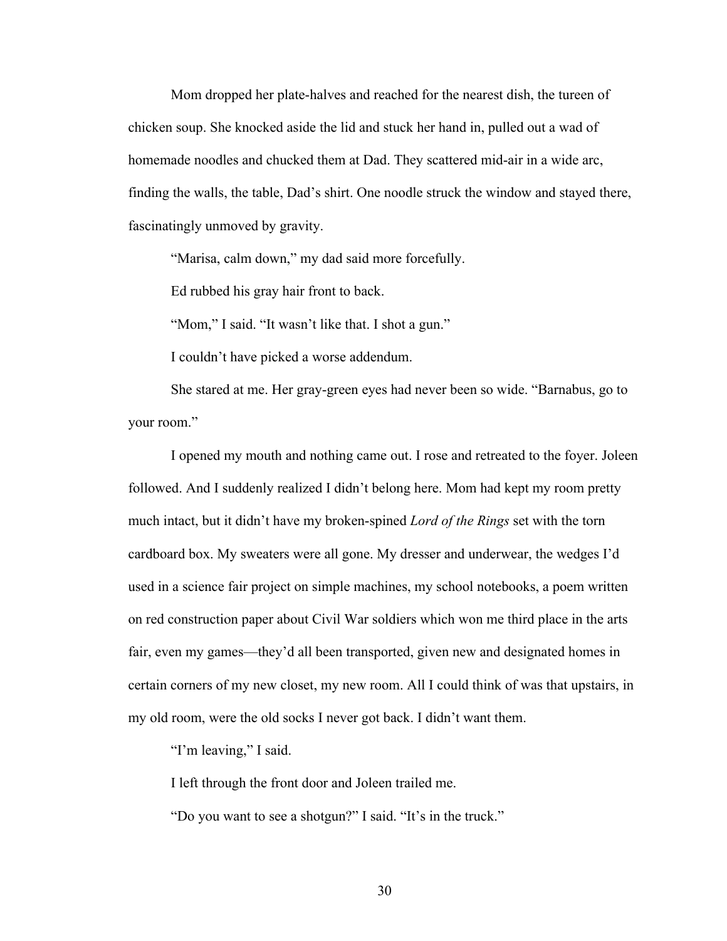Mom dropped her plate-halves and reached for the nearest dish, the tureen of chicken soup. She knocked aside the lid and stuck her hand in, pulled out a wad of homemade noodles and chucked them at Dad. They scattered mid-air in a wide arc, finding the walls, the table, Dad's shirt. One noodle struck the window and stayed there, fascinatingly unmoved by gravity.

"Marisa, calm down," my dad said more forcefully.

Ed rubbed his gray hair front to back.

"Mom," I said. "It wasn't like that. I shot a gun."

I couldn't have picked a worse addendum.

She stared at me. Her gray-green eyes had never been so wide. "Barnabus, go to your room."

I opened my mouth and nothing came out. I rose and retreated to the foyer. Joleen followed. And I suddenly realized I didn't belong here. Mom had kept my room pretty much intact, but it didn't have my broken-spined *Lord of the Rings* set with the torn cardboard box. My sweaters were all gone. My dresser and underwear, the wedges I'd used in a science fair project on simple machines, my school notebooks, a poem written on red construction paper about Civil War soldiers which won me third place in the arts fair, even my games—they'd all been transported, given new and designated homes in certain corners of my new closet, my new room. All I could think of was that upstairs, in my old room, were the old socks I never got back. I didn't want them.

"I'm leaving," I said.

I left through the front door and Joleen trailed me.

"Do you want to see a shotgun?" I said. "It's in the truck."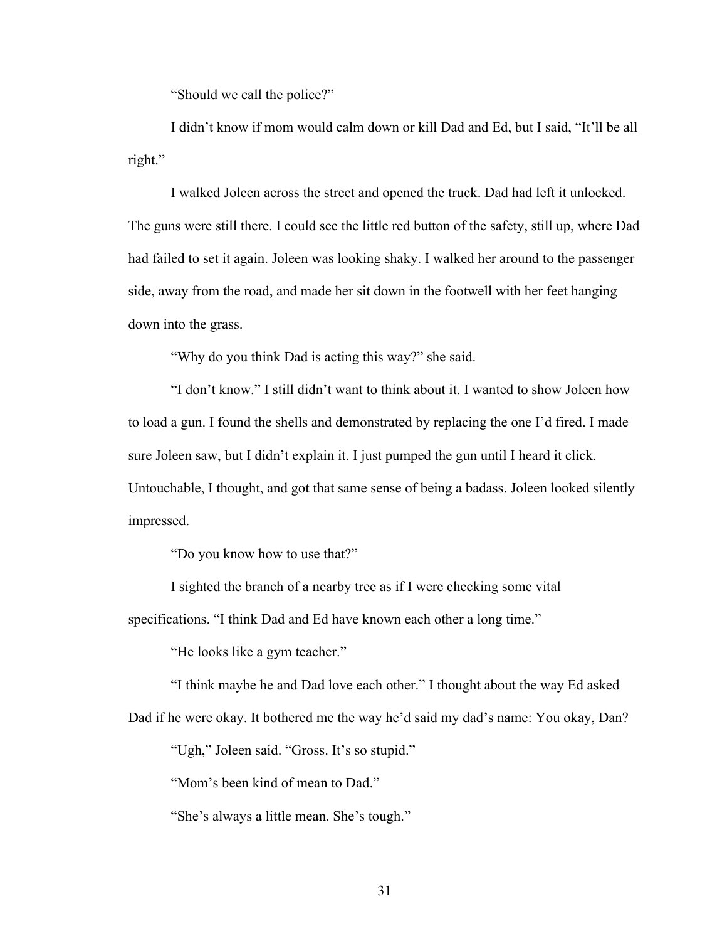"Should we call the police?"

I didn't know if mom would calm down or kill Dad and Ed, but I said, "It'll be all right."

I walked Joleen across the street and opened the truck. Dad had left it unlocked. The guns were still there. I could see the little red button of the safety, still up, where Dad had failed to set it again. Joleen was looking shaky. I walked her around to the passenger side, away from the road, and made her sit down in the footwell with her feet hanging down into the grass.

"Why do you think Dad is acting this way?" she said.

"I don't know." I still didn't want to think about it. I wanted to show Joleen how to load a gun. I found the shells and demonstrated by replacing the one I'd fired. I made sure Joleen saw, but I didn't explain it. I just pumped the gun until I heard it click. Untouchable, I thought, and got that same sense of being a badass. Joleen looked silently impressed.

"Do you know how to use that?"

I sighted the branch of a nearby tree as if I were checking some vital

specifications. "I think Dad and Ed have known each other a long time."

"He looks like a gym teacher."

"I think maybe he and Dad love each other." I thought about the way Ed asked

Dad if he were okay. It bothered me the way he'd said my dad's name: You okay, Dan?

"Ugh," Joleen said. "Gross. It's so stupid."

"Mom's been kind of mean to Dad."

"She's always a little mean. She's tough."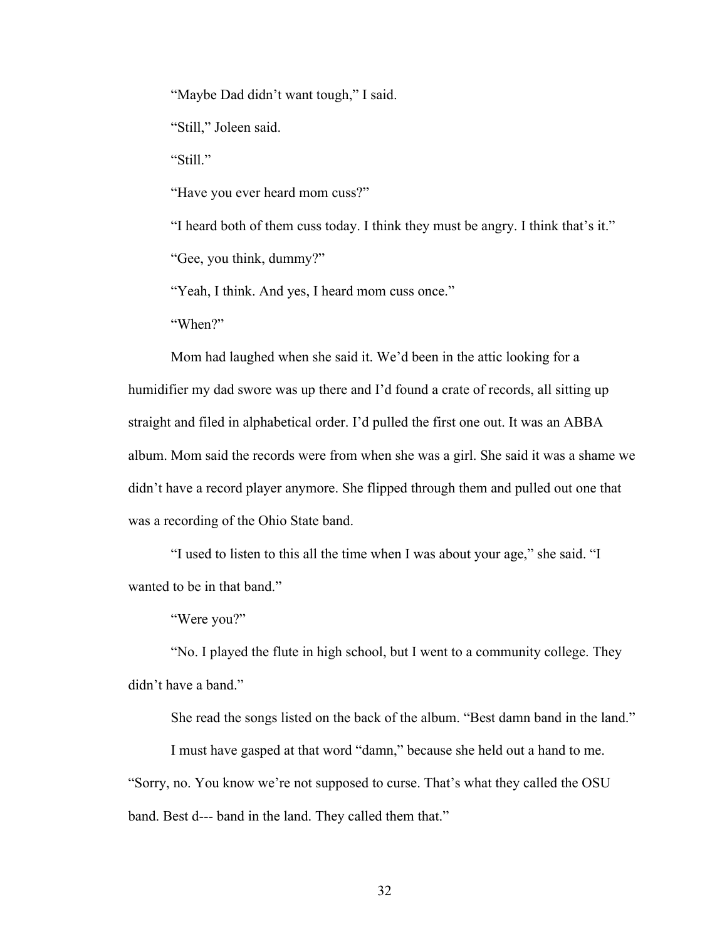"Maybe Dad didn't want tough," I said.

"Still," Joleen said.

"Still."

"Have you ever heard mom cuss?"

"I heard both of them cuss today. I think they must be angry. I think that's it."

"Gee, you think, dummy?"

"Yeah, I think. And yes, I heard mom cuss once."

"When?"

Mom had laughed when she said it. We'd been in the attic looking for a humidifier my dad swore was up there and I'd found a crate of records, all sitting up straight and filed in alphabetical order. I'd pulled the first one out. It was an ABBA album. Mom said the records were from when she was a girl. She said it was a shame we didn't have a record player anymore. She flipped through them and pulled out one that was a recording of the Ohio State band.

"I used to listen to this all the time when I was about your age," she said. "I wanted to be in that band."

"Were you?"

"No. I played the flute in high school, but I went to a community college. They didn't have a band."

She read the songs listed on the back of the album. "Best damn band in the land."

I must have gasped at that word "damn," because she held out a hand to me.

"Sorry, no. You know we're not supposed to curse. That's what they called the OSU band. Best d--- band in the land. They called them that."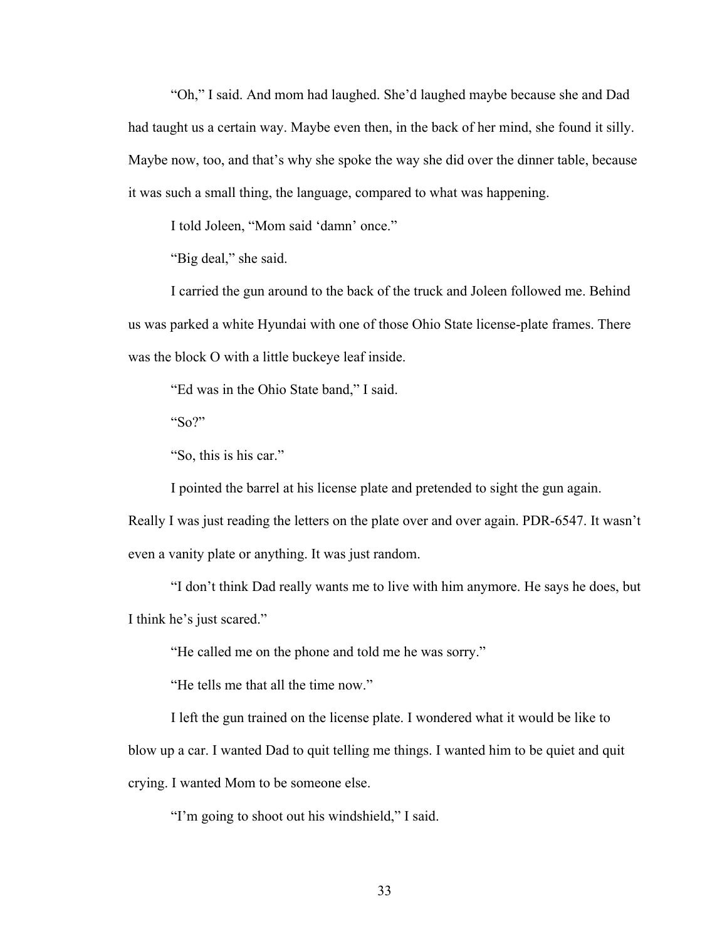"Oh," I said. And mom had laughed. She'd laughed maybe because she and Dad had taught us a certain way. Maybe even then, in the back of her mind, she found it silly. Maybe now, too, and that's why she spoke the way she did over the dinner table, because it was such a small thing, the language, compared to what was happening.

I told Joleen, "Mom said 'damn' once."

"Big deal," she said.

I carried the gun around to the back of the truck and Joleen followed me. Behind us was parked a white Hyundai with one of those Ohio State license-plate frames. There was the block O with a little buckeye leaf inside.

"Ed was in the Ohio State band," I said.

"So?"

"So, this is his car."

I pointed the barrel at his license plate and pretended to sight the gun again.

Really I was just reading the letters on the plate over and over again. PDR-6547. It wasn't even a vanity plate or anything. It was just random.

"I don't think Dad really wants me to live with him anymore. He says he does, but I think he's just scared."

"He called me on the phone and told me he was sorry."

"He tells me that all the time now."

I left the gun trained on the license plate. I wondered what it would be like to blow up a car. I wanted Dad to quit telling me things. I wanted him to be quiet and quit crying. I wanted Mom to be someone else.

"I'm going to shoot out his windshield," I said.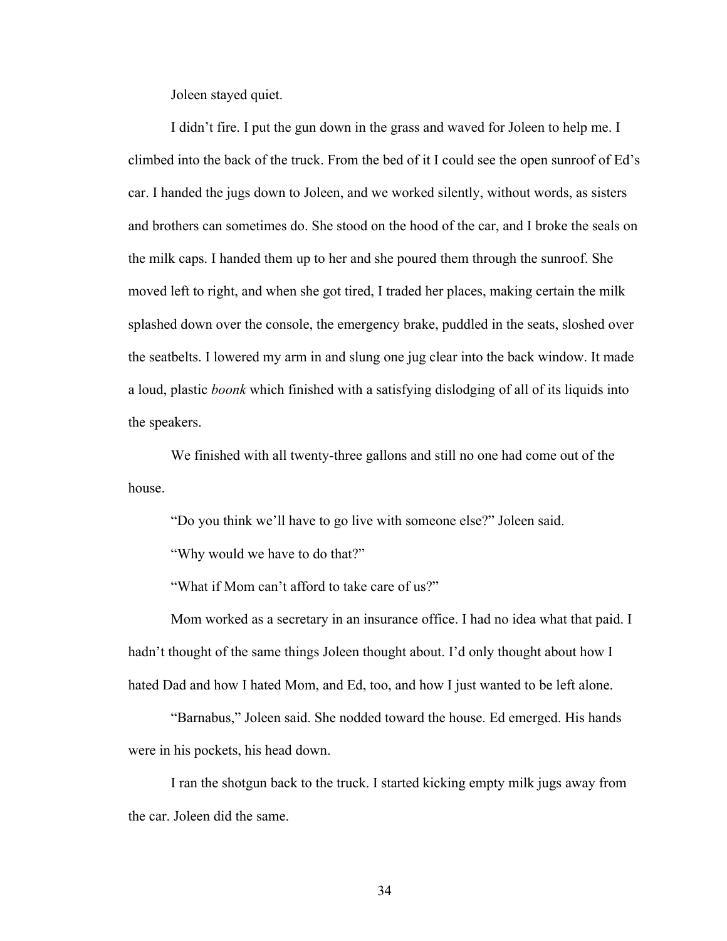Joleen stayed quiet.

I didn't fire. I put the gun down in the grass and waved for Joleen to help me. I climbed into the back of the truck. From the bed of it I could see the open sunroof of Ed's car. I handed the jugs down to Joleen, and we worked silently, without words, as sisters and brothers can sometimes do. She stood on the hood of the car, and I broke the seals on the milk caps. I handed them up to her and she poured them through the sunroof. She moved left to right, and when she got tired, I traded her places, making certain the milk splashed down over the console, the emergency brake, puddled in the seats, sloshed over the seatbelts. I lowered my arm in and slung one jug clear into the back window. It made a loud, plastic *boonk* which finished with a satisfying dislodging of all of its liquids into the speakers.

We finished with all twenty-three gallons and still no one had come out of the house.

"Do you think we'll have to go live with someone else?" Joleen said.

"Why would we have to do that?"

"What if Mom can't afford to take care of us?"

Mom worked as a secretary in an insurance office. I had no idea what that paid. I hadn't thought of the same things Joleen thought about. I'd only thought about how I hated Dad and how I hated Mom, and Ed, too, and how I just wanted to be left alone.

"Barnabus," Joleen said. She nodded toward the house. Ed emerged. His hands were in his pockets, his head down.

I ran the shotgun back to the truck. I started kicking empty milk jugs away from the car. Joleen did the same.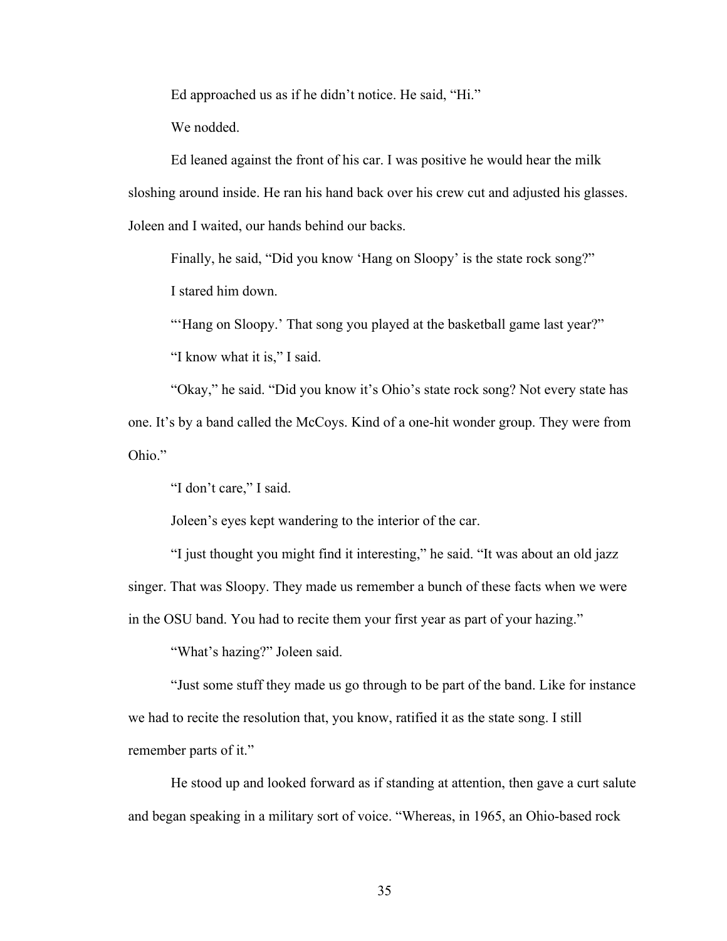Ed approached us as if he didn't notice. He said, "Hi."

We nodded.

Ed leaned against the front of his car. I was positive he would hear the milk sloshing around inside. He ran his hand back over his crew cut and adjusted his glasses. Joleen and I waited, our hands behind our backs.

Finally, he said, "Did you know 'Hang on Sloopy' is the state rock song?" I stared him down.

"Hang on Sloopy.' That song you played at the basketball game last year?"

"I know what it is," I said.

"Okay," he said. "Did you know it's Ohio's state rock song? Not every state has one. It's by a band called the McCoys. Kind of a one-hit wonder group. They were from Ohio<sup>"</sup>

"I don't care," I said.

Joleen's eyes kept wandering to the interior of the car.

"I just thought you might find it interesting," he said. "It was about an old jazz singer. That was Sloopy. They made us remember a bunch of these facts when we were in the OSU band. You had to recite them your first year as part of your hazing."

"What's hazing?" Joleen said.

"Just some stuff they made us go through to be part of the band. Like for instance we had to recite the resolution that, you know, ratified it as the state song. I still remember parts of it."

He stood up and looked forward as if standing at attention, then gave a curt salute and began speaking in a military sort of voice. "Whereas, in 1965, an Ohio-based rock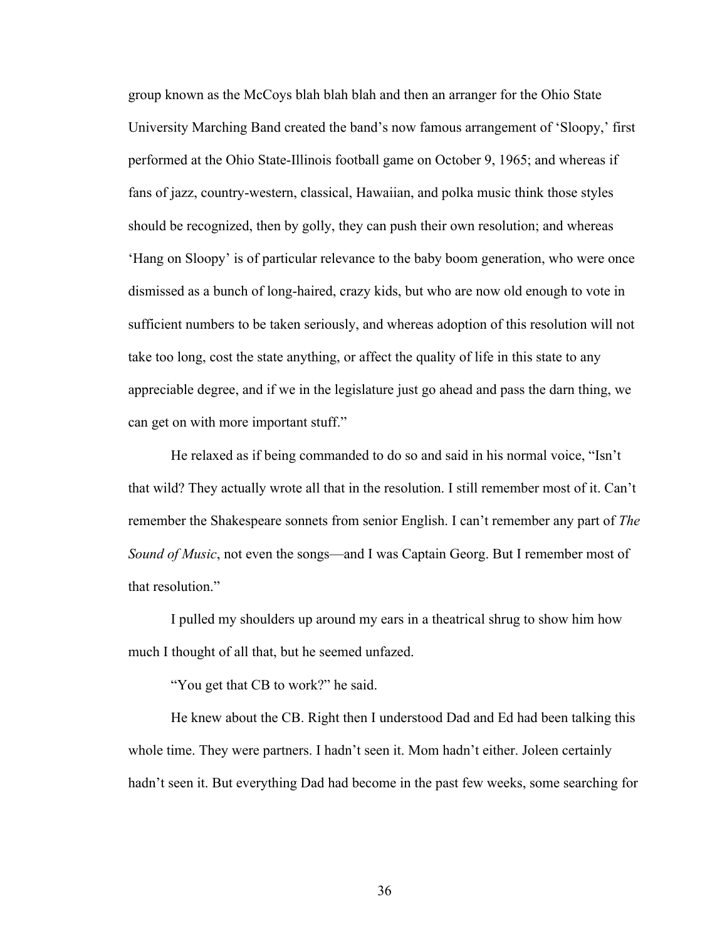group known as the McCoys blah blah blah and then an arranger for the Ohio State University Marching Band created the band's now famous arrangement of 'Sloopy,' first performed at the Ohio State-Illinois football game on October 9, 1965; and whereas if fans of jazz, country-western, classical, Hawaiian, and polka music think those styles should be recognized, then by golly, they can push their own resolution; and whereas 'Hang on Sloopy' is of particular relevance to the baby boom generation, who were once dismissed as a bunch of long-haired, crazy kids, but who are now old enough to vote in sufficient numbers to be taken seriously, and whereas adoption of this resolution will not take too long, cost the state anything, or affect the quality of life in this state to any appreciable degree, and if we in the legislature just go ahead and pass the darn thing, we can get on with more important stuff."

He relaxed as if being commanded to do so and said in his normal voice, "Isn't that wild? They actually wrote all that in the resolution. I still remember most of it. Can't remember the Shakespeare sonnets from senior English. I can't remember any part of *The Sound of Music*, not even the songs—and I was Captain Georg. But I remember most of that resolution."

I pulled my shoulders up around my ears in a theatrical shrug to show him how much I thought of all that, but he seemed unfazed.

"You get that CB to work?" he said.

He knew about the CB. Right then I understood Dad and Ed had been talking this whole time. They were partners. I hadn't seen it. Mom hadn't either. Joleen certainly hadn't seen it. But everything Dad had become in the past few weeks, some searching for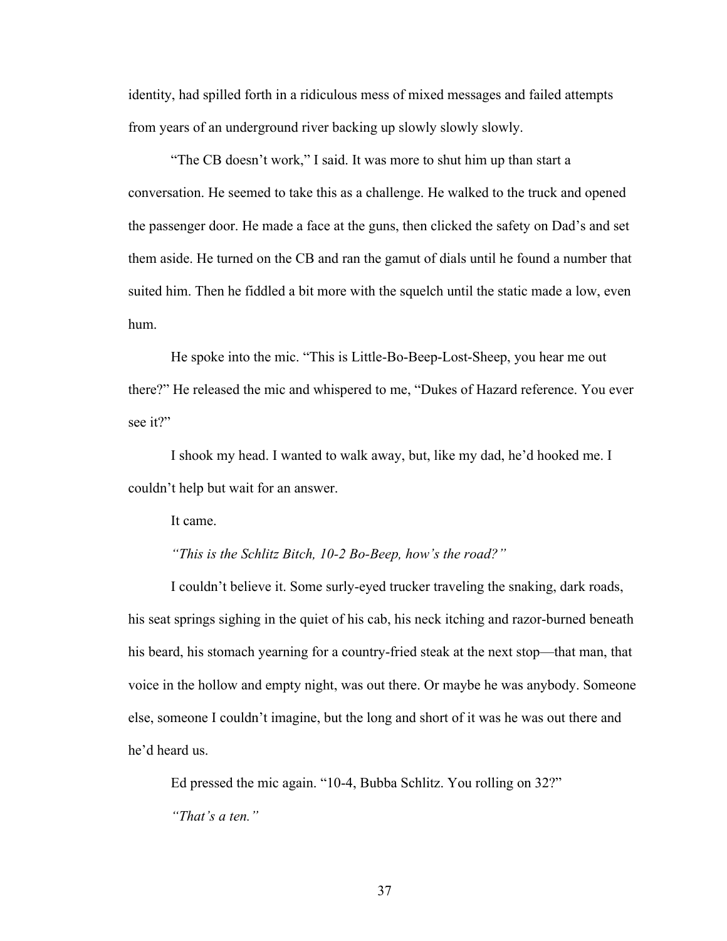identity, had spilled forth in a ridiculous mess of mixed messages and failed attempts from years of an underground river backing up slowly slowly slowly.

"The CB doesn't work," I said. It was more to shut him up than start a conversation. He seemed to take this as a challenge. He walked to the truck and opened the passenger door. He made a face at the guns, then clicked the safety on Dad's and set them aside. He turned on the CB and ran the gamut of dials until he found a number that suited him. Then he fiddled a bit more with the squelch until the static made a low, even hum.

He spoke into the mic. "This is Little-Bo-Beep-Lost-Sheep, you hear me out there?" He released the mic and whispered to me, "Dukes of Hazard reference. You ever see it?"

I shook my head. I wanted to walk away, but, like my dad, he'd hooked me. I couldn't help but wait for an answer.

It came.

# *"This is the Schlitz Bitch, 10-2 Bo-Beep, how's the road?"*

I couldn't believe it. Some surly-eyed trucker traveling the snaking, dark roads, his seat springs sighing in the quiet of his cab, his neck itching and razor-burned beneath his beard, his stomach yearning for a country-fried steak at the next stop—that man, that voice in the hollow and empty night, was out there. Or maybe he was anybody. Someone else, someone I couldn't imagine, but the long and short of it was he was out there and he'd heard us.

Ed pressed the mic again. "10-4, Bubba Schlitz. You rolling on 32?" *"That's a ten."*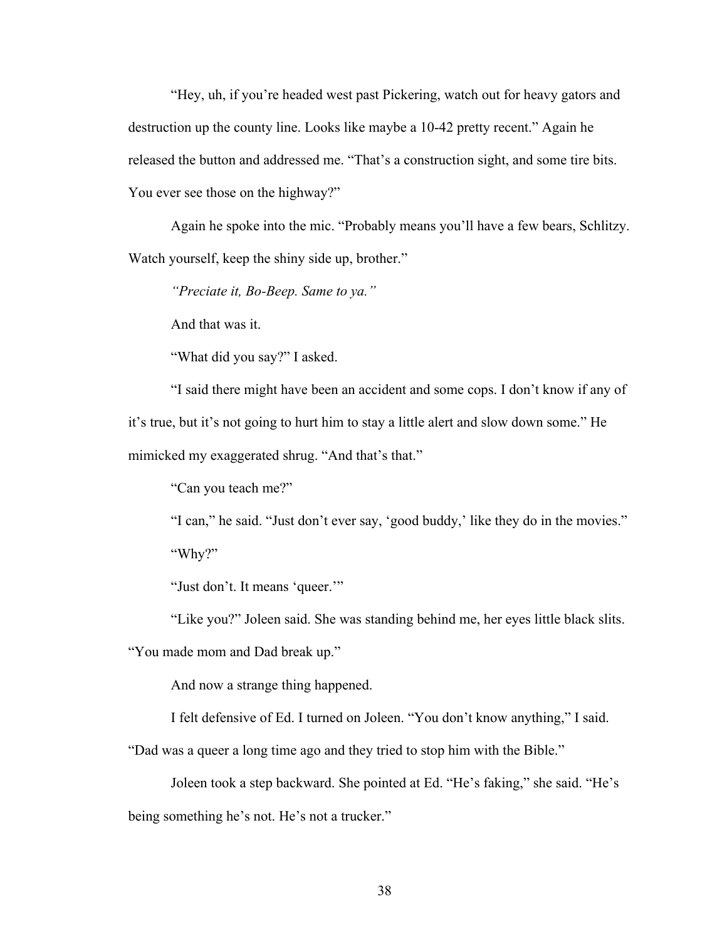"Hey, uh, if you're headed west past Pickering, watch out for heavy gators and destruction up the county line. Looks like maybe a 10-42 pretty recent." Again he released the button and addressed me. "That's a construction sight, and some tire bits. You ever see those on the highway?"

Again he spoke into the mic. "Probably means you'll have a few bears, Schlitzy. Watch yourself, keep the shiny side up, brother."

*"Preciate it, Bo-Beep. Same to ya."*

And that was it.

"What did you say?" I asked.

"I said there might have been an accident and some cops. I don't know if any of it's true, but it's not going to hurt him to stay a little alert and slow down some." He mimicked my exaggerated shrug. "And that's that."

"Can you teach me?"

"I can," he said. "Just don't ever say, 'good buddy,' like they do in the movies." "Why?"

"Just don't. It means 'queer.""

"Like you?" Joleen said. She was standing behind me, her eyes little black slits.

"You made mom and Dad break up."

And now a strange thing happened.

I felt defensive of Ed. I turned on Joleen. "You don't know anything," I said.

"Dad was a queer a long time ago and they tried to stop him with the Bible."

Joleen took a step backward. She pointed at Ed. "He's faking," she said. "He's being something he's not. He's not a trucker."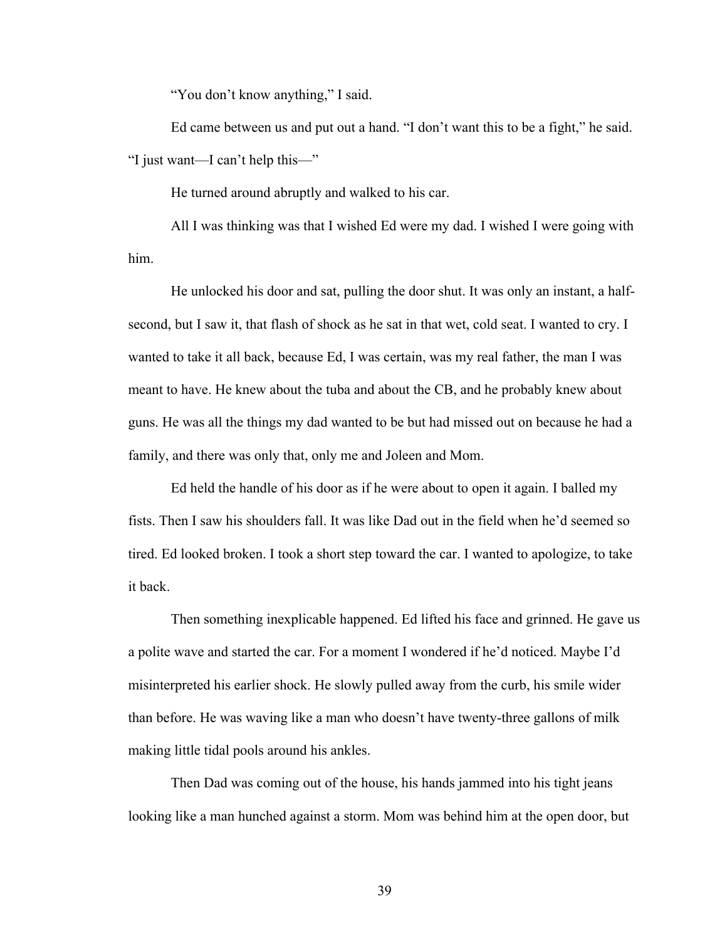"You don't know anything," I said.

Ed came between us and put out a hand. "I don't want this to be a fight," he said. "I just want—I can't help this—"

He turned around abruptly and walked to his car.

All I was thinking was that I wished Ed were my dad. I wished I were going with him.

He unlocked his door and sat, pulling the door shut. It was only an instant, a halfsecond, but I saw it, that flash of shock as he sat in that wet, cold seat. I wanted to cry. I wanted to take it all back, because Ed, I was certain, was my real father, the man I was meant to have. He knew about the tuba and about the CB, and he probably knew about guns. He was all the things my dad wanted to be but had missed out on because he had a family, and there was only that, only me and Joleen and Mom.

Ed held the handle of his door as if he were about to open it again. I balled my fists. Then I saw his shoulders fall. It was like Dad out in the field when he'd seemed so tired. Ed looked broken. I took a short step toward the car. I wanted to apologize, to take it back.

Then something inexplicable happened. Ed lifted his face and grinned. He gave us a polite wave and started the car. For a moment I wondered if he'd noticed. Maybe I'd misinterpreted his earlier shock. He slowly pulled away from the curb, his smile wider than before. He was waving like a man who doesn't have twenty-three gallons of milk making little tidal pools around his ankles.

Then Dad was coming out of the house, his hands jammed into his tight jeans looking like a man hunched against a storm. Mom was behind him at the open door, but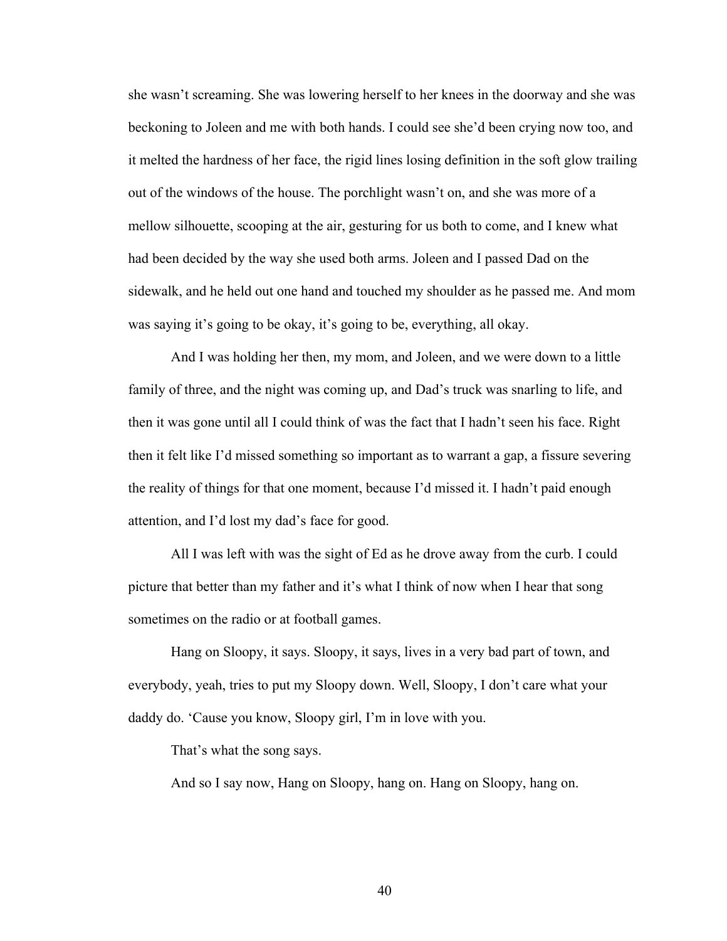she wasn't screaming. She was lowering herself to her knees in the doorway and she was beckoning to Joleen and me with both hands. I could see she'd been crying now too, and it melted the hardness of her face, the rigid lines losing definition in the soft glow trailing out of the windows of the house. The porchlight wasn't on, and she was more of a mellow silhouette, scooping at the air, gesturing for us both to come, and I knew what had been decided by the way she used both arms. Joleen and I passed Dad on the sidewalk, and he held out one hand and touched my shoulder as he passed me. And mom was saying it's going to be okay, it's going to be, everything, all okay.

And I was holding her then, my mom, and Joleen, and we were down to a little family of three, and the night was coming up, and Dad's truck was snarling to life, and then it was gone until all I could think of was the fact that I hadn't seen his face. Right then it felt like I'd missed something so important as to warrant a gap, a fissure severing the reality of things for that one moment, because I'd missed it. I hadn't paid enough attention, and I'd lost my dad's face for good.

All I was left with was the sight of Ed as he drove away from the curb. I could picture that better than my father and it's what I think of now when I hear that song sometimes on the radio or at football games.

Hang on Sloopy, it says. Sloopy, it says, lives in a very bad part of town, and everybody, yeah, tries to put my Sloopy down. Well, Sloopy, I don't care what your daddy do. 'Cause you know, Sloopy girl, I'm in love with you.

That's what the song says.

And so I say now, Hang on Sloopy, hang on. Hang on Sloopy, hang on.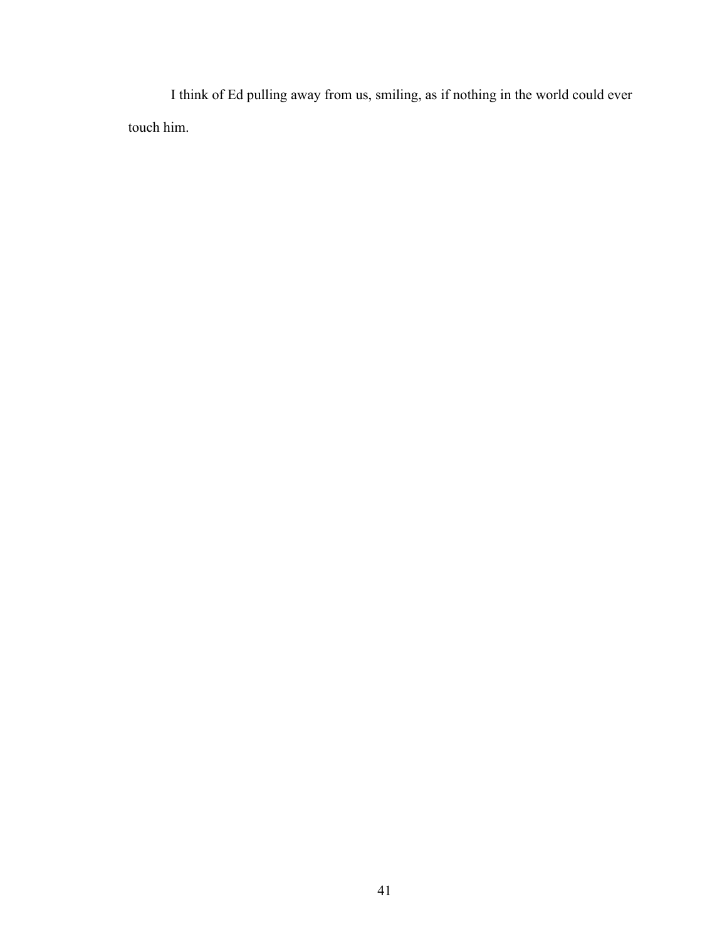I think of Ed pulling away from us, smiling, as if nothing in the world could ever touch him.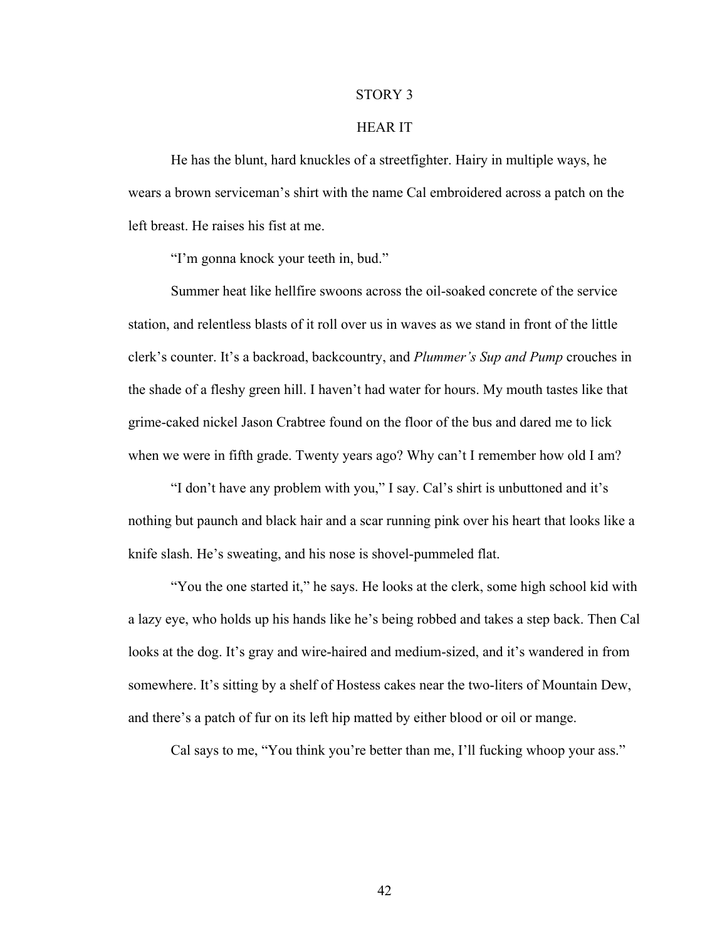#### STORY 3

# HEAR IT

He has the blunt, hard knuckles of a streetfighter. Hairy in multiple ways, he wears a brown serviceman's shirt with the name Cal embroidered across a patch on the left breast. He raises his fist at me.

"I'm gonna knock your teeth in, bud."

Summer heat like hellfire swoons across the oil-soaked concrete of the service station, and relentless blasts of it roll over us in waves as we stand in front of the little clerk's counter. It's a backroad, backcountry, and *Plummer's Sup and Pump* crouches in the shade of a fleshy green hill. I haven't had water for hours. My mouth tastes like that grime-caked nickel Jason Crabtree found on the floor of the bus and dared me to lick when we were in fifth grade. Twenty years ago? Why can't I remember how old I am?

"I don't have any problem with you," I say. Cal's shirt is unbuttoned and it's nothing but paunch and black hair and a scar running pink over his heart that looks like a knife slash. He's sweating, and his nose is shovel-pummeled flat.

"You the one started it," he says. He looks at the clerk, some high school kid with a lazy eye, who holds up his hands like he's being robbed and takes a step back. Then Cal looks at the dog. It's gray and wire-haired and medium-sized, and it's wandered in from somewhere. It's sitting by a shelf of Hostess cakes near the two-liters of Mountain Dew, and there's a patch of fur on its left hip matted by either blood or oil or mange.

Cal says to me, "You think you're better than me, I'll fucking whoop your ass."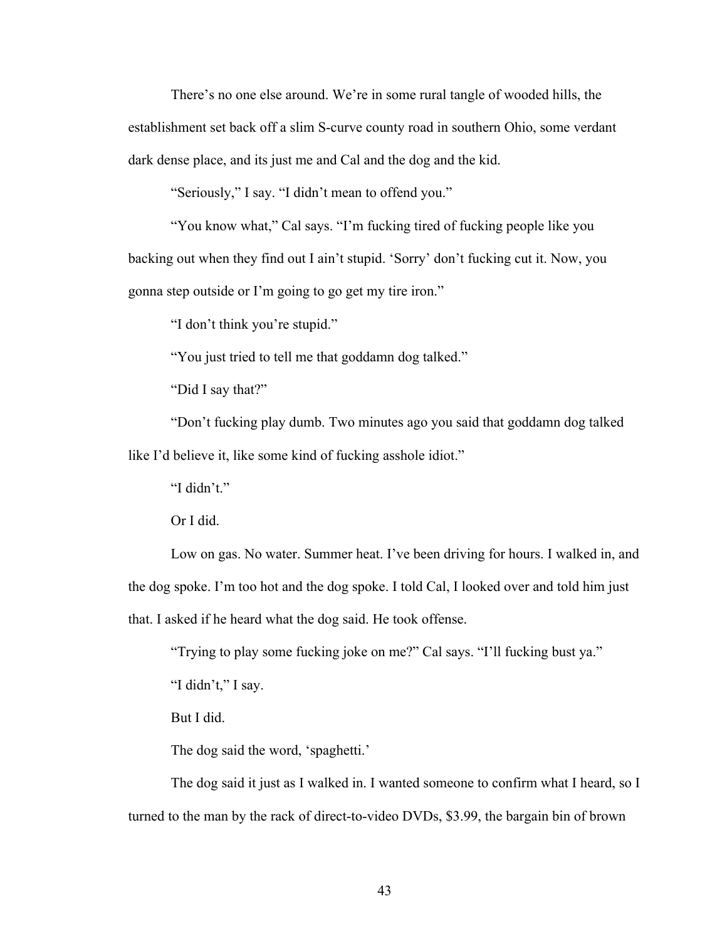There's no one else around. We're in some rural tangle of wooded hills, the establishment set back off a slim S-curve county road in southern Ohio, some verdant dark dense place, and its just me and Cal and the dog and the kid.

"Seriously," I say. "I didn't mean to offend you."

"You know what," Cal says. "I'm fucking tired of fucking people like you backing out when they find out I ain't stupid. 'Sorry' don't fucking cut it. Now, you gonna step outside or I'm going to go get my tire iron."

"I don't think you're stupid."

"You just tried to tell me that goddamn dog talked."

"Did I say that?"

"Don't fucking play dumb. Two minutes ago you said that goddamn dog talked like I'd believe it, like some kind of fucking asshole idiot."

"I didn't."

Or I did.

Low on gas. No water. Summer heat. I've been driving for hours. I walked in, and the dog spoke. I'm too hot and the dog spoke. I told Cal, I looked over and told him just that. I asked if he heard what the dog said. He took offense.

"Trying to play some fucking joke on me?" Cal says. "I'll fucking bust ya."

"I didn't," I say.

But I did.

The dog said the word, 'spaghetti.'

The dog said it just as I walked in. I wanted someone to confirm what I heard, so I turned to the man by the rack of direct-to-video DVDs, \$3.99, the bargain bin of brown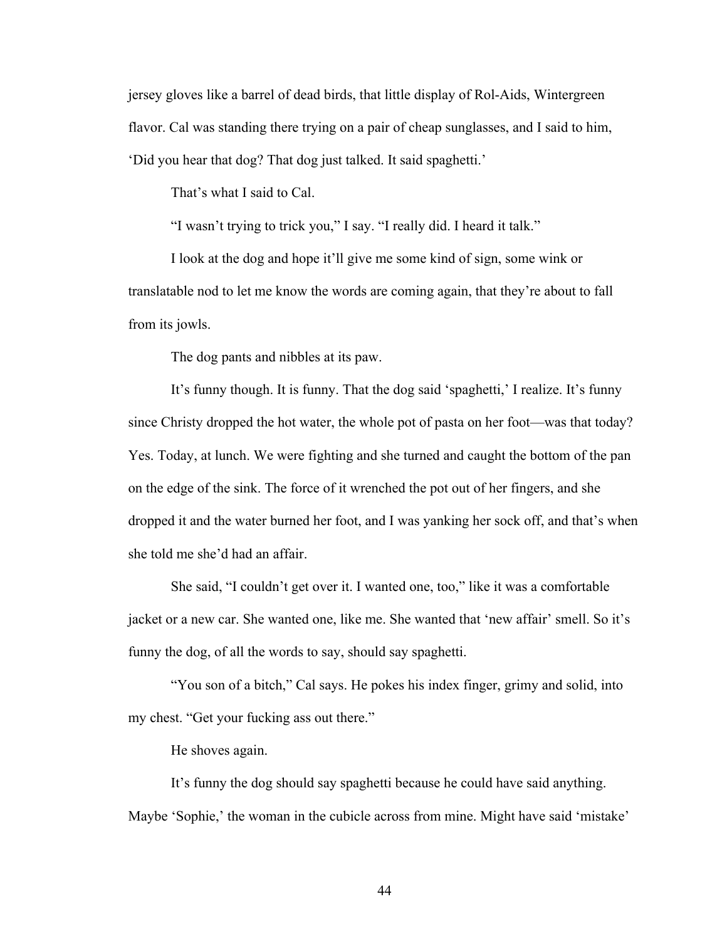jersey gloves like a barrel of dead birds, that little display of Rol-Aids, Wintergreen flavor. Cal was standing there trying on a pair of cheap sunglasses, and I said to him, 'Did you hear that dog? That dog just talked. It said spaghetti.'

That's what I said to Cal.

"I wasn't trying to trick you," I say. "I really did. I heard it talk."

I look at the dog and hope it'll give me some kind of sign, some wink or translatable nod to let me know the words are coming again, that they're about to fall from its jowls.

The dog pants and nibbles at its paw.

It's funny though. It is funny. That the dog said 'spaghetti,' I realize. It's funny since Christy dropped the hot water, the whole pot of pasta on her foot—was that today? Yes. Today, at lunch. We were fighting and she turned and caught the bottom of the pan on the edge of the sink. The force of it wrenched the pot out of her fingers, and she dropped it and the water burned her foot, and I was yanking her sock off, and that's when she told me she'd had an affair.

She said, "I couldn't get over it. I wanted one, too," like it was a comfortable jacket or a new car. She wanted one, like me. She wanted that 'new affair' smell. So it's funny the dog, of all the words to say, should say spaghetti.

"You son of a bitch," Cal says. He pokes his index finger, grimy and solid, into my chest. "Get your fucking ass out there."

He shoves again.

It's funny the dog should say spaghetti because he could have said anything. Maybe 'Sophie,' the woman in the cubicle across from mine. Might have said 'mistake'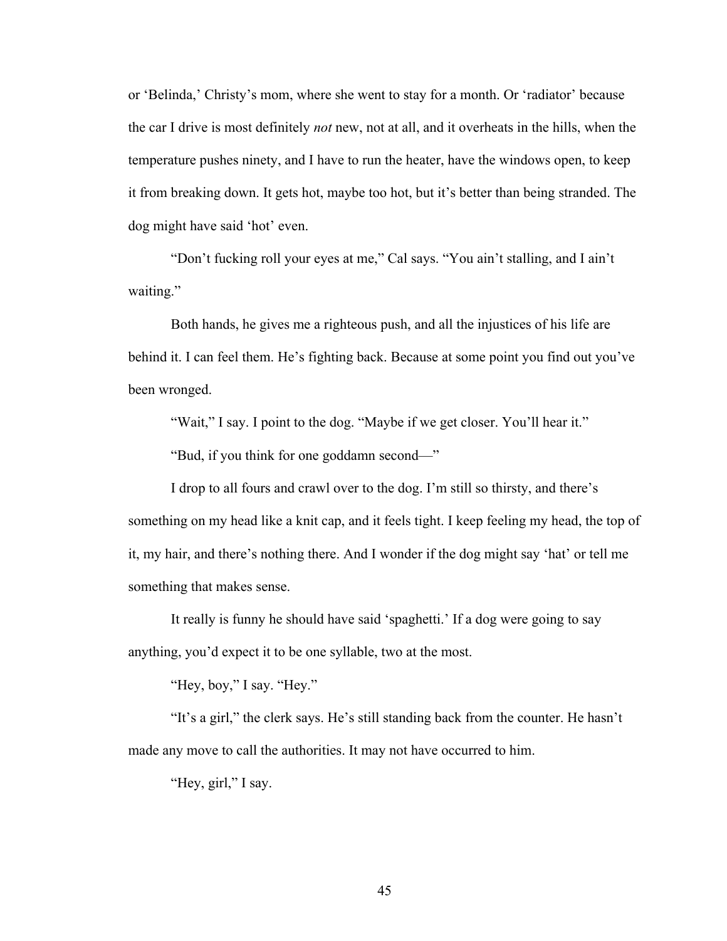or 'Belinda,' Christy's mom, where she went to stay for a month. Or 'radiator' because the car I drive is most definitely *not* new, not at all, and it overheats in the hills, when the temperature pushes ninety, and I have to run the heater, have the windows open, to keep it from breaking down. It gets hot, maybe too hot, but it's better than being stranded. The dog might have said 'hot' even.

"Don't fucking roll your eyes at me," Cal says. "You ain't stalling, and I ain't waiting."

Both hands, he gives me a righteous push, and all the injustices of his life are behind it. I can feel them. He's fighting back. Because at some point you find out you've been wronged.

"Wait," I say. I point to the dog. "Maybe if we get closer. You'll hear it."

"Bud, if you think for one goddamn second—"

I drop to all fours and crawl over to the dog. I'm still so thirsty, and there's something on my head like a knit cap, and it feels tight. I keep feeling my head, the top of it, my hair, and there's nothing there. And I wonder if the dog might say 'hat' or tell me something that makes sense.

It really is funny he should have said 'spaghetti.' If a dog were going to say anything, you'd expect it to be one syllable, two at the most.

"Hey, boy," I say. "Hey."

"It's a girl," the clerk says. He's still standing back from the counter. He hasn't made any move to call the authorities. It may not have occurred to him.

"Hey, girl," I say.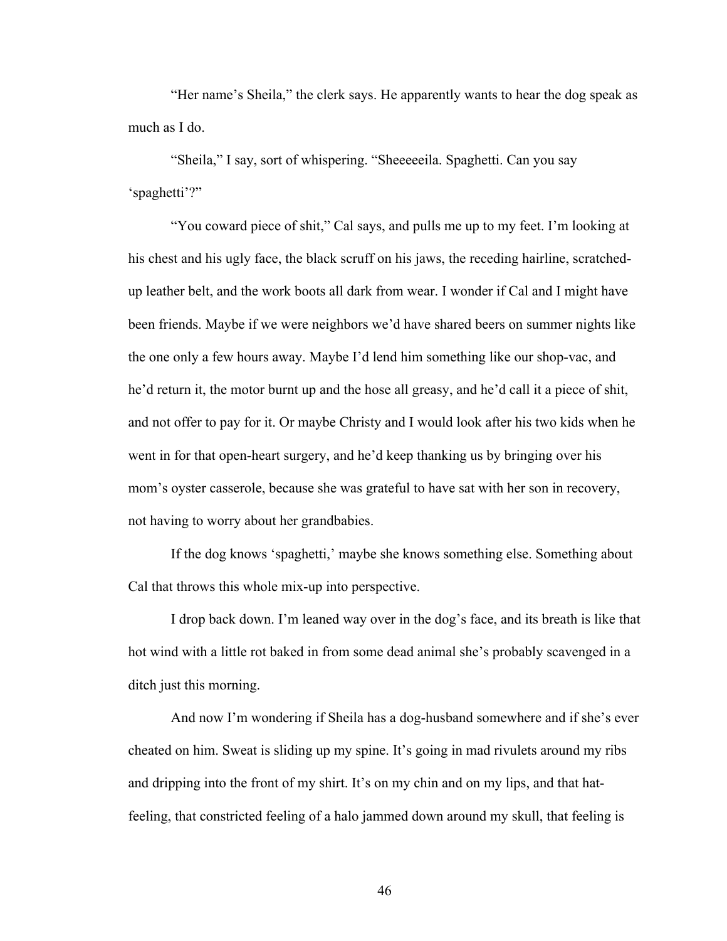"Her name's Sheila," the clerk says. He apparently wants to hear the dog speak as much as I do.

"Sheila," I say, sort of whispering. "Sheeeeeila. Spaghetti. Can you say 'spaghetti'?"

"You coward piece of shit," Cal says, and pulls me up to my feet. I'm looking at his chest and his ugly face, the black scruff on his jaws, the receding hairline, scratchedup leather belt, and the work boots all dark from wear. I wonder if Cal and I might have been friends. Maybe if we were neighbors we'd have shared beers on summer nights like the one only a few hours away. Maybe I'd lend him something like our shop-vac, and he'd return it, the motor burnt up and the hose all greasy, and he'd call it a piece of shit, and not offer to pay for it. Or maybe Christy and I would look after his two kids when he went in for that open-heart surgery, and he'd keep thanking us by bringing over his mom's oyster casserole, because she was grateful to have sat with her son in recovery, not having to worry about her grandbabies.

If the dog knows 'spaghetti,' maybe she knows something else. Something about Cal that throws this whole mix-up into perspective.

I drop back down. I'm leaned way over in the dog's face, and its breath is like that hot wind with a little rot baked in from some dead animal she's probably scavenged in a ditch just this morning.

And now I'm wondering if Sheila has a dog-husband somewhere and if she's ever cheated on him. Sweat is sliding up my spine. It's going in mad rivulets around my ribs and dripping into the front of my shirt. It's on my chin and on my lips, and that hatfeeling, that constricted feeling of a halo jammed down around my skull, that feeling is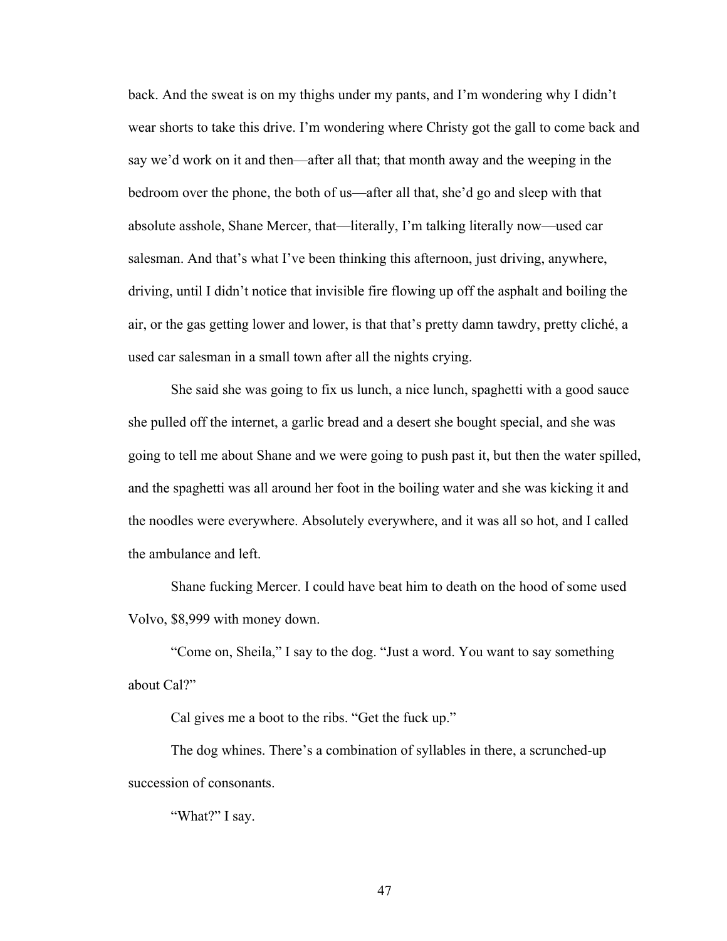back. And the sweat is on my thighs under my pants, and I'm wondering why I didn't wear shorts to take this drive. I'm wondering where Christy got the gall to come back and say we'd work on it and then—after all that; that month away and the weeping in the bedroom over the phone, the both of us—after all that, she'd go and sleep with that absolute asshole, Shane Mercer, that—literally, I'm talking literally now—used car salesman. And that's what I've been thinking this afternoon, just driving, anywhere, driving, until I didn't notice that invisible fire flowing up off the asphalt and boiling the air, or the gas getting lower and lower, is that that's pretty damn tawdry, pretty cliché, a used car salesman in a small town after all the nights crying.

She said she was going to fix us lunch, a nice lunch, spaghetti with a good sauce she pulled off the internet, a garlic bread and a desert she bought special, and she was going to tell me about Shane and we were going to push past it, but then the water spilled, and the spaghetti was all around her foot in the boiling water and she was kicking it and the noodles were everywhere. Absolutely everywhere, and it was all so hot, and I called the ambulance and left.

Shane fucking Mercer. I could have beat him to death on the hood of some used Volvo, \$8,999 with money down.

"Come on, Sheila," I say to the dog. "Just a word. You want to say something about Cal?"

Cal gives me a boot to the ribs. "Get the fuck up."

The dog whines. There's a combination of syllables in there, a scrunched-up succession of consonants.

"What?" I say.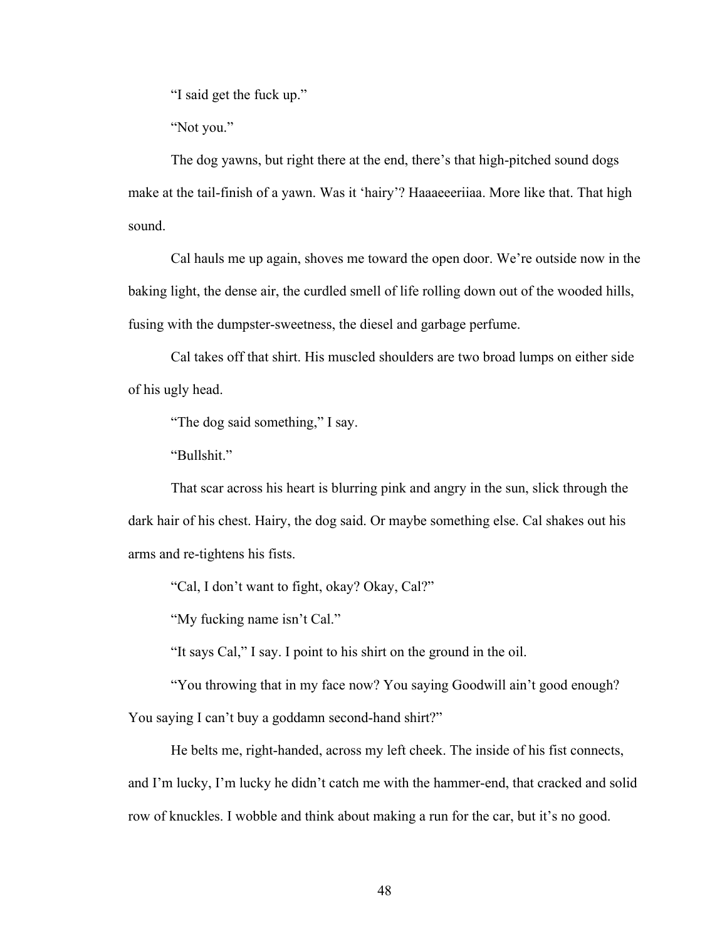"I said get the fuck up."

"Not you."

The dog yawns, but right there at the end, there's that high-pitched sound dogs make at the tail-finish of a yawn. Was it 'hairy'? Haaaeeeriiaa. More like that. That high sound.

Cal hauls me up again, shoves me toward the open door. We're outside now in the baking light, the dense air, the curdled smell of life rolling down out of the wooded hills, fusing with the dumpster-sweetness, the diesel and garbage perfume.

Cal takes off that shirt. His muscled shoulders are two broad lumps on either side of his ugly head.

"The dog said something," I say.

"Bullshit."

That scar across his heart is blurring pink and angry in the sun, slick through the dark hair of his chest. Hairy, the dog said. Or maybe something else. Cal shakes out his arms and re-tightens his fists.

"Cal, I don't want to fight, okay? Okay, Cal?"

"My fucking name isn't Cal."

"It says Cal," I say. I point to his shirt on the ground in the oil.

"You throwing that in my face now? You saying Goodwill ain't good enough?

You saying I can't buy a goddamn second-hand shirt?"

He belts me, right-handed, across my left cheek. The inside of his fist connects, and I'm lucky, I'm lucky he didn't catch me with the hammer-end, that cracked and solid row of knuckles. I wobble and think about making a run for the car, but it's no good.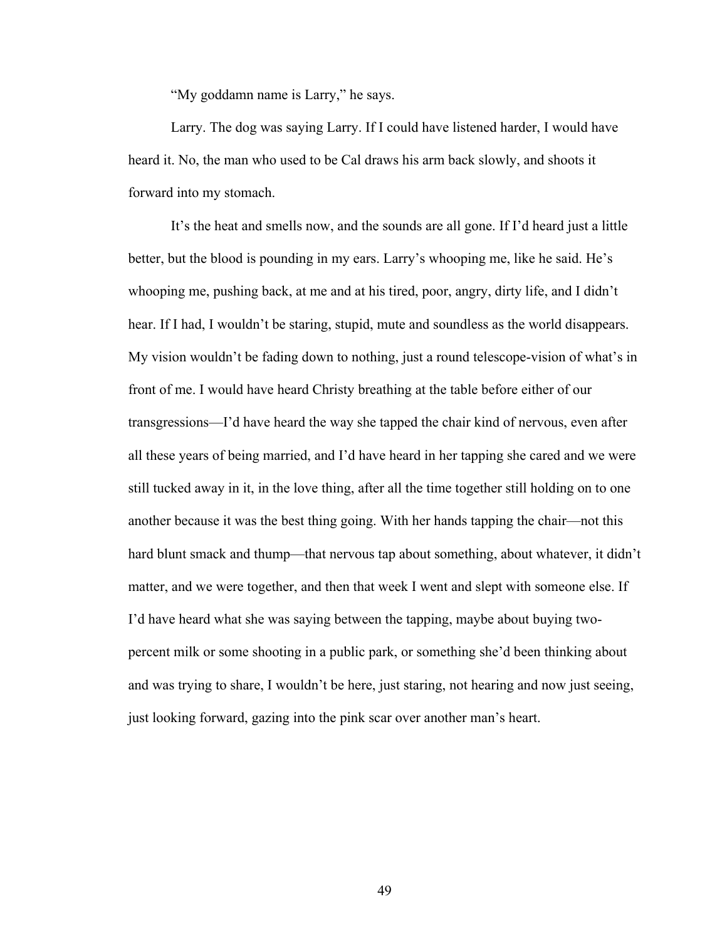"My goddamn name is Larry," he says.

Larry. The dog was saying Larry. If I could have listened harder, I would have heard it. No, the man who used to be Cal draws his arm back slowly, and shoots it forward into my stomach.

It's the heat and smells now, and the sounds are all gone. If I'd heard just a little better, but the blood is pounding in my ears. Larry's whooping me, like he said. He's whooping me, pushing back, at me and at his tired, poor, angry, dirty life, and I didn't hear. If I had, I wouldn't be staring, stupid, mute and soundless as the world disappears. My vision wouldn't be fading down to nothing, just a round telescope-vision of what's in front of me. I would have heard Christy breathing at the table before either of our transgressions—I'd have heard the way she tapped the chair kind of nervous, even after all these years of being married, and I'd have heard in her tapping she cared and we were still tucked away in it, in the love thing, after all the time together still holding on to one another because it was the best thing going. With her hands tapping the chair—not this hard blunt smack and thump—that nervous tap about something, about whatever, it didn't matter, and we were together, and then that week I went and slept with someone else. If I'd have heard what she was saying between the tapping, maybe about buying twopercent milk or some shooting in a public park, or something she'd been thinking about and was trying to share, I wouldn't be here, just staring, not hearing and now just seeing, just looking forward, gazing into the pink scar over another man's heart.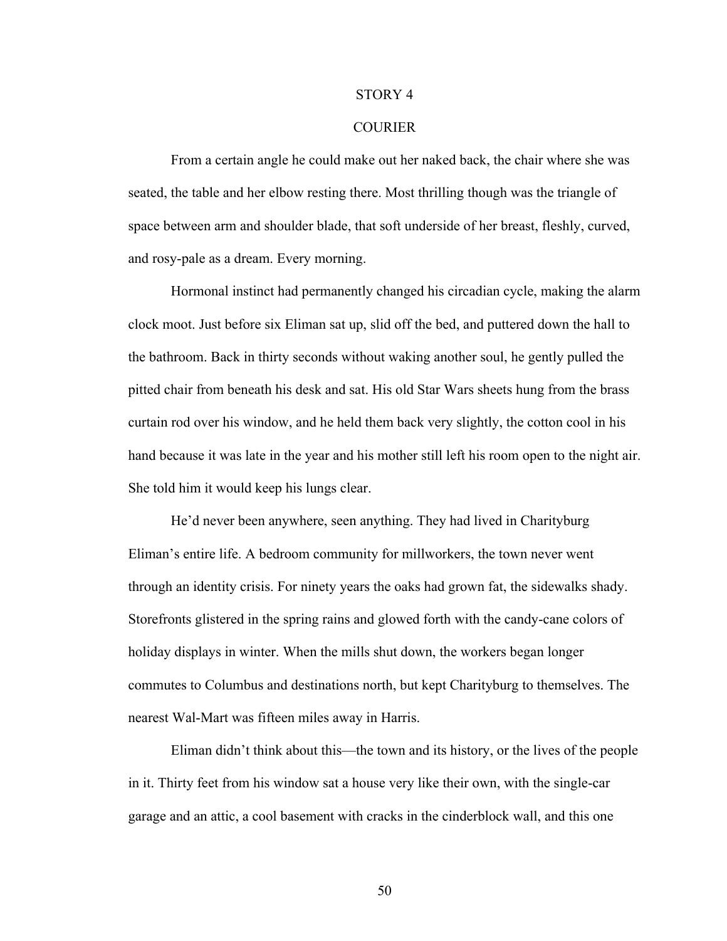#### STORY 4

### **COURIER**

From a certain angle he could make out her naked back, the chair where she was seated, the table and her elbow resting there. Most thrilling though was the triangle of space between arm and shoulder blade, that soft underside of her breast, fleshly, curved, and rosy-pale as a dream. Every morning.

Hormonal instinct had permanently changed his circadian cycle, making the alarm clock moot. Just before six Eliman sat up, slid off the bed, and puttered down the hall to the bathroom. Back in thirty seconds without waking another soul, he gently pulled the pitted chair from beneath his desk and sat. His old Star Wars sheets hung from the brass curtain rod over his window, and he held them back very slightly, the cotton cool in his hand because it was late in the year and his mother still left his room open to the night air. She told him it would keep his lungs clear.

He'd never been anywhere, seen anything. They had lived in Charityburg Eliman's entire life. A bedroom community for millworkers, the town never went through an identity crisis. For ninety years the oaks had grown fat, the sidewalks shady. Storefronts glistered in the spring rains and glowed forth with the candy-cane colors of holiday displays in winter. When the mills shut down, the workers began longer commutes to Columbus and destinations north, but kept Charityburg to themselves. The nearest Wal-Mart was fifteen miles away in Harris.

Eliman didn't think about this—the town and its history, or the lives of the people in it. Thirty feet from his window sat a house very like their own, with the single-car garage and an attic, a cool basement with cracks in the cinderblock wall, and this one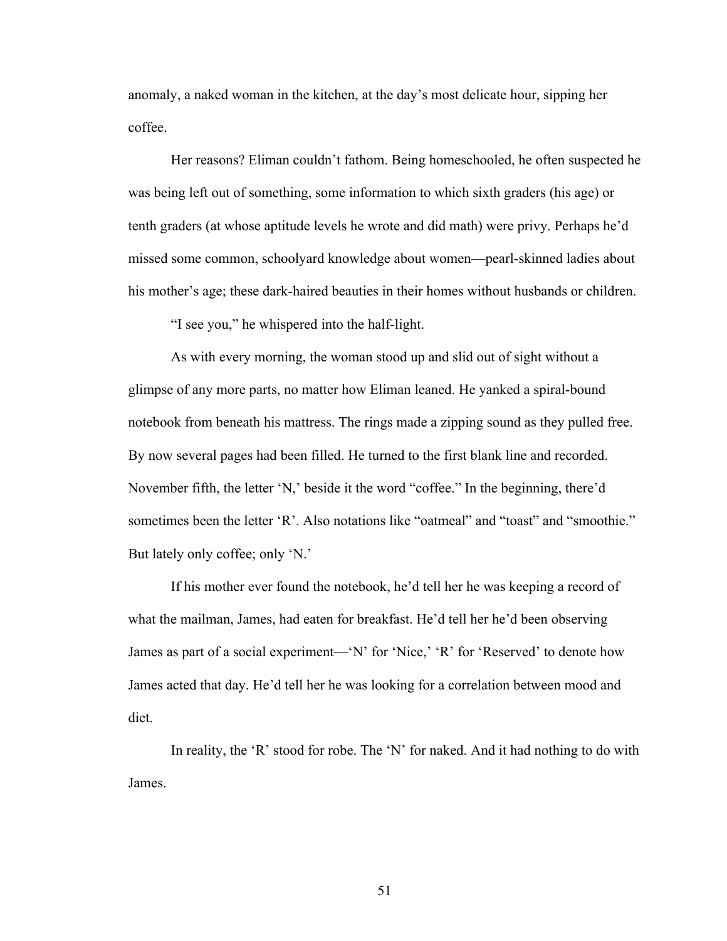anomaly, a naked woman in the kitchen, at the day's most delicate hour, sipping her coffee.

Her reasons? Eliman couldn't fathom. Being homeschooled, he often suspected he was being left out of something, some information to which sixth graders (his age) or tenth graders (at whose aptitude levels he wrote and did math) were privy. Perhaps he'd missed some common, schoolyard knowledge about women—pearl-skinned ladies about his mother's age; these dark-haired beauties in their homes without husbands or children.

"I see you," he whispered into the half-light.

As with every morning, the woman stood up and slid out of sight without a glimpse of any more parts, no matter how Eliman leaned. He yanked a spiral-bound notebook from beneath his mattress. The rings made a zipping sound as they pulled free. By now several pages had been filled. He turned to the first blank line and recorded. November fifth, the letter 'N,' beside it the word "coffee." In the beginning, there'd sometimes been the letter 'R'. Also notations like "oatmeal" and "toast" and "smoothie." But lately only coffee; only 'N.'

If his mother ever found the notebook, he'd tell her he was keeping a record of what the mailman, James, had eaten for breakfast. He'd tell her he'd been observing James as part of a social experiment—'N' for 'Nice,' 'R' for 'Reserved' to denote how James acted that day. He'd tell her he was looking for a correlation between mood and diet.

In reality, the 'R' stood for robe. The 'N' for naked. And it had nothing to do with James.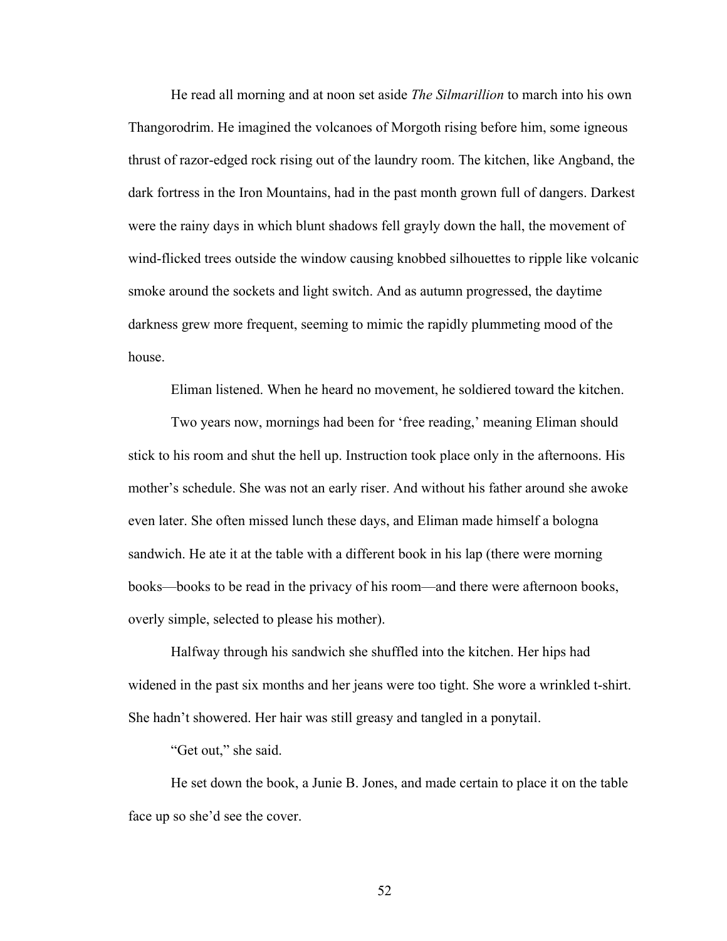He read all morning and at noon set aside *The Silmarillion* to march into his own Thangorodrim. He imagined the volcanoes of Morgoth rising before him, some igneous thrust of razor-edged rock rising out of the laundry room. The kitchen, like Angband, the dark fortress in the Iron Mountains, had in the past month grown full of dangers. Darkest were the rainy days in which blunt shadows fell grayly down the hall, the movement of wind-flicked trees outside the window causing knobbed silhouettes to ripple like volcanic smoke around the sockets and light switch. And as autumn progressed, the daytime darkness grew more frequent, seeming to mimic the rapidly plummeting mood of the house.

Eliman listened. When he heard no movement, he soldiered toward the kitchen.

Two years now, mornings had been for 'free reading,' meaning Eliman should stick to his room and shut the hell up. Instruction took place only in the afternoons. His mother's schedule. She was not an early riser. And without his father around she awoke even later. She often missed lunch these days, and Eliman made himself a bologna sandwich. He ate it at the table with a different book in his lap (there were morning books—books to be read in the privacy of his room—and there were afternoon books, overly simple, selected to please his mother).

Halfway through his sandwich she shuffled into the kitchen. Her hips had widened in the past six months and her jeans were too tight. She wore a wrinkled t-shirt. She hadn't showered. Her hair was still greasy and tangled in a ponytail.

"Get out," she said.

He set down the book, a Junie B. Jones, and made certain to place it on the table face up so she'd see the cover.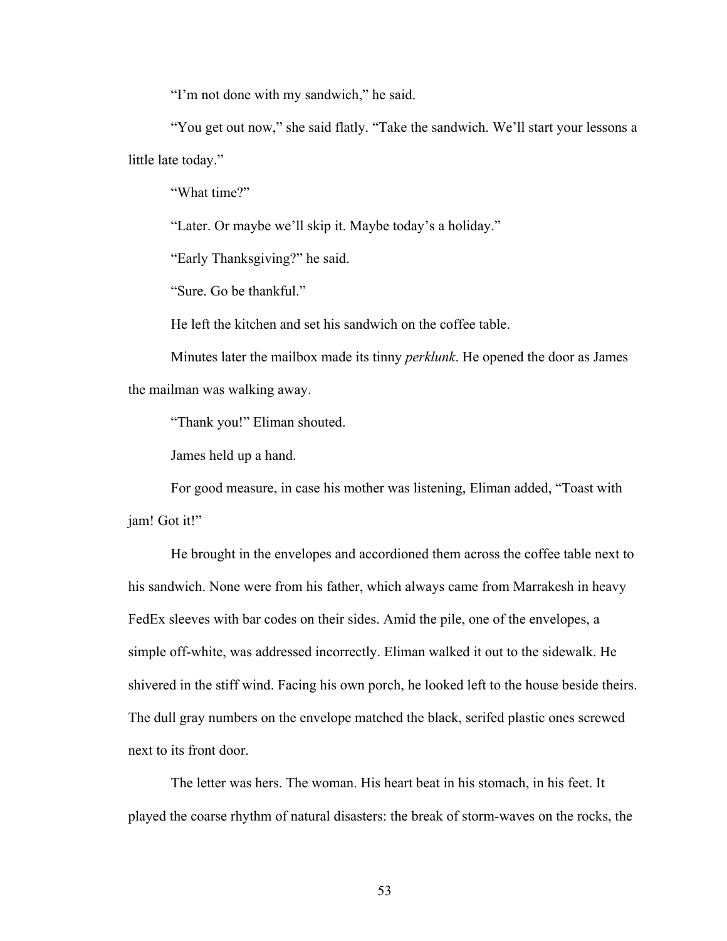"I'm not done with my sandwich," he said.

"You get out now," she said flatly. "Take the sandwich. We'll start your lessons a little late today."

"What time?"

"Later. Or maybe we'll skip it. Maybe today's a holiday."

"Early Thanksgiving?" he said.

"Sure. Go be thankful."

He left the kitchen and set his sandwich on the coffee table.

Minutes later the mailbox made its tinny *perklunk*. He opened the door as James the mailman was walking away.

"Thank you!" Eliman shouted.

James held up a hand.

For good measure, in case his mother was listening, Eliman added, "Toast with jam! Got it!"

He brought in the envelopes and accordioned them across the coffee table next to his sandwich. None were from his father, which always came from Marrakesh in heavy FedEx sleeves with bar codes on their sides. Amid the pile, one of the envelopes, a simple off-white, was addressed incorrectly. Eliman walked it out to the sidewalk. He shivered in the stiff wind. Facing his own porch, he looked left to the house beside theirs. The dull gray numbers on the envelope matched the black, serifed plastic ones screwed next to its front door.

The letter was hers. The woman. His heart beat in his stomach, in his feet. It played the coarse rhythm of natural disasters: the break of storm-waves on the rocks, the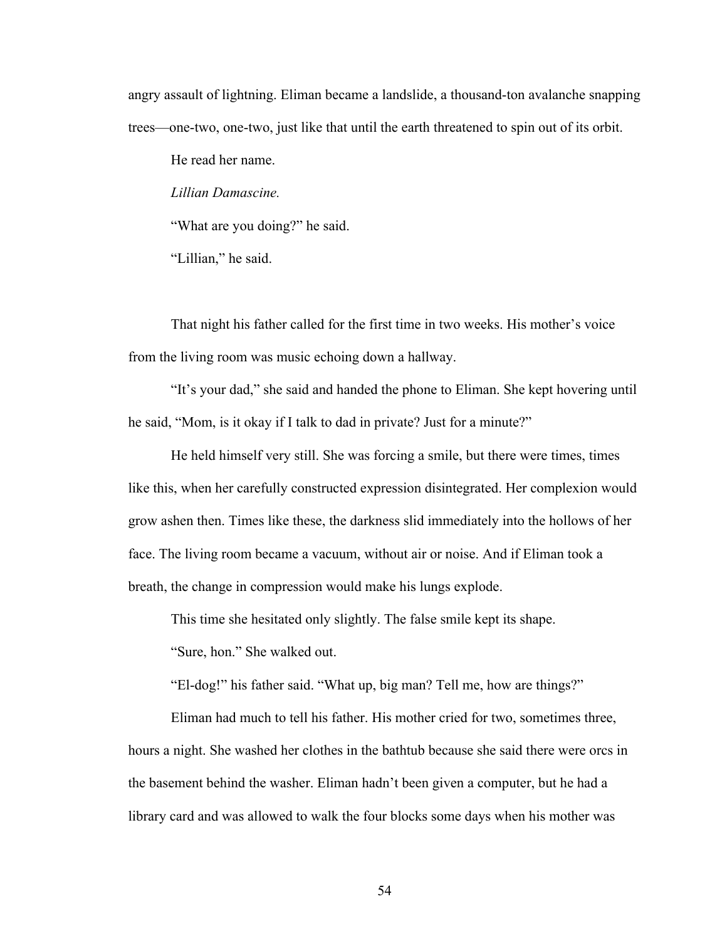angry assault of lightning. Eliman became a landslide, a thousand-ton avalanche snapping trees—one-two, one-two, just like that until the earth threatened to spin out of its orbit.

He read her name.

*Lillian Damascine.*

"What are you doing?" he said.

"Lillian," he said.

That night his father called for the first time in two weeks. His mother's voice from the living room was music echoing down a hallway.

"It's your dad," she said and handed the phone to Eliman. She kept hovering until he said, "Mom, is it okay if I talk to dad in private? Just for a minute?"

He held himself very still. She was forcing a smile, but there were times, times like this, when her carefully constructed expression disintegrated. Her complexion would grow ashen then. Times like these, the darkness slid immediately into the hollows of her face. The living room became a vacuum, without air or noise. And if Eliman took a breath, the change in compression would make his lungs explode.

This time she hesitated only slightly. The false smile kept its shape.

"Sure, hon." She walked out.

"El-dog!" his father said. "What up, big man? Tell me, how are things?"

Eliman had much to tell his father. His mother cried for two, sometimes three, hours a night. She washed her clothes in the bathtub because she said there were orcs in the basement behind the washer. Eliman hadn't been given a computer, but he had a library card and was allowed to walk the four blocks some days when his mother was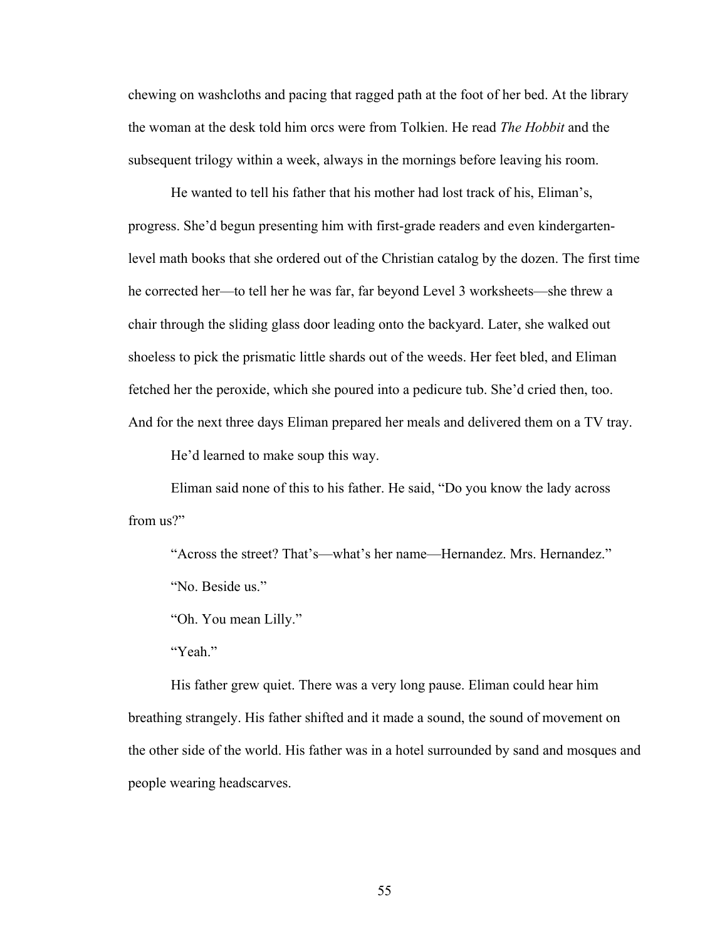chewing on washcloths and pacing that ragged path at the foot of her bed. At the library the woman at the desk told him orcs were from Tolkien. He read *The Hobbit* and the subsequent trilogy within a week, always in the mornings before leaving his room.

He wanted to tell his father that his mother had lost track of his, Eliman's, progress. She'd begun presenting him with first-grade readers and even kindergartenlevel math books that she ordered out of the Christian catalog by the dozen. The first time he corrected her—to tell her he was far, far beyond Level 3 worksheets—she threw a chair through the sliding glass door leading onto the backyard. Later, she walked out shoeless to pick the prismatic little shards out of the weeds. Her feet bled, and Eliman fetched her the peroxide, which she poured into a pedicure tub. She'd cried then, too. And for the next three days Eliman prepared her meals and delivered them on a TV tray.

He'd learned to make soup this way.

Eliman said none of this to his father. He said, "Do you know the lady across from us?"

"Across the street? That's—what's her name—Hernandez. Mrs. Hernandez." "No. Beside us."

"Oh. You mean Lilly."

"Yeah."

His father grew quiet. There was a very long pause. Eliman could hear him breathing strangely. His father shifted and it made a sound, the sound of movement on the other side of the world. His father was in a hotel surrounded by sand and mosques and people wearing headscarves.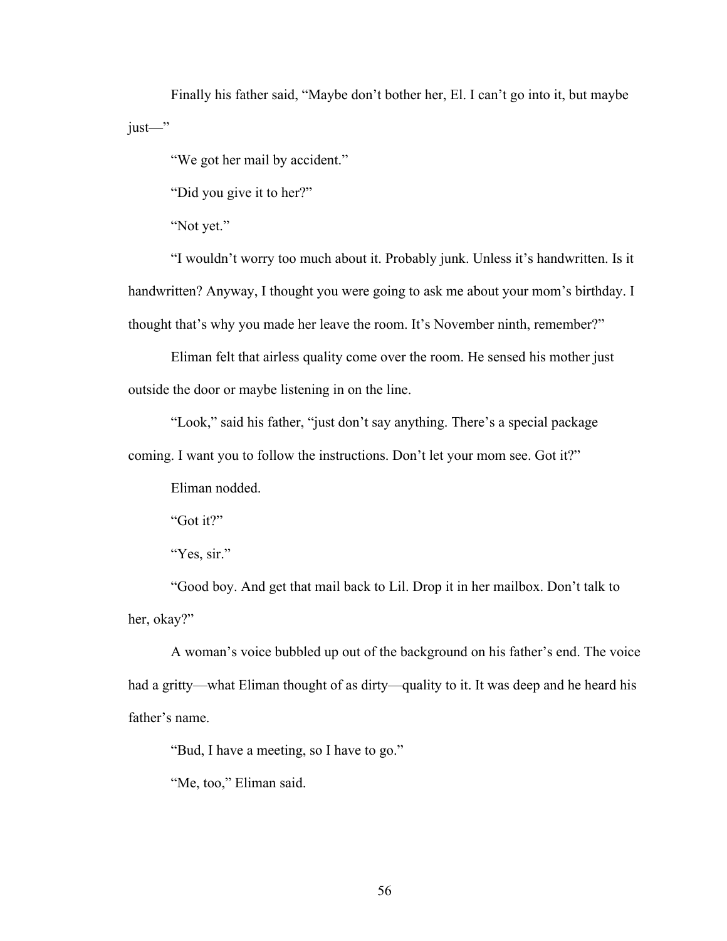Finally his father said, "Maybe don't bother her, El. I can't go into it, but maybe just—"

"We got her mail by accident."

"Did you give it to her?"

"Not yet."

"I wouldn't worry too much about it. Probably junk. Unless it's handwritten. Is it handwritten? Anyway, I thought you were going to ask me about your mom's birthday. I thought that's why you made her leave the room. It's November ninth, remember?"

Eliman felt that airless quality come over the room. He sensed his mother just outside the door or maybe listening in on the line.

"Look," said his father, "just don't say anything. There's a special package

coming. I want you to follow the instructions. Don't let your mom see. Got it?"

Eliman nodded.

"Got it?"

"Yes, sir."

"Good boy. And get that mail back to Lil. Drop it in her mailbox. Don't talk to her, okay?"

A woman's voice bubbled up out of the background on his father's end. The voice had a gritty—what Eliman thought of as dirty—quality to it. It was deep and he heard his father's name.

"Bud, I have a meeting, so I have to go."

"Me, too," Eliman said.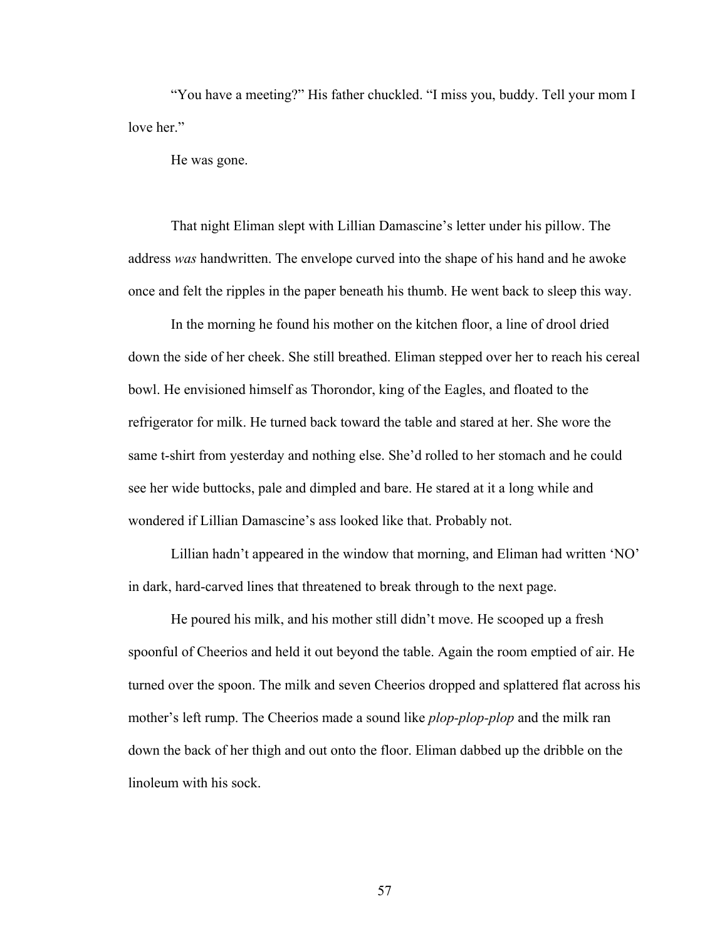"You have a meeting?" His father chuckled. "I miss you, buddy. Tell your mom I love her."

He was gone.

That night Eliman slept with Lillian Damascine's letter under his pillow. The address *was* handwritten. The envelope curved into the shape of his hand and he awoke once and felt the ripples in the paper beneath his thumb. He went back to sleep this way.

In the morning he found his mother on the kitchen floor, a line of drool dried down the side of her cheek. She still breathed. Eliman stepped over her to reach his cereal bowl. He envisioned himself as Thorondor, king of the Eagles, and floated to the refrigerator for milk. He turned back toward the table and stared at her. She wore the same t-shirt from yesterday and nothing else. She'd rolled to her stomach and he could see her wide buttocks, pale and dimpled and bare. He stared at it a long while and wondered if Lillian Damascine's ass looked like that. Probably not.

Lillian hadn't appeared in the window that morning, and Eliman had written 'NO' in dark, hard-carved lines that threatened to break through to the next page.

He poured his milk, and his mother still didn't move. He scooped up a fresh spoonful of Cheerios and held it out beyond the table. Again the room emptied of air. He turned over the spoon. The milk and seven Cheerios dropped and splattered flat across his mother's left rump. The Cheerios made a sound like *plop-plop-plop* and the milk ran down the back of her thigh and out onto the floor. Eliman dabbed up the dribble on the linoleum with his sock.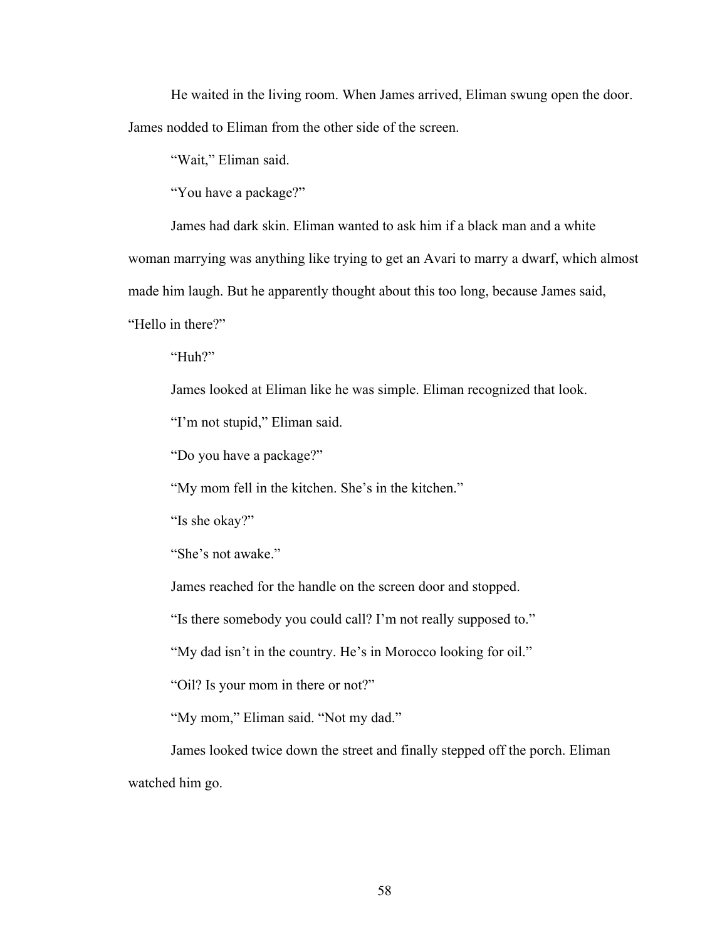He waited in the living room. When James arrived, Eliman swung open the door. James nodded to Eliman from the other side of the screen.

"Wait," Eliman said.

"You have a package?"

James had dark skin. Eliman wanted to ask him if a black man and a white

woman marrying was anything like trying to get an Avari to marry a dwarf, which almost

made him laugh. But he apparently thought about this too long, because James said,

"Hello in there?"

"Huh?"

James looked at Eliman like he was simple. Eliman recognized that look.

"I'm not stupid," Eliman said.

"Do you have a package?"

"My mom fell in the kitchen. She's in the kitchen."

"Is she okay?"

"She's not awake."

James reached for the handle on the screen door and stopped.

"Is there somebody you could call? I'm not really supposed to."

"My dad isn't in the country. He's in Morocco looking for oil."

"Oil? Is your mom in there or not?"

"My mom," Eliman said. "Not my dad."

James looked twice down the street and finally stepped off the porch. Eliman watched him go.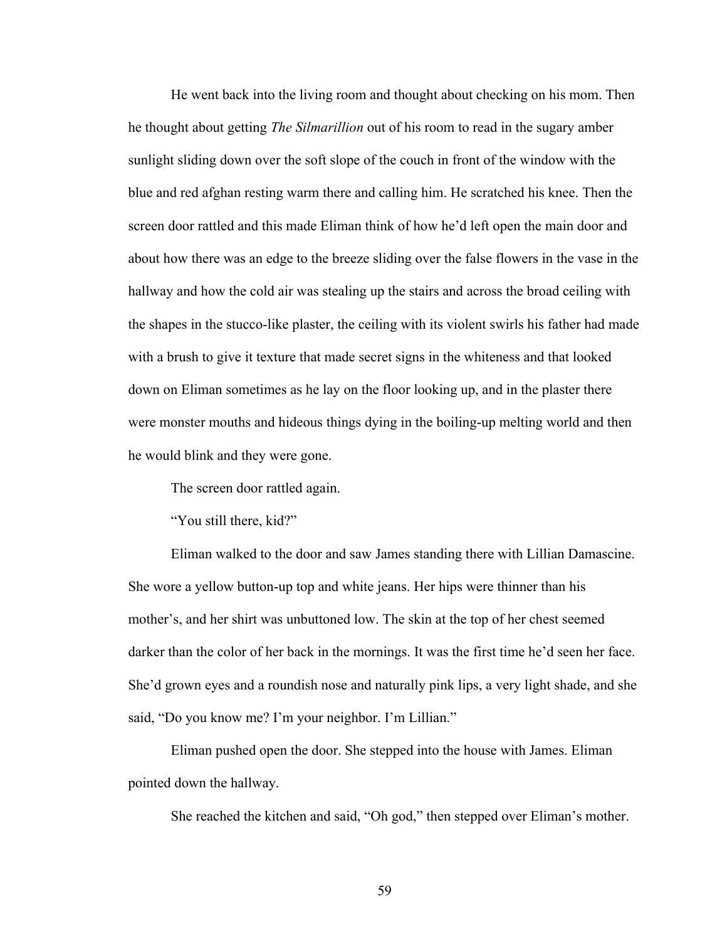He went back into the living room and thought about checking on his mom. Then he thought about getting *The Silmarillion* out of his room to read in the sugary amber sunlight sliding down over the soft slope of the couch in front of the window with the blue and red afghan resting warm there and calling him. He scratched his knee. Then the screen door rattled and this made Eliman think of how he'd left open the main door and about how there was an edge to the breeze sliding over the false flowers in the vase in the hallway and how the cold air was stealing up the stairs and across the broad ceiling with the shapes in the stucco-like plaster, the ceiling with its violent swirls his father had made with a brush to give it texture that made secret signs in the whiteness and that looked down on Eliman sometimes as he lay on the floor looking up, and in the plaster there were monster mouths and hideous things dying in the boiling-up melting world and then he would blink and they were gone.

The screen door rattled again.

"You still there, kid?"

Eliman walked to the door and saw James standing there with Lillian Damascine. She wore a yellow button-up top and white jeans. Her hips were thinner than his mother's, and her shirt was unbuttoned low. The skin at the top of her chest seemed darker than the color of her back in the mornings. It was the first time he'd seen her face. She'd grown eyes and a roundish nose and naturally pink lips, a very light shade, and she said, "Do you know me? I'm your neighbor. I'm Lillian."

Eliman pushed open the door. She stepped into the house with James. Eliman pointed down the hallway.

She reached the kitchen and said, "Oh god," then stepped over Eliman's mother.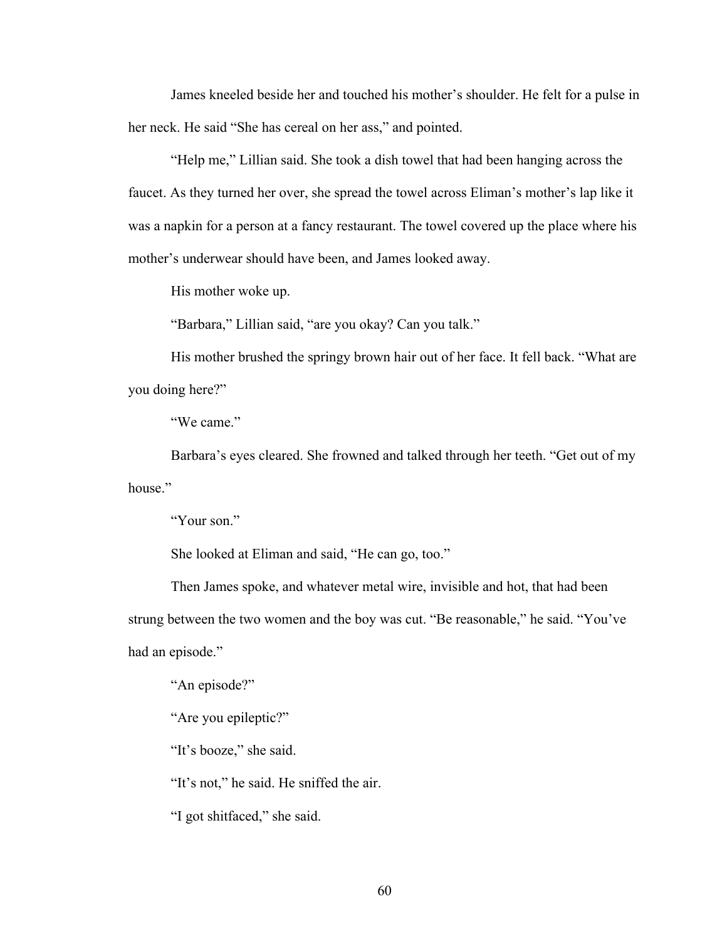James kneeled beside her and touched his mother's shoulder. He felt for a pulse in her neck. He said "She has cereal on her ass," and pointed.

"Help me," Lillian said. She took a dish towel that had been hanging across the faucet. As they turned her over, she spread the towel across Eliman's mother's lap like it was a napkin for a person at a fancy restaurant. The towel covered up the place where his mother's underwear should have been, and James looked away.

His mother woke up.

"Barbara," Lillian said, "are you okay? Can you talk."

His mother brushed the springy brown hair out of her face. It fell back. "What are you doing here?"

"We came."

Barbara's eyes cleared. She frowned and talked through her teeth. "Get out of my house."

"Your son."

She looked at Eliman and said, "He can go, too."

Then James spoke, and whatever metal wire, invisible and hot, that had been strung between the two women and the boy was cut. "Be reasonable," he said. "You've had an episode."

"An episode?"

"Are you epileptic?"

"It's booze," she said.

"It's not," he said. He sniffed the air.

"I got shitfaced," she said.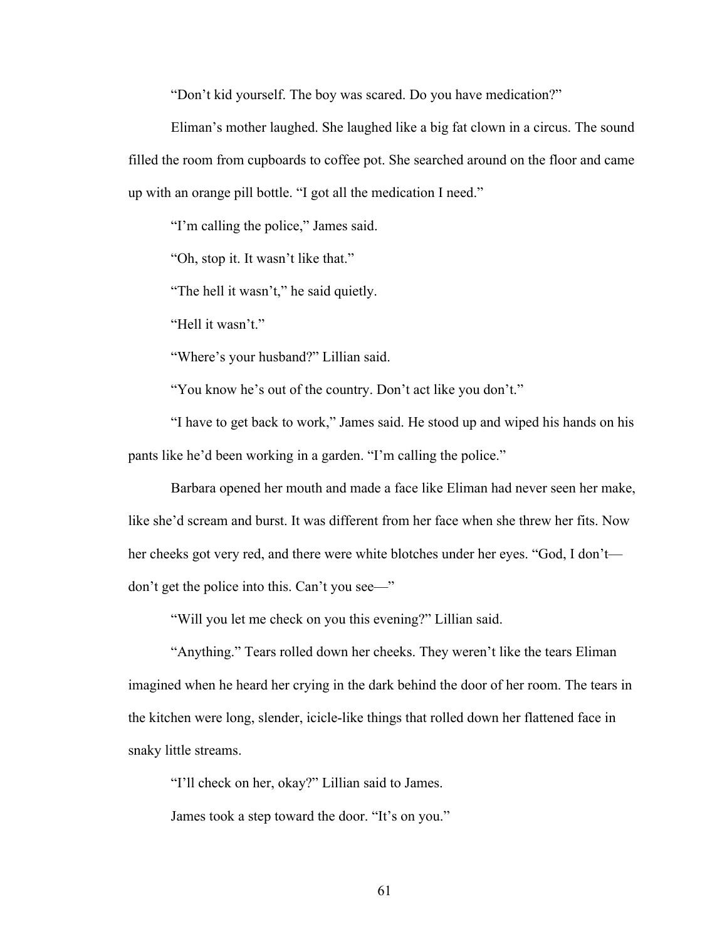"Don't kid yourself. The boy was scared. Do you have medication?"

Eliman's mother laughed. She laughed like a big fat clown in a circus. The sound filled the room from cupboards to coffee pot. She searched around on the floor and came up with an orange pill bottle. "I got all the medication I need."

"I'm calling the police," James said.

"Oh, stop it. It wasn't like that."

"The hell it wasn't," he said quietly.

"Hell it wasn't."

"Where's your husband?" Lillian said.

"You know he's out of the country. Don't act like you don't."

"I have to get back to work," James said. He stood up and wiped his hands on his pants like he'd been working in a garden. "I'm calling the police."

Barbara opened her mouth and made a face like Eliman had never seen her make, like she'd scream and burst. It was different from her face when she threw her fits. Now her cheeks got very red, and there were white blotches under her eyes. "God, I don't don't get the police into this. Can't you see—"

"Will you let me check on you this evening?" Lillian said.

"Anything." Tears rolled down her cheeks. They weren't like the tears Eliman imagined when he heard her crying in the dark behind the door of her room. The tears in the kitchen were long, slender, icicle-like things that rolled down her flattened face in snaky little streams.

"I'll check on her, okay?" Lillian said to James.

James took a step toward the door. "It's on you."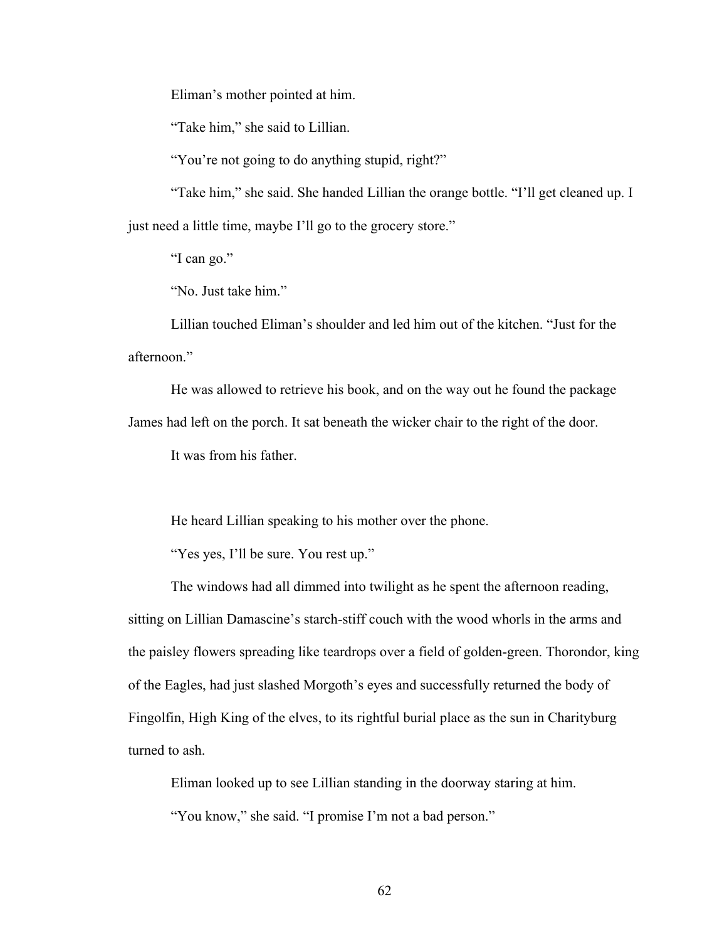Eliman's mother pointed at him.

"Take him," she said to Lillian.

"You're not going to do anything stupid, right?"

"Take him," she said. She handed Lillian the orange bottle. "I'll get cleaned up. I just need a little time, maybe I'll go to the grocery store."

"I can go."

"No. Just take him."

Lillian touched Eliman's shoulder and led him out of the kitchen. "Just for the afternoon."

He was allowed to retrieve his book, and on the way out he found the package James had left on the porch. It sat beneath the wicker chair to the right of the door.

It was from his father.

He heard Lillian speaking to his mother over the phone.

"Yes yes, I'll be sure. You rest up."

The windows had all dimmed into twilight as he spent the afternoon reading, sitting on Lillian Damascine's starch-stiff couch with the wood whorls in the arms and the paisley flowers spreading like teardrops over a field of golden-green. Thorondor, king of the Eagles, had just slashed Morgoth's eyes and successfully returned the body of Fingolfin, High King of the elves, to its rightful burial place as the sun in Charityburg turned to ash.

Eliman looked up to see Lillian standing in the doorway staring at him. "You know," she said. "I promise I'm not a bad person."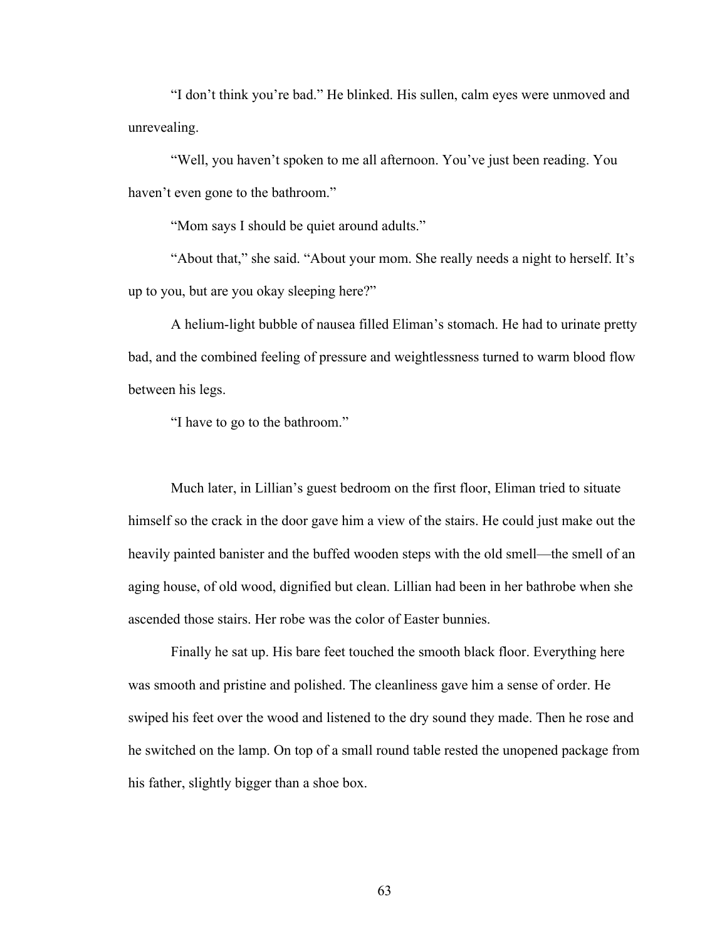"I don't think you're bad." He blinked. His sullen, calm eyes were unmoved and unrevealing.

"Well, you haven't spoken to me all afternoon. You've just been reading. You haven't even gone to the bathroom."

"Mom says I should be quiet around adults."

"About that," she said. "About your mom. She really needs a night to herself. It's up to you, but are you okay sleeping here?"

A helium-light bubble of nausea filled Eliman's stomach. He had to urinate pretty bad, and the combined feeling of pressure and weightlessness turned to warm blood flow between his legs.

"I have to go to the bathroom."

Much later, in Lillian's guest bedroom on the first floor, Eliman tried to situate himself so the crack in the door gave him a view of the stairs. He could just make out the heavily painted banister and the buffed wooden steps with the old smell—the smell of an aging house, of old wood, dignified but clean. Lillian had been in her bathrobe when she ascended those stairs. Her robe was the color of Easter bunnies.

Finally he sat up. His bare feet touched the smooth black floor. Everything here was smooth and pristine and polished. The cleanliness gave him a sense of order. He swiped his feet over the wood and listened to the dry sound they made. Then he rose and he switched on the lamp. On top of a small round table rested the unopened package from his father, slightly bigger than a shoe box.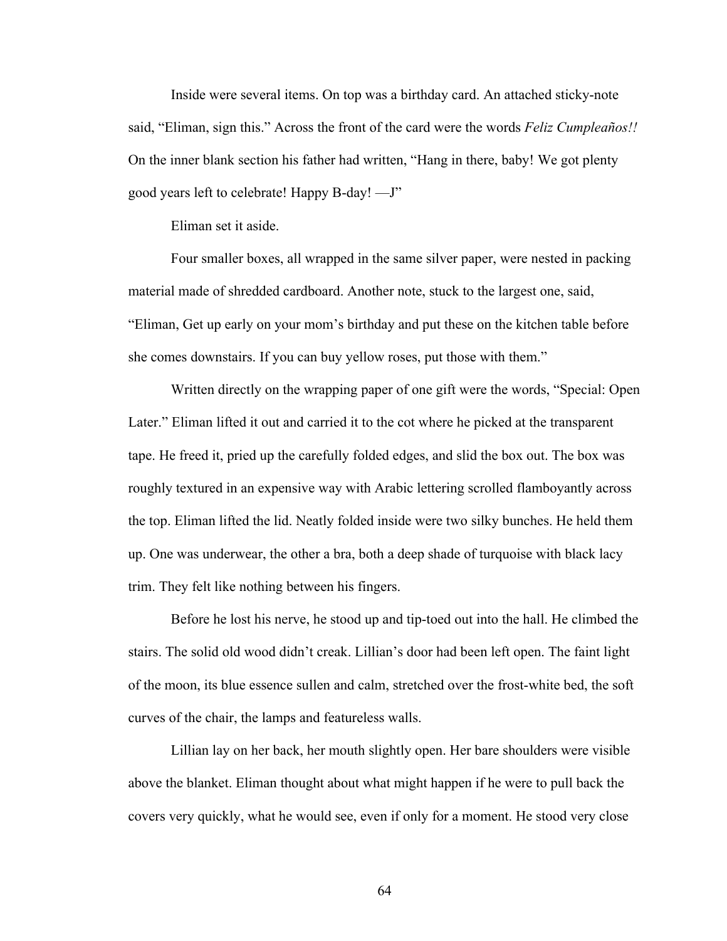Inside were several items. On top was a birthday card. An attached sticky-note said, "Eliman, sign this." Across the front of the card were the words *Feliz Cumpleaños!!* On the inner blank section his father had written, "Hang in there, baby! We got plenty good years left to celebrate! Happy B-day! —J"

Eliman set it aside.

Four smaller boxes, all wrapped in the same silver paper, were nested in packing material made of shredded cardboard. Another note, stuck to the largest one, said, "Eliman, Get up early on your mom's birthday and put these on the kitchen table before she comes downstairs. If you can buy yellow roses, put those with them."

Written directly on the wrapping paper of one gift were the words, "Special: Open Later." Eliman lifted it out and carried it to the cot where he picked at the transparent tape. He freed it, pried up the carefully folded edges, and slid the box out. The box was roughly textured in an expensive way with Arabic lettering scrolled flamboyantly across the top. Eliman lifted the lid. Neatly folded inside were two silky bunches. He held them up. One was underwear, the other a bra, both a deep shade of turquoise with black lacy trim. They felt like nothing between his fingers.

Before he lost his nerve, he stood up and tip-toed out into the hall. He climbed the stairs. The solid old wood didn't creak. Lillian's door had been left open. The faint light of the moon, its blue essence sullen and calm, stretched over the frost-white bed, the soft curves of the chair, the lamps and featureless walls.

Lillian lay on her back, her mouth slightly open. Her bare shoulders were visible above the blanket. Eliman thought about what might happen if he were to pull back the covers very quickly, what he would see, even if only for a moment. He stood very close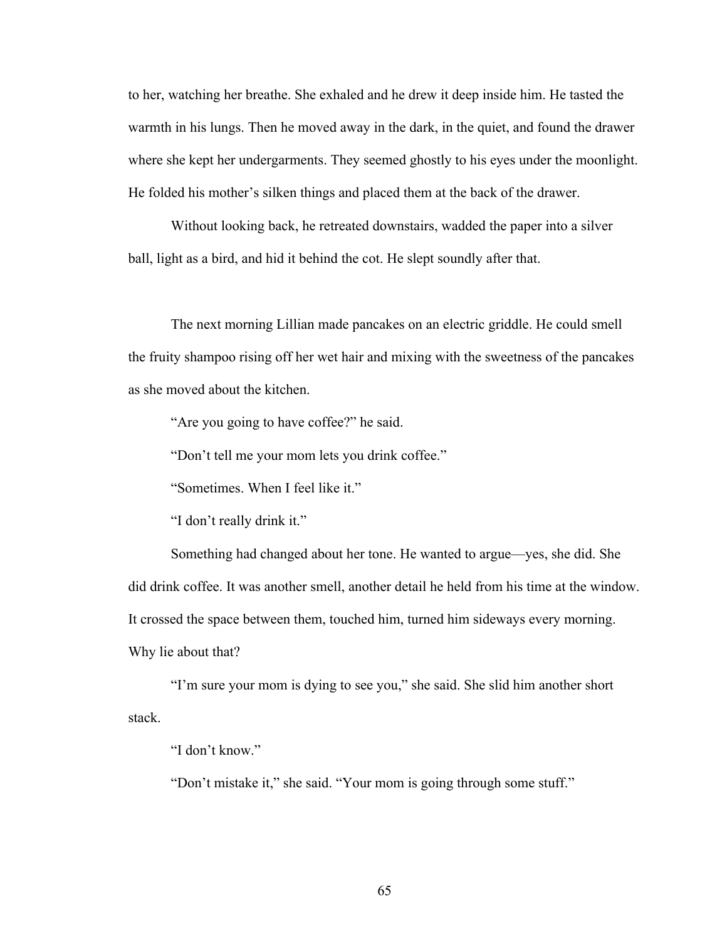to her, watching her breathe. She exhaled and he drew it deep inside him. He tasted the warmth in his lungs. Then he moved away in the dark, in the quiet, and found the drawer where she kept her undergarments. They seemed ghostly to his eyes under the moonlight. He folded his mother's silken things and placed them at the back of the drawer.

Without looking back, he retreated downstairs, wadded the paper into a silver ball, light as a bird, and hid it behind the cot. He slept soundly after that.

The next morning Lillian made pancakes on an electric griddle. He could smell the fruity shampoo rising off her wet hair and mixing with the sweetness of the pancakes as she moved about the kitchen.

"Are you going to have coffee?" he said.

"Don't tell me your mom lets you drink coffee."

"Sometimes. When I feel like it."

"I don't really drink it."

Something had changed about her tone. He wanted to argue—yes, she did. She did drink coffee. It was another smell, another detail he held from his time at the window. It crossed the space between them, touched him, turned him sideways every morning. Why lie about that?

"I'm sure your mom is dying to see you," she said. She slid him another short stack.

"I don't know."

"Don't mistake it," she said. "Your mom is going through some stuff."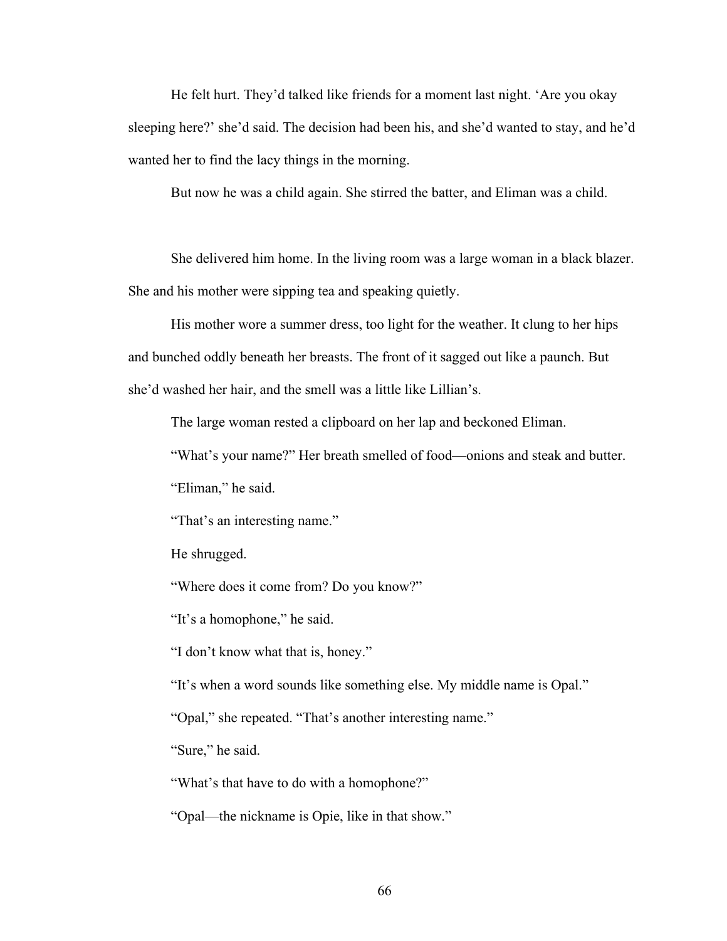He felt hurt. They'd talked like friends for a moment last night. 'Are you okay sleeping here?' she'd said. The decision had been his, and she'd wanted to stay, and he'd wanted her to find the lacy things in the morning.

But now he was a child again. She stirred the batter, and Eliman was a child.

She delivered him home. In the living room was a large woman in a black blazer. She and his mother were sipping tea and speaking quietly.

His mother wore a summer dress, too light for the weather. It clung to her hips and bunched oddly beneath her breasts. The front of it sagged out like a paunch. But she'd washed her hair, and the smell was a little like Lillian's.

The large woman rested a clipboard on her lap and beckoned Eliman.

"What's your name?" Her breath smelled of food—onions and steak and butter.

"Eliman," he said.

"That's an interesting name."

He shrugged.

"Where does it come from? Do you know?"

"It's a homophone," he said.

"I don't know what that is, honey."

"It's when a word sounds like something else. My middle name is Opal."

"Opal," she repeated. "That's another interesting name."

"Sure," he said.

"What's that have to do with a homophone?"

"Opal—the nickname is Opie, like in that show."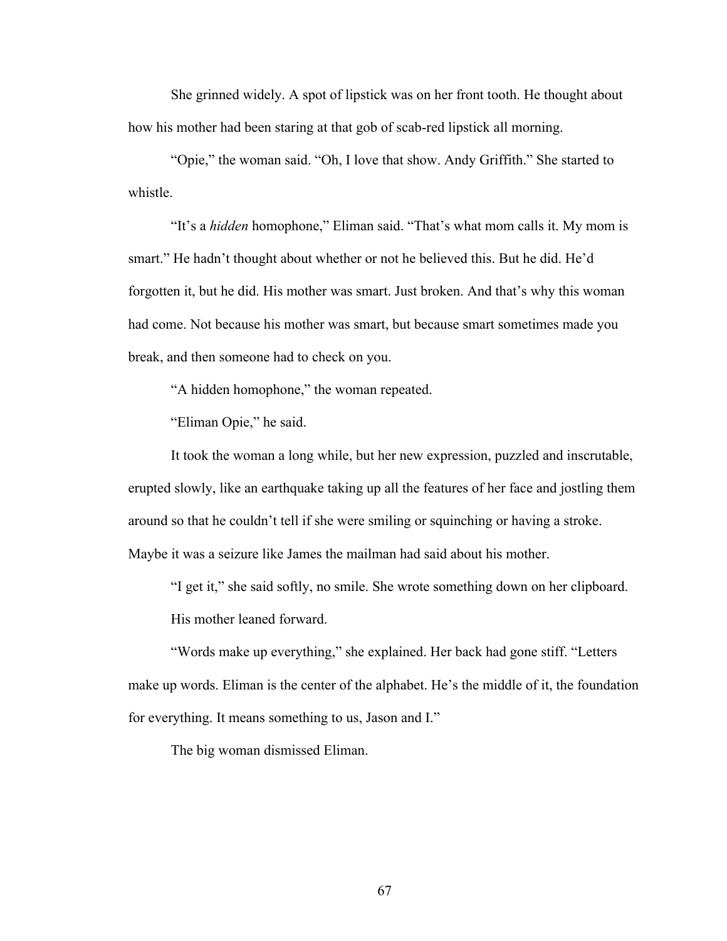She grinned widely. A spot of lipstick was on her front tooth. He thought about how his mother had been staring at that gob of scab-red lipstick all morning.

"Opie," the woman said. "Oh, I love that show. Andy Griffith." She started to whistle.

"It's a *hidden* homophone," Eliman said. "That's what mom calls it. My mom is smart." He hadn't thought about whether or not he believed this. But he did. He'd forgotten it, but he did. His mother was smart. Just broken. And that's why this woman had come. Not because his mother was smart, but because smart sometimes made you break, and then someone had to check on you.

"A hidden homophone," the woman repeated.

"Eliman Opie," he said.

It took the woman a long while, but her new expression, puzzled and inscrutable, erupted slowly, like an earthquake taking up all the features of her face and jostling them around so that he couldn't tell if she were smiling or squinching or having a stroke. Maybe it was a seizure like James the mailman had said about his mother.

"I get it," she said softly, no smile. She wrote something down on her clipboard.

His mother leaned forward.

"Words make up everything," she explained. Her back had gone stiff. "Letters make up words. Eliman is the center of the alphabet. He's the middle of it, the foundation for everything. It means something to us, Jason and I."

The big woman dismissed Eliman.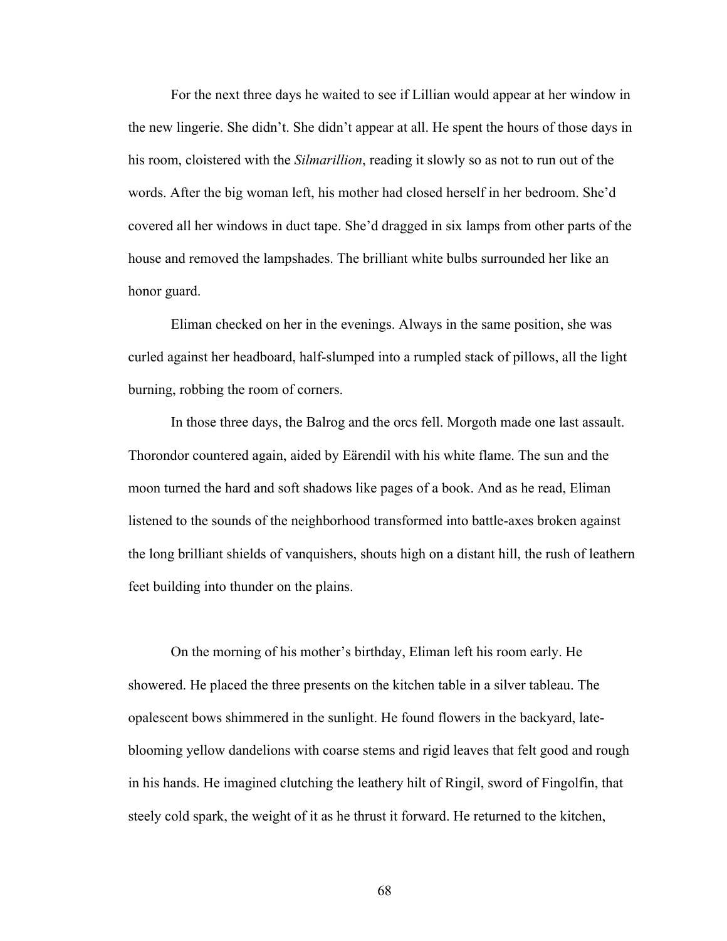For the next three days he waited to see if Lillian would appear at her window in the new lingerie. She didn't. She didn't appear at all. He spent the hours of those days in his room, cloistered with the *Silmarillion*, reading it slowly so as not to run out of the words. After the big woman left, his mother had closed herself in her bedroom. She'd covered all her windows in duct tape. She'd dragged in six lamps from other parts of the house and removed the lampshades. The brilliant white bulbs surrounded her like an honor guard.

Eliman checked on her in the evenings. Always in the same position, she was curled against her headboard, half-slumped into a rumpled stack of pillows, all the light burning, robbing the room of corners.

In those three days, the Balrog and the orcs fell. Morgoth made one last assault. Thorondor countered again, aided by Eärendil with his white flame. The sun and the moon turned the hard and soft shadows like pages of a book. And as he read, Eliman listened to the sounds of the neighborhood transformed into battle-axes broken against the long brilliant shields of vanquishers, shouts high on a distant hill, the rush of leathern feet building into thunder on the plains.

On the morning of his mother's birthday, Eliman left his room early. He showered. He placed the three presents on the kitchen table in a silver tableau. The opalescent bows shimmered in the sunlight. He found flowers in the backyard, lateblooming yellow dandelions with coarse stems and rigid leaves that felt good and rough in his hands. He imagined clutching the leathery hilt of Ringil, sword of Fingolfin, that steely cold spark, the weight of it as he thrust it forward. He returned to the kitchen,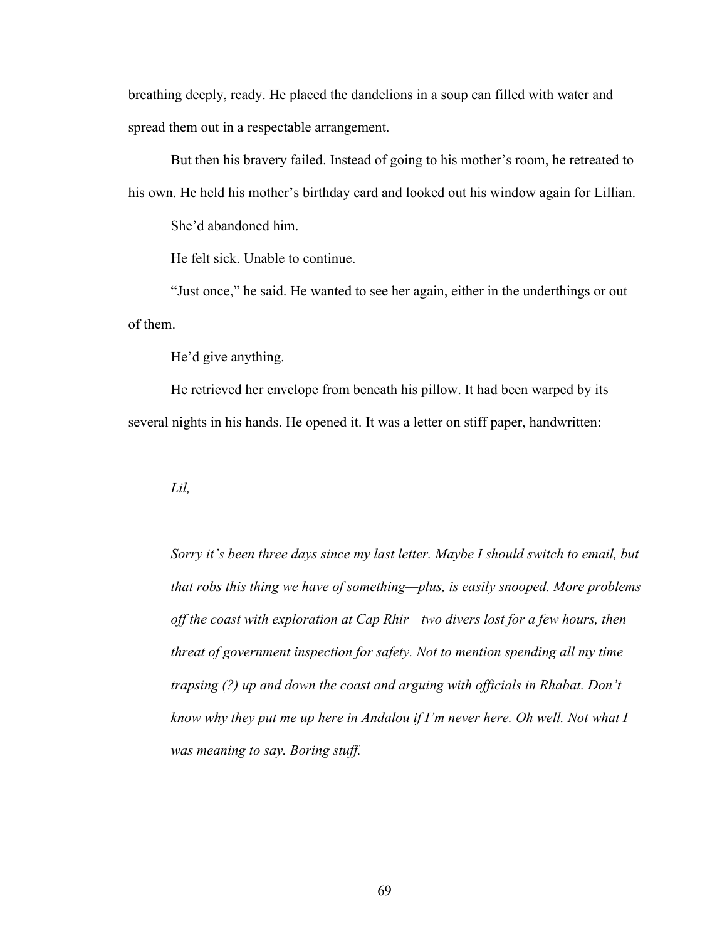breathing deeply, ready. He placed the dandelions in a soup can filled with water and spread them out in a respectable arrangement.

But then his bravery failed. Instead of going to his mother's room, he retreated to his own. He held his mother's birthday card and looked out his window again for Lillian.

She'd abandoned him.

He felt sick. Unable to continue.

"Just once," he said. He wanted to see her again, either in the underthings or out of them.

He'd give anything.

He retrieved her envelope from beneath his pillow. It had been warped by its several nights in his hands. He opened it. It was a letter on stiff paper, handwritten:

*Lil,*

*Sorry it's been three days since my last letter. Maybe I should switch to email, but that robs this thing we have of something—plus, is easily snooped. More problems off the coast with exploration at Cap Rhir—two divers lost for a few hours, then threat of government inspection for safety. Not to mention spending all my time trapsing (?) up and down the coast and arguing with officials in Rhabat. Don't know why they put me up here in Andalou if I'm never here. Oh well. Not what I was meaning to say. Boring stuff.*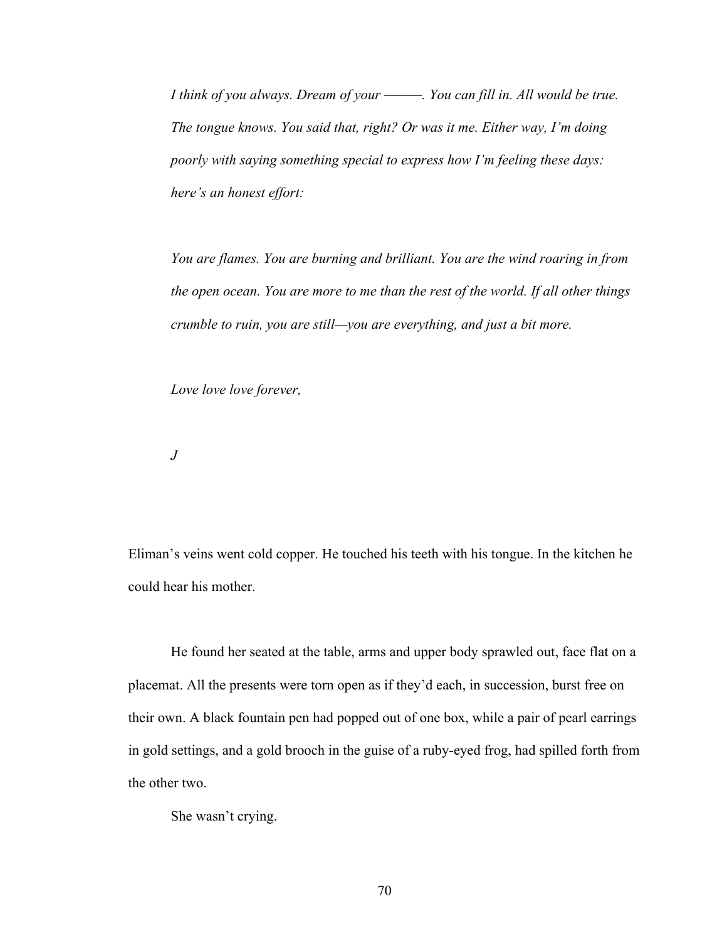*I think of you always. Dream of your ———. You can fill in. All would be true. The tongue knows. You said that, right? Or was it me. Either way, I'm doing poorly with saying something special to express how I'm feeling these days: here's an honest effort:*

*You are flames. You are burning and brilliant. You are the wind roaring in from the open ocean. You are more to me than the rest of the world. If all other things crumble to ruin, you are still—you are everything, and just a bit more.*

*Love love love forever,*

*J*

Eliman's veins went cold copper. He touched his teeth with his tongue. In the kitchen he could hear his mother.

He found her seated at the table, arms and upper body sprawled out, face flat on a placemat. All the presents were torn open as if they'd each, in succession, burst free on their own. A black fountain pen had popped out of one box, while a pair of pearl earrings in gold settings, and a gold brooch in the guise of a ruby-eyed frog, had spilled forth from the other two.

She wasn't crying.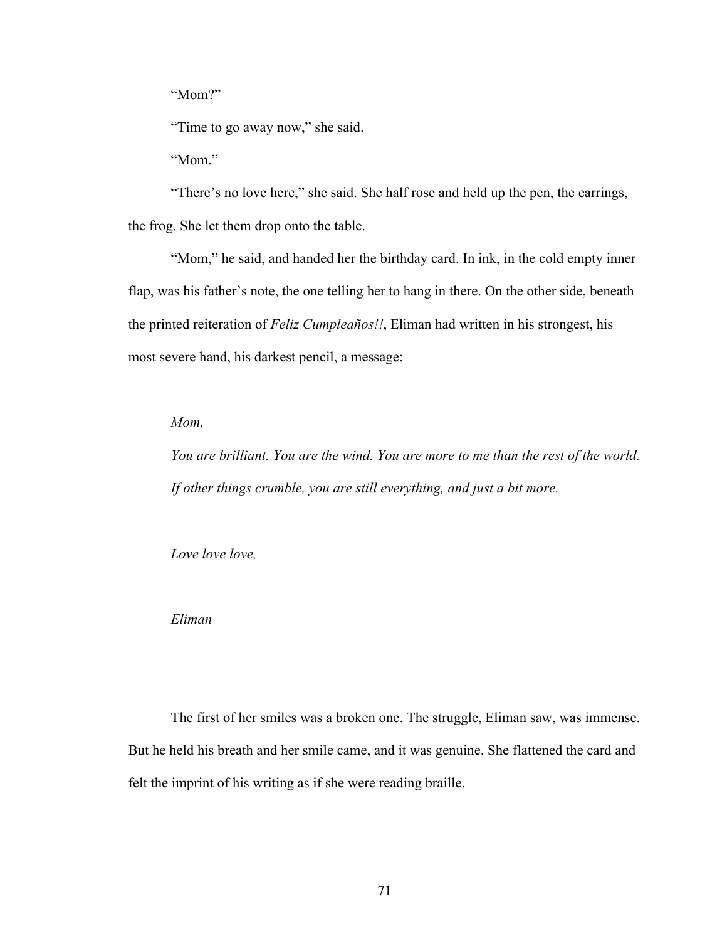"Mom?"

"Time to go away now," she said.

"Mom."

"There's no love here," she said. She half rose and held up the pen, the earrings, the frog. She let them drop onto the table.

"Mom," he said, and handed her the birthday card. In ink, in the cold empty inner flap, was his father's note, the one telling her to hang in there. On the other side, beneath the printed reiteration of *Feliz Cumpleaños!!*, Eliman had written in his strongest, his most severe hand, his darkest pencil, a message:

*Mom,*

*You are brilliant. You are the wind. You are more to me than the rest of the world. If other things crumble, you are still everything, and just a bit more.*

*Love love love,*

*Eliman*

The first of her smiles was a broken one. The struggle, Eliman saw, was immense. But he held his breath and her smile came, and it was genuine. She flattened the card and felt the imprint of his writing as if she were reading braille.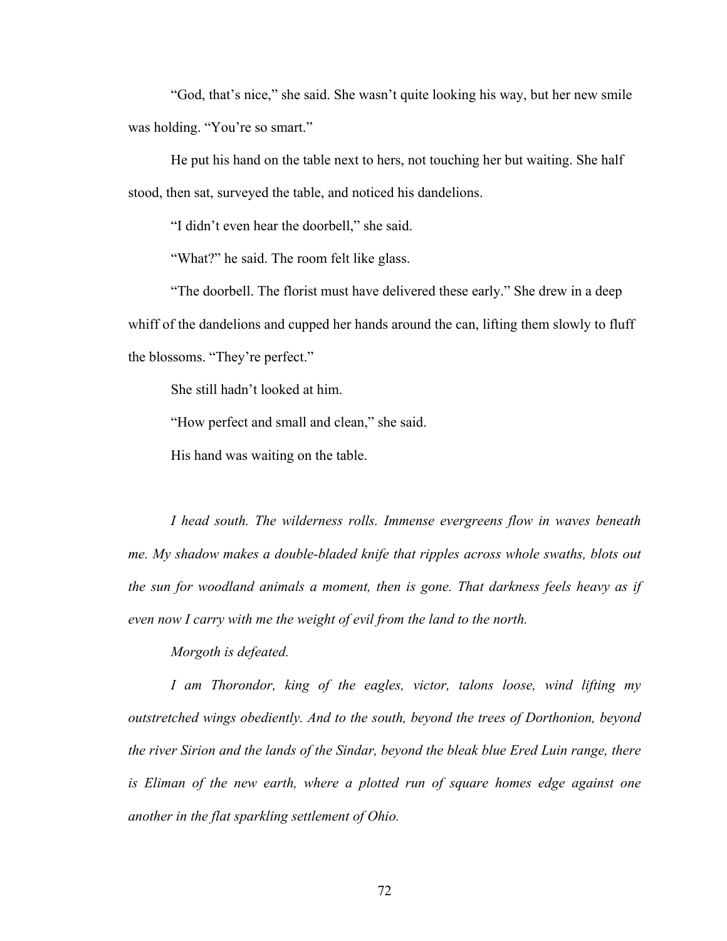"God, that's nice," she said. She wasn't quite looking his way, but her new smile was holding. "You're so smart."

He put his hand on the table next to hers, not touching her but waiting. She half stood, then sat, surveyed the table, and noticed his dandelions.

"I didn't even hear the doorbell," she said.

"What?" he said. The room felt like glass.

"The doorbell. The florist must have delivered these early." She drew in a deep whiff of the dandelions and cupped her hands around the can, lifting them slowly to fluff the blossoms. "They're perfect."

She still hadn't looked at him.

"How perfect and small and clean," she said.

His hand was waiting on the table.

*I head south. The wilderness rolls. Immense evergreens flow in waves beneath me. My shadow makes a double-bladed knife that ripples across whole swaths, blots out the sun for woodland animals a moment, then is gone. That darkness feels heavy as if even now I carry with me the weight of evil from the land to the north.* 

*Morgoth is defeated.*

*I am Thorondor, king of the eagles, victor, talons loose, wind lifting my outstretched wings obediently. And to the south, beyond the trees of Dorthonion, beyond the river Sirion and the lands of the Sindar, beyond the bleak blue Ered Luin range, there*  is Eliman of the new earth, where a plotted run of square homes edge against one *another in the flat sparkling settlement of Ohio.*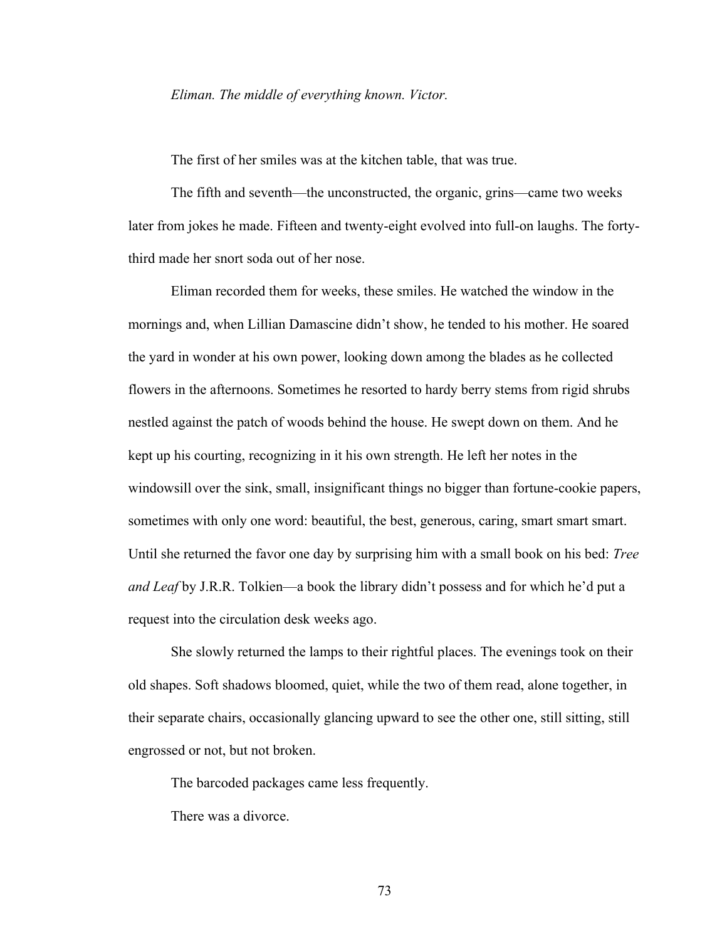## *Eliman. The middle of everything known. Victor.*

The first of her smiles was at the kitchen table, that was true.

The fifth and seventh—the unconstructed, the organic, grins—came two weeks later from jokes he made. Fifteen and twenty-eight evolved into full-on laughs. The fortythird made her snort soda out of her nose.

Eliman recorded them for weeks, these smiles. He watched the window in the mornings and, when Lillian Damascine didn't show, he tended to his mother. He soared the yard in wonder at his own power, looking down among the blades as he collected flowers in the afternoons. Sometimes he resorted to hardy berry stems from rigid shrubs nestled against the patch of woods behind the house. He swept down on them. And he kept up his courting, recognizing in it his own strength. He left her notes in the windowsill over the sink, small, insignificant things no bigger than fortune-cookie papers, sometimes with only one word: beautiful, the best, generous, caring, smart smart smart. Until she returned the favor one day by surprising him with a small book on his bed: *Tree and Leaf* by J.R.R. Tolkien—a book the library didn't possess and for which he'd put a request into the circulation desk weeks ago.

She slowly returned the lamps to their rightful places. The evenings took on their old shapes. Soft shadows bloomed, quiet, while the two of them read, alone together, in their separate chairs, occasionally glancing upward to see the other one, still sitting, still engrossed or not, but not broken.

The barcoded packages came less frequently.

There was a divorce.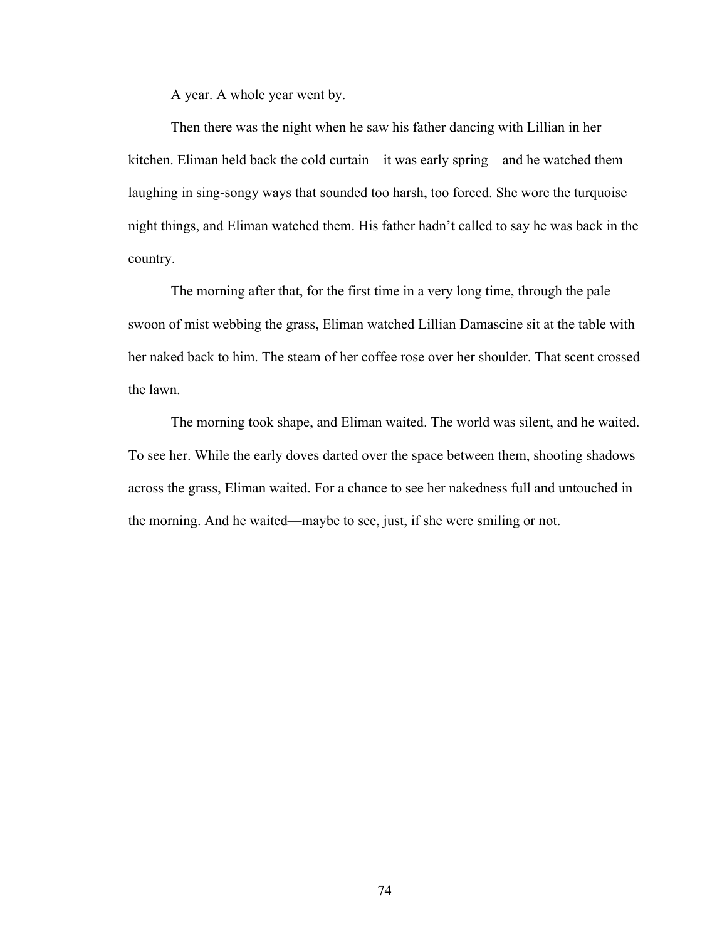A year. A whole year went by.

Then there was the night when he saw his father dancing with Lillian in her kitchen. Eliman held back the cold curtain—it was early spring—and he watched them laughing in sing-songy ways that sounded too harsh, too forced. She wore the turquoise night things, and Eliman watched them. His father hadn't called to say he was back in the country.

The morning after that, for the first time in a very long time, through the pale swoon of mist webbing the grass, Eliman watched Lillian Damascine sit at the table with her naked back to him. The steam of her coffee rose over her shoulder. That scent crossed the lawn.

The morning took shape, and Eliman waited. The world was silent, and he waited. To see her. While the early doves darted over the space between them, shooting shadows across the grass, Eliman waited. For a chance to see her nakedness full and untouched in the morning. And he waited—maybe to see, just, if she were smiling or not.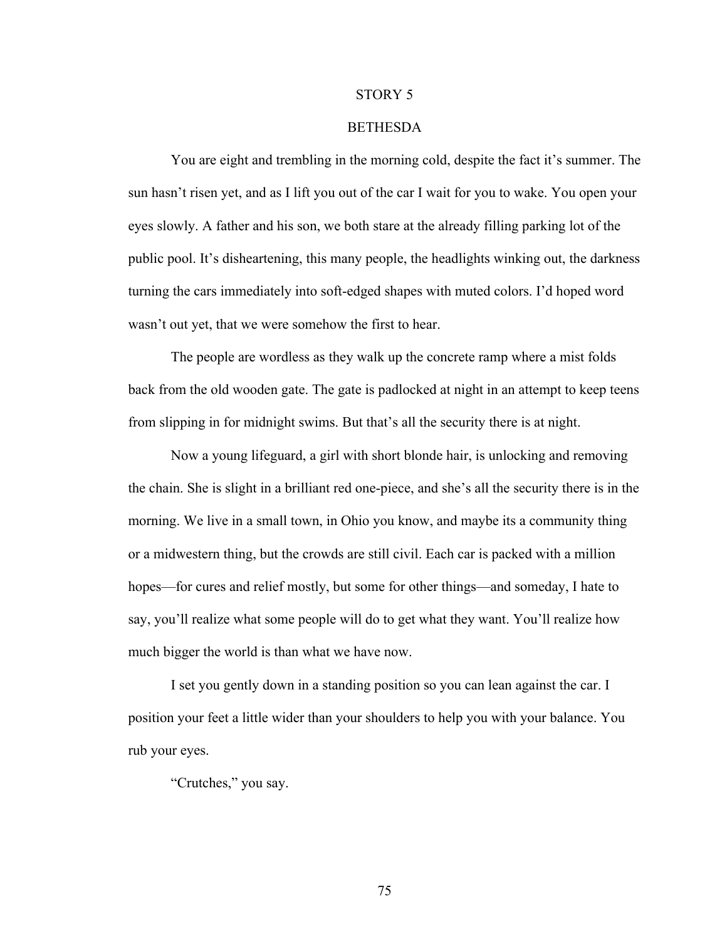#### STORY 5

## BETHESDA

You are eight and trembling in the morning cold, despite the fact it's summer. The sun hasn't risen yet, and as I lift you out of the car I wait for you to wake. You open your eyes slowly. A father and his son, we both stare at the already filling parking lot of the public pool. It's disheartening, this many people, the headlights winking out, the darkness turning the cars immediately into soft-edged shapes with muted colors. I'd hoped word wasn't out yet, that we were somehow the first to hear.

The people are wordless as they walk up the concrete ramp where a mist folds back from the old wooden gate. The gate is padlocked at night in an attempt to keep teens from slipping in for midnight swims. But that's all the security there is at night.

Now a young lifeguard, a girl with short blonde hair, is unlocking and removing the chain. She is slight in a brilliant red one-piece, and she's all the security there is in the morning. We live in a small town, in Ohio you know, and maybe its a community thing or a midwestern thing, but the crowds are still civil. Each car is packed with a million hopes—for cures and relief mostly, but some for other things—and someday, I hate to say, you'll realize what some people will do to get what they want. You'll realize how much bigger the world is than what we have now.

I set you gently down in a standing position so you can lean against the car. I position your feet a little wider than your shoulders to help you with your balance. You rub your eyes.

"Crutches," you say.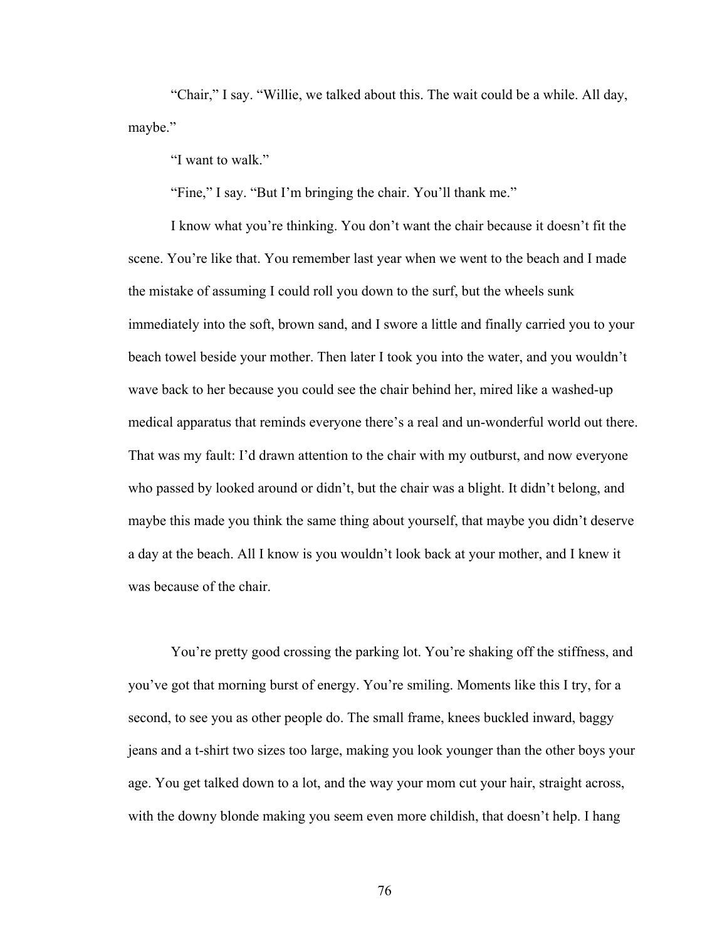"Chair," I say. "Willie, we talked about this. The wait could be a while. All day, maybe."

"I want to walk."

"Fine," I say. "But I'm bringing the chair. You'll thank me."

I know what you're thinking. You don't want the chair because it doesn't fit the scene. You're like that. You remember last year when we went to the beach and I made the mistake of assuming I could roll you down to the surf, but the wheels sunk immediately into the soft, brown sand, and I swore a little and finally carried you to your beach towel beside your mother. Then later I took you into the water, and you wouldn't wave back to her because you could see the chair behind her, mired like a washed-up medical apparatus that reminds everyone there's a real and un-wonderful world out there. That was my fault: I'd drawn attention to the chair with my outburst, and now everyone who passed by looked around or didn't, but the chair was a blight. It didn't belong, and maybe this made you think the same thing about yourself, that maybe you didn't deserve a day at the beach. All I know is you wouldn't look back at your mother, and I knew it was because of the chair.

You're pretty good crossing the parking lot. You're shaking off the stiffness, and you've got that morning burst of energy. You're smiling. Moments like this I try, for a second, to see you as other people do. The small frame, knees buckled inward, baggy jeans and a t-shirt two sizes too large, making you look younger than the other boys your age. You get talked down to a lot, and the way your mom cut your hair, straight across, with the downy blonde making you seem even more childish, that doesn't help. I hang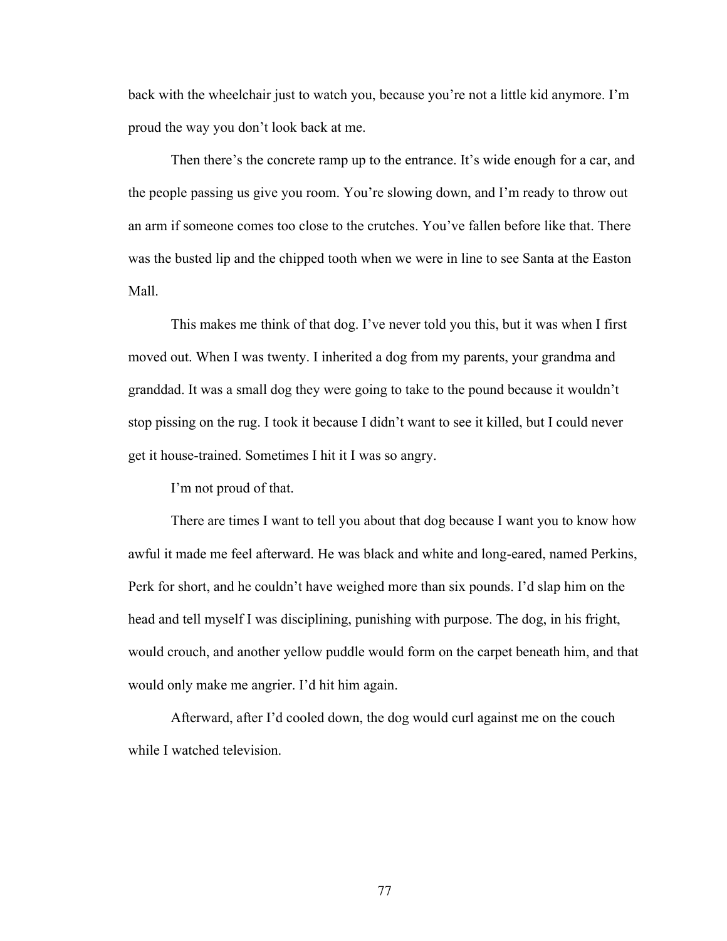back with the wheelchair just to watch you, because you're not a little kid anymore. I'm proud the way you don't look back at me.

Then there's the concrete ramp up to the entrance. It's wide enough for a car, and the people passing us give you room. You're slowing down, and I'm ready to throw out an arm if someone comes too close to the crutches. You've fallen before like that. There was the busted lip and the chipped tooth when we were in line to see Santa at the Easton Mall.

This makes me think of that dog. I've never told you this, but it was when I first moved out. When I was twenty. I inherited a dog from my parents, your grandma and granddad. It was a small dog they were going to take to the pound because it wouldn't stop pissing on the rug. I took it because I didn't want to see it killed, but I could never get it house-trained. Sometimes I hit it I was so angry.

I'm not proud of that.

There are times I want to tell you about that dog because I want you to know how awful it made me feel afterward. He was black and white and long-eared, named Perkins, Perk for short, and he couldn't have weighed more than six pounds. I'd slap him on the head and tell myself I was disciplining, punishing with purpose. The dog, in his fright, would crouch, and another yellow puddle would form on the carpet beneath him, and that would only make me angrier. I'd hit him again.

Afterward, after I'd cooled down, the dog would curl against me on the couch while I watched television.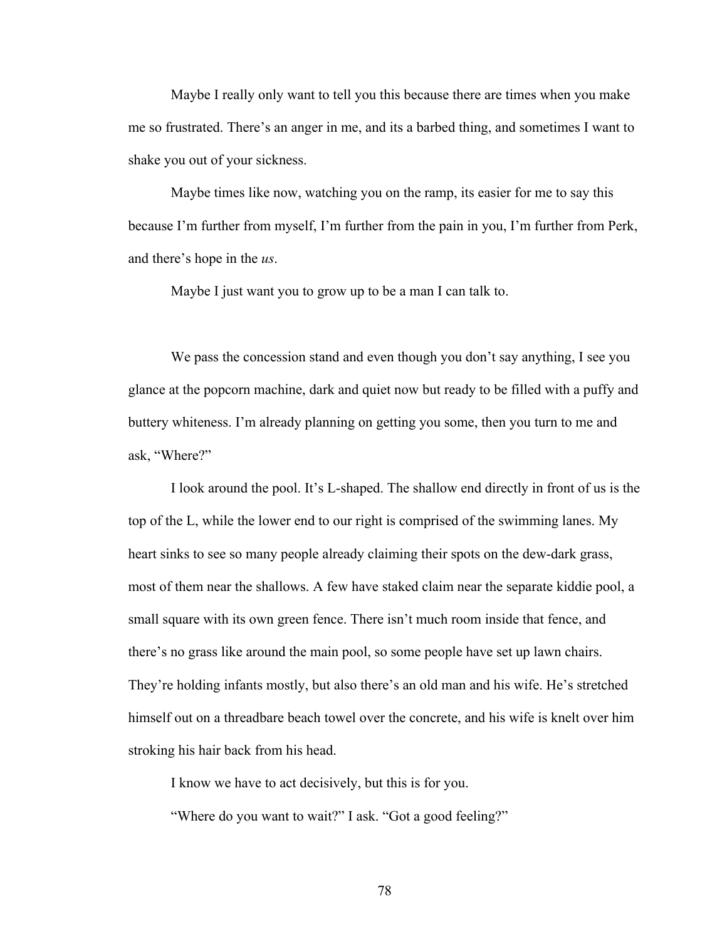Maybe I really only want to tell you this because there are times when you make me so frustrated. There's an anger in me, and its a barbed thing, and sometimes I want to shake you out of your sickness.

Maybe times like now, watching you on the ramp, its easier for me to say this because I'm further from myself, I'm further from the pain in you, I'm further from Perk, and there's hope in the *us*.

Maybe I just want you to grow up to be a man I can talk to.

We pass the concession stand and even though you don't say anything, I see you glance at the popcorn machine, dark and quiet now but ready to be filled with a puffy and buttery whiteness. I'm already planning on getting you some, then you turn to me and ask, "Where?"

I look around the pool. It's L-shaped. The shallow end directly in front of us is the top of the L, while the lower end to our right is comprised of the swimming lanes. My heart sinks to see so many people already claiming their spots on the dew-dark grass, most of them near the shallows. A few have staked claim near the separate kiddie pool, a small square with its own green fence. There isn't much room inside that fence, and there's no grass like around the main pool, so some people have set up lawn chairs. They're holding infants mostly, but also there's an old man and his wife. He's stretched himself out on a threadbare beach towel over the concrete, and his wife is knelt over him stroking his hair back from his head.

I know we have to act decisively, but this is for you.

"Where do you want to wait?" I ask. "Got a good feeling?"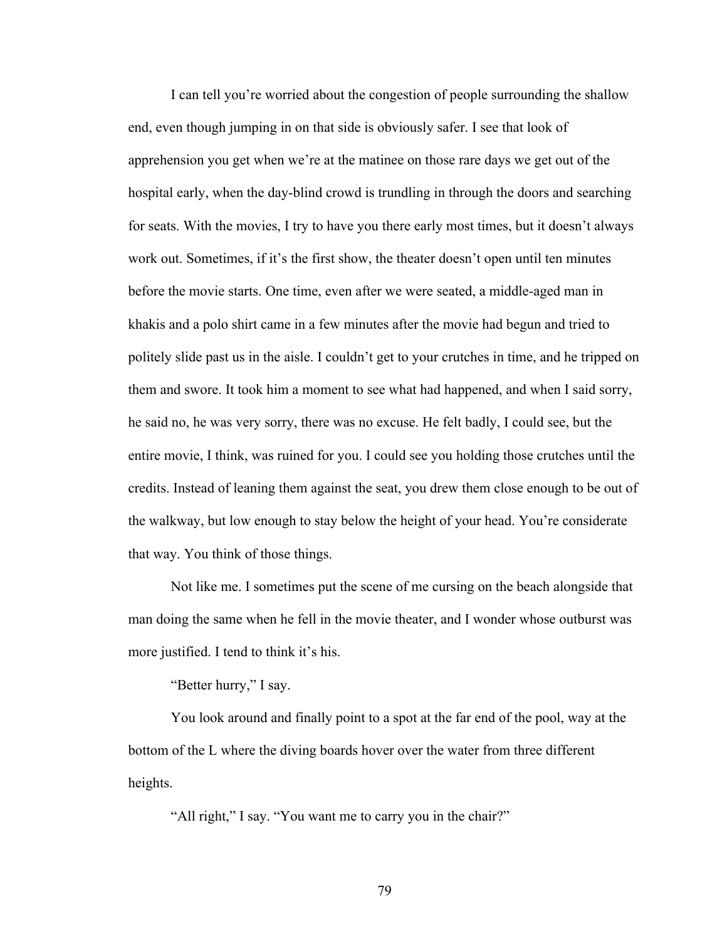I can tell you're worried about the congestion of people surrounding the shallow end, even though jumping in on that side is obviously safer. I see that look of apprehension you get when we're at the matinee on those rare days we get out of the hospital early, when the day-blind crowd is trundling in through the doors and searching for seats. With the movies, I try to have you there early most times, but it doesn't always work out. Sometimes, if it's the first show, the theater doesn't open until ten minutes before the movie starts. One time, even after we were seated, a middle-aged man in khakis and a polo shirt came in a few minutes after the movie had begun and tried to politely slide past us in the aisle. I couldn't get to your crutches in time, and he tripped on them and swore. It took him a moment to see what had happened, and when I said sorry, he said no, he was very sorry, there was no excuse. He felt badly, I could see, but the entire movie, I think, was ruined for you. I could see you holding those crutches until the credits. Instead of leaning them against the seat, you drew them close enough to be out of the walkway, but low enough to stay below the height of your head. You're considerate that way. You think of those things.

Not like me. I sometimes put the scene of me cursing on the beach alongside that man doing the same when he fell in the movie theater, and I wonder whose outburst was more justified. I tend to think it's his.

"Better hurry," I say.

You look around and finally point to a spot at the far end of the pool, way at the bottom of the L where the diving boards hover over the water from three different heights.

"All right," I say. "You want me to carry you in the chair?"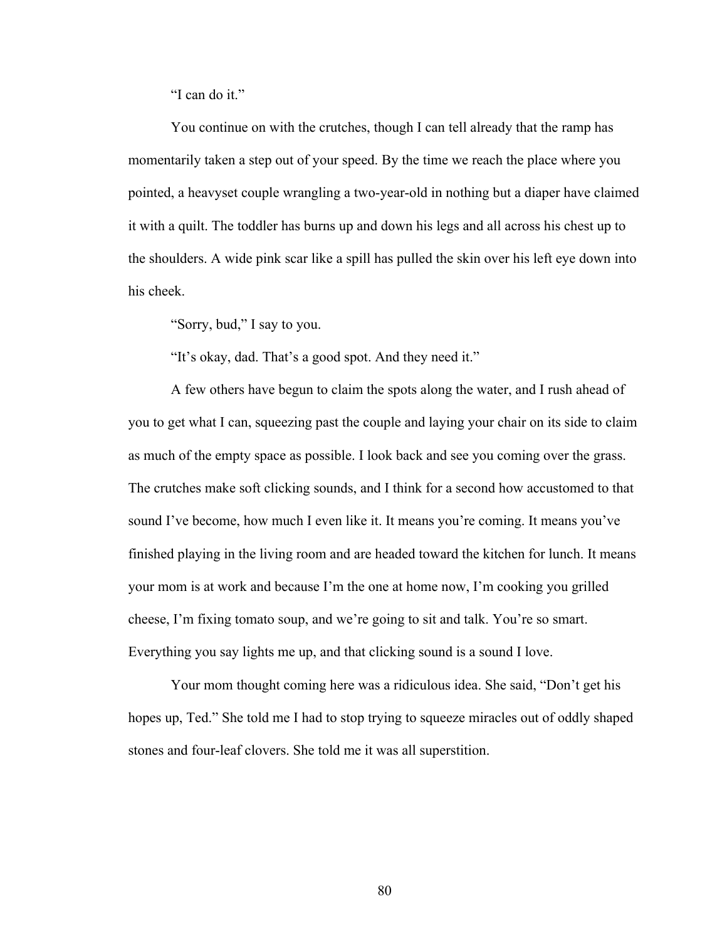"I can do it."

You continue on with the crutches, though I can tell already that the ramp has momentarily taken a step out of your speed. By the time we reach the place where you pointed, a heavyset couple wrangling a two-year-old in nothing but a diaper have claimed it with a quilt. The toddler has burns up and down his legs and all across his chest up to the shoulders. A wide pink scar like a spill has pulled the skin over his left eye down into his cheek.

"Sorry, bud," I say to you.

"It's okay, dad. That's a good spot. And they need it."

A few others have begun to claim the spots along the water, and I rush ahead of you to get what I can, squeezing past the couple and laying your chair on its side to claim as much of the empty space as possible. I look back and see you coming over the grass. The crutches make soft clicking sounds, and I think for a second how accustomed to that sound I've become, how much I even like it. It means you're coming. It means you've finished playing in the living room and are headed toward the kitchen for lunch. It means your mom is at work and because I'm the one at home now, I'm cooking you grilled cheese, I'm fixing tomato soup, and we're going to sit and talk. You're so smart. Everything you say lights me up, and that clicking sound is a sound I love.

Your mom thought coming here was a ridiculous idea. She said, "Don't get his hopes up, Ted." She told me I had to stop trying to squeeze miracles out of oddly shaped stones and four-leaf clovers. She told me it was all superstition.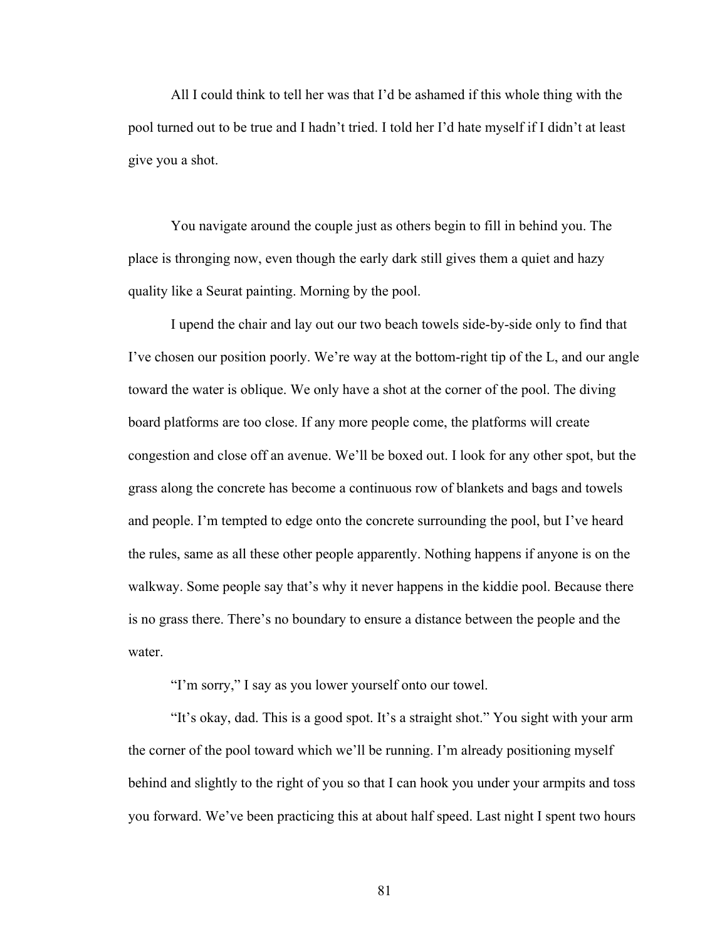All I could think to tell her was that I'd be ashamed if this whole thing with the pool turned out to be true and I hadn't tried. I told her I'd hate myself if I didn't at least give you a shot.

You navigate around the couple just as others begin to fill in behind you. The place is thronging now, even though the early dark still gives them a quiet and hazy quality like a Seurat painting. Morning by the pool.

I upend the chair and lay out our two beach towels side-by-side only to find that I've chosen our position poorly. We're way at the bottom-right tip of the L, and our angle toward the water is oblique. We only have a shot at the corner of the pool. The diving board platforms are too close. If any more people come, the platforms will create congestion and close off an avenue. We'll be boxed out. I look for any other spot, but the grass along the concrete has become a continuous row of blankets and bags and towels and people. I'm tempted to edge onto the concrete surrounding the pool, but I've heard the rules, same as all these other people apparently. Nothing happens if anyone is on the walkway. Some people say that's why it never happens in the kiddie pool. Because there is no grass there. There's no boundary to ensure a distance between the people and the water.

"I'm sorry," I say as you lower yourself onto our towel.

"It's okay, dad. This is a good spot. It's a straight shot." You sight with your arm the corner of the pool toward which we'll be running. I'm already positioning myself behind and slightly to the right of you so that I can hook you under your armpits and toss you forward. We've been practicing this at about half speed. Last night I spent two hours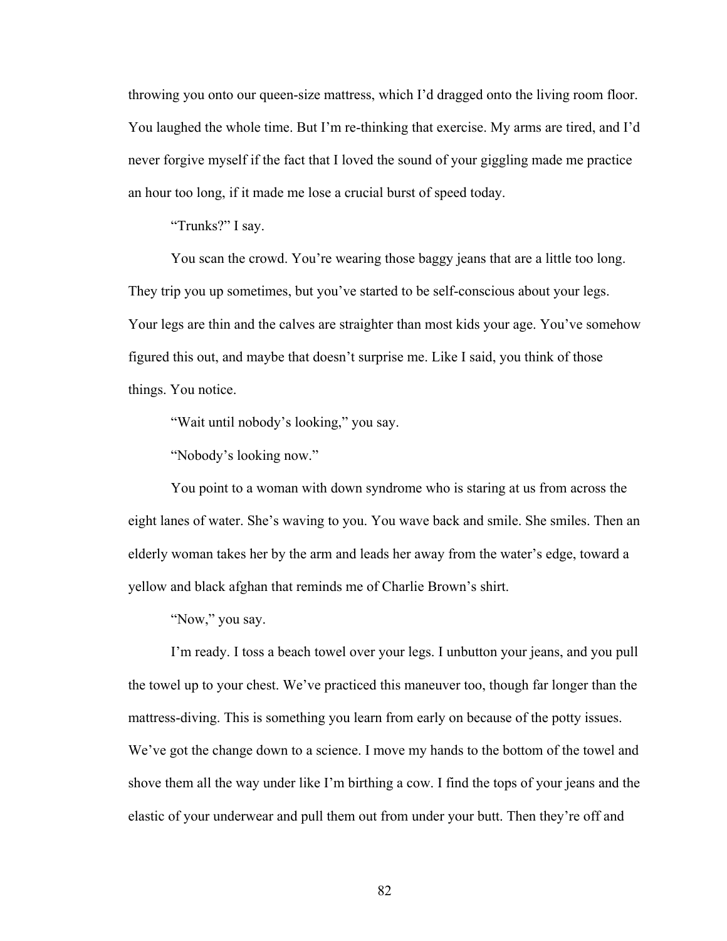throwing you onto our queen-size mattress, which I'd dragged onto the living room floor. You laughed the whole time. But I'm re-thinking that exercise. My arms are tired, and I'd never forgive myself if the fact that I loved the sound of your giggling made me practice an hour too long, if it made me lose a crucial burst of speed today.

"Trunks?" I say.

You scan the crowd. You're wearing those baggy jeans that are a little too long. They trip you up sometimes, but you've started to be self-conscious about your legs. Your legs are thin and the calves are straighter than most kids your age. You've somehow figured this out, and maybe that doesn't surprise me. Like I said, you think of those things. You notice.

"Wait until nobody's looking," you say.

"Nobody's looking now."

You point to a woman with down syndrome who is staring at us from across the eight lanes of water. She's waving to you. You wave back and smile. She smiles. Then an elderly woman takes her by the arm and leads her away from the water's edge, toward a yellow and black afghan that reminds me of Charlie Brown's shirt.

"Now," you say.

I'm ready. I toss a beach towel over your legs. I unbutton your jeans, and you pull the towel up to your chest. We've practiced this maneuver too, though far longer than the mattress-diving. This is something you learn from early on because of the potty issues. We've got the change down to a science. I move my hands to the bottom of the towel and shove them all the way under like I'm birthing a cow. I find the tops of your jeans and the elastic of your underwear and pull them out from under your butt. Then they're off and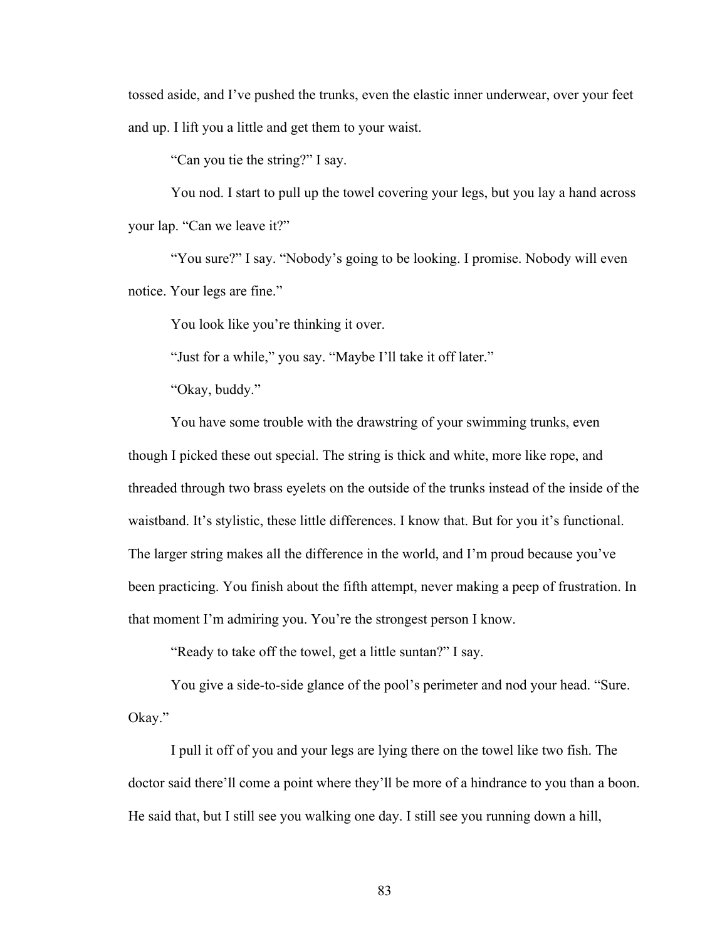tossed aside, and I've pushed the trunks, even the elastic inner underwear, over your feet and up. I lift you a little and get them to your waist.

"Can you tie the string?" I say.

You nod. I start to pull up the towel covering your legs, but you lay a hand across your lap. "Can we leave it?"

"You sure?" I say. "Nobody's going to be looking. I promise. Nobody will even notice. Your legs are fine."

You look like you're thinking it over.

"Just for a while," you say. "Maybe I'll take it off later."

"Okay, buddy."

You have some trouble with the drawstring of your swimming trunks, even though I picked these out special. The string is thick and white, more like rope, and threaded through two brass eyelets on the outside of the trunks instead of the inside of the waistband. It's stylistic, these little differences. I know that. But for you it's functional. The larger string makes all the difference in the world, and I'm proud because you've been practicing. You finish about the fifth attempt, never making a peep of frustration. In that moment I'm admiring you. You're the strongest person I know.

"Ready to take off the towel, get a little suntan?" I say.

You give a side-to-side glance of the pool's perimeter and nod your head. "Sure. Okay."

I pull it off of you and your legs are lying there on the towel like two fish. The doctor said there'll come a point where they'll be more of a hindrance to you than a boon. He said that, but I still see you walking one day. I still see you running down a hill,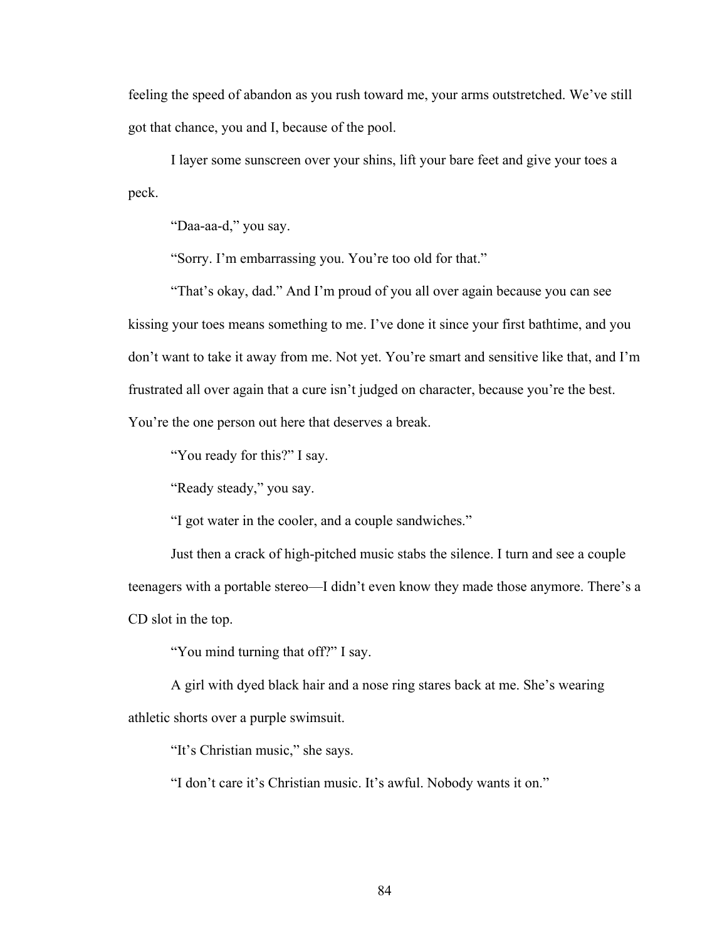feeling the speed of abandon as you rush toward me, your arms outstretched. We've still got that chance, you and I, because of the pool.

I layer some sunscreen over your shins, lift your bare feet and give your toes a peck.

"Daa-aa-d," you say.

"Sorry. I'm embarrassing you. You're too old for that."

"That's okay, dad." And I'm proud of you all over again because you can see kissing your toes means something to me. I've done it since your first bathtime, and you don't want to take it away from me. Not yet. You're smart and sensitive like that, and I'm frustrated all over again that a cure isn't judged on character, because you're the best. You're the one person out here that deserves a break.

"You ready for this?" I say.

"Ready steady," you say.

"I got water in the cooler, and a couple sandwiches."

Just then a crack of high-pitched music stabs the silence. I turn and see a couple teenagers with a portable stereo—I didn't even know they made those anymore. There's a CD slot in the top.

"You mind turning that off?" I say.

A girl with dyed black hair and a nose ring stares back at me. She's wearing athletic shorts over a purple swimsuit.

"It's Christian music," she says.

"I don't care it's Christian music. It's awful. Nobody wants it on."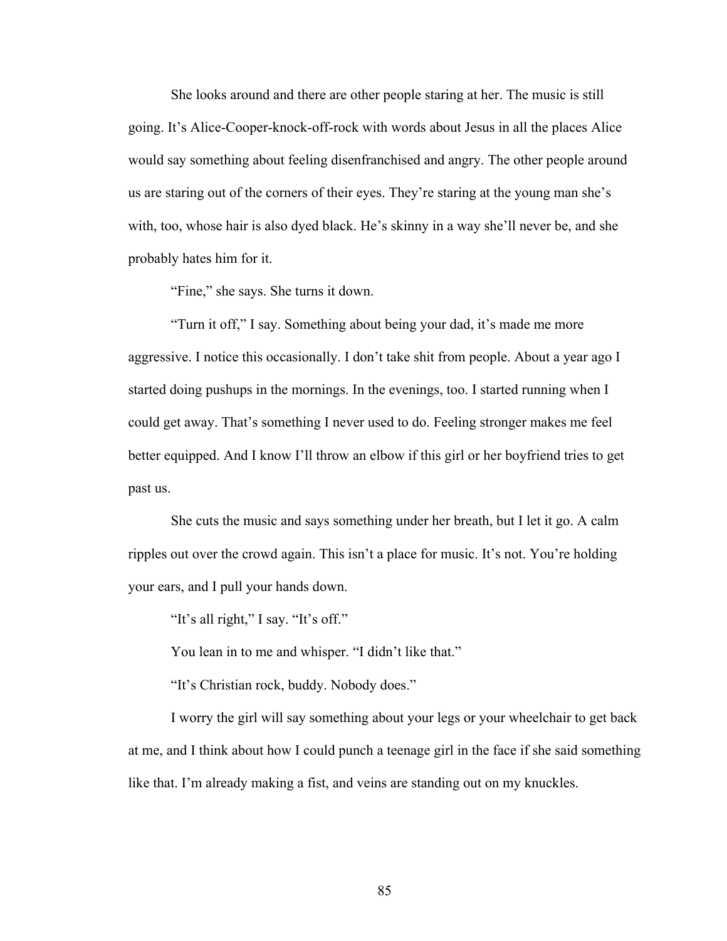She looks around and there are other people staring at her. The music is still going. It's Alice-Cooper-knock-off-rock with words about Jesus in all the places Alice would say something about feeling disenfranchised and angry. The other people around us are staring out of the corners of their eyes. They're staring at the young man she's with, too, whose hair is also dyed black. He's skinny in a way she'll never be, and she probably hates him for it.

"Fine," she says. She turns it down.

"Turn it off," I say. Something about being your dad, it's made me more aggressive. I notice this occasionally. I don't take shit from people. About a year ago I started doing pushups in the mornings. In the evenings, too. I started running when I could get away. That's something I never used to do. Feeling stronger makes me feel better equipped. And I know I'll throw an elbow if this girl or her boyfriend tries to get past us.

She cuts the music and says something under her breath, but I let it go. A calm ripples out over the crowd again. This isn't a place for music. It's not. You're holding your ears, and I pull your hands down.

"It's all right," I say. "It's off."

You lean in to me and whisper. "I didn't like that."

"It's Christian rock, buddy. Nobody does."

I worry the girl will say something about your legs or your wheelchair to get back at me, and I think about how I could punch a teenage girl in the face if she said something like that. I'm already making a fist, and veins are standing out on my knuckles.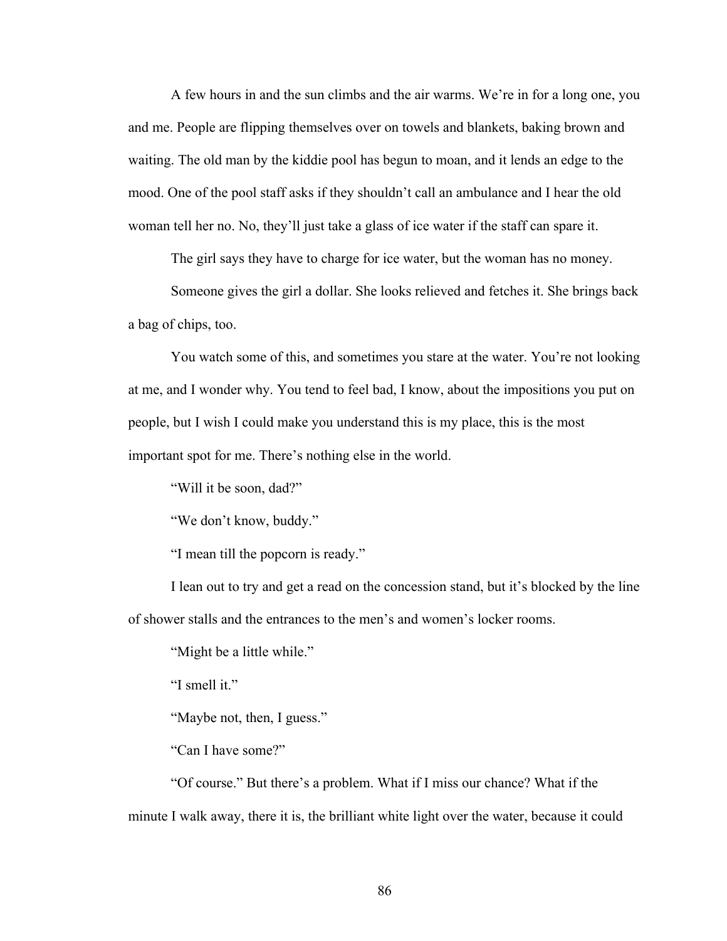A few hours in and the sun climbs and the air warms. We're in for a long one, you and me. People are flipping themselves over on towels and blankets, baking brown and waiting. The old man by the kiddie pool has begun to moan, and it lends an edge to the mood. One of the pool staff asks if they shouldn't call an ambulance and I hear the old woman tell her no. No, they'll just take a glass of ice water if the staff can spare it.

The girl says they have to charge for ice water, but the woman has no money.

Someone gives the girl a dollar. She looks relieved and fetches it. She brings back a bag of chips, too.

You watch some of this, and sometimes you stare at the water. You're not looking at me, and I wonder why. You tend to feel bad, I know, about the impositions you put on people, but I wish I could make you understand this is my place, this is the most important spot for me. There's nothing else in the world.

"Will it be soon, dad?"

"We don't know, buddy."

"I mean till the popcorn is ready."

I lean out to try and get a read on the concession stand, but it's blocked by the line of shower stalls and the entrances to the men's and women's locker rooms.

"Might be a little while."

"I smell it."

"Maybe not, then, I guess."

"Can I have some?"

"Of course." But there's a problem. What if I miss our chance? What if the minute I walk away, there it is, the brilliant white light over the water, because it could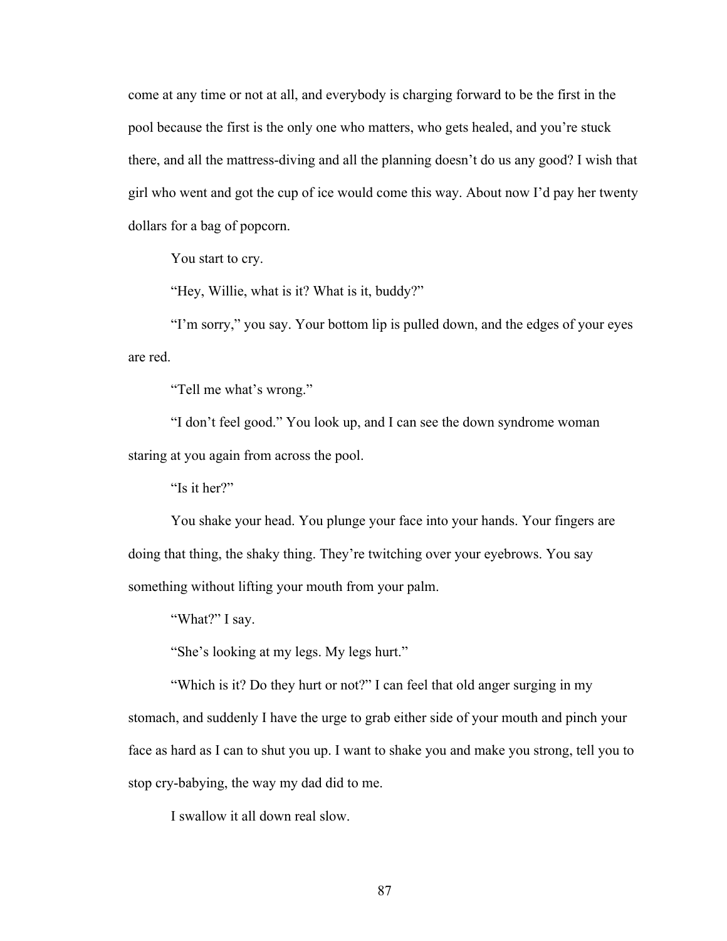come at any time or not at all, and everybody is charging forward to be the first in the pool because the first is the only one who matters, who gets healed, and you're stuck there, and all the mattress-diving and all the planning doesn't do us any good? I wish that girl who went and got the cup of ice would come this way. About now I'd pay her twenty dollars for a bag of popcorn.

You start to cry.

"Hey, Willie, what is it? What is it, buddy?"

"I'm sorry," you say. Your bottom lip is pulled down, and the edges of your eyes are red.

"Tell me what's wrong."

"I don't feel good." You look up, and I can see the down syndrome woman staring at you again from across the pool.

"Is it her?"

You shake your head. You plunge your face into your hands. Your fingers are doing that thing, the shaky thing. They're twitching over your eyebrows. You say something without lifting your mouth from your palm.

"What?" I say.

"She's looking at my legs. My legs hurt."

"Which is it? Do they hurt or not?" I can feel that old anger surging in my stomach, and suddenly I have the urge to grab either side of your mouth and pinch your face as hard as I can to shut you up. I want to shake you and make you strong, tell you to stop cry-babying, the way my dad did to me.

I swallow it all down real slow.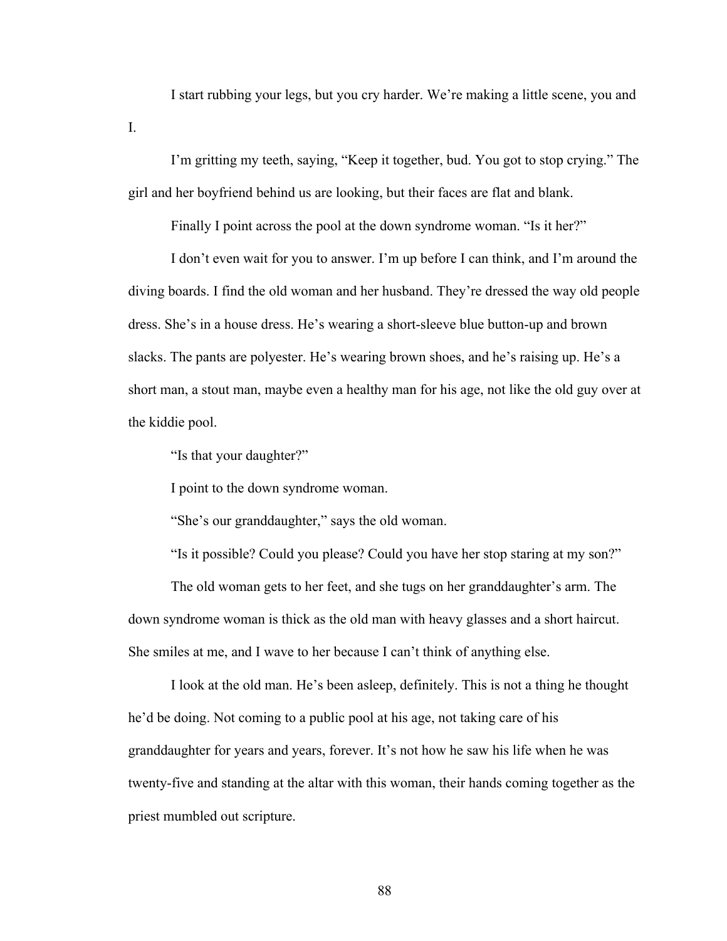I start rubbing your legs, but you cry harder. We're making a little scene, you and

I'm gritting my teeth, saying, "Keep it together, bud. You got to stop crying." The girl and her boyfriend behind us are looking, but their faces are flat and blank.

Finally I point across the pool at the down syndrome woman. "Is it her?"

I don't even wait for you to answer. I'm up before I can think, and I'm around the diving boards. I find the old woman and her husband. They're dressed the way old people dress. She's in a house dress. He's wearing a short-sleeve blue button-up and brown slacks. The pants are polyester. He's wearing brown shoes, and he's raising up. He's a short man, a stout man, maybe even a healthy man for his age, not like the old guy over at the kiddie pool.

"Is that your daughter?"

I.

I point to the down syndrome woman.

"She's our granddaughter," says the old woman.

"Is it possible? Could you please? Could you have her stop staring at my son?"

The old woman gets to her feet, and she tugs on her granddaughter's arm. The down syndrome woman is thick as the old man with heavy glasses and a short haircut. She smiles at me, and I wave to her because I can't think of anything else.

I look at the old man. He's been asleep, definitely. This is not a thing he thought he'd be doing. Not coming to a public pool at his age, not taking care of his granddaughter for years and years, forever. It's not how he saw his life when he was twenty-five and standing at the altar with this woman, their hands coming together as the priest mumbled out scripture.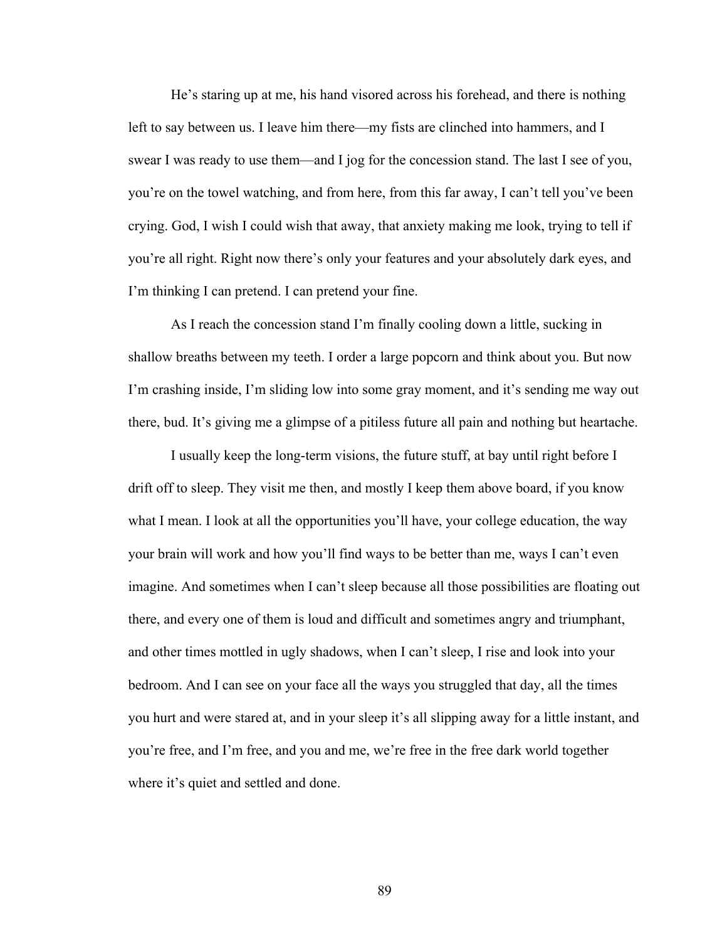He's staring up at me, his hand visored across his forehead, and there is nothing left to say between us. I leave him there—my fists are clinched into hammers, and I swear I was ready to use them—and I jog for the concession stand. The last I see of you, you're on the towel watching, and from here, from this far away, I can't tell you've been crying. God, I wish I could wish that away, that anxiety making me look, trying to tell if you're all right. Right now there's only your features and your absolutely dark eyes, and I'm thinking I can pretend. I can pretend your fine.

As I reach the concession stand I'm finally cooling down a little, sucking in shallow breaths between my teeth. I order a large popcorn and think about you. But now I'm crashing inside, I'm sliding low into some gray moment, and it's sending me way out there, bud. It's giving me a glimpse of a pitiless future all pain and nothing but heartache.

I usually keep the long-term visions, the future stuff, at bay until right before I drift off to sleep. They visit me then, and mostly I keep them above board, if you know what I mean. I look at all the opportunities you'll have, your college education, the way your brain will work and how you'll find ways to be better than me, ways I can't even imagine. And sometimes when I can't sleep because all those possibilities are floating out there, and every one of them is loud and difficult and sometimes angry and triumphant, and other times mottled in ugly shadows, when I can't sleep, I rise and look into your bedroom. And I can see on your face all the ways you struggled that day, all the times you hurt and were stared at, and in your sleep it's all slipping away for a little instant, and you're free, and I'm free, and you and me, we're free in the free dark world together where it's quiet and settled and done.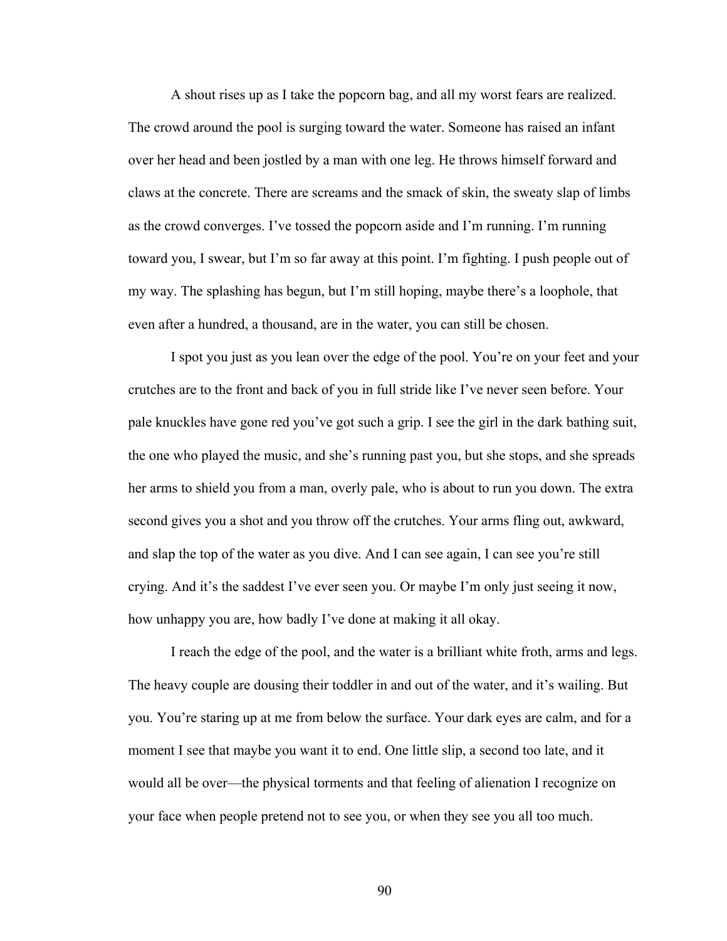A shout rises up as I take the popcorn bag, and all my worst fears are realized. The crowd around the pool is surging toward the water. Someone has raised an infant over her head and been jostled by a man with one leg. He throws himself forward and claws at the concrete. There are screams and the smack of skin, the sweaty slap of limbs as the crowd converges. I've tossed the popcorn aside and I'm running. I'm running toward you, I swear, but I'm so far away at this point. I'm fighting. I push people out of my way. The splashing has begun, but I'm still hoping, maybe there's a loophole, that even after a hundred, a thousand, are in the water, you can still be chosen.

I spot you just as you lean over the edge of the pool. You're on your feet and your crutches are to the front and back of you in full stride like I've never seen before. Your pale knuckles have gone red you've got such a grip. I see the girl in the dark bathing suit, the one who played the music, and she's running past you, but she stops, and she spreads her arms to shield you from a man, overly pale, who is about to run you down. The extra second gives you a shot and you throw off the crutches. Your arms fling out, awkward, and slap the top of the water as you dive. And I can see again, I can see you're still crying. And it's the saddest I've ever seen you. Or maybe I'm only just seeing it now, how unhappy you are, how badly I've done at making it all okay.

I reach the edge of the pool, and the water is a brilliant white froth, arms and legs. The heavy couple are dousing their toddler in and out of the water, and it's wailing. But you. You're staring up at me from below the surface. Your dark eyes are calm, and for a moment I see that maybe you want it to end. One little slip, a second too late, and it would all be over—the physical torments and that feeling of alienation I recognize on your face when people pretend not to see you, or when they see you all too much.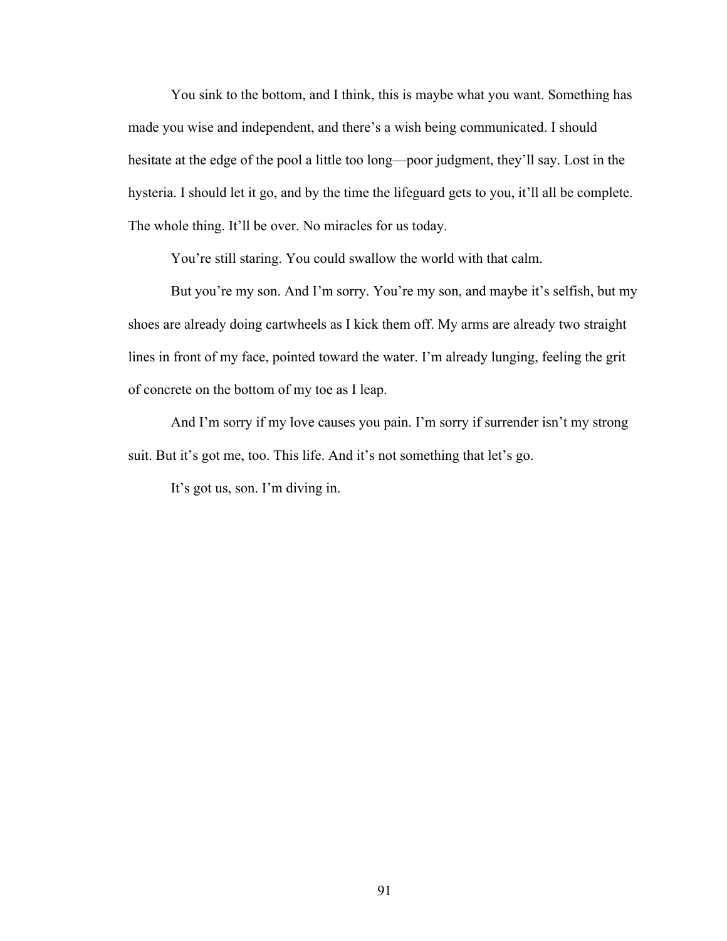You sink to the bottom, and I think, this is maybe what you want. Something has made you wise and independent, and there's a wish being communicated. I should hesitate at the edge of the pool a little too long—poor judgment, they'll say. Lost in the hysteria. I should let it go, and by the time the lifeguard gets to you, it'll all be complete. The whole thing. It'll be over. No miracles for us today.

You're still staring. You could swallow the world with that calm.

But you're my son. And I'm sorry. You're my son, and maybe it's selfish, but my shoes are already doing cartwheels as I kick them off. My arms are already two straight lines in front of my face, pointed toward the water. I'm already lunging, feeling the grit of concrete on the bottom of my toe as I leap.

And I'm sorry if my love causes you pain. I'm sorry if surrender isn't my strong suit. But it's got me, too. This life. And it's not something that let's go.

It's got us, son. I'm diving in.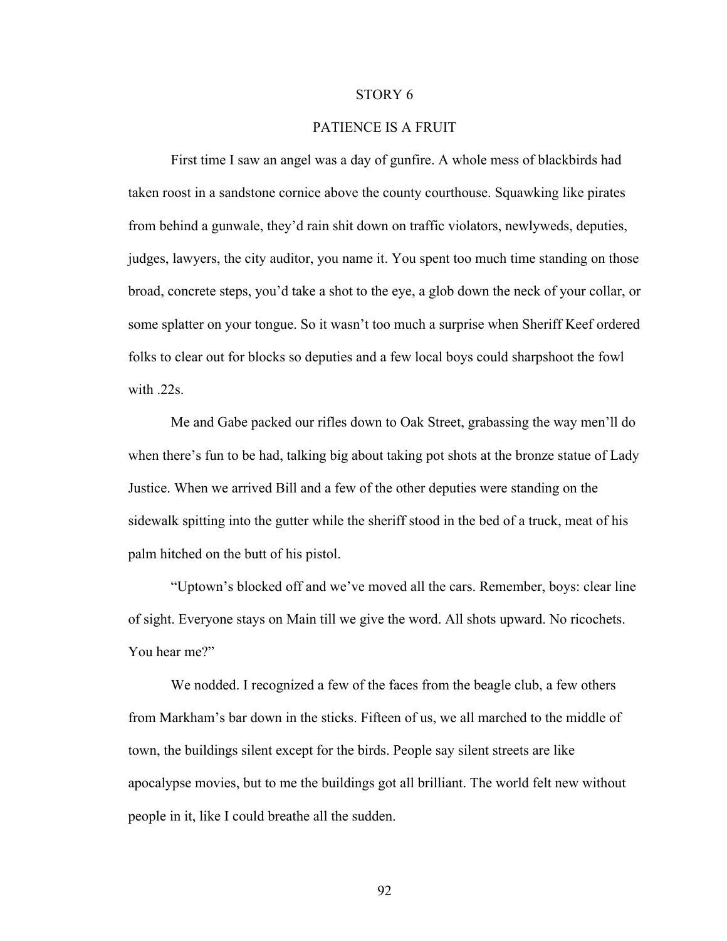#### STORY 6

# PATIENCE IS A FRUIT

First time I saw an angel was a day of gunfire. A whole mess of blackbirds had taken roost in a sandstone cornice above the county courthouse. Squawking like pirates from behind a gunwale, they'd rain shit down on traffic violators, newlyweds, deputies, judges, lawyers, the city auditor, you name it. You spent too much time standing on those broad, concrete steps, you'd take a shot to the eye, a glob down the neck of your collar, or some splatter on your tongue. So it wasn't too much a surprise when Sheriff Keef ordered folks to clear out for blocks so deputies and a few local boys could sharpshoot the fowl with .22s.

Me and Gabe packed our rifles down to Oak Street, grabassing the way men'll do when there's fun to be had, talking big about taking pot shots at the bronze statue of Lady Justice. When we arrived Bill and a few of the other deputies were standing on the sidewalk spitting into the gutter while the sheriff stood in the bed of a truck, meat of his palm hitched on the butt of his pistol.

"Uptown's blocked off and we've moved all the cars. Remember, boys: clear line of sight. Everyone stays on Main till we give the word. All shots upward. No ricochets. You hear me?"

We nodded. I recognized a few of the faces from the beagle club, a few others from Markham's bar down in the sticks. Fifteen of us, we all marched to the middle of town, the buildings silent except for the birds. People say silent streets are like apocalypse movies, but to me the buildings got all brilliant. The world felt new without people in it, like I could breathe all the sudden.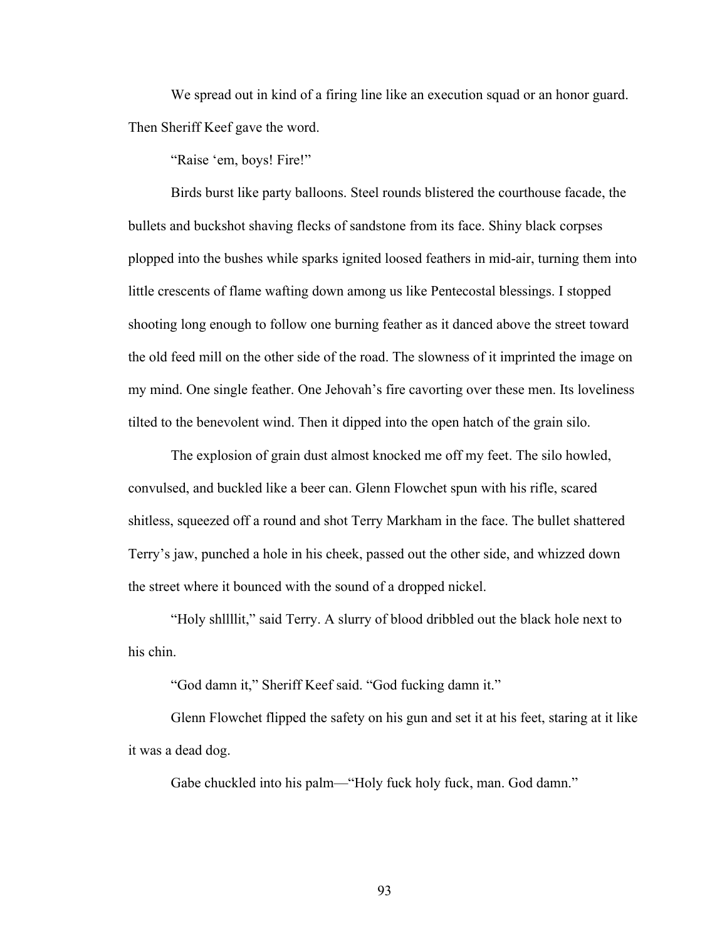We spread out in kind of a firing line like an execution squad or an honor guard. Then Sheriff Keef gave the word.

"Raise 'em, boys! Fire!"

Birds burst like party balloons. Steel rounds blistered the courthouse facade, the bullets and buckshot shaving flecks of sandstone from its face. Shiny black corpses plopped into the bushes while sparks ignited loosed feathers in mid-air, turning them into little crescents of flame wafting down among us like Pentecostal blessings. I stopped shooting long enough to follow one burning feather as it danced above the street toward the old feed mill on the other side of the road. The slowness of it imprinted the image on my mind. One single feather. One Jehovah's fire cavorting over these men. Its loveliness tilted to the benevolent wind. Then it dipped into the open hatch of the grain silo.

The explosion of grain dust almost knocked me off my feet. The silo howled, convulsed, and buckled like a beer can. Glenn Flowchet spun with his rifle, scared shitless, squeezed off a round and shot Terry Markham in the face. The bullet shattered Terry's jaw, punched a hole in his cheek, passed out the other side, and whizzed down the street where it bounced with the sound of a dropped nickel.

"Holy shllllit," said Terry. A slurry of blood dribbled out the black hole next to his chin.

"God damn it," Sheriff Keef said. "God fucking damn it."

Glenn Flowchet flipped the safety on his gun and set it at his feet, staring at it like it was a dead dog.

Gabe chuckled into his palm—"Holy fuck holy fuck, man. God damn."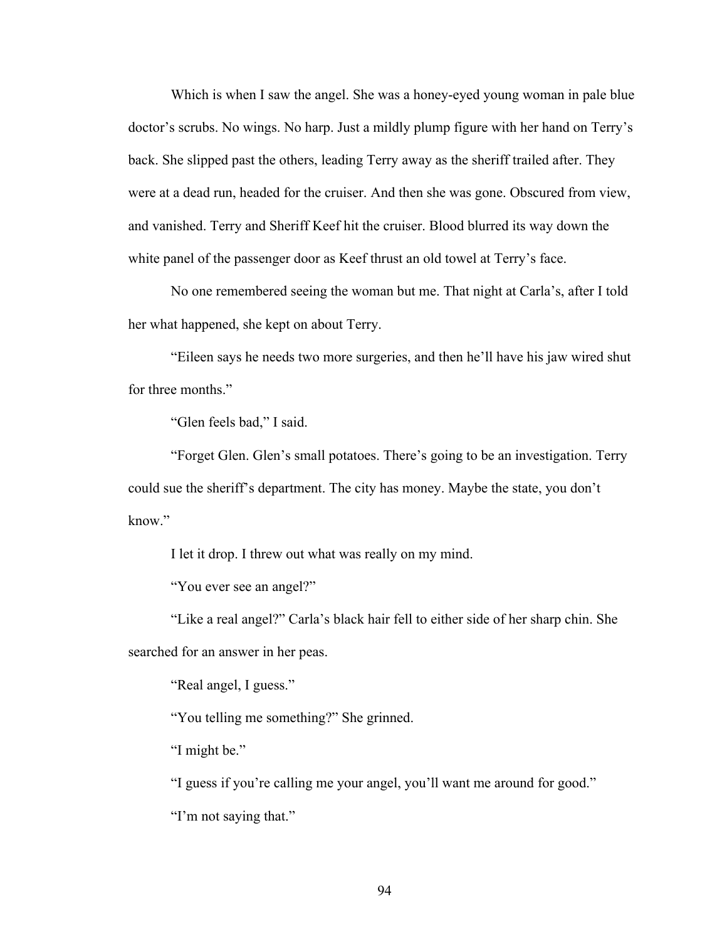Which is when I saw the angel. She was a honey-eyed young woman in pale blue doctor's scrubs. No wings. No harp. Just a mildly plump figure with her hand on Terry's back. She slipped past the others, leading Terry away as the sheriff trailed after. They were at a dead run, headed for the cruiser. And then she was gone. Obscured from view, and vanished. Terry and Sheriff Keef hit the cruiser. Blood blurred its way down the white panel of the passenger door as Keef thrust an old towel at Terry's face.

No one remembered seeing the woman but me. That night at Carla's, after I told her what happened, she kept on about Terry.

"Eileen says he needs two more surgeries, and then he'll have his jaw wired shut for three months."

"Glen feels bad," I said.

"Forget Glen. Glen's small potatoes. There's going to be an investigation. Terry could sue the sheriff's department. The city has money. Maybe the state, you don't know."

I let it drop. I threw out what was really on my mind.

"You ever see an angel?"

"Like a real angel?" Carla's black hair fell to either side of her sharp chin. She searched for an answer in her peas.

"Real angel, I guess."

"You telling me something?" She grinned.

"I might be."

"I guess if you're calling me your angel, you'll want me around for good."

"I'm not saying that."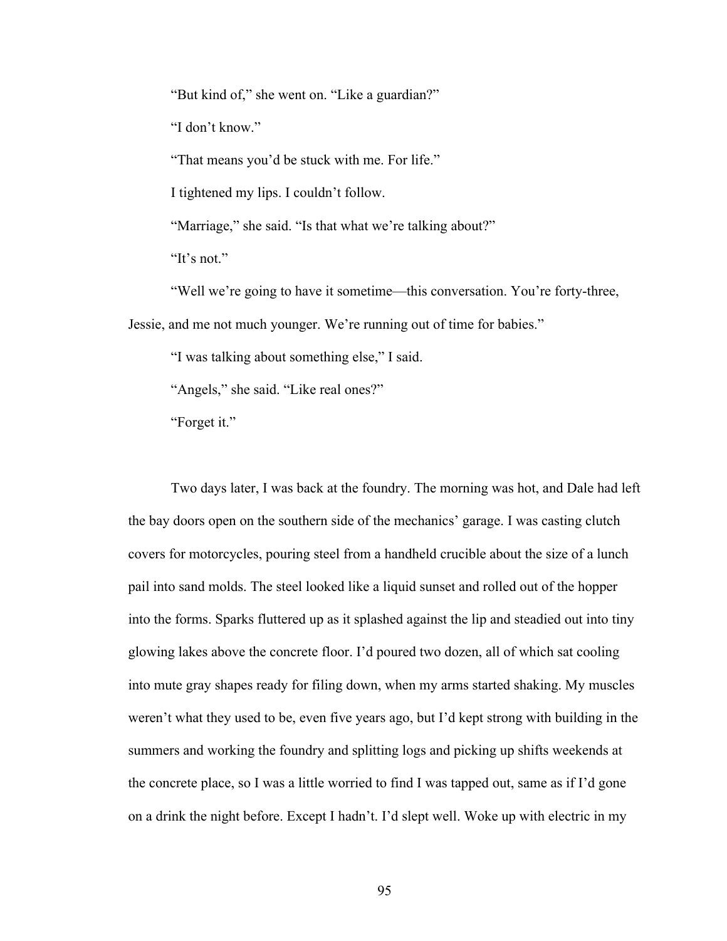"But kind of," she went on. "Like a guardian?"

"I don't know."

"That means you'd be stuck with me. For life."

I tightened my lips. I couldn't follow.

"Marriage," she said. "Is that what we're talking about?"

"It's not."

"Well we're going to have it sometime—this conversation. You're forty-three,

Jessie, and me not much younger. We're running out of time for babies."

"I was talking about something else," I said.

"Angels," she said. "Like real ones?"

"Forget it."

Two days later, I was back at the foundry. The morning was hot, and Dale had left the bay doors open on the southern side of the mechanics' garage. I was casting clutch covers for motorcycles, pouring steel from a handheld crucible about the size of a lunch pail into sand molds. The steel looked like a liquid sunset and rolled out of the hopper into the forms. Sparks fluttered up as it splashed against the lip and steadied out into tiny glowing lakes above the concrete floor. I'd poured two dozen, all of which sat cooling into mute gray shapes ready for filing down, when my arms started shaking. My muscles weren't what they used to be, even five years ago, but I'd kept strong with building in the summers and working the foundry and splitting logs and picking up shifts weekends at the concrete place, so I was a little worried to find I was tapped out, same as if I'd gone on a drink the night before. Except I hadn't. I'd slept well. Woke up with electric in my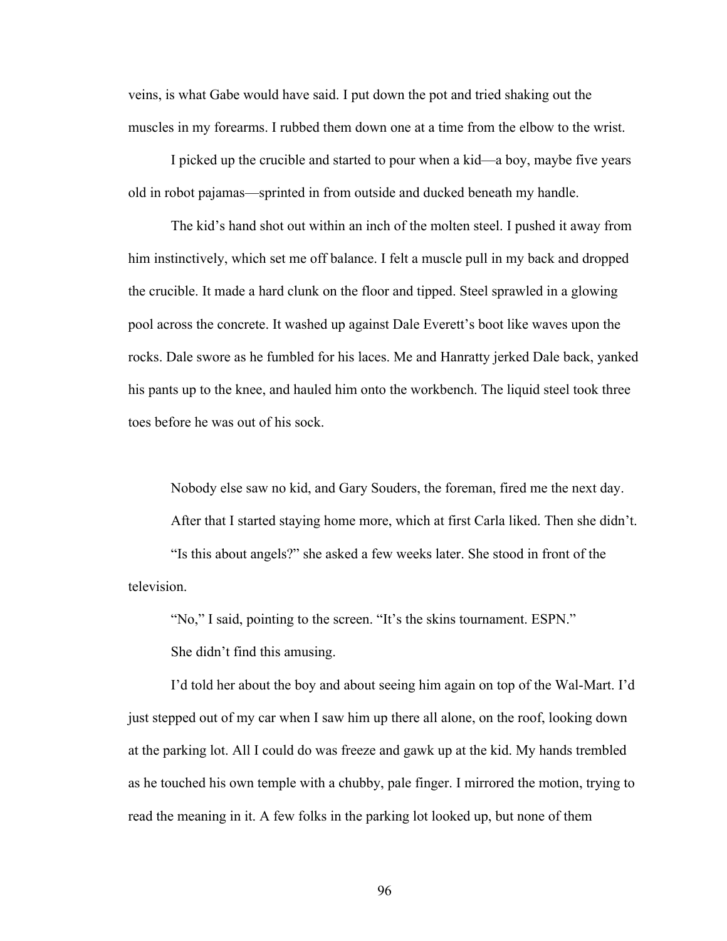veins, is what Gabe would have said. I put down the pot and tried shaking out the muscles in my forearms. I rubbed them down one at a time from the elbow to the wrist.

I picked up the crucible and started to pour when a kid—a boy, maybe five years old in robot pajamas—sprinted in from outside and ducked beneath my handle.

The kid's hand shot out within an inch of the molten steel. I pushed it away from him instinctively, which set me off balance. I felt a muscle pull in my back and dropped the crucible. It made a hard clunk on the floor and tipped. Steel sprawled in a glowing pool across the concrete. It washed up against Dale Everett's boot like waves upon the rocks. Dale swore as he fumbled for his laces. Me and Hanratty jerked Dale back, yanked his pants up to the knee, and hauled him onto the workbench. The liquid steel took three toes before he was out of his sock.

Nobody else saw no kid, and Gary Souders, the foreman, fired me the next day. After that I started staying home more, which at first Carla liked. Then she didn't. "Is this about angels?" she asked a few weeks later. She stood in front of the television.

"No," I said, pointing to the screen. "It's the skins tournament. ESPN." She didn't find this amusing.

I'd told her about the boy and about seeing him again on top of the Wal-Mart. I'd just stepped out of my car when I saw him up there all alone, on the roof, looking down at the parking lot. All I could do was freeze and gawk up at the kid. My hands trembled as he touched his own temple with a chubby, pale finger. I mirrored the motion, trying to read the meaning in it. A few folks in the parking lot looked up, but none of them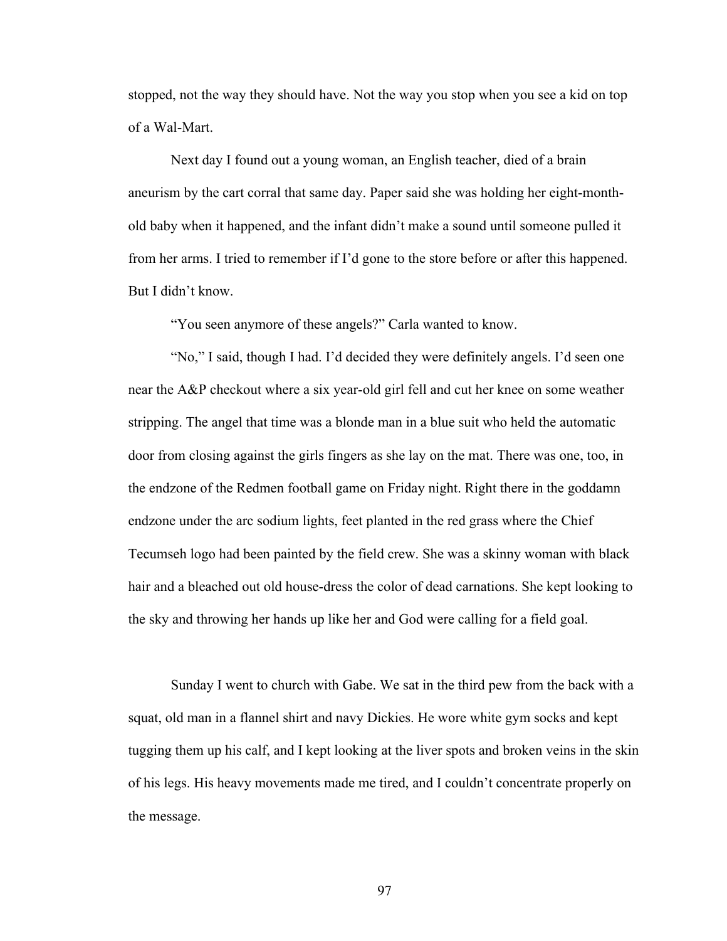stopped, not the way they should have. Not the way you stop when you see a kid on top of a Wal-Mart.

Next day I found out a young woman, an English teacher, died of a brain aneurism by the cart corral that same day. Paper said she was holding her eight-monthold baby when it happened, and the infant didn't make a sound until someone pulled it from her arms. I tried to remember if I'd gone to the store before or after this happened. But I didn't know.

"You seen anymore of these angels?" Carla wanted to know.

"No," I said, though I had. I'd decided they were definitely angels. I'd seen one near the A&P checkout where a six year-old girl fell and cut her knee on some weather stripping. The angel that time was a blonde man in a blue suit who held the automatic door from closing against the girls fingers as she lay on the mat. There was one, too, in the endzone of the Redmen football game on Friday night. Right there in the goddamn endzone under the arc sodium lights, feet planted in the red grass where the Chief Tecumseh logo had been painted by the field crew. She was a skinny woman with black hair and a bleached out old house-dress the color of dead carnations. She kept looking to the sky and throwing her hands up like her and God were calling for a field goal.

Sunday I went to church with Gabe. We sat in the third pew from the back with a squat, old man in a flannel shirt and navy Dickies. He wore white gym socks and kept tugging them up his calf, and I kept looking at the liver spots and broken veins in the skin of his legs. His heavy movements made me tired, and I couldn't concentrate properly on the message.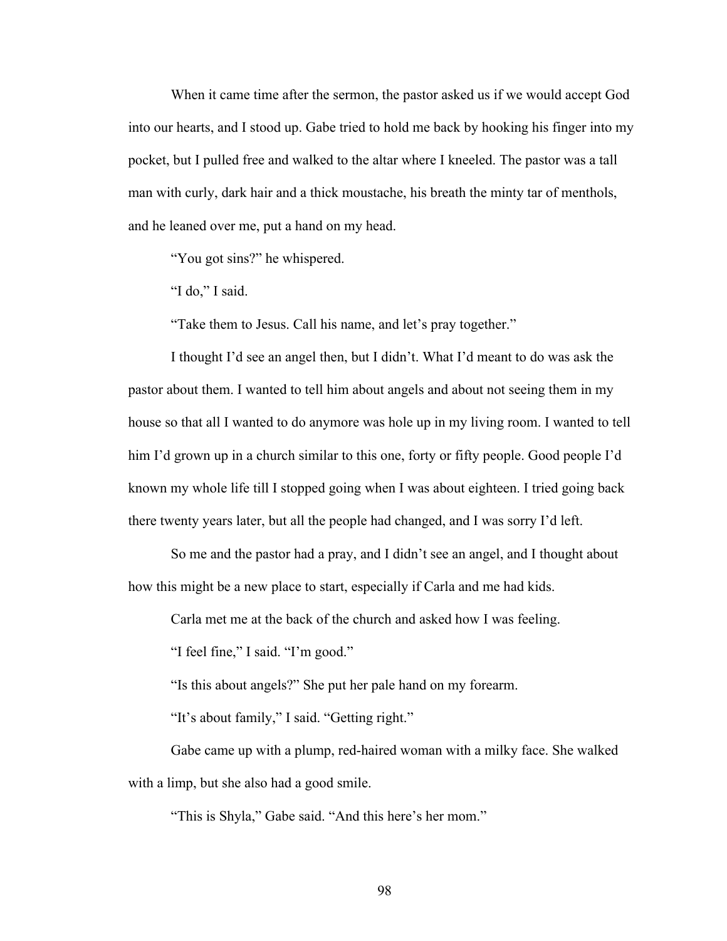When it came time after the sermon, the pastor asked us if we would accept God into our hearts, and I stood up. Gabe tried to hold me back by hooking his finger into my pocket, but I pulled free and walked to the altar where I kneeled. The pastor was a tall man with curly, dark hair and a thick moustache, his breath the minty tar of menthols, and he leaned over me, put a hand on my head.

"You got sins?" he whispered.

"I do," I said.

"Take them to Jesus. Call his name, and let's pray together."

I thought I'd see an angel then, but I didn't. What I'd meant to do was ask the pastor about them. I wanted to tell him about angels and about not seeing them in my house so that all I wanted to do anymore was hole up in my living room. I wanted to tell him I'd grown up in a church similar to this one, forty or fifty people. Good people I'd known my whole life till I stopped going when I was about eighteen. I tried going back there twenty years later, but all the people had changed, and I was sorry I'd left.

So me and the pastor had a pray, and I didn't see an angel, and I thought about how this might be a new place to start, especially if Carla and me had kids.

Carla met me at the back of the church and asked how I was feeling.

"I feel fine," I said. "I'm good."

"Is this about angels?" She put her pale hand on my forearm.

"It's about family," I said. "Getting right."

Gabe came up with a plump, red-haired woman with a milky face. She walked with a limp, but she also had a good smile.

"This is Shyla," Gabe said. "And this here's her mom."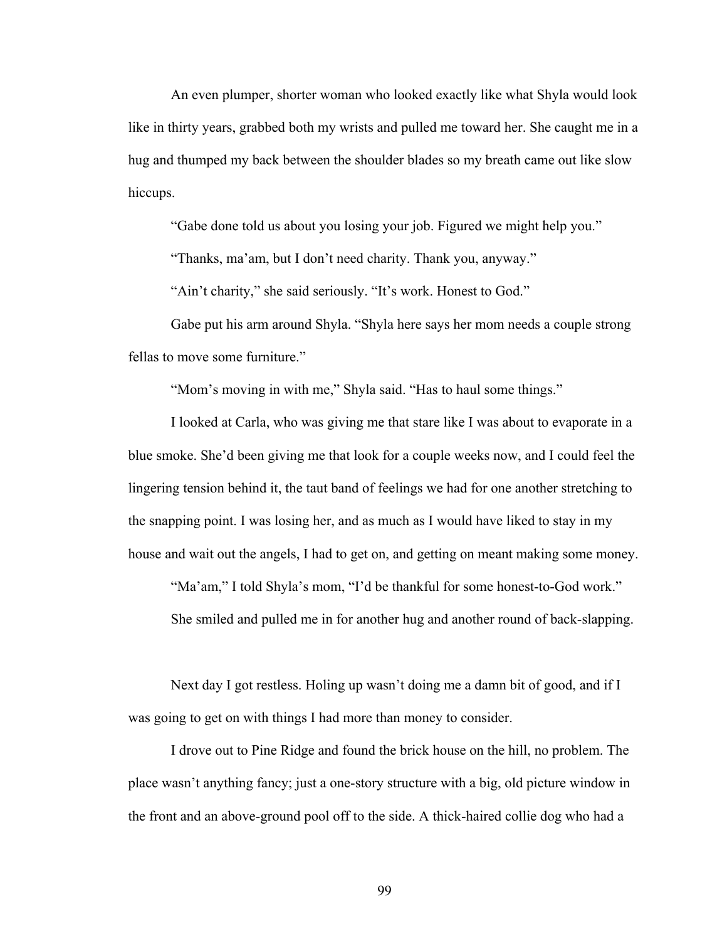An even plumper, shorter woman who looked exactly like what Shyla would look like in thirty years, grabbed both my wrists and pulled me toward her. She caught me in a hug and thumped my back between the shoulder blades so my breath came out like slow hiccups.

"Gabe done told us about you losing your job. Figured we might help you."

"Thanks, ma'am, but I don't need charity. Thank you, anyway."

"Ain't charity," she said seriously. "It's work. Honest to God."

Gabe put his arm around Shyla. "Shyla here says her mom needs a couple strong fellas to move some furniture."

"Mom's moving in with me," Shyla said. "Has to haul some things."

I looked at Carla, who was giving me that stare like I was about to evaporate in a blue smoke. She'd been giving me that look for a couple weeks now, and I could feel the lingering tension behind it, the taut band of feelings we had for one another stretching to the snapping point. I was losing her, and as much as I would have liked to stay in my house and wait out the angels, I had to get on, and getting on meant making some money.

"Ma'am," I told Shyla's mom, "I'd be thankful for some honest-to-God work."

She smiled and pulled me in for another hug and another round of back-slapping.

Next day I got restless. Holing up wasn't doing me a damn bit of good, and if I was going to get on with things I had more than money to consider.

I drove out to Pine Ridge and found the brick house on the hill, no problem. The place wasn't anything fancy; just a one-story structure with a big, old picture window in the front and an above-ground pool off to the side. A thick-haired collie dog who had a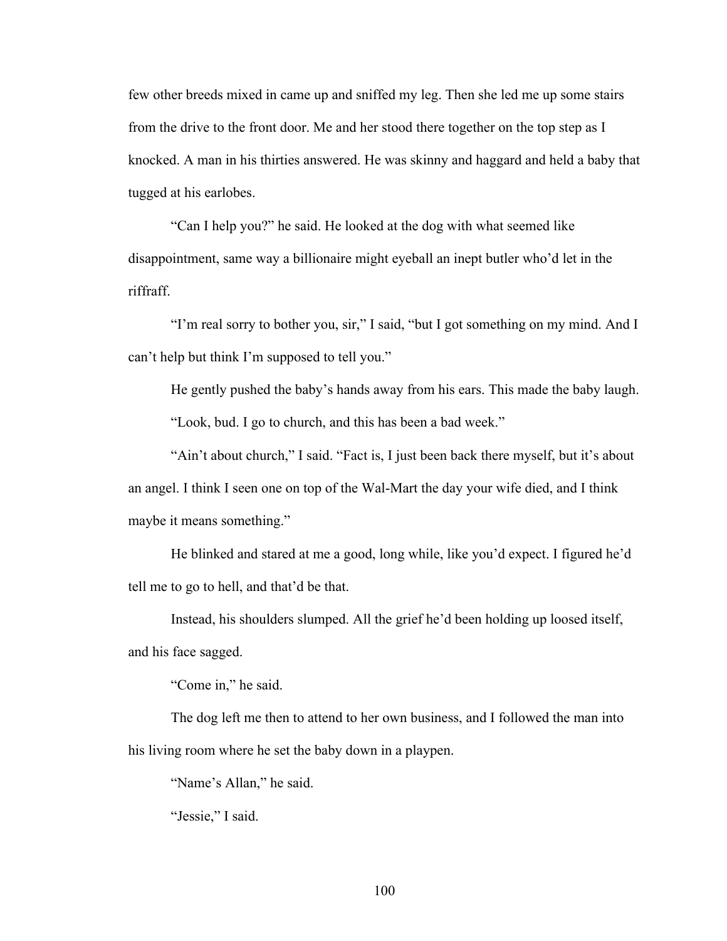few other breeds mixed in came up and sniffed my leg. Then she led me up some stairs from the drive to the front door. Me and her stood there together on the top step as I knocked. A man in his thirties answered. He was skinny and haggard and held a baby that tugged at his earlobes.

"Can I help you?" he said. He looked at the dog with what seemed like disappointment, same way a billionaire might eyeball an inept butler who'd let in the riffraff.

"I'm real sorry to bother you, sir," I said, "but I got something on my mind. And I can't help but think I'm supposed to tell you."

He gently pushed the baby's hands away from his ears. This made the baby laugh. "Look, bud. I go to church, and this has been a bad week."

"Ain't about church," I said. "Fact is, I just been back there myself, but it's about an angel. I think I seen one on top of the Wal-Mart the day your wife died, and I think maybe it means something."

He blinked and stared at me a good, long while, like you'd expect. I figured he'd tell me to go to hell, and that'd be that.

Instead, his shoulders slumped. All the grief he'd been holding up loosed itself, and his face sagged.

"Come in," he said.

The dog left me then to attend to her own business, and I followed the man into his living room where he set the baby down in a playpen.

"Name's Allan," he said.

"Jessie," I said.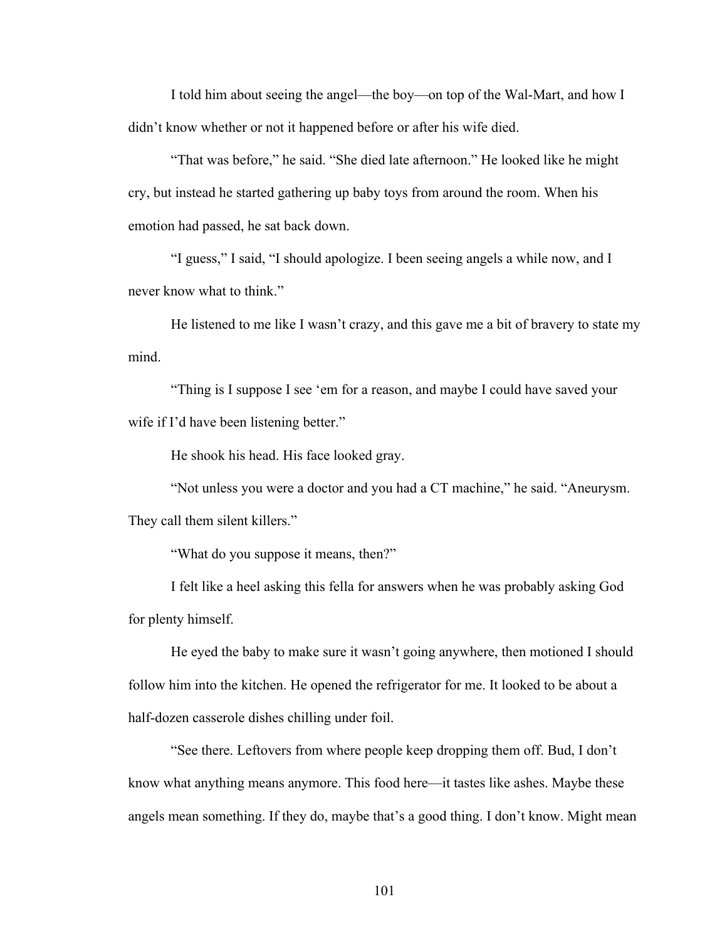I told him about seeing the angel—the boy—on top of the Wal-Mart, and how I didn't know whether or not it happened before or after his wife died.

"That was before," he said. "She died late afternoon." He looked like he might cry, but instead he started gathering up baby toys from around the room. When his emotion had passed, he sat back down.

"I guess," I said, "I should apologize. I been seeing angels a while now, and I never know what to think."

He listened to me like I wasn't crazy, and this gave me a bit of bravery to state my mind.

"Thing is I suppose I see 'em for a reason, and maybe I could have saved your wife if I'd have been listening better."

He shook his head. His face looked gray.

"Not unless you were a doctor and you had a CT machine," he said. "Aneurysm. They call them silent killers."

"What do you suppose it means, then?"

I felt like a heel asking this fella for answers when he was probably asking God for plenty himself.

He eyed the baby to make sure it wasn't going anywhere, then motioned I should follow him into the kitchen. He opened the refrigerator for me. It looked to be about a half-dozen casserole dishes chilling under foil.

"See there. Leftovers from where people keep dropping them off. Bud, I don't know what anything means anymore. This food here—it tastes like ashes. Maybe these angels mean something. If they do, maybe that's a good thing. I don't know. Might mean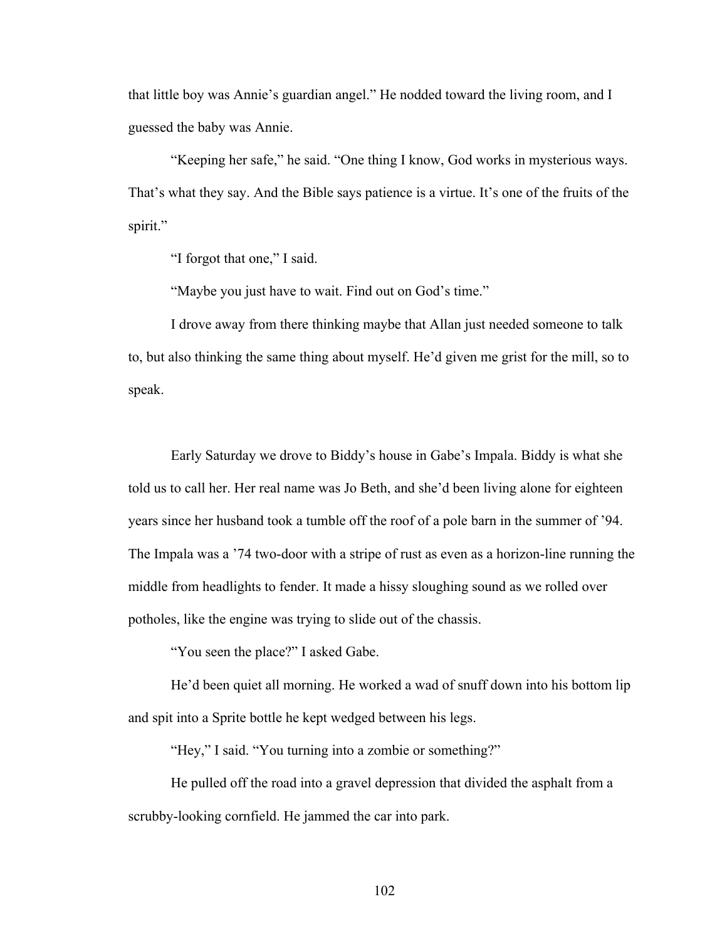that little boy was Annie's guardian angel." He nodded toward the living room, and I guessed the baby was Annie.

"Keeping her safe," he said. "One thing I know, God works in mysterious ways. That's what they say. And the Bible says patience is a virtue. It's one of the fruits of the spirit."

"I forgot that one," I said.

"Maybe you just have to wait. Find out on God's time."

I drove away from there thinking maybe that Allan just needed someone to talk to, but also thinking the same thing about myself. He'd given me grist for the mill, so to speak.

Early Saturday we drove to Biddy's house in Gabe's Impala. Biddy is what she told us to call her. Her real name was Jo Beth, and she'd been living alone for eighteen years since her husband took a tumble off the roof of a pole barn in the summer of '94. The Impala was a '74 two-door with a stripe of rust as even as a horizon-line running the middle from headlights to fender. It made a hissy sloughing sound as we rolled over potholes, like the engine was trying to slide out of the chassis.

"You seen the place?" I asked Gabe.

He'd been quiet all morning. He worked a wad of snuff down into his bottom lip and spit into a Sprite bottle he kept wedged between his legs.

"Hey," I said. "You turning into a zombie or something?"

He pulled off the road into a gravel depression that divided the asphalt from a scrubby-looking cornfield. He jammed the car into park.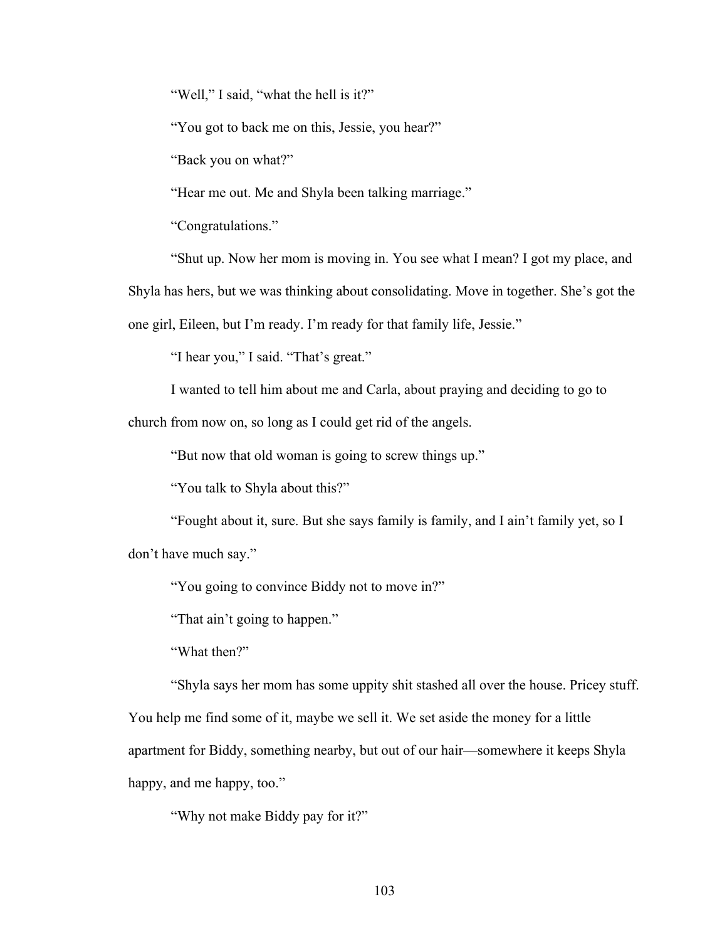"Well," I said, "what the hell is it?"

"You got to back me on this, Jessie, you hear?"

"Back you on what?"

"Hear me out. Me and Shyla been talking marriage."

"Congratulations."

"Shut up. Now her mom is moving in. You see what I mean? I got my place, and

Shyla has hers, but we was thinking about consolidating. Move in together. She's got the

one girl, Eileen, but I'm ready. I'm ready for that family life, Jessie."

"I hear you," I said. "That's great."

I wanted to tell him about me and Carla, about praying and deciding to go to

church from now on, so long as I could get rid of the angels.

"But now that old woman is going to screw things up."

"You talk to Shyla about this?"

"Fought about it, sure. But she says family is family, and I ain't family yet, so I don't have much say."

"You going to convince Biddy not to move in?"

"That ain't going to happen."

"What then?"

"Shyla says her mom has some uppity shit stashed all over the house. Pricey stuff.

You help me find some of it, maybe we sell it. We set aside the money for a little apartment for Biddy, something nearby, but out of our hair—somewhere it keeps Shyla happy, and me happy, too."

"Why not make Biddy pay for it?"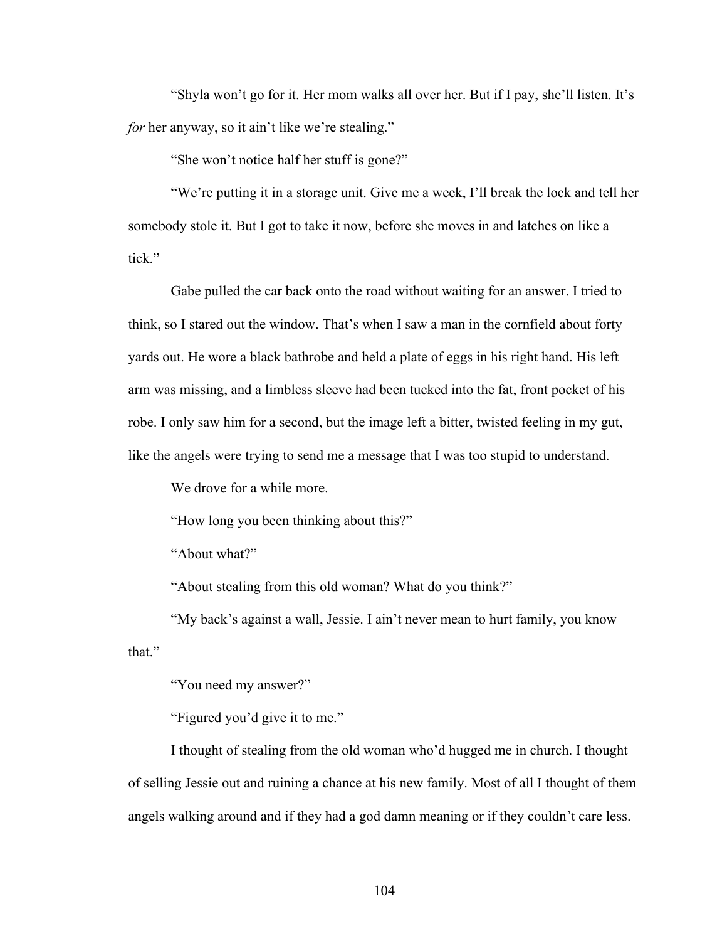"Shyla won't go for it. Her mom walks all over her. But if I pay, she'll listen. It's *for* her anyway, so it ain't like we're stealing."

"She won't notice half her stuff is gone?"

"We're putting it in a storage unit. Give me a week, I'll break the lock and tell her somebody stole it. But I got to take it now, before she moves in and latches on like a tick."

Gabe pulled the car back onto the road without waiting for an answer. I tried to think, so I stared out the window. That's when I saw a man in the cornfield about forty yards out. He wore a black bathrobe and held a plate of eggs in his right hand. His left arm was missing, and a limbless sleeve had been tucked into the fat, front pocket of his robe. I only saw him for a second, but the image left a bitter, twisted feeling in my gut, like the angels were trying to send me a message that I was too stupid to understand.

We drove for a while more.

"How long you been thinking about this?"

"About what?"

"About stealing from this old woman? What do you think?"

"My back's against a wall, Jessie. I ain't never mean to hurt family, you know that."

"You need my answer?"

"Figured you'd give it to me."

I thought of stealing from the old woman who'd hugged me in church. I thought of selling Jessie out and ruining a chance at his new family. Most of all I thought of them angels walking around and if they had a god damn meaning or if they couldn't care less.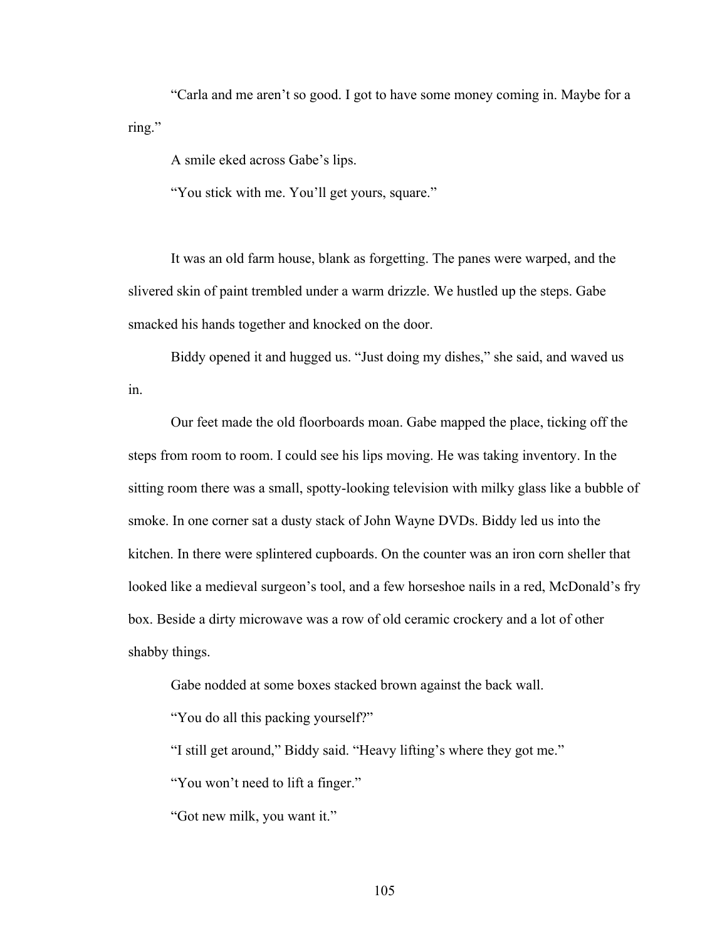"Carla and me aren't so good. I got to have some money coming in. Maybe for a ring."

A smile eked across Gabe's lips.

"You stick with me. You'll get yours, square."

It was an old farm house, blank as forgetting. The panes were warped, and the slivered skin of paint trembled under a warm drizzle. We hustled up the steps. Gabe smacked his hands together and knocked on the door.

Biddy opened it and hugged us. "Just doing my dishes," she said, and waved us in.

Our feet made the old floorboards moan. Gabe mapped the place, ticking off the steps from room to room. I could see his lips moving. He was taking inventory. In the sitting room there was a small, spotty-looking television with milky glass like a bubble of smoke. In one corner sat a dusty stack of John Wayne DVDs. Biddy led us into the kitchen. In there were splintered cupboards. On the counter was an iron corn sheller that looked like a medieval surgeon's tool, and a few horseshoe nails in a red, McDonald's fry box. Beside a dirty microwave was a row of old ceramic crockery and a lot of other shabby things.

Gabe nodded at some boxes stacked brown against the back wall.

"You do all this packing yourself?"

"I still get around," Biddy said. "Heavy lifting's where they got me."

"You won't need to lift a finger."

"Got new milk, you want it."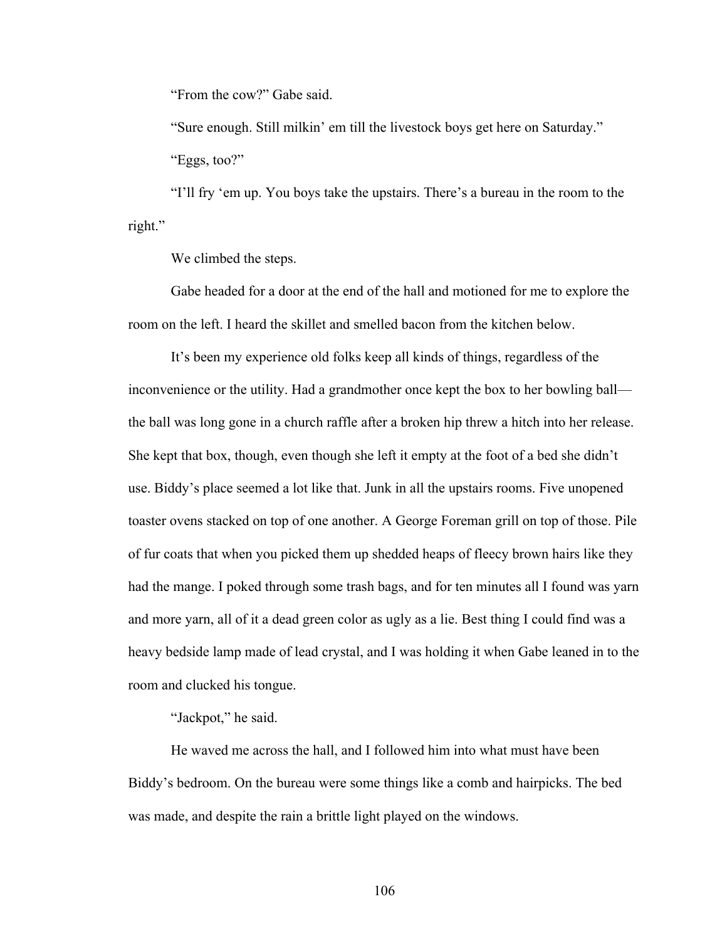"From the cow?" Gabe said.

"Sure enough. Still milkin' em till the livestock boys get here on Saturday." "Eggs, too?"

"I'll fry 'em up. You boys take the upstairs. There's a bureau in the room to the right."

We climbed the steps.

Gabe headed for a door at the end of the hall and motioned for me to explore the room on the left. I heard the skillet and smelled bacon from the kitchen below.

It's been my experience old folks keep all kinds of things, regardless of the inconvenience or the utility. Had a grandmother once kept the box to her bowling ball the ball was long gone in a church raffle after a broken hip threw a hitch into her release. She kept that box, though, even though she left it empty at the foot of a bed she didn't use. Biddy's place seemed a lot like that. Junk in all the upstairs rooms. Five unopened toaster ovens stacked on top of one another. A George Foreman grill on top of those. Pile of fur coats that when you picked them up shedded heaps of fleecy brown hairs like they had the mange. I poked through some trash bags, and for ten minutes all I found was yarn and more yarn, all of it a dead green color as ugly as a lie. Best thing I could find was a heavy bedside lamp made of lead crystal, and I was holding it when Gabe leaned in to the room and clucked his tongue.

"Jackpot," he said.

He waved me across the hall, and I followed him into what must have been Biddy's bedroom. On the bureau were some things like a comb and hairpicks. The bed was made, and despite the rain a brittle light played on the windows.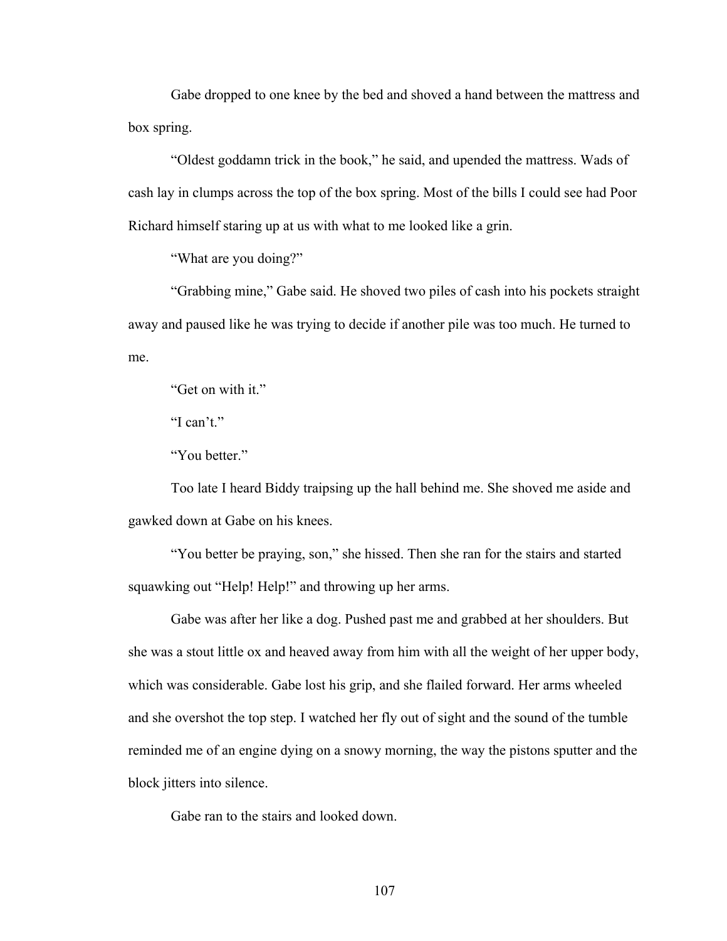Gabe dropped to one knee by the bed and shoved a hand between the mattress and box spring.

"Oldest goddamn trick in the book," he said, and upended the mattress. Wads of cash lay in clumps across the top of the box spring. Most of the bills I could see had Poor Richard himself staring up at us with what to me looked like a grin.

"What are you doing?"

"Grabbing mine," Gabe said. He shoved two piles of cash into his pockets straight away and paused like he was trying to decide if another pile was too much. He turned to me.

"Get on with it."

"I can't."

"You better."

Too late I heard Biddy traipsing up the hall behind me. She shoved me aside and gawked down at Gabe on his knees.

"You better be praying, son," she hissed. Then she ran for the stairs and started squawking out "Help! Help!" and throwing up her arms.

Gabe was after her like a dog. Pushed past me and grabbed at her shoulders. But she was a stout little ox and heaved away from him with all the weight of her upper body, which was considerable. Gabe lost his grip, and she flailed forward. Her arms wheeled and she overshot the top step. I watched her fly out of sight and the sound of the tumble reminded me of an engine dying on a snowy morning, the way the pistons sputter and the block jitters into silence.

Gabe ran to the stairs and looked down.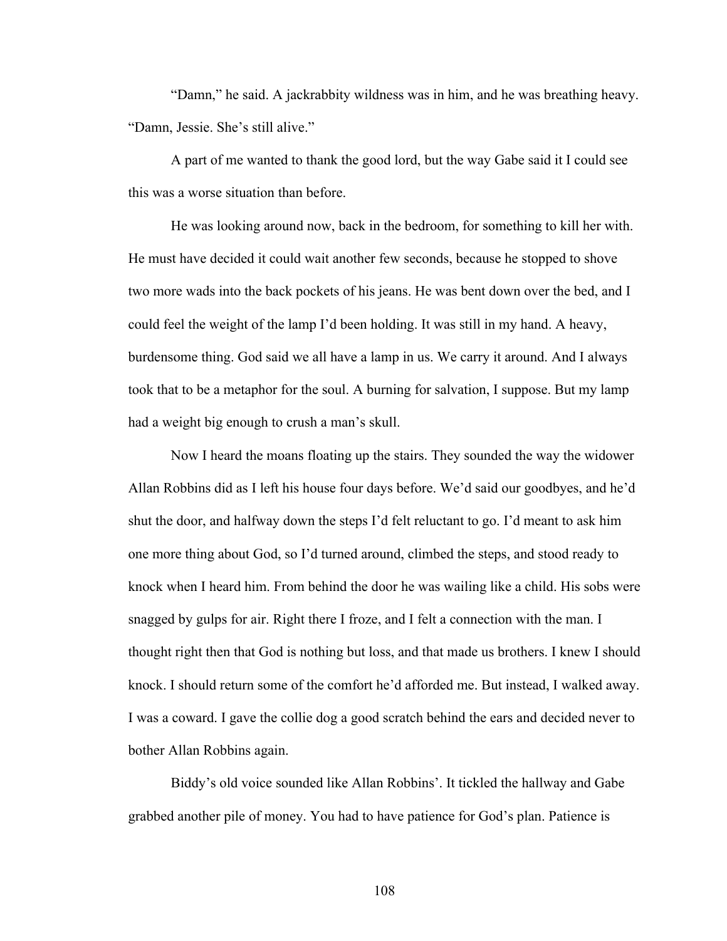"Damn," he said. A jackrabbity wildness was in him, and he was breathing heavy. "Damn, Jessie. She's still alive."

A part of me wanted to thank the good lord, but the way Gabe said it I could see this was a worse situation than before.

He was looking around now, back in the bedroom, for something to kill her with. He must have decided it could wait another few seconds, because he stopped to shove two more wads into the back pockets of his jeans. He was bent down over the bed, and I could feel the weight of the lamp I'd been holding. It was still in my hand. A heavy, burdensome thing. God said we all have a lamp in us. We carry it around. And I always took that to be a metaphor for the soul. A burning for salvation, I suppose. But my lamp had a weight big enough to crush a man's skull.

Now I heard the moans floating up the stairs. They sounded the way the widower Allan Robbins did as I left his house four days before. We'd said our goodbyes, and he'd shut the door, and halfway down the steps I'd felt reluctant to go. I'd meant to ask him one more thing about God, so I'd turned around, climbed the steps, and stood ready to knock when I heard him. From behind the door he was wailing like a child. His sobs were snagged by gulps for air. Right there I froze, and I felt a connection with the man. I thought right then that God is nothing but loss, and that made us brothers. I knew I should knock. I should return some of the comfort he'd afforded me. But instead, I walked away. I was a coward. I gave the collie dog a good scratch behind the ears and decided never to bother Allan Robbins again.

Biddy's old voice sounded like Allan Robbins'. It tickled the hallway and Gabe grabbed another pile of money. You had to have patience for God's plan. Patience is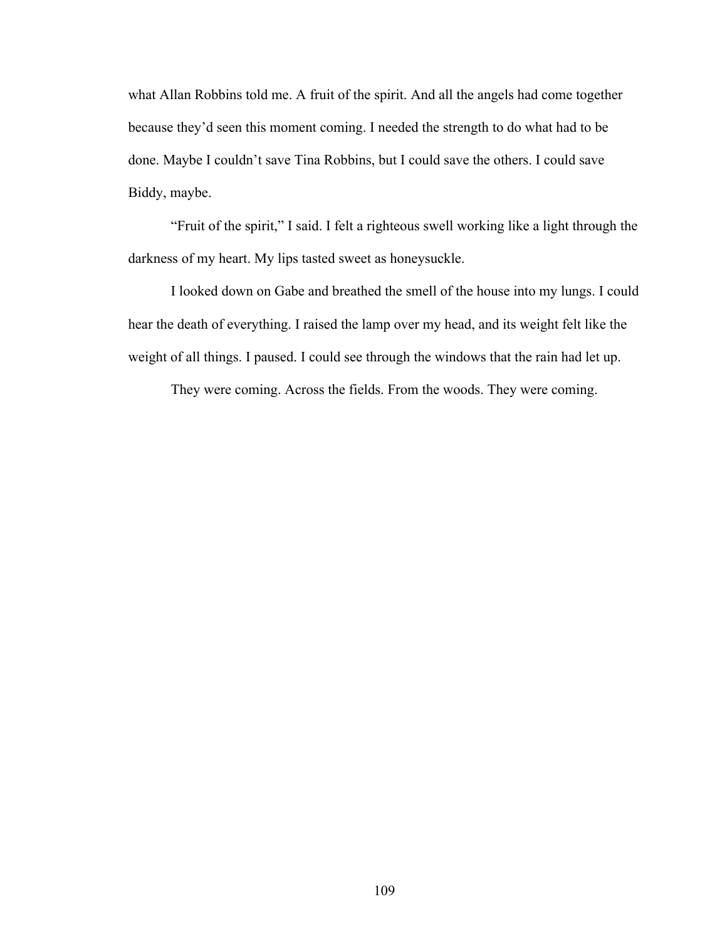what Allan Robbins told me. A fruit of the spirit. And all the angels had come together because they'd seen this moment coming. I needed the strength to do what had to be done. Maybe I couldn't save Tina Robbins, but I could save the others. I could save Biddy, maybe.

"Fruit of the spirit," I said. I felt a righteous swell working like a light through the darkness of my heart. My lips tasted sweet as honeysuckle.

I looked down on Gabe and breathed the smell of the house into my lungs. I could hear the death of everything. I raised the lamp over my head, and its weight felt like the weight of all things. I paused. I could see through the windows that the rain had let up.

They were coming. Across the fields. From the woods. They were coming.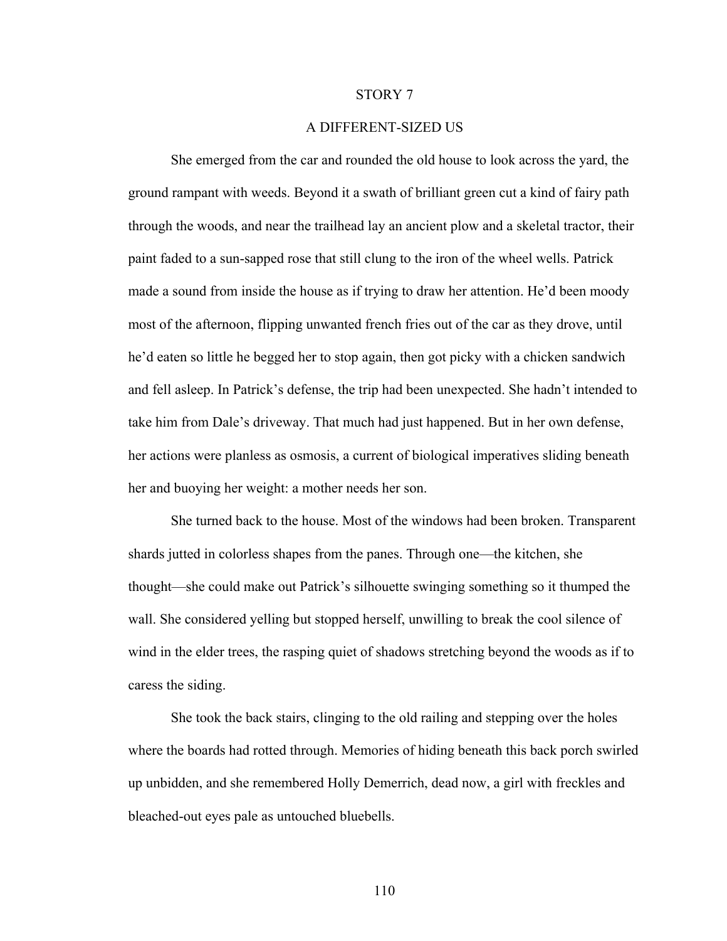## STORY 7

## A DIFFERENT-SIZED US

She emerged from the car and rounded the old house to look across the yard, the ground rampant with weeds. Beyond it a swath of brilliant green cut a kind of fairy path through the woods, and near the trailhead lay an ancient plow and a skeletal tractor, their paint faded to a sun-sapped rose that still clung to the iron of the wheel wells. Patrick made a sound from inside the house as if trying to draw her attention. He'd been moody most of the afternoon, flipping unwanted french fries out of the car as they drove, until he'd eaten so little he begged her to stop again, then got picky with a chicken sandwich and fell asleep. In Patrick's defense, the trip had been unexpected. She hadn't intended to take him from Dale's driveway. That much had just happened. But in her own defense, her actions were planless as osmosis, a current of biological imperatives sliding beneath her and buoying her weight: a mother needs her son.

She turned back to the house. Most of the windows had been broken. Transparent shards jutted in colorless shapes from the panes. Through one—the kitchen, she thought—she could make out Patrick's silhouette swinging something so it thumped the wall. She considered yelling but stopped herself, unwilling to break the cool silence of wind in the elder trees, the rasping quiet of shadows stretching beyond the woods as if to caress the siding.

She took the back stairs, clinging to the old railing and stepping over the holes where the boards had rotted through. Memories of hiding beneath this back porch swirled up unbidden, and she remembered Holly Demerrich, dead now, a girl with freckles and bleached-out eyes pale as untouched bluebells.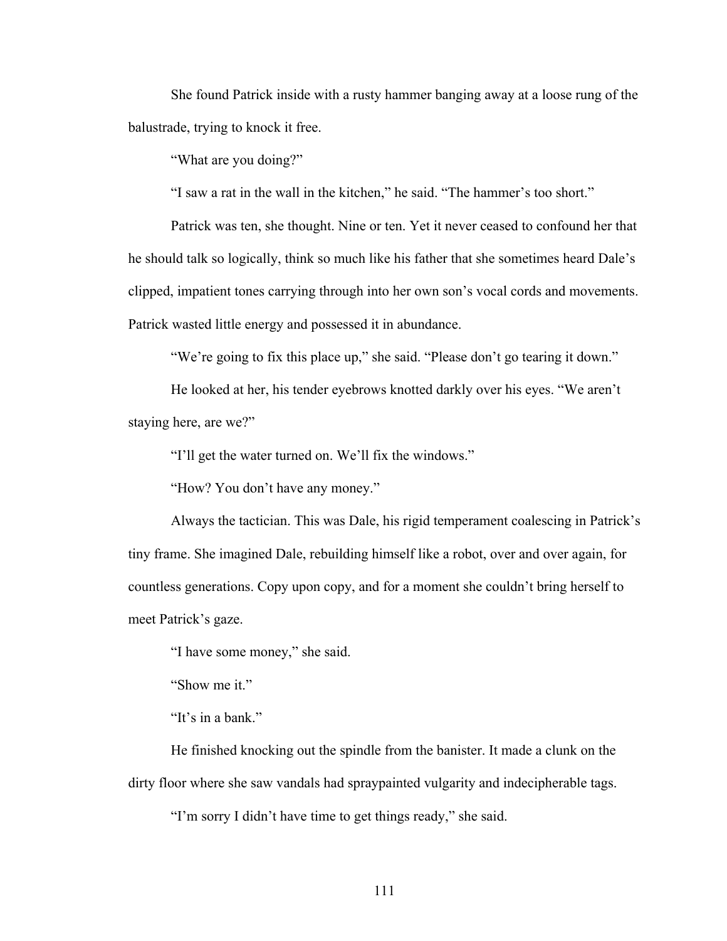She found Patrick inside with a rusty hammer banging away at a loose rung of the balustrade, trying to knock it free.

"What are you doing?"

"I saw a rat in the wall in the kitchen," he said. "The hammer's too short."

Patrick was ten, she thought. Nine or ten. Yet it never ceased to confound her that he should talk so logically, think so much like his father that she sometimes heard Dale's clipped, impatient tones carrying through into her own son's vocal cords and movements. Patrick wasted little energy and possessed it in abundance.

"We're going to fix this place up," she said. "Please don't go tearing it down."

He looked at her, his tender eyebrows knotted darkly over his eyes. "We aren't staying here, are we?"

"I'll get the water turned on. We'll fix the windows."

"How? You don't have any money."

Always the tactician. This was Dale, his rigid temperament coalescing in Patrick's tiny frame. She imagined Dale, rebuilding himself like a robot, over and over again, for countless generations. Copy upon copy, and for a moment she couldn't bring herself to meet Patrick's gaze.

"I have some money," she said.

"Show me it."

"It's in a bank."

He finished knocking out the spindle from the banister. It made a clunk on the dirty floor where she saw vandals had spraypainted vulgarity and indecipherable tags.

"I'm sorry I didn't have time to get things ready," she said.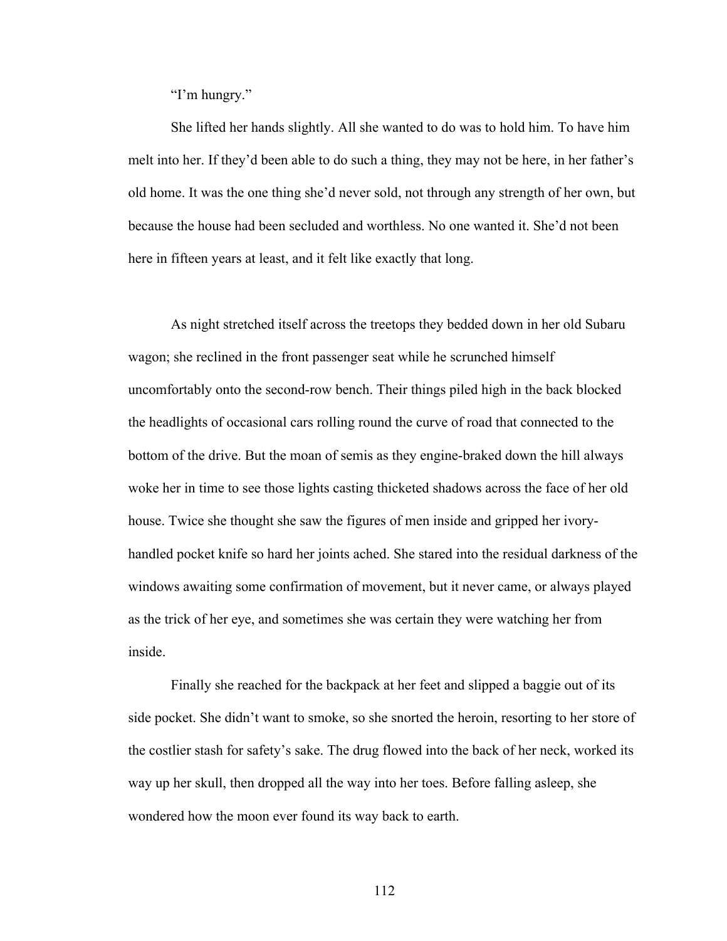"I'm hungry."

She lifted her hands slightly. All she wanted to do was to hold him. To have him melt into her. If they'd been able to do such a thing, they may not be here, in her father's old home. It was the one thing she'd never sold, not through any strength of her own, but because the house had been secluded and worthless. No one wanted it. She'd not been here in fifteen years at least, and it felt like exactly that long.

As night stretched itself across the treetops they bedded down in her old Subaru wagon; she reclined in the front passenger seat while he scrunched himself uncomfortably onto the second-row bench. Their things piled high in the back blocked the headlights of occasional cars rolling round the curve of road that connected to the bottom of the drive. But the moan of semis as they engine-braked down the hill always woke her in time to see those lights casting thicketed shadows across the face of her old house. Twice she thought she saw the figures of men inside and gripped her ivoryhandled pocket knife so hard her joints ached. She stared into the residual darkness of the windows awaiting some confirmation of movement, but it never came, or always played as the trick of her eye, and sometimes she was certain they were watching her from inside.

Finally she reached for the backpack at her feet and slipped a baggie out of its side pocket. She didn't want to smoke, so she snorted the heroin, resorting to her store of the costlier stash for safety's sake. The drug flowed into the back of her neck, worked its way up her skull, then dropped all the way into her toes. Before falling asleep, she wondered how the moon ever found its way back to earth.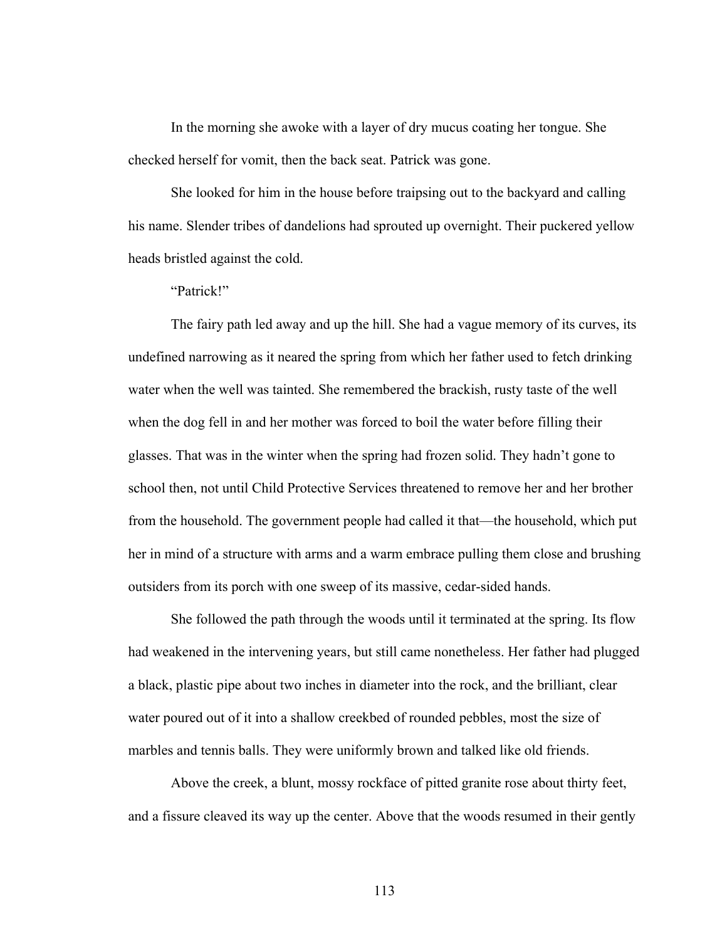In the morning she awoke with a layer of dry mucus coating her tongue. She checked herself for vomit, then the back seat. Patrick was gone.

She looked for him in the house before traipsing out to the backyard and calling his name. Slender tribes of dandelions had sprouted up overnight. Their puckered yellow heads bristled against the cold.

"Patrick!"

The fairy path led away and up the hill. She had a vague memory of its curves, its undefined narrowing as it neared the spring from which her father used to fetch drinking water when the well was tainted. She remembered the brackish, rusty taste of the well when the dog fell in and her mother was forced to boil the water before filling their glasses. That was in the winter when the spring had frozen solid. They hadn't gone to school then, not until Child Protective Services threatened to remove her and her brother from the household. The government people had called it that—the household, which put her in mind of a structure with arms and a warm embrace pulling them close and brushing outsiders from its porch with one sweep of its massive, cedar-sided hands.

She followed the path through the woods until it terminated at the spring. Its flow had weakened in the intervening years, but still came nonetheless. Her father had plugged a black, plastic pipe about two inches in diameter into the rock, and the brilliant, clear water poured out of it into a shallow creekbed of rounded pebbles, most the size of marbles and tennis balls. They were uniformly brown and talked like old friends.

Above the creek, a blunt, mossy rockface of pitted granite rose about thirty feet, and a fissure cleaved its way up the center. Above that the woods resumed in their gently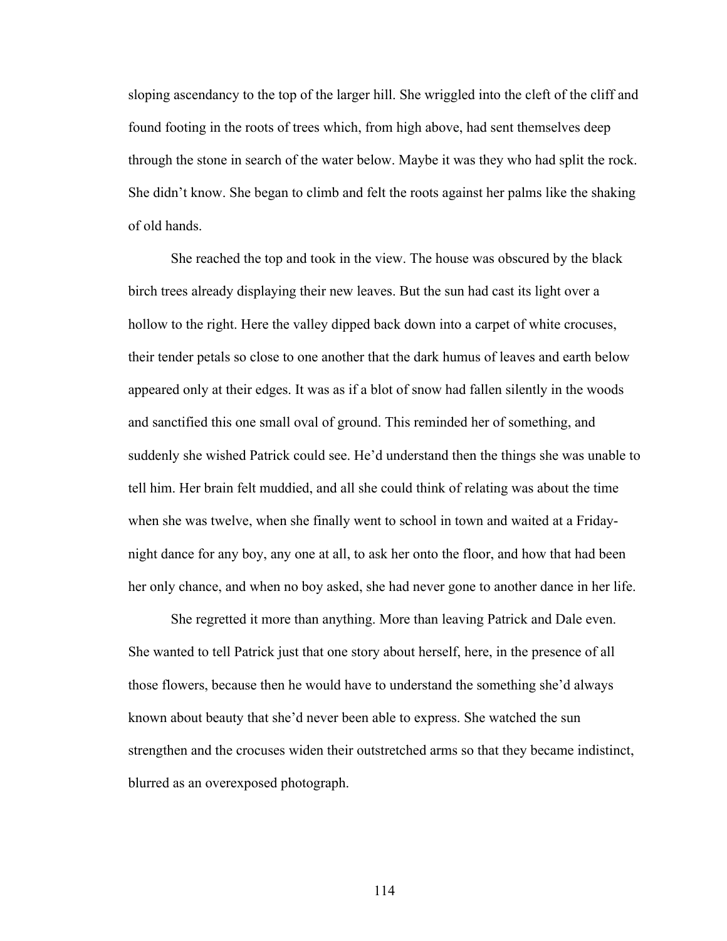sloping ascendancy to the top of the larger hill. She wriggled into the cleft of the cliff and found footing in the roots of trees which, from high above, had sent themselves deep through the stone in search of the water below. Maybe it was they who had split the rock. She didn't know. She began to climb and felt the roots against her palms like the shaking of old hands.

She reached the top and took in the view. The house was obscured by the black birch trees already displaying their new leaves. But the sun had cast its light over a hollow to the right. Here the valley dipped back down into a carpet of white crocuses, their tender petals so close to one another that the dark humus of leaves and earth below appeared only at their edges. It was as if a blot of snow had fallen silently in the woods and sanctified this one small oval of ground. This reminded her of something, and suddenly she wished Patrick could see. He'd understand then the things she was unable to tell him. Her brain felt muddied, and all she could think of relating was about the time when she was twelve, when she finally went to school in town and waited at a Fridaynight dance for any boy, any one at all, to ask her onto the floor, and how that had been her only chance, and when no boy asked, she had never gone to another dance in her life.

She regretted it more than anything. More than leaving Patrick and Dale even. She wanted to tell Patrick just that one story about herself, here, in the presence of all those flowers, because then he would have to understand the something she'd always known about beauty that she'd never been able to express. She watched the sun strengthen and the crocuses widen their outstretched arms so that they became indistinct, blurred as an overexposed photograph.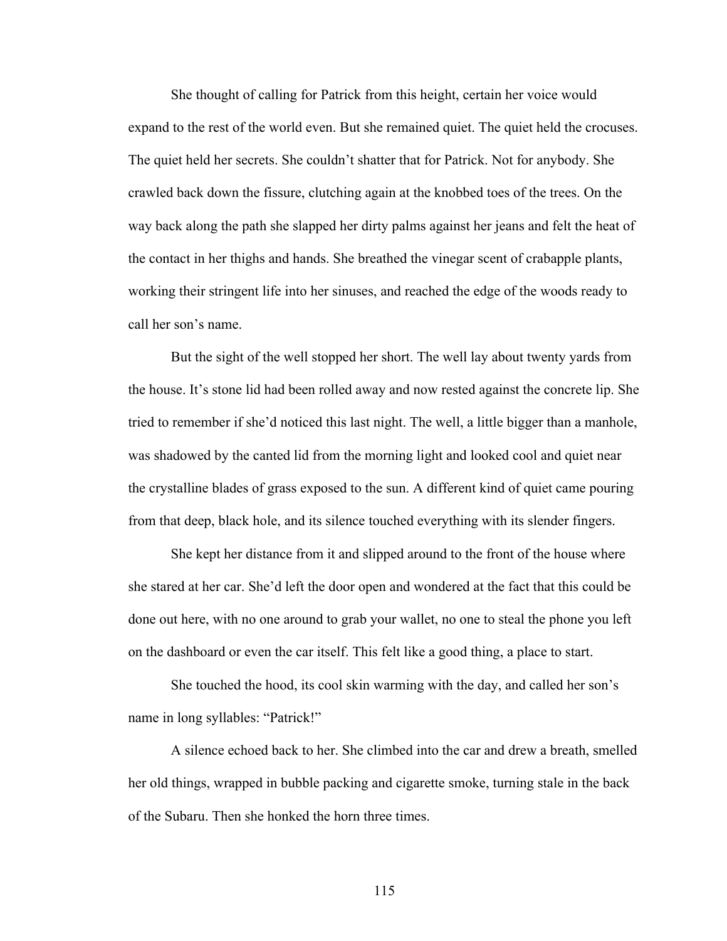She thought of calling for Patrick from this height, certain her voice would expand to the rest of the world even. But she remained quiet. The quiet held the crocuses. The quiet held her secrets. She couldn't shatter that for Patrick. Not for anybody. She crawled back down the fissure, clutching again at the knobbed toes of the trees. On the way back along the path she slapped her dirty palms against her jeans and felt the heat of the contact in her thighs and hands. She breathed the vinegar scent of crabapple plants, working their stringent life into her sinuses, and reached the edge of the woods ready to call her son's name.

But the sight of the well stopped her short. The well lay about twenty yards from the house. It's stone lid had been rolled away and now rested against the concrete lip. She tried to remember if she'd noticed this last night. The well, a little bigger than a manhole, was shadowed by the canted lid from the morning light and looked cool and quiet near the crystalline blades of grass exposed to the sun. A different kind of quiet came pouring from that deep, black hole, and its silence touched everything with its slender fingers.

She kept her distance from it and slipped around to the front of the house where she stared at her car. She'd left the door open and wondered at the fact that this could be done out here, with no one around to grab your wallet, no one to steal the phone you left on the dashboard or even the car itself. This felt like a good thing, a place to start.

She touched the hood, its cool skin warming with the day, and called her son's name in long syllables: "Patrick!"

A silence echoed back to her. She climbed into the car and drew a breath, smelled her old things, wrapped in bubble packing and cigarette smoke, turning stale in the back of the Subaru. Then she honked the horn three times.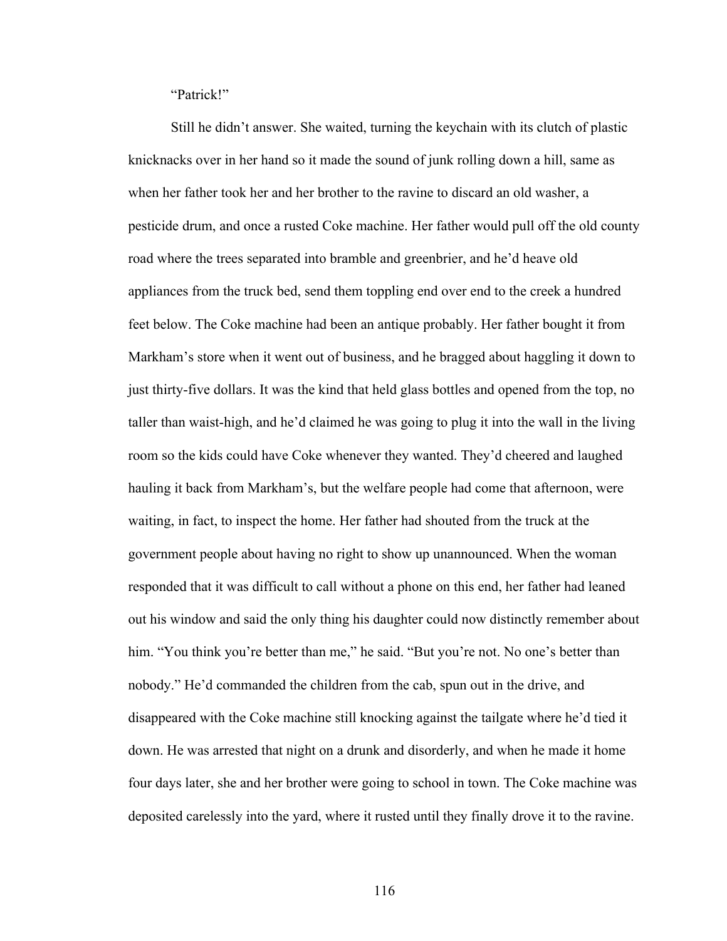"Patrick!"

Still he didn't answer. She waited, turning the keychain with its clutch of plastic knicknacks over in her hand so it made the sound of junk rolling down a hill, same as when her father took her and her brother to the ravine to discard an old washer, a pesticide drum, and once a rusted Coke machine. Her father would pull off the old county road where the trees separated into bramble and greenbrier, and he'd heave old appliances from the truck bed, send them toppling end over end to the creek a hundred feet below. The Coke machine had been an antique probably. Her father bought it from Markham's store when it went out of business, and he bragged about haggling it down to just thirty-five dollars. It was the kind that held glass bottles and opened from the top, no taller than waist-high, and he'd claimed he was going to plug it into the wall in the living room so the kids could have Coke whenever they wanted. They'd cheered and laughed hauling it back from Markham's, but the welfare people had come that afternoon, were waiting, in fact, to inspect the home. Her father had shouted from the truck at the government people about having no right to show up unannounced. When the woman responded that it was difficult to call without a phone on this end, her father had leaned out his window and said the only thing his daughter could now distinctly remember about him. "You think you're better than me," he said. "But you're not. No one's better than nobody." He'd commanded the children from the cab, spun out in the drive, and disappeared with the Coke machine still knocking against the tailgate where he'd tied it down. He was arrested that night on a drunk and disorderly, and when he made it home four days later, she and her brother were going to school in town. The Coke machine was deposited carelessly into the yard, where it rusted until they finally drove it to the ravine.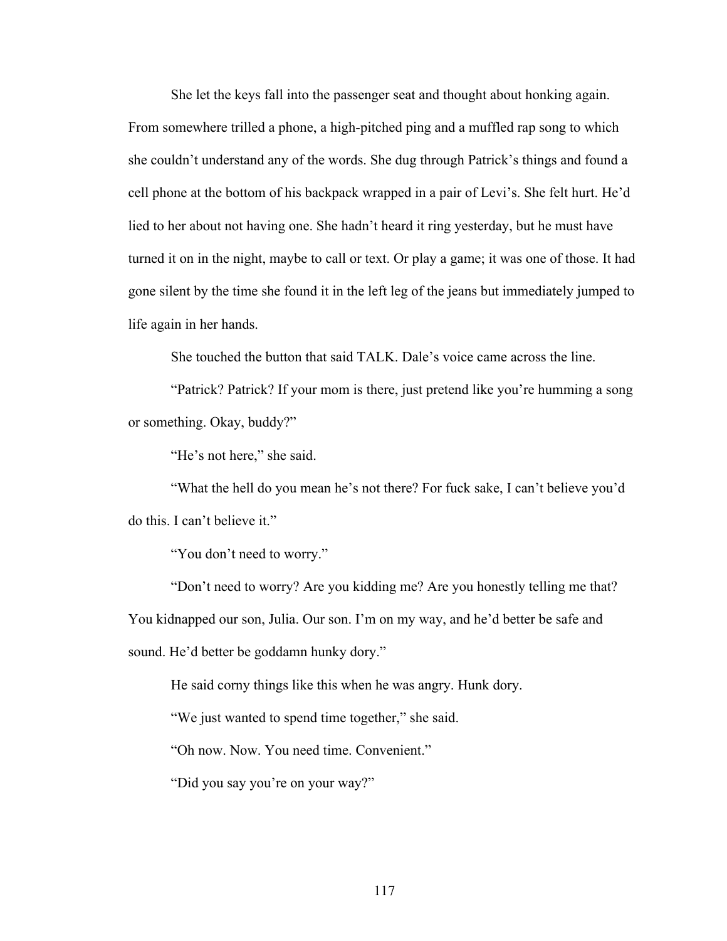She let the keys fall into the passenger seat and thought about honking again. From somewhere trilled a phone, a high-pitched ping and a muffled rap song to which she couldn't understand any of the words. She dug through Patrick's things and found a cell phone at the bottom of his backpack wrapped in a pair of Levi's. She felt hurt. He'd lied to her about not having one. She hadn't heard it ring yesterday, but he must have turned it on in the night, maybe to call or text. Or play a game; it was one of those. It had gone silent by the time she found it in the left leg of the jeans but immediately jumped to life again in her hands.

She touched the button that said TALK. Dale's voice came across the line.

"Patrick? Patrick? If your mom is there, just pretend like you're humming a song or something. Okay, buddy?"

"He's not here," she said.

"What the hell do you mean he's not there? For fuck sake, I can't believe you'd do this. I can't believe it."

"You don't need to worry."

"Don't need to worry? Are you kidding me? Are you honestly telling me that? You kidnapped our son, Julia. Our son. I'm on my way, and he'd better be safe and sound. He'd better be goddamn hunky dory."

He said corny things like this when he was angry. Hunk dory.

"We just wanted to spend time together," she said.

"Oh now. Now. You need time. Convenient."

"Did you say you're on your way?"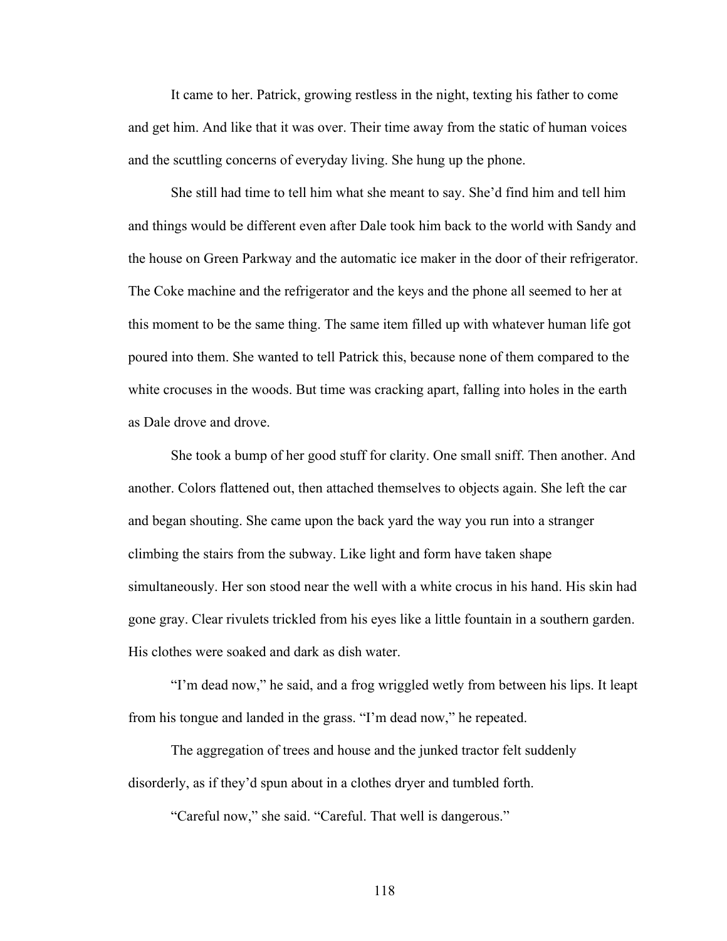It came to her. Patrick, growing restless in the night, texting his father to come and get him. And like that it was over. Their time away from the static of human voices and the scuttling concerns of everyday living. She hung up the phone.

She still had time to tell him what she meant to say. She'd find him and tell him and things would be different even after Dale took him back to the world with Sandy and the house on Green Parkway and the automatic ice maker in the door of their refrigerator. The Coke machine and the refrigerator and the keys and the phone all seemed to her at this moment to be the same thing. The same item filled up with whatever human life got poured into them. She wanted to tell Patrick this, because none of them compared to the white crocuses in the woods. But time was cracking apart, falling into holes in the earth as Dale drove and drove.

She took a bump of her good stuff for clarity. One small sniff. Then another. And another. Colors flattened out, then attached themselves to objects again. She left the car and began shouting. She came upon the back yard the way you run into a stranger climbing the stairs from the subway. Like light and form have taken shape simultaneously. Her son stood near the well with a white crocus in his hand. His skin had gone gray. Clear rivulets trickled from his eyes like a little fountain in a southern garden. His clothes were soaked and dark as dish water.

"I'm dead now," he said, and a frog wriggled wetly from between his lips. It leapt from his tongue and landed in the grass. "I'm dead now," he repeated.

The aggregation of trees and house and the junked tractor felt suddenly disorderly, as if they'd spun about in a clothes dryer and tumbled forth.

"Careful now," she said. "Careful. That well is dangerous."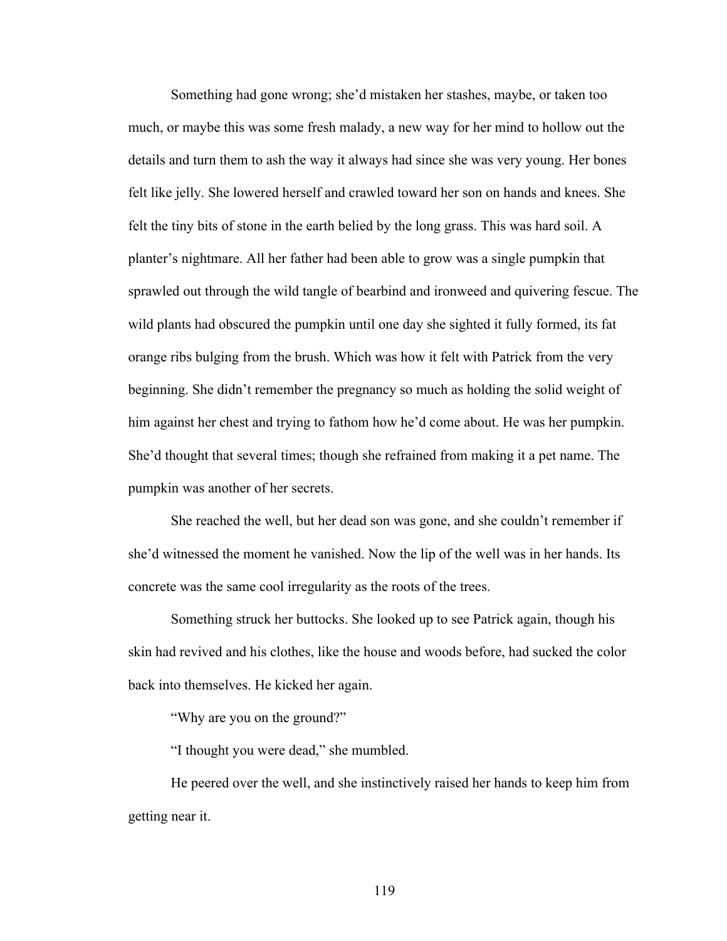Something had gone wrong; she'd mistaken her stashes, maybe, or taken too much, or maybe this was some fresh malady, a new way for her mind to hollow out the details and turn them to ash the way it always had since she was very young. Her bones felt like jelly. She lowered herself and crawled toward her son on hands and knees. She felt the tiny bits of stone in the earth belied by the long grass. This was hard soil. A planter's nightmare. All her father had been able to grow was a single pumpkin that sprawled out through the wild tangle of bearbind and ironweed and quivering fescue. The wild plants had obscured the pumpkin until one day she sighted it fully formed, its fat orange ribs bulging from the brush. Which was how it felt with Patrick from the very beginning. She didn't remember the pregnancy so much as holding the solid weight of him against her chest and trying to fathom how he'd come about. He was her pumpkin. She'd thought that several times; though she refrained from making it a pet name. The pumpkin was another of her secrets.

She reached the well, but her dead son was gone, and she couldn't remember if she'd witnessed the moment he vanished. Now the lip of the well was in her hands. Its concrete was the same cool irregularity as the roots of the trees.

Something struck her buttocks. She looked up to see Patrick again, though his skin had revived and his clothes, like the house and woods before, had sucked the color back into themselves. He kicked her again.

"Why are you on the ground?"

"I thought you were dead," she mumbled.

He peered over the well, and she instinctively raised her hands to keep him from getting near it.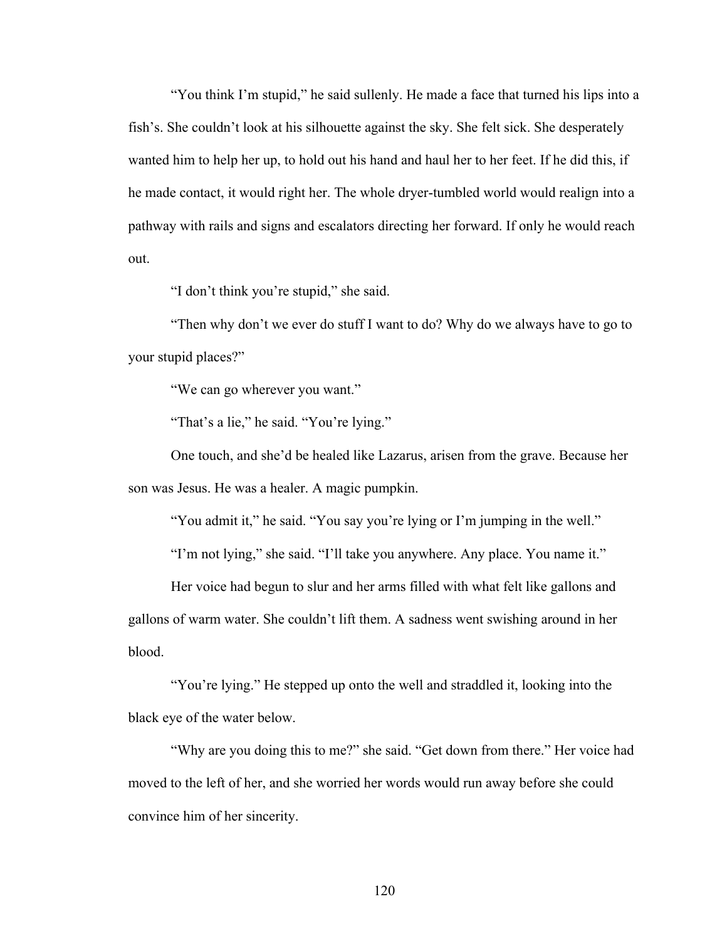"You think I'm stupid," he said sullenly. He made a face that turned his lips into a fish's. She couldn't look at his silhouette against the sky. She felt sick. She desperately wanted him to help her up, to hold out his hand and haul her to her feet. If he did this, if he made contact, it would right her. The whole dryer-tumbled world would realign into a pathway with rails and signs and escalators directing her forward. If only he would reach out.

"I don't think you're stupid," she said.

"Then why don't we ever do stuff I want to do? Why do we always have to go to your stupid places?"

"We can go wherever you want."

"That's a lie," he said. "You're lying."

One touch, and she'd be healed like Lazarus, arisen from the grave. Because her son was Jesus. He was a healer. A magic pumpkin.

"You admit it," he said. "You say you're lying or I'm jumping in the well."

"I'm not lying," she said. "I'll take you anywhere. Any place. You name it."

Her voice had begun to slur and her arms filled with what felt like gallons and gallons of warm water. She couldn't lift them. A sadness went swishing around in her blood.

"You're lying." He stepped up onto the well and straddled it, looking into the black eye of the water below.

"Why are you doing this to me?" she said. "Get down from there." Her voice had moved to the left of her, and she worried her words would run away before she could convince him of her sincerity.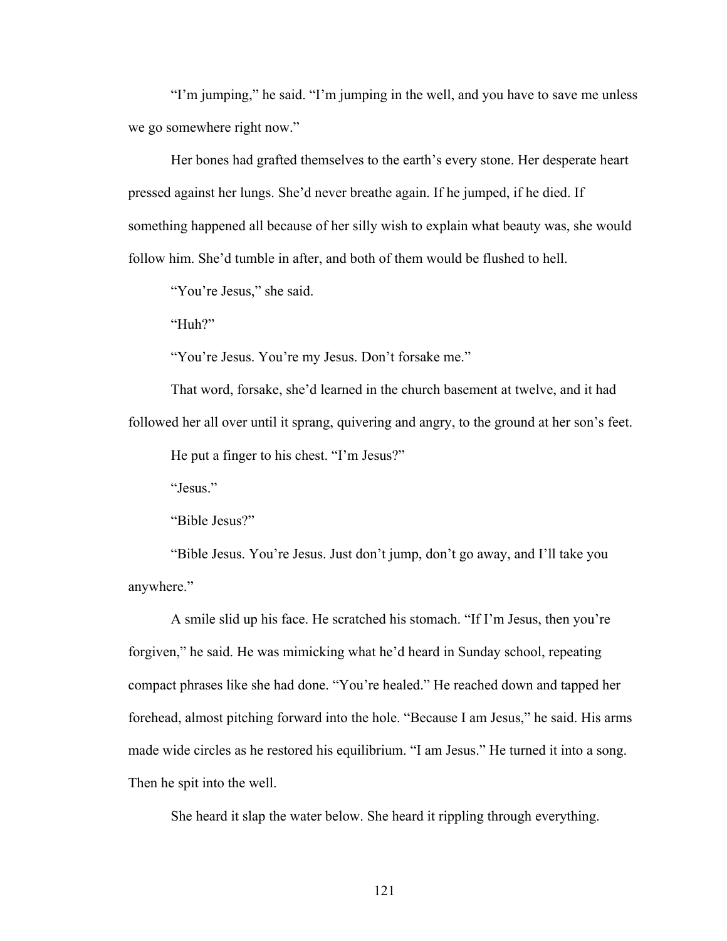"I'm jumping," he said. "I'm jumping in the well, and you have to save me unless we go somewhere right now."

Her bones had grafted themselves to the earth's every stone. Her desperate heart pressed against her lungs. She'd never breathe again. If he jumped, if he died. If something happened all because of her silly wish to explain what beauty was, she would follow him. She'd tumble in after, and both of them would be flushed to hell.

"You're Jesus," she said.

"Huh?"

"You're Jesus. You're my Jesus. Don't forsake me."

That word, forsake, she'd learned in the church basement at twelve, and it had followed her all over until it sprang, quivering and angry, to the ground at her son's feet.

He put a finger to his chest. "I'm Jesus?"

"Jesus."

"Bible Jesus?"

"Bible Jesus. You're Jesus. Just don't jump, don't go away, and I'll take you anywhere."

A smile slid up his face. He scratched his stomach. "If I'm Jesus, then you're forgiven," he said. He was mimicking what he'd heard in Sunday school, repeating compact phrases like she had done. "You're healed." He reached down and tapped her forehead, almost pitching forward into the hole. "Because I am Jesus," he said. His arms made wide circles as he restored his equilibrium. "I am Jesus." He turned it into a song. Then he spit into the well.

She heard it slap the water below. She heard it rippling through everything.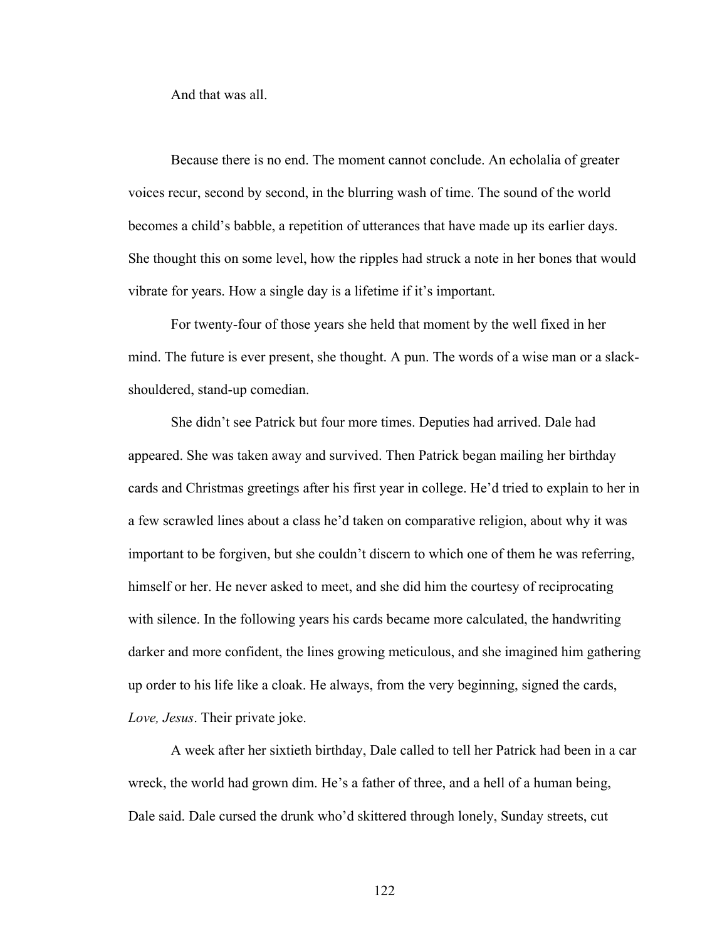And that was all.

Because there is no end. The moment cannot conclude. An echolalia of greater voices recur, second by second, in the blurring wash of time. The sound of the world becomes a child's babble, a repetition of utterances that have made up its earlier days. She thought this on some level, how the ripples had struck a note in her bones that would vibrate for years. How a single day is a lifetime if it's important.

For twenty-four of those years she held that moment by the well fixed in her mind. The future is ever present, she thought. A pun. The words of a wise man or a slackshouldered, stand-up comedian.

She didn't see Patrick but four more times. Deputies had arrived. Dale had appeared. She was taken away and survived. Then Patrick began mailing her birthday cards and Christmas greetings after his first year in college. He'd tried to explain to her in a few scrawled lines about a class he'd taken on comparative religion, about why it was important to be forgiven, but she couldn't discern to which one of them he was referring, himself or her. He never asked to meet, and she did him the courtesy of reciprocating with silence. In the following years his cards became more calculated, the handwriting darker and more confident, the lines growing meticulous, and she imagined him gathering up order to his life like a cloak. He always, from the very beginning, signed the cards, *Love, Jesus*. Their private joke.

A week after her sixtieth birthday, Dale called to tell her Patrick had been in a car wreck, the world had grown dim. He's a father of three, and a hell of a human being, Dale said. Dale cursed the drunk who'd skittered through lonely, Sunday streets, cut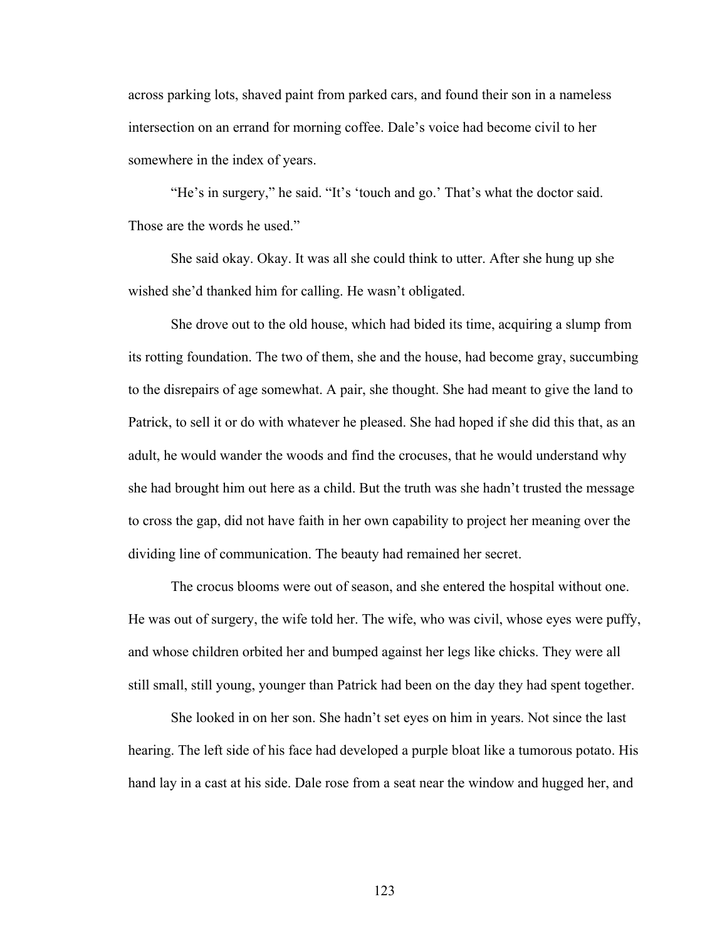across parking lots, shaved paint from parked cars, and found their son in a nameless intersection on an errand for morning coffee. Dale's voice had become civil to her somewhere in the index of years.

"He's in surgery," he said. "It's 'touch and go.' That's what the doctor said. Those are the words he used."

She said okay. Okay. It was all she could think to utter. After she hung up she wished she'd thanked him for calling. He wasn't obligated.

She drove out to the old house, which had bided its time, acquiring a slump from its rotting foundation. The two of them, she and the house, had become gray, succumbing to the disrepairs of age somewhat. A pair, she thought. She had meant to give the land to Patrick, to sell it or do with whatever he pleased. She had hoped if she did this that, as an adult, he would wander the woods and find the crocuses, that he would understand why she had brought him out here as a child. But the truth was she hadn't trusted the message to cross the gap, did not have faith in her own capability to project her meaning over the dividing line of communication. The beauty had remained her secret.

The crocus blooms were out of season, and she entered the hospital without one. He was out of surgery, the wife told her. The wife, who was civil, whose eyes were puffy, and whose children orbited her and bumped against her legs like chicks. They were all still small, still young, younger than Patrick had been on the day they had spent together.

She looked in on her son. She hadn't set eyes on him in years. Not since the last hearing. The left side of his face had developed a purple bloat like a tumorous potato. His hand lay in a cast at his side. Dale rose from a seat near the window and hugged her, and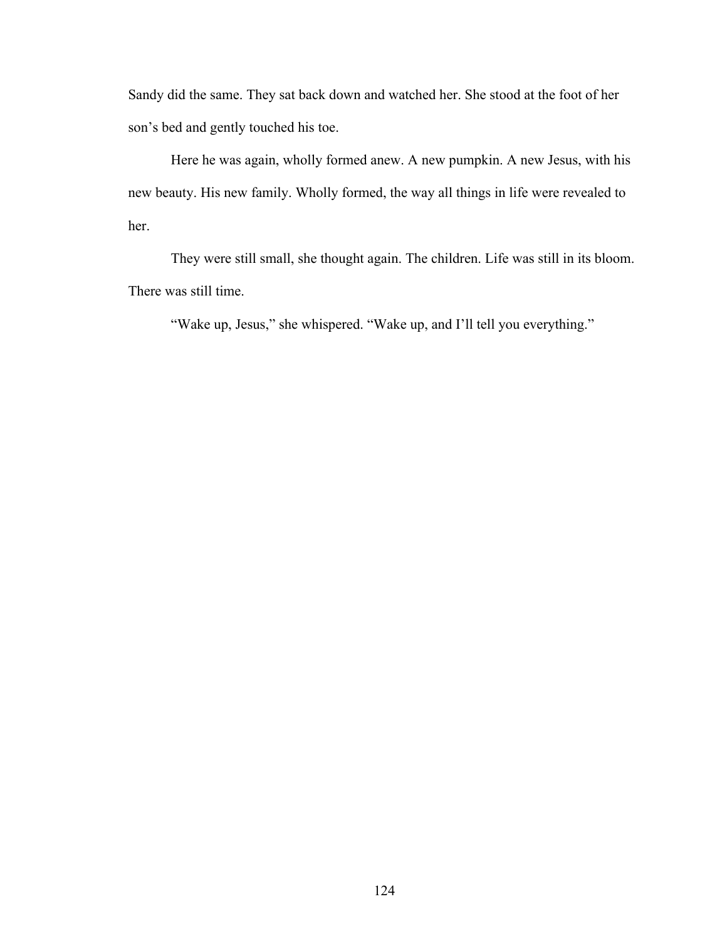Sandy did the same. They sat back down and watched her. She stood at the foot of her son's bed and gently touched his toe.

Here he was again, wholly formed anew. A new pumpkin. A new Jesus, with his new beauty. His new family. Wholly formed, the way all things in life were revealed to her.

They were still small, she thought again. The children. Life was still in its bloom. There was still time.

"Wake up, Jesus," she whispered. "Wake up, and I'll tell you everything."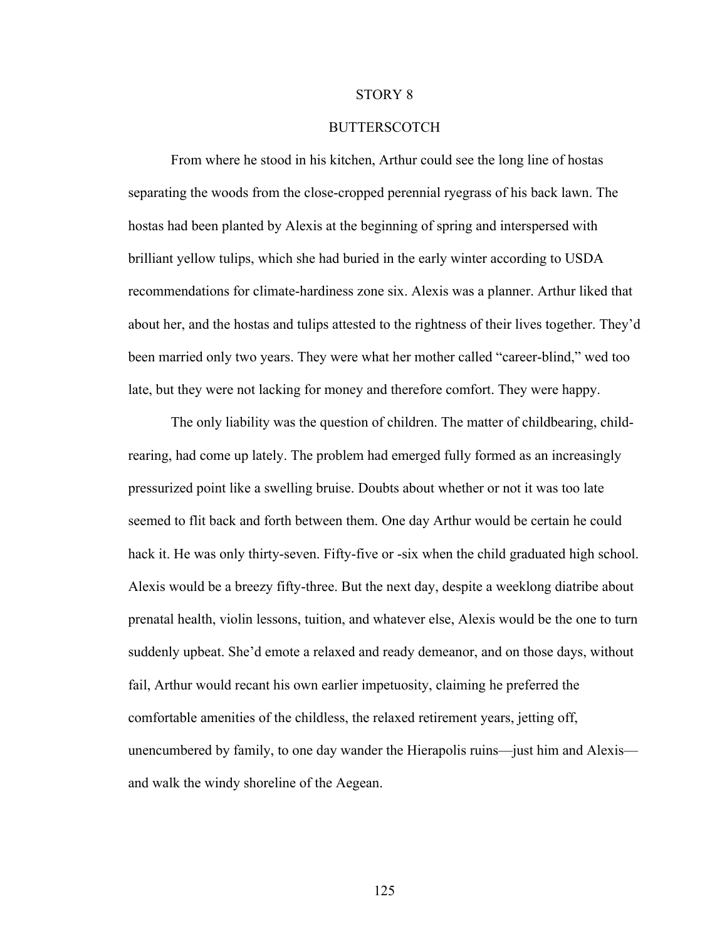## STORY 8

## **BUTTERSCOTCH**

From where he stood in his kitchen, Arthur could see the long line of hostas separating the woods from the close-cropped perennial ryegrass of his back lawn. The hostas had been planted by Alexis at the beginning of spring and interspersed with brilliant yellow tulips, which she had buried in the early winter according to USDA recommendations for climate-hardiness zone six. Alexis was a planner. Arthur liked that about her, and the hostas and tulips attested to the rightness of their lives together. They'd been married only two years. They were what her mother called "career-blind," wed too late, but they were not lacking for money and therefore comfort. They were happy.

The only liability was the question of children. The matter of childbearing, childrearing, had come up lately. The problem had emerged fully formed as an increasingly pressurized point like a swelling bruise. Doubts about whether or not it was too late seemed to flit back and forth between them. One day Arthur would be certain he could hack it. He was only thirty-seven. Fifty-five or -six when the child graduated high school. Alexis would be a breezy fifty-three. But the next day, despite a weeklong diatribe about prenatal health, violin lessons, tuition, and whatever else, Alexis would be the one to turn suddenly upbeat. She'd emote a relaxed and ready demeanor, and on those days, without fail, Arthur would recant his own earlier impetuosity, claiming he preferred the comfortable amenities of the childless, the relaxed retirement years, jetting off, unencumbered by family, to one day wander the Hierapolis ruins—just him and Alexis and walk the windy shoreline of the Aegean.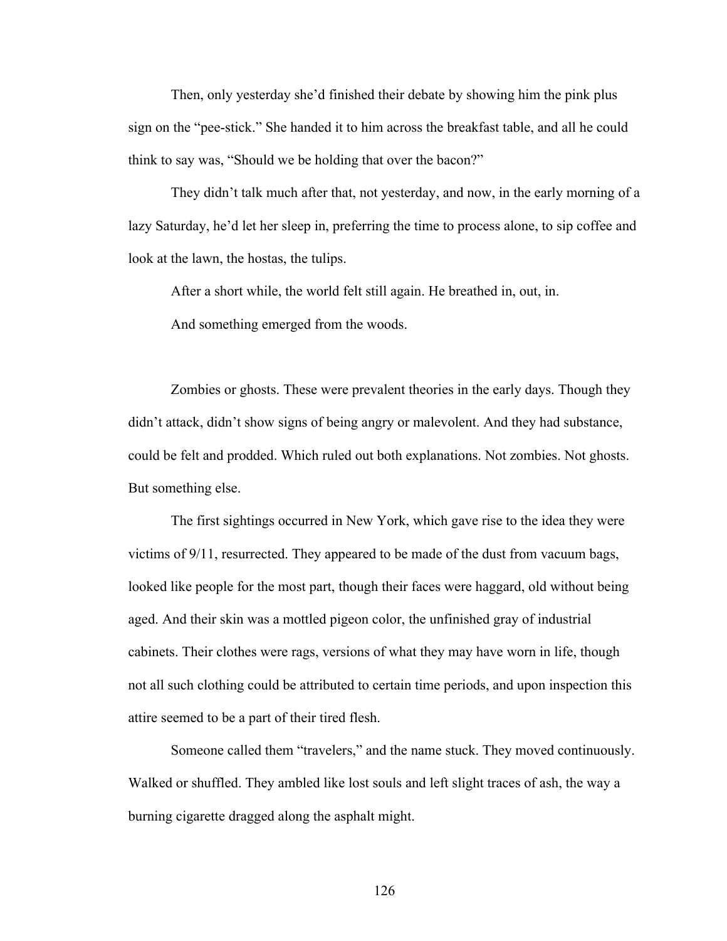Then, only yesterday she'd finished their debate by showing him the pink plus sign on the "pee-stick." She handed it to him across the breakfast table, and all he could think to say was, "Should we be holding that over the bacon?"

They didn't talk much after that, not yesterday, and now, in the early morning of a lazy Saturday, he'd let her sleep in, preferring the time to process alone, to sip coffee and look at the lawn, the hostas, the tulips.

After a short while, the world felt still again. He breathed in, out, in.

And something emerged from the woods.

Zombies or ghosts. These were prevalent theories in the early days. Though they didn't attack, didn't show signs of being angry or malevolent. And they had substance, could be felt and prodded. Which ruled out both explanations. Not zombies. Not ghosts. But something else.

The first sightings occurred in New York, which gave rise to the idea they were victims of 9/11, resurrected. They appeared to be made of the dust from vacuum bags, looked like people for the most part, though their faces were haggard, old without being aged. And their skin was a mottled pigeon color, the unfinished gray of industrial cabinets. Their clothes were rags, versions of what they may have worn in life, though not all such clothing could be attributed to certain time periods, and upon inspection this attire seemed to be a part of their tired flesh.

Someone called them "travelers," and the name stuck. They moved continuously. Walked or shuffled. They ambled like lost souls and left slight traces of ash, the way a burning cigarette dragged along the asphalt might.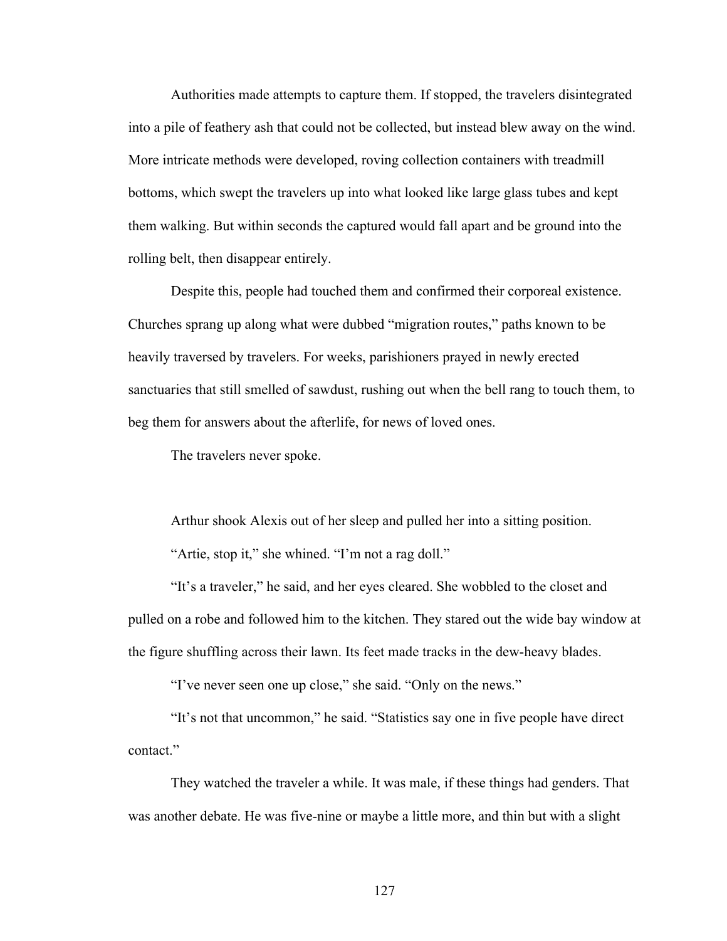Authorities made attempts to capture them. If stopped, the travelers disintegrated into a pile of feathery ash that could not be collected, but instead blew away on the wind. More intricate methods were developed, roving collection containers with treadmill bottoms, which swept the travelers up into what looked like large glass tubes and kept them walking. But within seconds the captured would fall apart and be ground into the rolling belt, then disappear entirely.

Despite this, people had touched them and confirmed their corporeal existence. Churches sprang up along what were dubbed "migration routes," paths known to be heavily traversed by travelers. For weeks, parishioners prayed in newly erected sanctuaries that still smelled of sawdust, rushing out when the bell rang to touch them, to beg them for answers about the afterlife, for news of loved ones.

The travelers never spoke.

Arthur shook Alexis out of her sleep and pulled her into a sitting position. "Artie, stop it," she whined. "I'm not a rag doll."

"It's a traveler," he said, and her eyes cleared. She wobbled to the closet and pulled on a robe and followed him to the kitchen. They stared out the wide bay window at the figure shuffling across their lawn. Its feet made tracks in the dew-heavy blades.

"I've never seen one up close," she said. "Only on the news."

"It's not that uncommon," he said. "Statistics say one in five people have direct contact<sup>"</sup>

They watched the traveler a while. It was male, if these things had genders. That was another debate. He was five-nine or maybe a little more, and thin but with a slight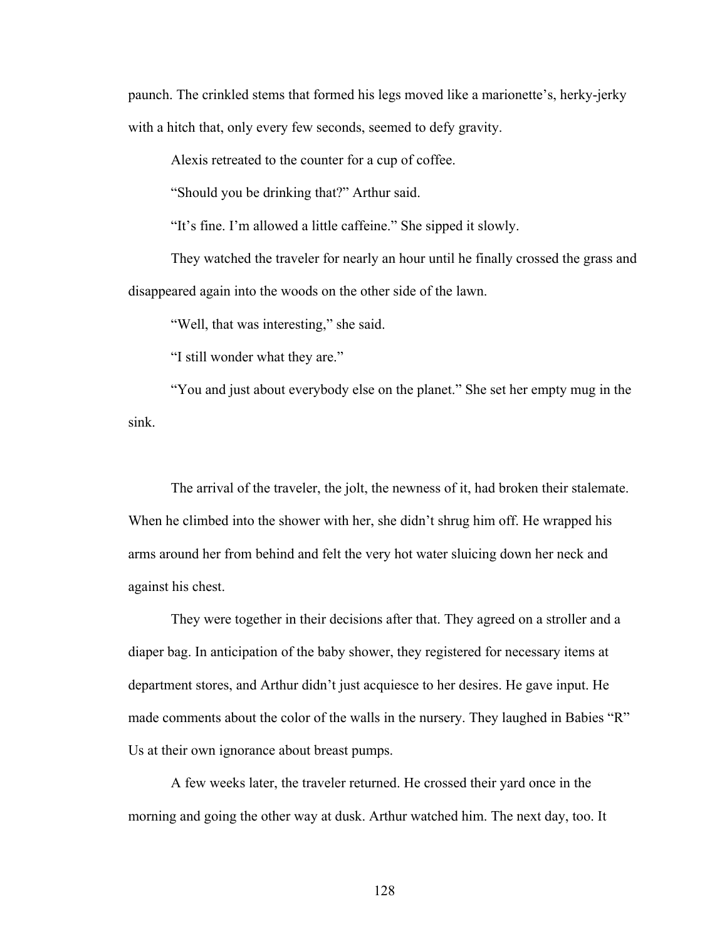paunch. The crinkled stems that formed his legs moved like a marionette's, herky-jerky with a hitch that, only every few seconds, seemed to defy gravity.

Alexis retreated to the counter for a cup of coffee.

"Should you be drinking that?" Arthur said.

"It's fine. I'm allowed a little caffeine." She sipped it slowly.

They watched the traveler for nearly an hour until he finally crossed the grass and disappeared again into the woods on the other side of the lawn.

"Well, that was interesting," she said.

"I still wonder what they are."

"You and just about everybody else on the planet." She set her empty mug in the sink.

The arrival of the traveler, the jolt, the newness of it, had broken their stalemate. When he climbed into the shower with her, she didn't shrug him off. He wrapped his arms around her from behind and felt the very hot water sluicing down her neck and against his chest.

They were together in their decisions after that. They agreed on a stroller and a diaper bag. In anticipation of the baby shower, they registered for necessary items at department stores, and Arthur didn't just acquiesce to her desires. He gave input. He made comments about the color of the walls in the nursery. They laughed in Babies "R" Us at their own ignorance about breast pumps.

A few weeks later, the traveler returned. He crossed their yard once in the morning and going the other way at dusk. Arthur watched him. The next day, too. It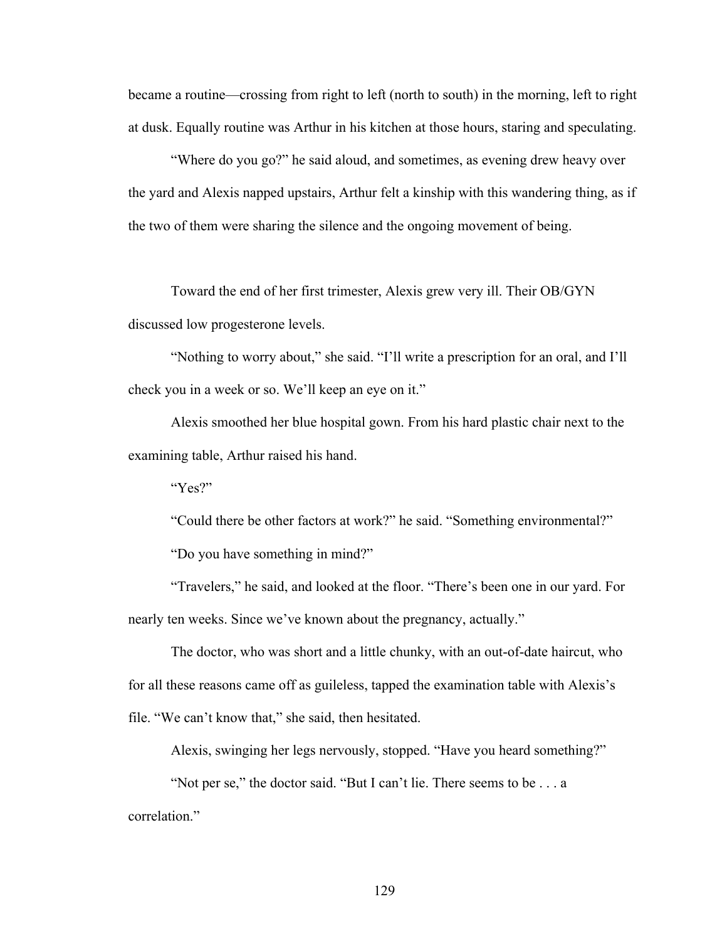became a routine—crossing from right to left (north to south) in the morning, left to right at dusk. Equally routine was Arthur in his kitchen at those hours, staring and speculating.

"Where do you go?" he said aloud, and sometimes, as evening drew heavy over the yard and Alexis napped upstairs, Arthur felt a kinship with this wandering thing, as if the two of them were sharing the silence and the ongoing movement of being.

Toward the end of her first trimester, Alexis grew very ill. Their OB/GYN discussed low progesterone levels.

"Nothing to worry about," she said. "I'll write a prescription for an oral, and I'll check you in a week or so. We'll keep an eye on it."

Alexis smoothed her blue hospital gown. From his hard plastic chair next to the examining table, Arthur raised his hand.

"Yes?"

"Could there be other factors at work?" he said. "Something environmental?" "Do you have something in mind?"

"Travelers," he said, and looked at the floor. "There's been one in our yard. For nearly ten weeks. Since we've known about the pregnancy, actually."

The doctor, who was short and a little chunky, with an out-of-date haircut, who for all these reasons came off as guileless, tapped the examination table with Alexis's file. "We can't know that," she said, then hesitated.

Alexis, swinging her legs nervously, stopped. "Have you heard something?"

"Not per se," the doctor said. "But I can't lie. There seems to be . . . a correlation."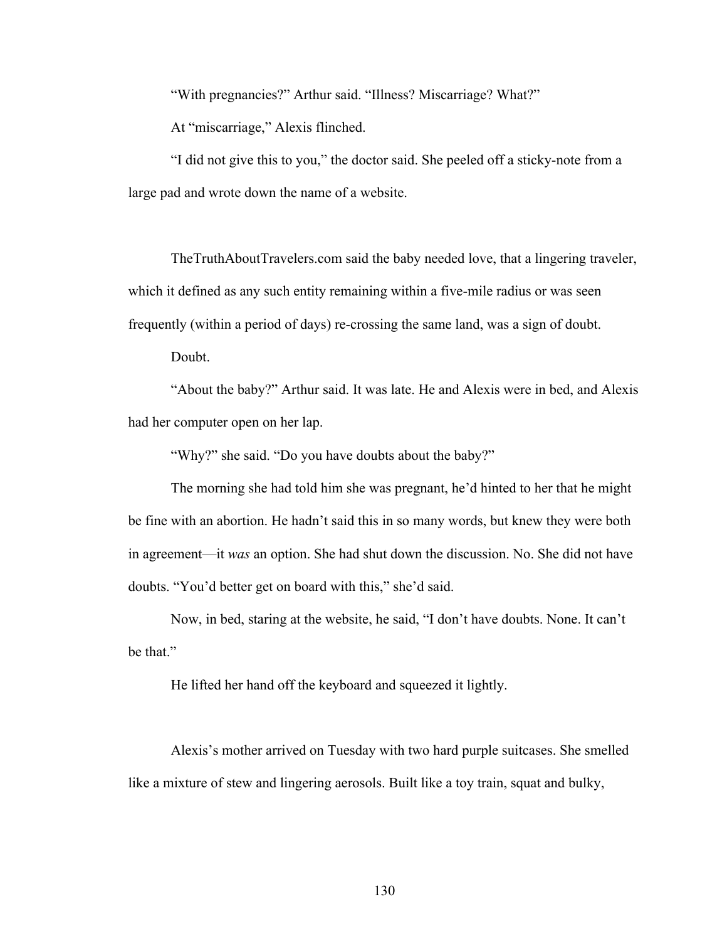"With pregnancies?" Arthur said. "Illness? Miscarriage? What?"

At "miscarriage," Alexis flinched.

"I did not give this to you," the doctor said. She peeled off a sticky-note from a large pad and wrote down the name of a website.

TheTruthAboutTravelers.com said the baby needed love, that a lingering traveler, which it defined as any such entity remaining within a five-mile radius or was seen frequently (within a period of days) re-crossing the same land, was a sign of doubt.

Doubt.

"About the baby?" Arthur said. It was late. He and Alexis were in bed, and Alexis had her computer open on her lap.

"Why?" she said. "Do you have doubts about the baby?"

The morning she had told him she was pregnant, he'd hinted to her that he might be fine with an abortion. He hadn't said this in so many words, but knew they were both in agreement—it *was* an option. She had shut down the discussion. No. She did not have doubts. "You'd better get on board with this," she'd said.

Now, in bed, staring at the website, he said, "I don't have doubts. None. It can't be that."

He lifted her hand off the keyboard and squeezed it lightly.

Alexis's mother arrived on Tuesday with two hard purple suitcases. She smelled like a mixture of stew and lingering aerosols. Built like a toy train, squat and bulky,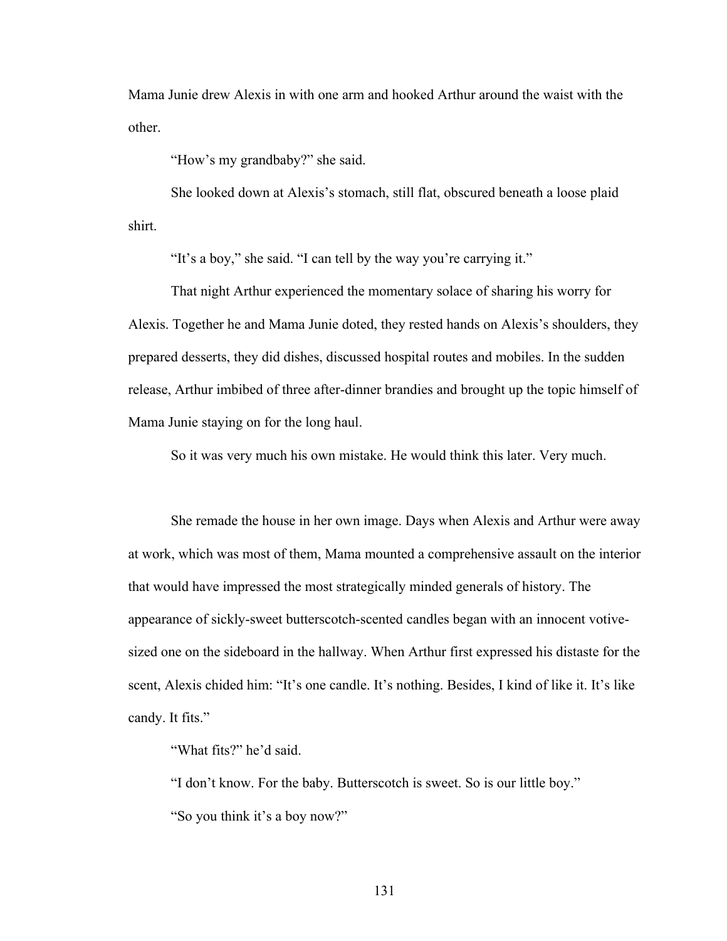Mama Junie drew Alexis in with one arm and hooked Arthur around the waist with the other.

"How's my grandbaby?" she said.

She looked down at Alexis's stomach, still flat, obscured beneath a loose plaid shirt.

"It's a boy," she said. "I can tell by the way you're carrying it."

That night Arthur experienced the momentary solace of sharing his worry for Alexis. Together he and Mama Junie doted, they rested hands on Alexis's shoulders, they prepared desserts, they did dishes, discussed hospital routes and mobiles. In the sudden release, Arthur imbibed of three after-dinner brandies and brought up the topic himself of Mama Junie staying on for the long haul.

So it was very much his own mistake. He would think this later. Very much.

She remade the house in her own image. Days when Alexis and Arthur were away at work, which was most of them, Mama mounted a comprehensive assault on the interior that would have impressed the most strategically minded generals of history. The appearance of sickly-sweet butterscotch-scented candles began with an innocent votivesized one on the sideboard in the hallway. When Arthur first expressed his distaste for the scent, Alexis chided him: "It's one candle. It's nothing. Besides, I kind of like it. It's like candy. It fits."

"What fits?" he'd said.

"I don't know. For the baby. Butterscotch is sweet. So is our little boy." "So you think it's a boy now?"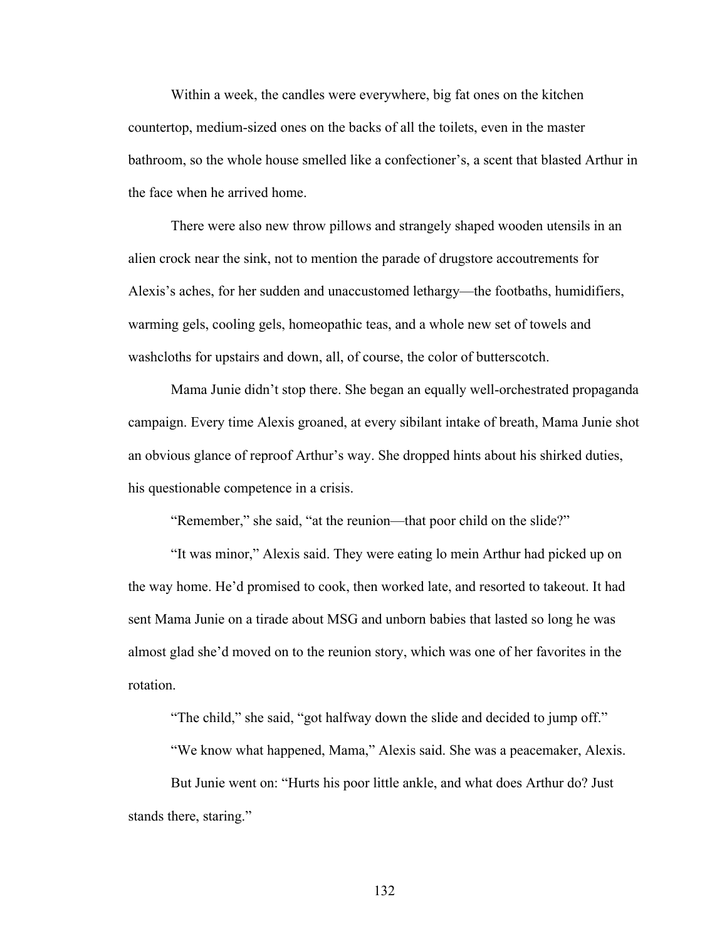Within a week, the candles were everywhere, big fat ones on the kitchen countertop, medium-sized ones on the backs of all the toilets, even in the master bathroom, so the whole house smelled like a confectioner's, a scent that blasted Arthur in the face when he arrived home.

There were also new throw pillows and strangely shaped wooden utensils in an alien crock near the sink, not to mention the parade of drugstore accoutrements for Alexis's aches, for her sudden and unaccustomed lethargy—the footbaths, humidifiers, warming gels, cooling gels, homeopathic teas, and a whole new set of towels and washcloths for upstairs and down, all, of course, the color of butterscotch.

Mama Junie didn't stop there. She began an equally well-orchestrated propaganda campaign. Every time Alexis groaned, at every sibilant intake of breath, Mama Junie shot an obvious glance of reproof Arthur's way. She dropped hints about his shirked duties, his questionable competence in a crisis.

"Remember," she said, "at the reunion—that poor child on the slide?"

"It was minor," Alexis said. They were eating lo mein Arthur had picked up on the way home. He'd promised to cook, then worked late, and resorted to takeout. It had sent Mama Junie on a tirade about MSG and unborn babies that lasted so long he was almost glad she'd moved on to the reunion story, which was one of her favorites in the rotation.

"The child," she said, "got halfway down the slide and decided to jump off."

"We know what happened, Mama," Alexis said. She was a peacemaker, Alexis.

But Junie went on: "Hurts his poor little ankle, and what does Arthur do? Just stands there, staring."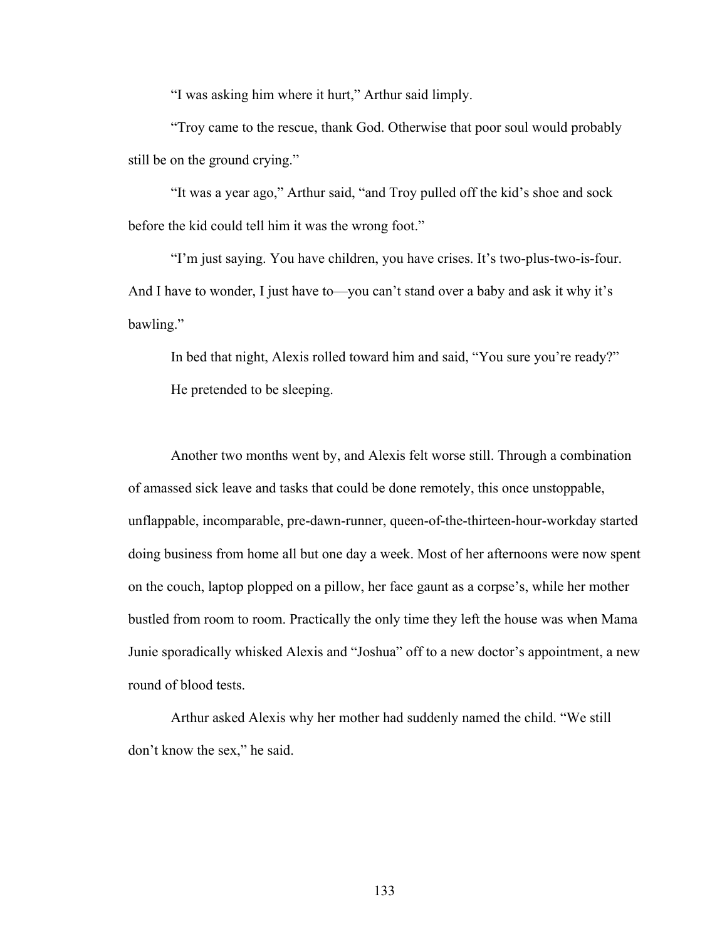"I was asking him where it hurt," Arthur said limply.

"Troy came to the rescue, thank God. Otherwise that poor soul would probably still be on the ground crying."

"It was a year ago," Arthur said, "and Troy pulled off the kid's shoe and sock before the kid could tell him it was the wrong foot."

"I'm just saying. You have children, you have crises. It's two-plus-two-is-four. And I have to wonder, I just have to—you can't stand over a baby and ask it why it's bawling."

In bed that night, Alexis rolled toward him and said, "You sure you're ready?" He pretended to be sleeping.

Another two months went by, and Alexis felt worse still. Through a combination of amassed sick leave and tasks that could be done remotely, this once unstoppable, unflappable, incomparable, pre-dawn-runner, queen-of-the-thirteen-hour-workday started doing business from home all but one day a week. Most of her afternoons were now spent on the couch, laptop plopped on a pillow, her face gaunt as a corpse's, while her mother bustled from room to room. Practically the only time they left the house was when Mama Junie sporadically whisked Alexis and "Joshua" off to a new doctor's appointment, a new round of blood tests.

Arthur asked Alexis why her mother had suddenly named the child. "We still don't know the sex," he said.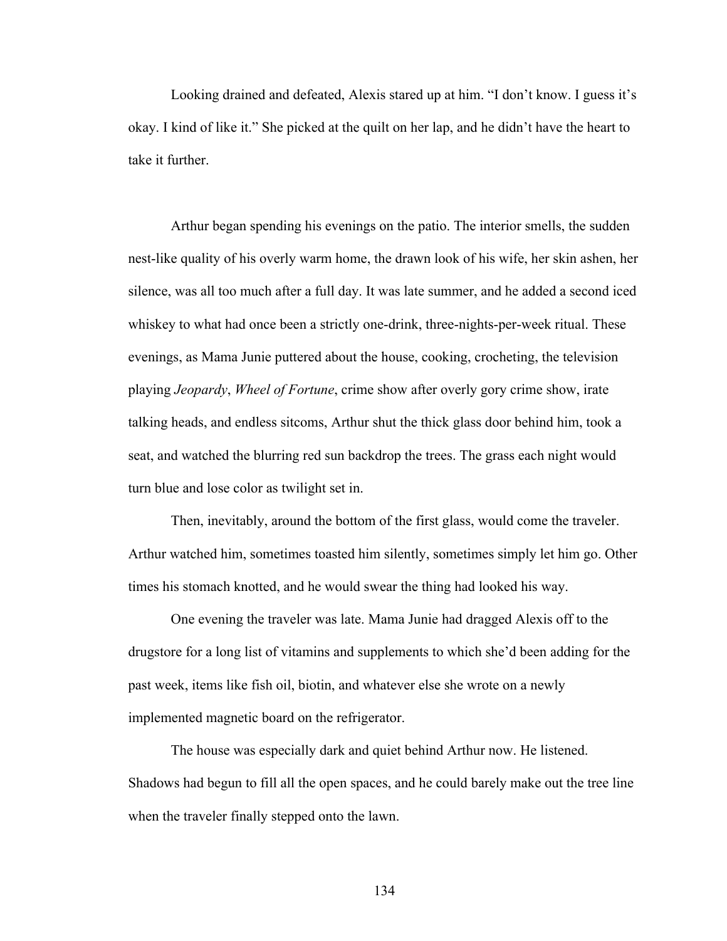Looking drained and defeated, Alexis stared up at him. "I don't know. I guess it's okay. I kind of like it." She picked at the quilt on her lap, and he didn't have the heart to take it further

Arthur began spending his evenings on the patio. The interior smells, the sudden nest-like quality of his overly warm home, the drawn look of his wife, her skin ashen, her silence, was all too much after a full day. It was late summer, and he added a second iced whiskey to what had once been a strictly one-drink, three-nights-per-week ritual. These evenings, as Mama Junie puttered about the house, cooking, crocheting, the television playing *Jeopardy*, *Wheel of Fortune*, crime show after overly gory crime show, irate talking heads, and endless sitcoms, Arthur shut the thick glass door behind him, took a seat, and watched the blurring red sun backdrop the trees. The grass each night would turn blue and lose color as twilight set in.

Then, inevitably, around the bottom of the first glass, would come the traveler. Arthur watched him, sometimes toasted him silently, sometimes simply let him go. Other times his stomach knotted, and he would swear the thing had looked his way.

One evening the traveler was late. Mama Junie had dragged Alexis off to the drugstore for a long list of vitamins and supplements to which she'd been adding for the past week, items like fish oil, biotin, and whatever else she wrote on a newly implemented magnetic board on the refrigerator.

The house was especially dark and quiet behind Arthur now. He listened. Shadows had begun to fill all the open spaces, and he could barely make out the tree line when the traveler finally stepped onto the lawn.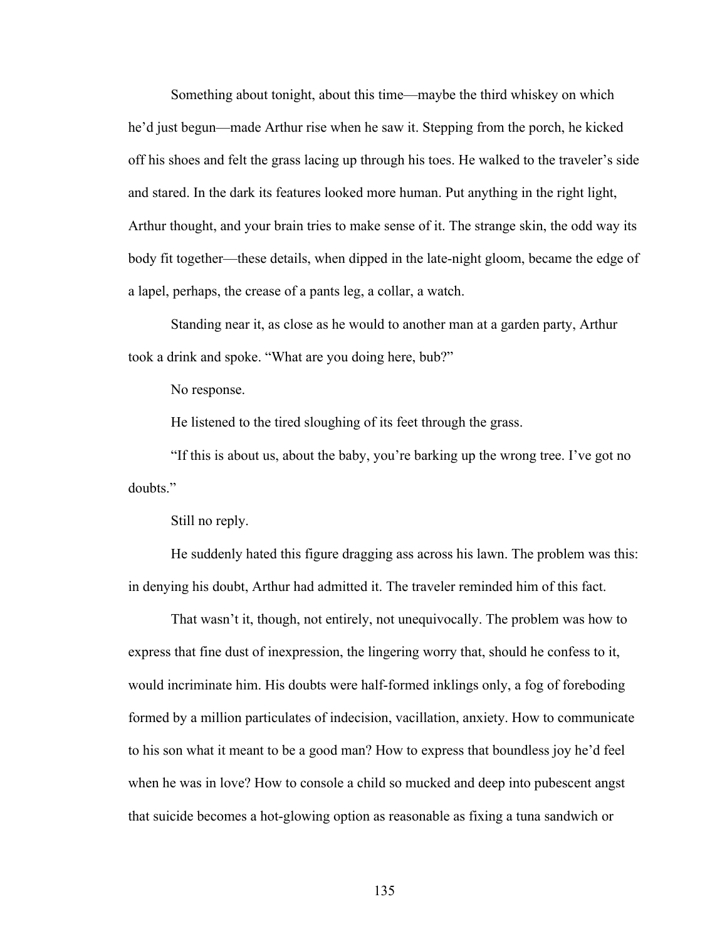Something about tonight, about this time—maybe the third whiskey on which he'd just begun—made Arthur rise when he saw it. Stepping from the porch, he kicked off his shoes and felt the grass lacing up through his toes. He walked to the traveler's side and stared. In the dark its features looked more human. Put anything in the right light, Arthur thought, and your brain tries to make sense of it. The strange skin, the odd way its body fit together—these details, when dipped in the late-night gloom, became the edge of a lapel, perhaps, the crease of a pants leg, a collar, a watch.

Standing near it, as close as he would to another man at a garden party, Arthur took a drink and spoke. "What are you doing here, bub?"

No response.

He listened to the tired sloughing of its feet through the grass.

"If this is about us, about the baby, you're barking up the wrong tree. I've got no doubts."

Still no reply.

He suddenly hated this figure dragging ass across his lawn. The problem was this: in denying his doubt, Arthur had admitted it. The traveler reminded him of this fact.

That wasn't it, though, not entirely, not unequivocally. The problem was how to express that fine dust of inexpression, the lingering worry that, should he confess to it, would incriminate him. His doubts were half-formed inklings only, a fog of foreboding formed by a million particulates of indecision, vacillation, anxiety. How to communicate to his son what it meant to be a good man? How to express that boundless joy he'd feel when he was in love? How to console a child so mucked and deep into pubescent angst that suicide becomes a hot-glowing option as reasonable as fixing a tuna sandwich or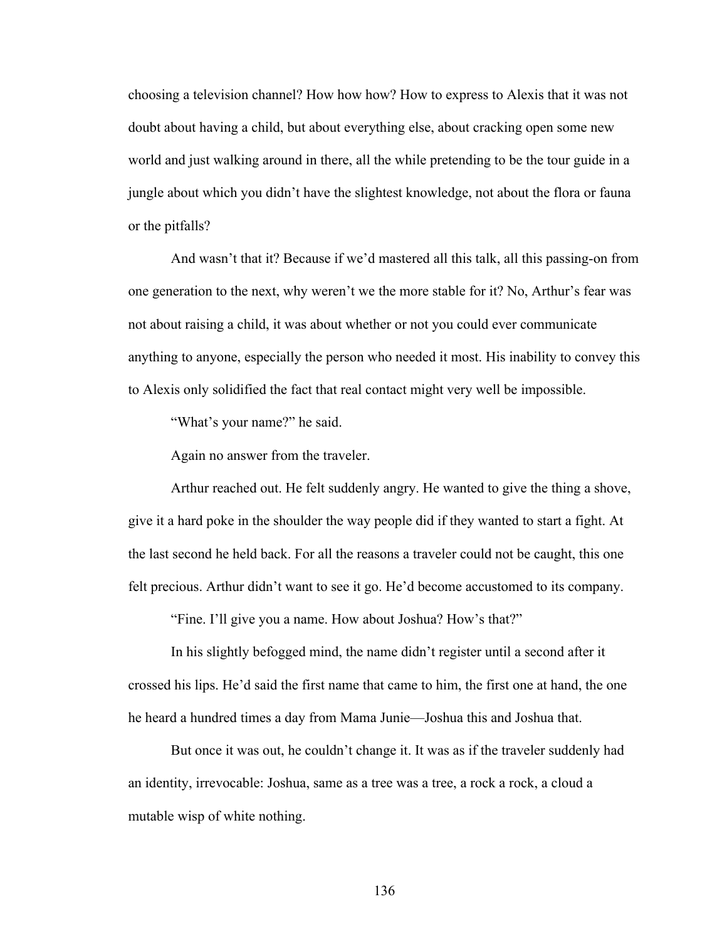choosing a television channel? How how how? How to express to Alexis that it was not doubt about having a child, but about everything else, about cracking open some new world and just walking around in there, all the while pretending to be the tour guide in a jungle about which you didn't have the slightest knowledge, not about the flora or fauna or the pitfalls?

And wasn't that it? Because if we'd mastered all this talk, all this passing-on from one generation to the next, why weren't we the more stable for it? No, Arthur's fear was not about raising a child, it was about whether or not you could ever communicate anything to anyone, especially the person who needed it most. His inability to convey this to Alexis only solidified the fact that real contact might very well be impossible.

"What's your name?" he said.

Again no answer from the traveler.

Arthur reached out. He felt suddenly angry. He wanted to give the thing a shove, give it a hard poke in the shoulder the way people did if they wanted to start a fight. At the last second he held back. For all the reasons a traveler could not be caught, this one felt precious. Arthur didn't want to see it go. He'd become accustomed to its company.

"Fine. I'll give you a name. How about Joshua? How's that?"

In his slightly befogged mind, the name didn't register until a second after it crossed his lips. He'd said the first name that came to him, the first one at hand, the one he heard a hundred times a day from Mama Junie—Joshua this and Joshua that.

But once it was out, he couldn't change it. It was as if the traveler suddenly had an identity, irrevocable: Joshua, same as a tree was a tree, a rock a rock, a cloud a mutable wisp of white nothing.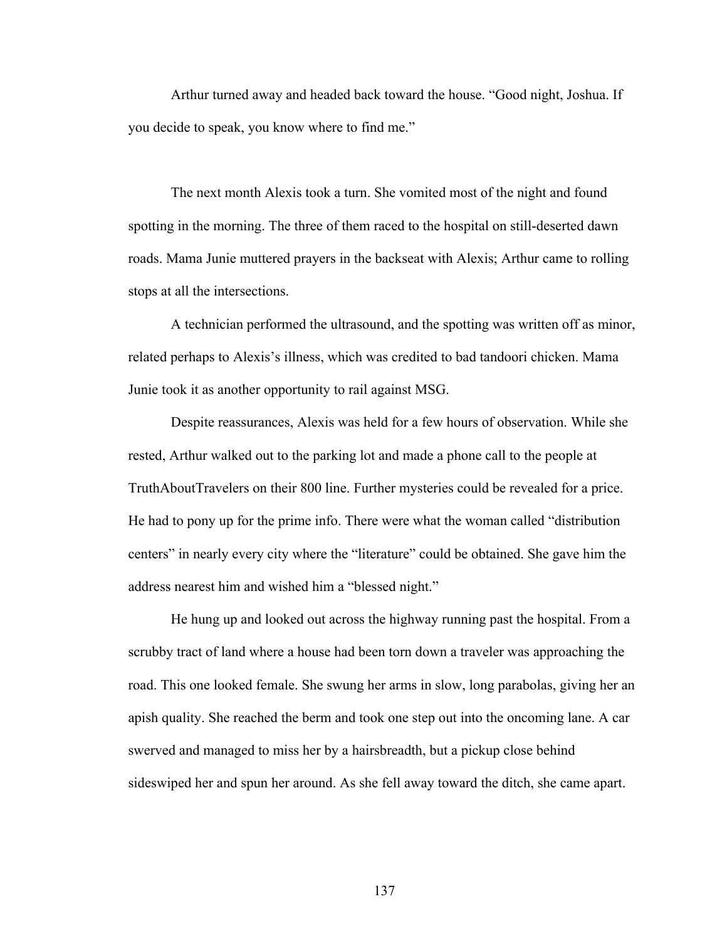Arthur turned away and headed back toward the house. "Good night, Joshua. If you decide to speak, you know where to find me."

The next month Alexis took a turn. She vomited most of the night and found spotting in the morning. The three of them raced to the hospital on still-deserted dawn roads. Mama Junie muttered prayers in the backseat with Alexis; Arthur came to rolling stops at all the intersections.

A technician performed the ultrasound, and the spotting was written off as minor, related perhaps to Alexis's illness, which was credited to bad tandoori chicken. Mama Junie took it as another opportunity to rail against MSG.

Despite reassurances, Alexis was held for a few hours of observation. While she rested, Arthur walked out to the parking lot and made a phone call to the people at TruthAboutTravelers on their 800 line. Further mysteries could be revealed for a price. He had to pony up for the prime info. There were what the woman called "distribution centers" in nearly every city where the "literature" could be obtained. She gave him the address nearest him and wished him a "blessed night."

He hung up and looked out across the highway running past the hospital. From a scrubby tract of land where a house had been torn down a traveler was approaching the road. This one looked female. She swung her arms in slow, long parabolas, giving her an apish quality. She reached the berm and took one step out into the oncoming lane. A car swerved and managed to miss her by a hairsbreadth, but a pickup close behind sideswiped her and spun her around. As she fell away toward the ditch, she came apart.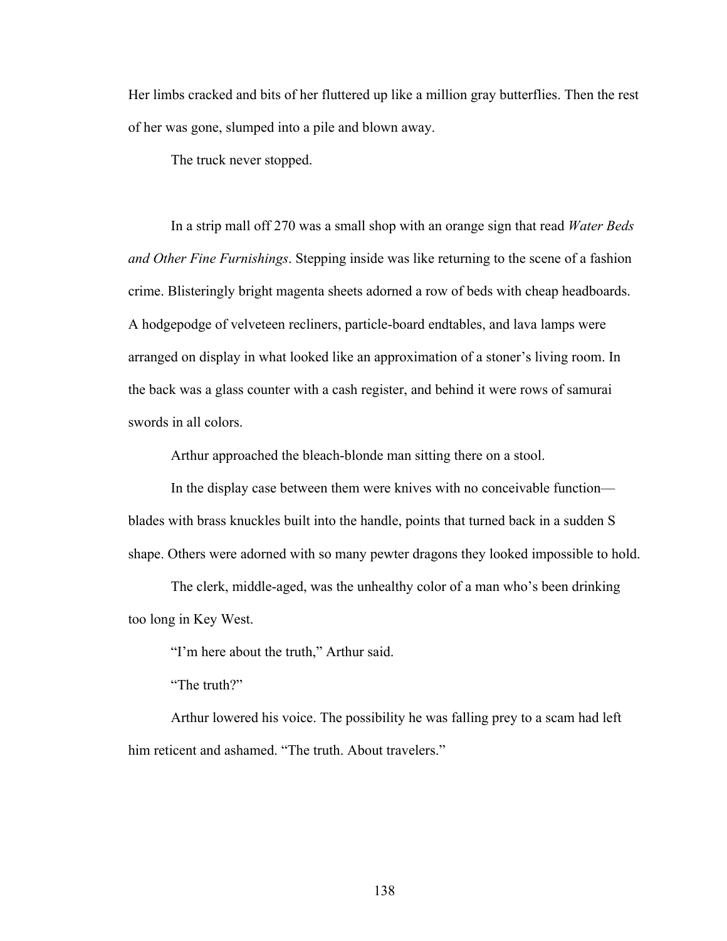Her limbs cracked and bits of her fluttered up like a million gray butterflies. Then the rest of her was gone, slumped into a pile and blown away.

The truck never stopped.

In a strip mall off 270 was a small shop with an orange sign that read *Water Beds and Other Fine Furnishings*. Stepping inside was like returning to the scene of a fashion crime. Blisteringly bright magenta sheets adorned a row of beds with cheap headboards. A hodgepodge of velveteen recliners, particle-board endtables, and lava lamps were arranged on display in what looked like an approximation of a stoner's living room. In the back was a glass counter with a cash register, and behind it were rows of samurai swords in all colors.

Arthur approached the bleach-blonde man sitting there on a stool.

In the display case between them were knives with no conceivable function blades with brass knuckles built into the handle, points that turned back in a sudden S shape. Others were adorned with so many pewter dragons they looked impossible to hold.

The clerk, middle-aged, was the unhealthy color of a man who's been drinking too long in Key West.

"I'm here about the truth," Arthur said.

"The truth?"

Arthur lowered his voice. The possibility he was falling prey to a scam had left him reticent and ashamed. "The truth. About travelers."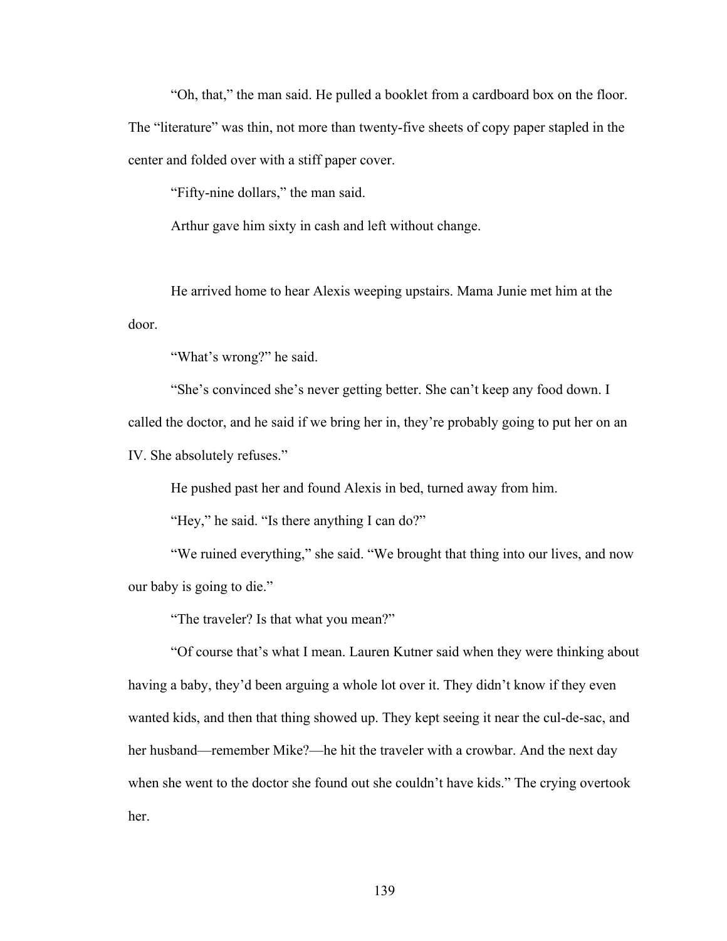"Oh, that," the man said. He pulled a booklet from a cardboard box on the floor. The "literature" was thin, not more than twenty-five sheets of copy paper stapled in the center and folded over with a stiff paper cover.

"Fifty-nine dollars," the man said.

Arthur gave him sixty in cash and left without change.

He arrived home to hear Alexis weeping upstairs. Mama Junie met him at the door.

"What's wrong?" he said.

"She's convinced she's never getting better. She can't keep any food down. I called the doctor, and he said if we bring her in, they're probably going to put her on an IV. She absolutely refuses."

He pushed past her and found Alexis in bed, turned away from him.

"Hey," he said. "Is there anything I can do?"

"We ruined everything," she said. "We brought that thing into our lives, and now our baby is going to die."

"The traveler? Is that what you mean?"

"Of course that's what I mean. Lauren Kutner said when they were thinking about having a baby, they'd been arguing a whole lot over it. They didn't know if they even wanted kids, and then that thing showed up. They kept seeing it near the cul-de-sac, and her husband—remember Mike?—he hit the traveler with a crowbar. And the next day when she went to the doctor she found out she couldn't have kids." The crying overtook her.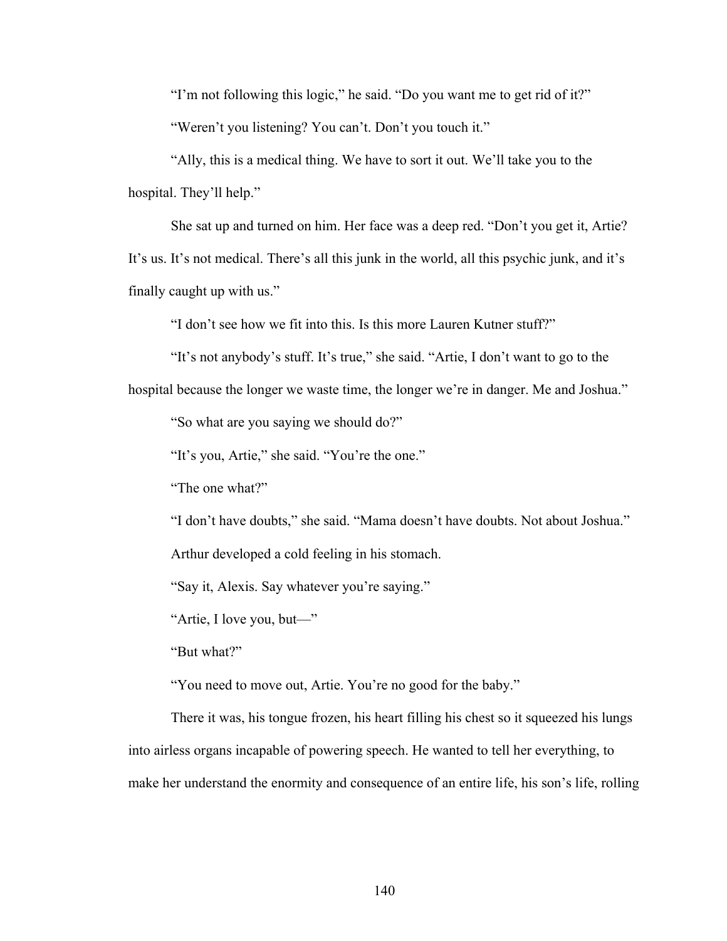"I'm not following this logic," he said. "Do you want me to get rid of it?"

"Weren't you listening? You can't. Don't you touch it."

"Ally, this is a medical thing. We have to sort it out. We'll take you to the hospital. They'll help."

She sat up and turned on him. Her face was a deep red. "Don't you get it, Artie? It's us. It's not medical. There's all this junk in the world, all this psychic junk, and it's finally caught up with us."

"I don't see how we fit into this. Is this more Lauren Kutner stuff?"

"It's not anybody's stuff. It's true," she said. "Artie, I don't want to go to the

hospital because the longer we waste time, the longer we're in danger. Me and Joshua."

"So what are you saying we should do?"

"It's you, Artie," she said. "You're the one."

"The one what?"

"I don't have doubts," she said. "Mama doesn't have doubts. Not about Joshua."

Arthur developed a cold feeling in his stomach.

"Say it, Alexis. Say whatever you're saying."

"Artie, I love you, but—"

"But what?"

"You need to move out, Artie. You're no good for the baby."

There it was, his tongue frozen, his heart filling his chest so it squeezed his lungs into airless organs incapable of powering speech. He wanted to tell her everything, to make her understand the enormity and consequence of an entire life, his son's life, rolling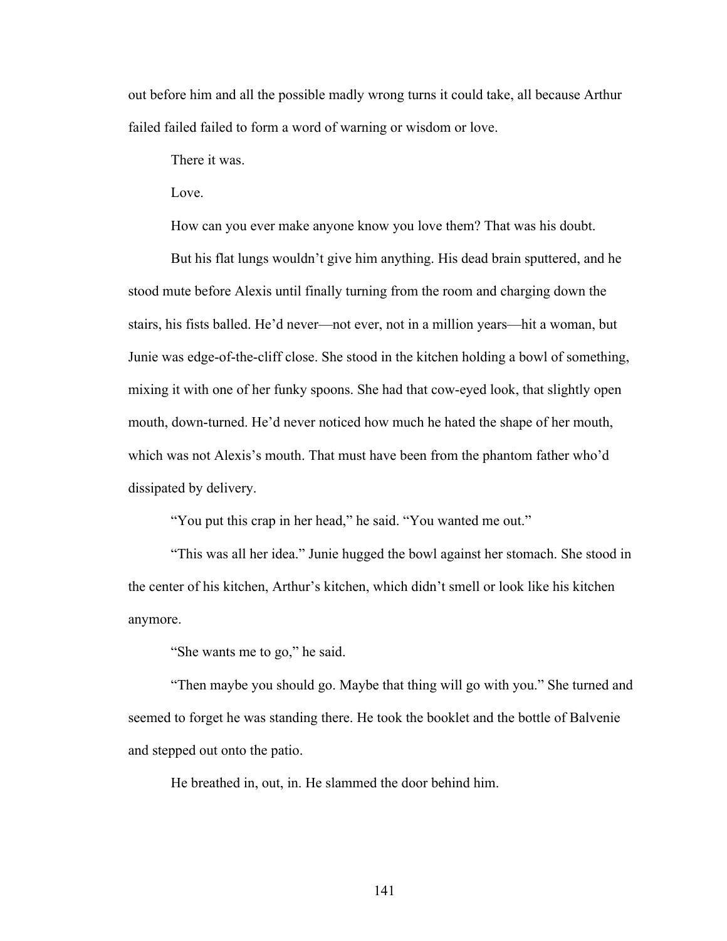out before him and all the possible madly wrong turns it could take, all because Arthur failed failed failed to form a word of warning or wisdom or love.

There it was.

Love.

How can you ever make anyone know you love them? That was his doubt.

But his flat lungs wouldn't give him anything. His dead brain sputtered, and he stood mute before Alexis until finally turning from the room and charging down the stairs, his fists balled. He'd never—not ever, not in a million years—hit a woman, but Junie was edge-of-the-cliff close. She stood in the kitchen holding a bowl of something, mixing it with one of her funky spoons. She had that cow-eyed look, that slightly open mouth, down-turned. He'd never noticed how much he hated the shape of her mouth, which was not Alexis's mouth. That must have been from the phantom father who'd dissipated by delivery.

"You put this crap in her head," he said. "You wanted me out."

"This was all her idea." Junie hugged the bowl against her stomach. She stood in the center of his kitchen, Arthur's kitchen, which didn't smell or look like his kitchen anymore.

"She wants me to go," he said.

"Then maybe you should go. Maybe that thing will go with you." She turned and seemed to forget he was standing there. He took the booklet and the bottle of Balvenie and stepped out onto the patio.

He breathed in, out, in. He slammed the door behind him.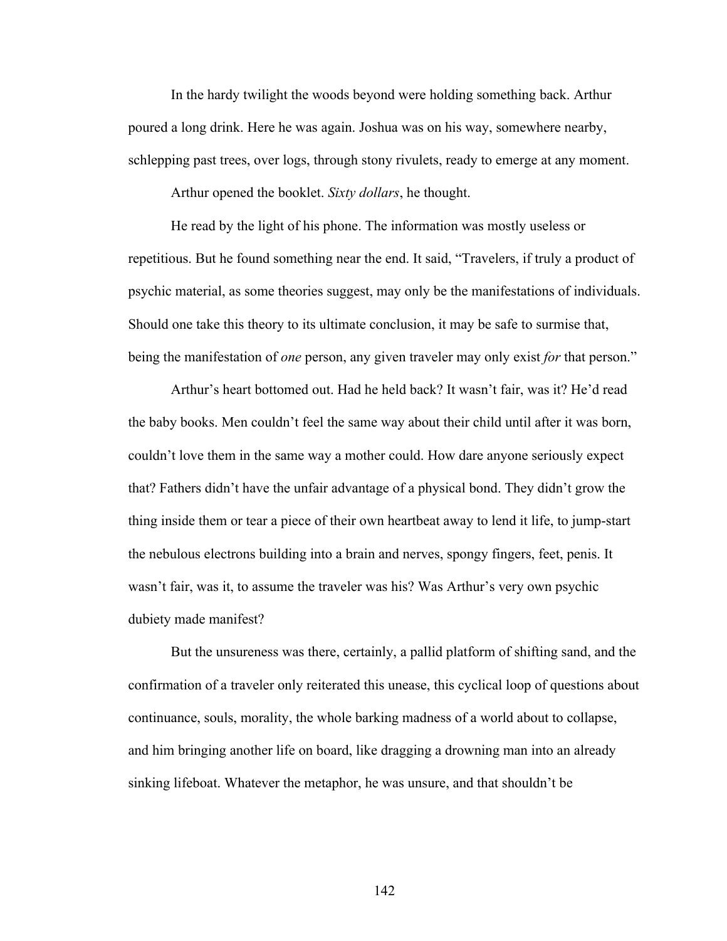In the hardy twilight the woods beyond were holding something back. Arthur poured a long drink. Here he was again. Joshua was on his way, somewhere nearby, schlepping past trees, over logs, through stony rivulets, ready to emerge at any moment.

Arthur opened the booklet. *Sixty dollars*, he thought.

He read by the light of his phone. The information was mostly useless or repetitious. But he found something near the end. It said, "Travelers, if truly a product of psychic material, as some theories suggest, may only be the manifestations of individuals. Should one take this theory to its ultimate conclusion, it may be safe to surmise that, being the manifestation of *one* person, any given traveler may only exist *for* that person."

Arthur's heart bottomed out. Had he held back? It wasn't fair, was it? He'd read the baby books. Men couldn't feel the same way about their child until after it was born, couldn't love them in the same way a mother could. How dare anyone seriously expect that? Fathers didn't have the unfair advantage of a physical bond. They didn't grow the thing inside them or tear a piece of their own heartbeat away to lend it life, to jump-start the nebulous electrons building into a brain and nerves, spongy fingers, feet, penis. It wasn't fair, was it, to assume the traveler was his? Was Arthur's very own psychic dubiety made manifest?

But the unsureness was there, certainly, a pallid platform of shifting sand, and the confirmation of a traveler only reiterated this unease, this cyclical loop of questions about continuance, souls, morality, the whole barking madness of a world about to collapse, and him bringing another life on board, like dragging a drowning man into an already sinking lifeboat. Whatever the metaphor, he was unsure, and that shouldn't be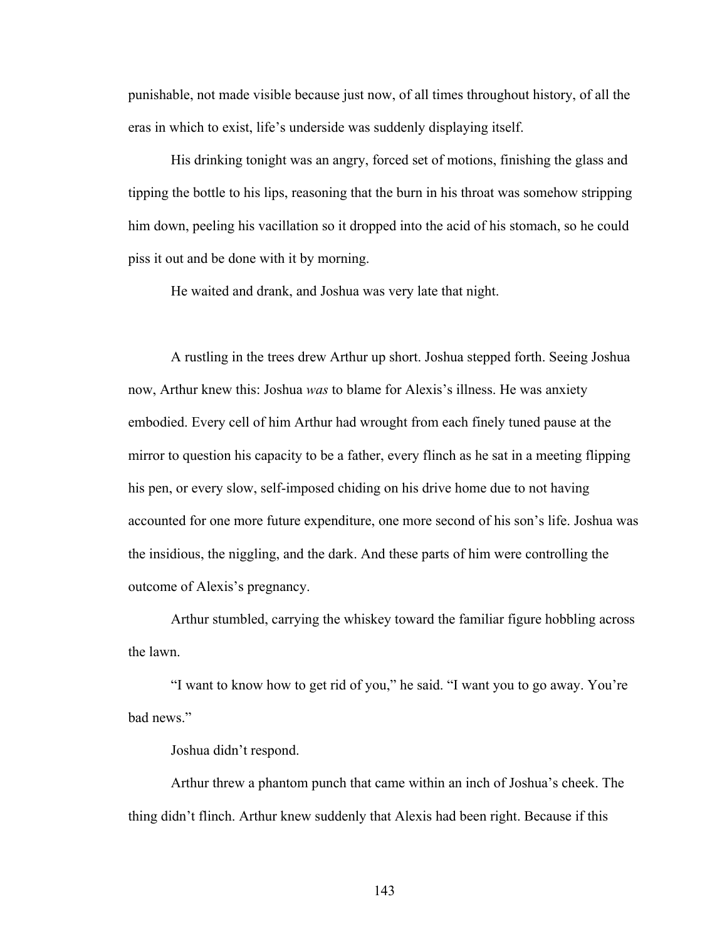punishable, not made visible because just now, of all times throughout history, of all the eras in which to exist, life's underside was suddenly displaying itself.

His drinking tonight was an angry, forced set of motions, finishing the glass and tipping the bottle to his lips, reasoning that the burn in his throat was somehow stripping him down, peeling his vacillation so it dropped into the acid of his stomach, so he could piss it out and be done with it by morning.

He waited and drank, and Joshua was very late that night.

A rustling in the trees drew Arthur up short. Joshua stepped forth. Seeing Joshua now, Arthur knew this: Joshua *was* to blame for Alexis's illness. He was anxiety embodied. Every cell of him Arthur had wrought from each finely tuned pause at the mirror to question his capacity to be a father, every flinch as he sat in a meeting flipping his pen, or every slow, self-imposed chiding on his drive home due to not having accounted for one more future expenditure, one more second of his son's life. Joshua was the insidious, the niggling, and the dark. And these parts of him were controlling the outcome of Alexis's pregnancy.

Arthur stumbled, carrying the whiskey toward the familiar figure hobbling across the lawn.

"I want to know how to get rid of you," he said. "I want you to go away. You're bad news."

Joshua didn't respond.

Arthur threw a phantom punch that came within an inch of Joshua's cheek. The thing didn't flinch. Arthur knew suddenly that Alexis had been right. Because if this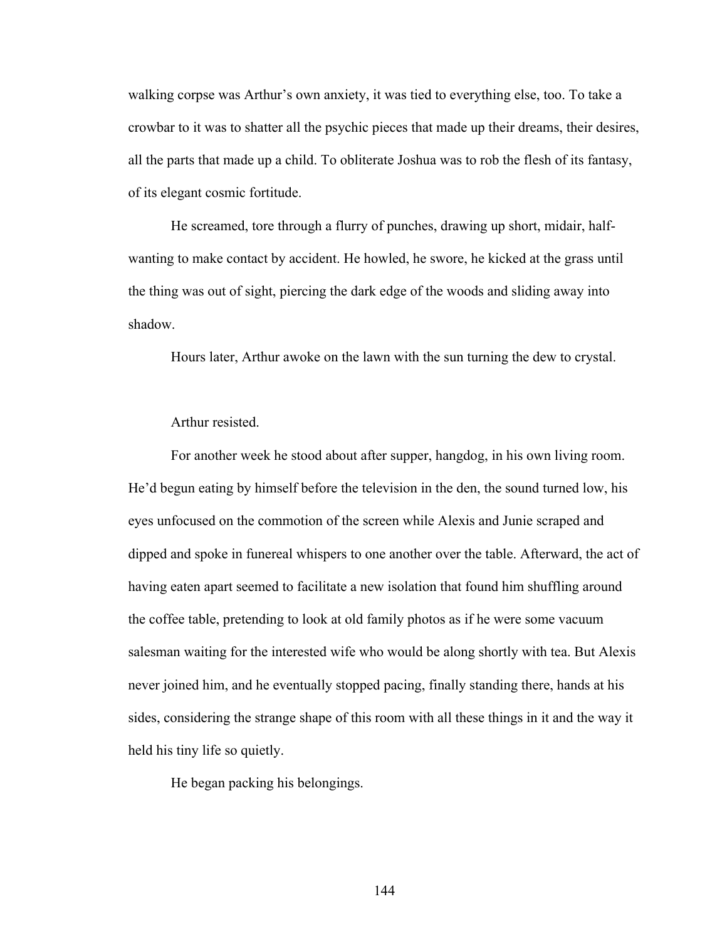walking corpse was Arthur's own anxiety, it was tied to everything else, too. To take a crowbar to it was to shatter all the psychic pieces that made up their dreams, their desires, all the parts that made up a child. To obliterate Joshua was to rob the flesh of its fantasy, of its elegant cosmic fortitude.

He screamed, tore through a flurry of punches, drawing up short, midair, halfwanting to make contact by accident. He howled, he swore, he kicked at the grass until the thing was out of sight, piercing the dark edge of the woods and sliding away into shadow.

Hours later, Arthur awoke on the lawn with the sun turning the dew to crystal.

Arthur resisted.

For another week he stood about after supper, hangdog, in his own living room. He'd begun eating by himself before the television in the den, the sound turned low, his eyes unfocused on the commotion of the screen while Alexis and Junie scraped and dipped and spoke in funereal whispers to one another over the table. Afterward, the act of having eaten apart seemed to facilitate a new isolation that found him shuffling around the coffee table, pretending to look at old family photos as if he were some vacuum salesman waiting for the interested wife who would be along shortly with tea. But Alexis never joined him, and he eventually stopped pacing, finally standing there, hands at his sides, considering the strange shape of this room with all these things in it and the way it held his tiny life so quietly.

He began packing his belongings.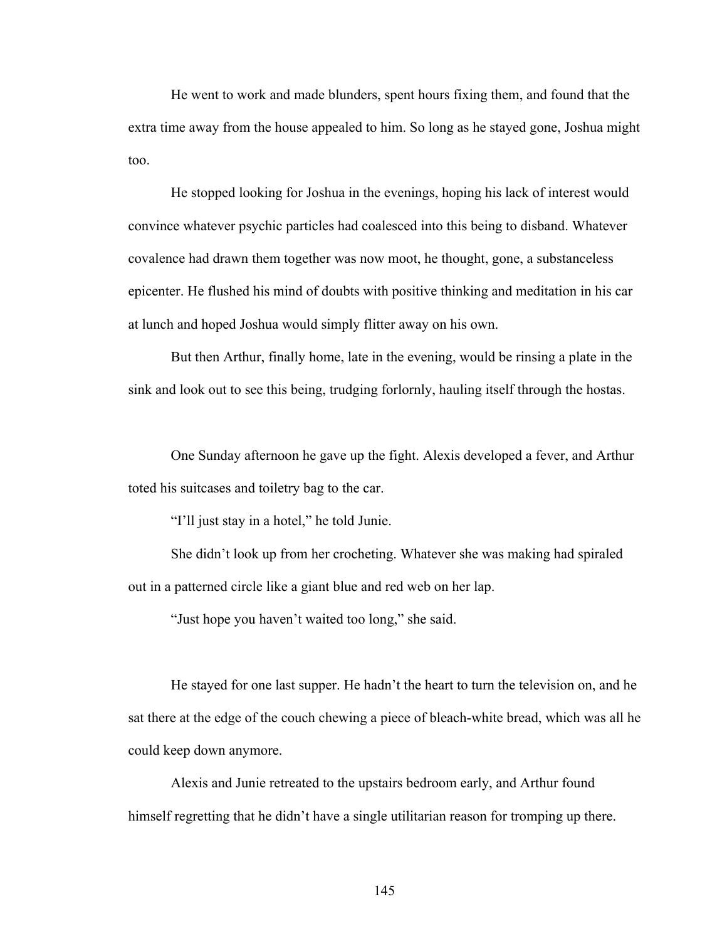He went to work and made blunders, spent hours fixing them, and found that the extra time away from the house appealed to him. So long as he stayed gone, Joshua might too.

He stopped looking for Joshua in the evenings, hoping his lack of interest would convince whatever psychic particles had coalesced into this being to disband. Whatever covalence had drawn them together was now moot, he thought, gone, a substanceless epicenter. He flushed his mind of doubts with positive thinking and meditation in his car at lunch and hoped Joshua would simply flitter away on his own.

But then Arthur, finally home, late in the evening, would be rinsing a plate in the sink and look out to see this being, trudging forlornly, hauling itself through the hostas.

One Sunday afternoon he gave up the fight. Alexis developed a fever, and Arthur toted his suitcases and toiletry bag to the car.

"I'll just stay in a hotel," he told Junie.

She didn't look up from her crocheting. Whatever she was making had spiraled out in a patterned circle like a giant blue and red web on her lap.

"Just hope you haven't waited too long," she said.

He stayed for one last supper. He hadn't the heart to turn the television on, and he sat there at the edge of the couch chewing a piece of bleach-white bread, which was all he could keep down anymore.

Alexis and Junie retreated to the upstairs bedroom early, and Arthur found himself regretting that he didn't have a single utilitarian reason for tromping up there.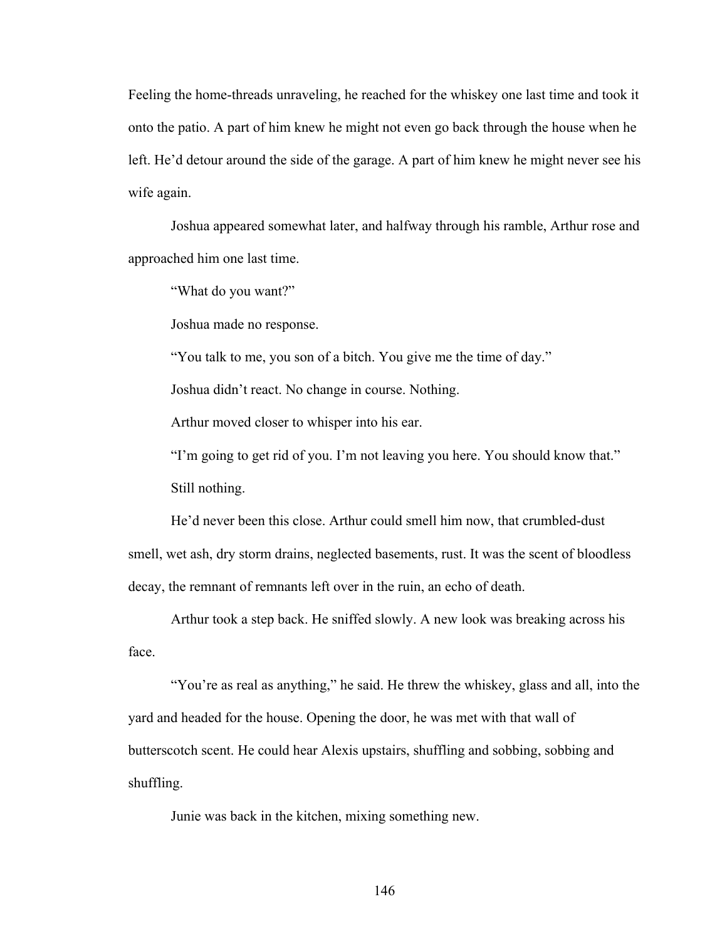Feeling the home-threads unraveling, he reached for the whiskey one last time and took it onto the patio. A part of him knew he might not even go back through the house when he left. He'd detour around the side of the garage. A part of him knew he might never see his wife again.

Joshua appeared somewhat later, and halfway through his ramble, Arthur rose and approached him one last time.

"What do you want?"

Joshua made no response.

"You talk to me, you son of a bitch. You give me the time of day."

Joshua didn't react. No change in course. Nothing.

Arthur moved closer to whisper into his ear.

"I'm going to get rid of you. I'm not leaving you here. You should know that." Still nothing.

He'd never been this close. Arthur could smell him now, that crumbled-dust smell, wet ash, dry storm drains, neglected basements, rust. It was the scent of bloodless decay, the remnant of remnants left over in the ruin, an echo of death.

Arthur took a step back. He sniffed slowly. A new look was breaking across his face.

"You're as real as anything," he said. He threw the whiskey, glass and all, into the yard and headed for the house. Opening the door, he was met with that wall of butterscotch scent. He could hear Alexis upstairs, shuffling and sobbing, sobbing and shuffling.

Junie was back in the kitchen, mixing something new.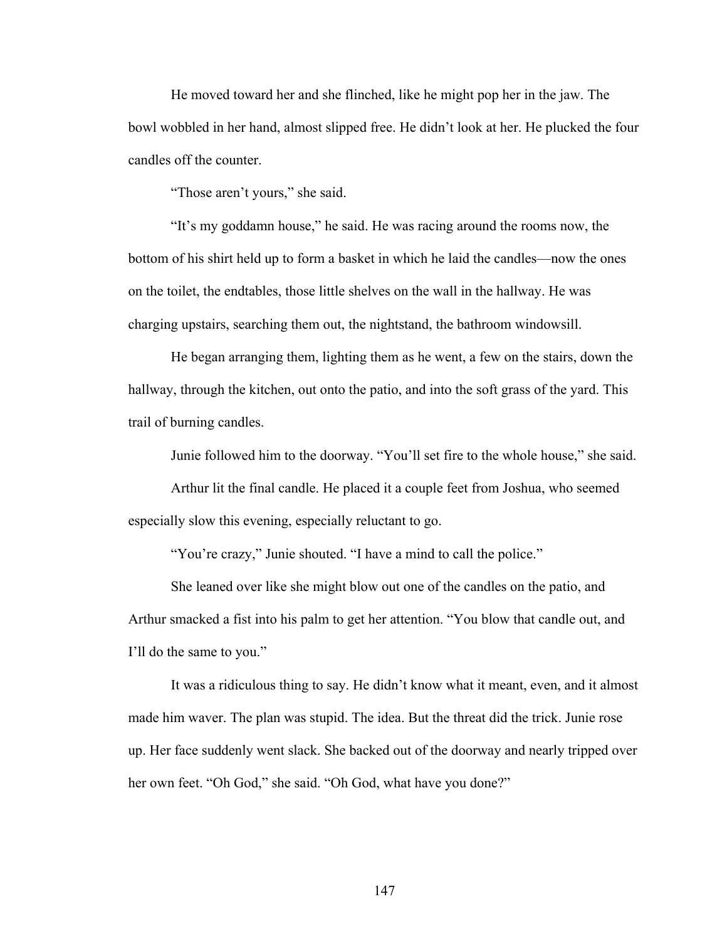He moved toward her and she flinched, like he might pop her in the jaw. The bowl wobbled in her hand, almost slipped free. He didn't look at her. He plucked the four candles off the counter.

"Those aren't yours," she said.

"It's my goddamn house," he said. He was racing around the rooms now, the bottom of his shirt held up to form a basket in which he laid the candles—now the ones on the toilet, the endtables, those little shelves on the wall in the hallway. He was charging upstairs, searching them out, the nightstand, the bathroom windowsill.

He began arranging them, lighting them as he went, a few on the stairs, down the hallway, through the kitchen, out onto the patio, and into the soft grass of the yard. This trail of burning candles.

Junie followed him to the doorway. "You'll set fire to the whole house," she said.

Arthur lit the final candle. He placed it a couple feet from Joshua, who seemed especially slow this evening, especially reluctant to go.

"You're crazy," Junie shouted. "I have a mind to call the police."

She leaned over like she might blow out one of the candles on the patio, and Arthur smacked a fist into his palm to get her attention. "You blow that candle out, and I'll do the same to you."

It was a ridiculous thing to say. He didn't know what it meant, even, and it almost made him waver. The plan was stupid. The idea. But the threat did the trick. Junie rose up. Her face suddenly went slack. She backed out of the doorway and nearly tripped over her own feet. "Oh God," she said. "Oh God, what have you done?"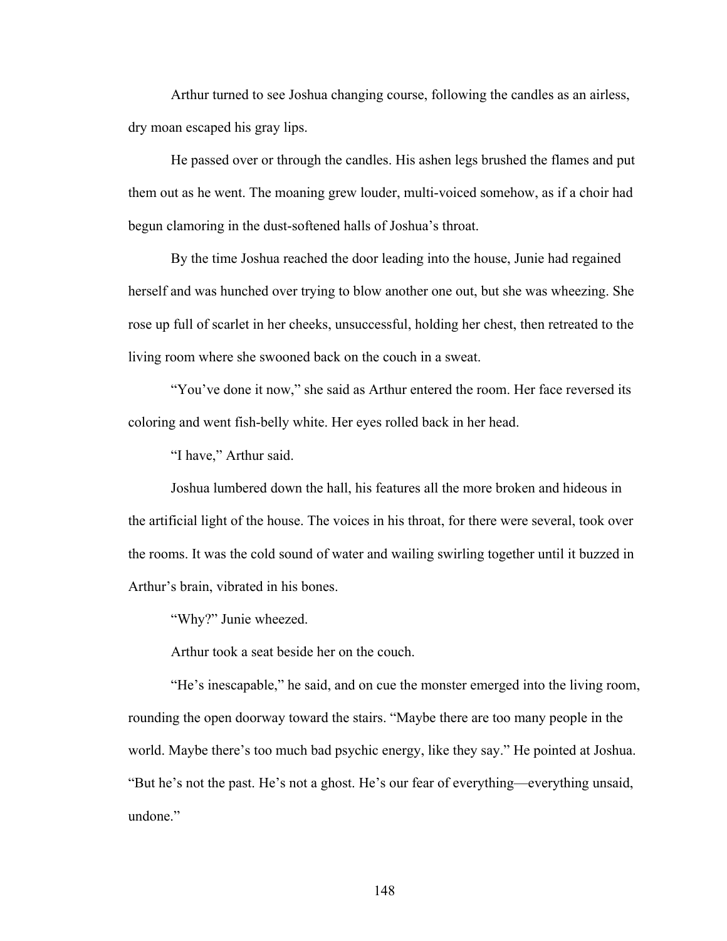Arthur turned to see Joshua changing course, following the candles as an airless, dry moan escaped his gray lips.

He passed over or through the candles. His ashen legs brushed the flames and put them out as he went. The moaning grew louder, multi-voiced somehow, as if a choir had begun clamoring in the dust-softened halls of Joshua's throat.

By the time Joshua reached the door leading into the house, Junie had regained herself and was hunched over trying to blow another one out, but she was wheezing. She rose up full of scarlet in her cheeks, unsuccessful, holding her chest, then retreated to the living room where she swooned back on the couch in a sweat.

"You've done it now," she said as Arthur entered the room. Her face reversed its coloring and went fish-belly white. Her eyes rolled back in her head.

"I have," Arthur said.

Joshua lumbered down the hall, his features all the more broken and hideous in the artificial light of the house. The voices in his throat, for there were several, took over the rooms. It was the cold sound of water and wailing swirling together until it buzzed in Arthur's brain, vibrated in his bones.

"Why?" Junie wheezed.

Arthur took a seat beside her on the couch.

"He's inescapable," he said, and on cue the monster emerged into the living room, rounding the open doorway toward the stairs. "Maybe there are too many people in the world. Maybe there's too much bad psychic energy, like they say." He pointed at Joshua. "But he's not the past. He's not a ghost. He's our fear of everything—everything unsaid, undone<sup>"</sup>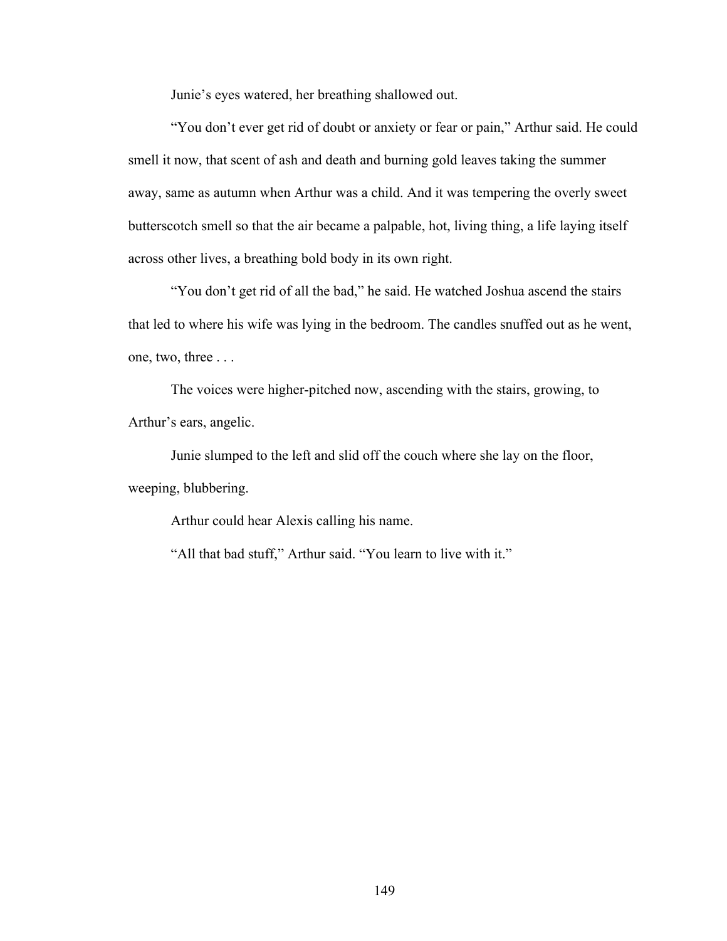Junie's eyes watered, her breathing shallowed out.

"You don't ever get rid of doubt or anxiety or fear or pain," Arthur said. He could smell it now, that scent of ash and death and burning gold leaves taking the summer away, same as autumn when Arthur was a child. And it was tempering the overly sweet butterscotch smell so that the air became a palpable, hot, living thing, a life laying itself across other lives, a breathing bold body in its own right.

"You don't get rid of all the bad," he said. He watched Joshua ascend the stairs that led to where his wife was lying in the bedroom. The candles snuffed out as he went, one, two, three . . .

The voices were higher-pitched now, ascending with the stairs, growing, to Arthur's ears, angelic.

Junie slumped to the left and slid off the couch where she lay on the floor, weeping, blubbering.

Arthur could hear Alexis calling his name.

"All that bad stuff," Arthur said. "You learn to live with it."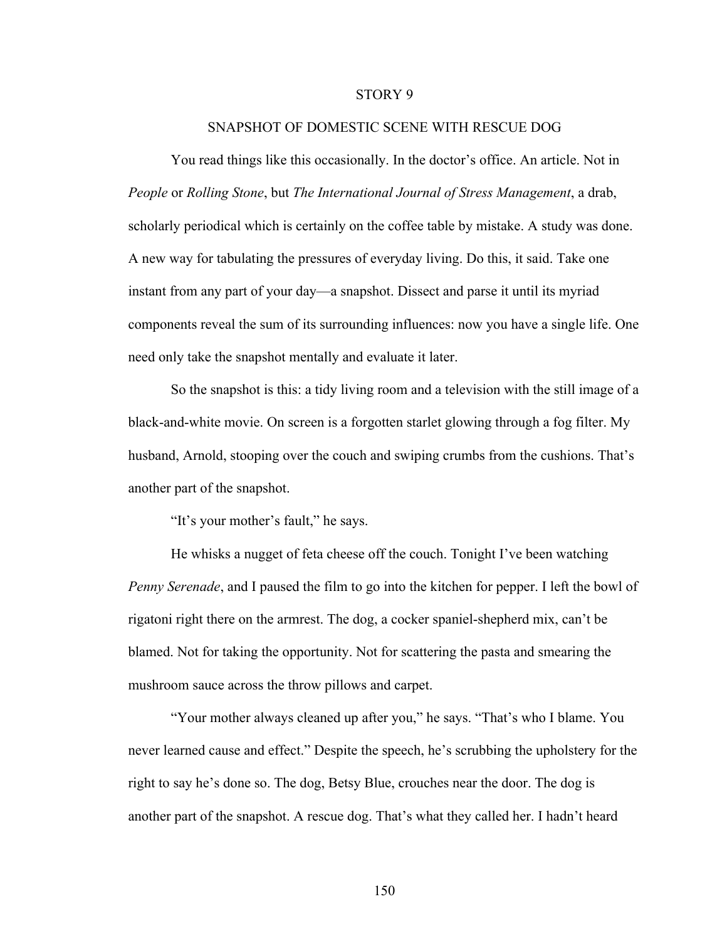## STORY 9

## SNAPSHOT OF DOMESTIC SCENE WITH RESCUE DOG

You read things like this occasionally. In the doctor's office. An article. Not in *People* or *Rolling Stone*, but *The International Journal of Stress Management*, a drab, scholarly periodical which is certainly on the coffee table by mistake. A study was done. A new way for tabulating the pressures of everyday living. Do this, it said. Take one instant from any part of your day—a snapshot. Dissect and parse it until its myriad components reveal the sum of its surrounding influences: now you have a single life. One need only take the snapshot mentally and evaluate it later.

So the snapshot is this: a tidy living room and a television with the still image of a black-and-white movie. On screen is a forgotten starlet glowing through a fog filter. My husband, Arnold, stooping over the couch and swiping crumbs from the cushions. That's another part of the snapshot.

"It's your mother's fault," he says.

He whisks a nugget of feta cheese off the couch. Tonight I've been watching *Penny Serenade*, and I paused the film to go into the kitchen for pepper. I left the bowl of rigatoni right there on the armrest. The dog, a cocker spaniel-shepherd mix, can't be blamed. Not for taking the opportunity. Not for scattering the pasta and smearing the mushroom sauce across the throw pillows and carpet.

"Your mother always cleaned up after you," he says. "That's who I blame. You never learned cause and effect." Despite the speech, he's scrubbing the upholstery for the right to say he's done so. The dog, Betsy Blue, crouches near the door. The dog is another part of the snapshot. A rescue dog. That's what they called her. I hadn't heard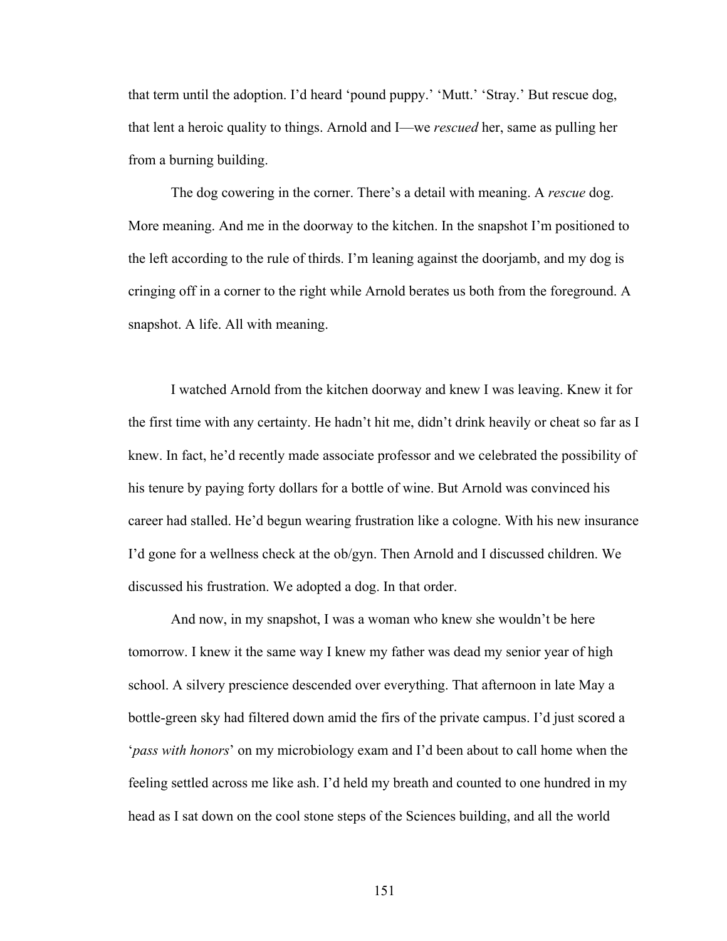that term until the adoption. I'd heard 'pound puppy.' 'Mutt.' 'Stray.' But rescue dog, that lent a heroic quality to things. Arnold and I—we *rescued* her, same as pulling her from a burning building.

The dog cowering in the corner. There's a detail with meaning. A *rescue* dog. More meaning. And me in the doorway to the kitchen. In the snapshot I'm positioned to the left according to the rule of thirds. I'm leaning against the doorjamb, and my dog is cringing off in a corner to the right while Arnold berates us both from the foreground. A snapshot. A life. All with meaning.

I watched Arnold from the kitchen doorway and knew I was leaving. Knew it for the first time with any certainty. He hadn't hit me, didn't drink heavily or cheat so far as I knew. In fact, he'd recently made associate professor and we celebrated the possibility of his tenure by paying forty dollars for a bottle of wine. But Arnold was convinced his career had stalled. He'd begun wearing frustration like a cologne. With his new insurance I'd gone for a wellness check at the ob/gyn. Then Arnold and I discussed children. We discussed his frustration. We adopted a dog. In that order.

And now, in my snapshot, I was a woman who knew she wouldn't be here tomorrow. I knew it the same way I knew my father was dead my senior year of high school. A silvery prescience descended over everything. That afternoon in late May a bottle-green sky had filtered down amid the firs of the private campus. I'd just scored a '*pass with honors*' on my microbiology exam and I'd been about to call home when the feeling settled across me like ash. I'd held my breath and counted to one hundred in my head as I sat down on the cool stone steps of the Sciences building, and all the world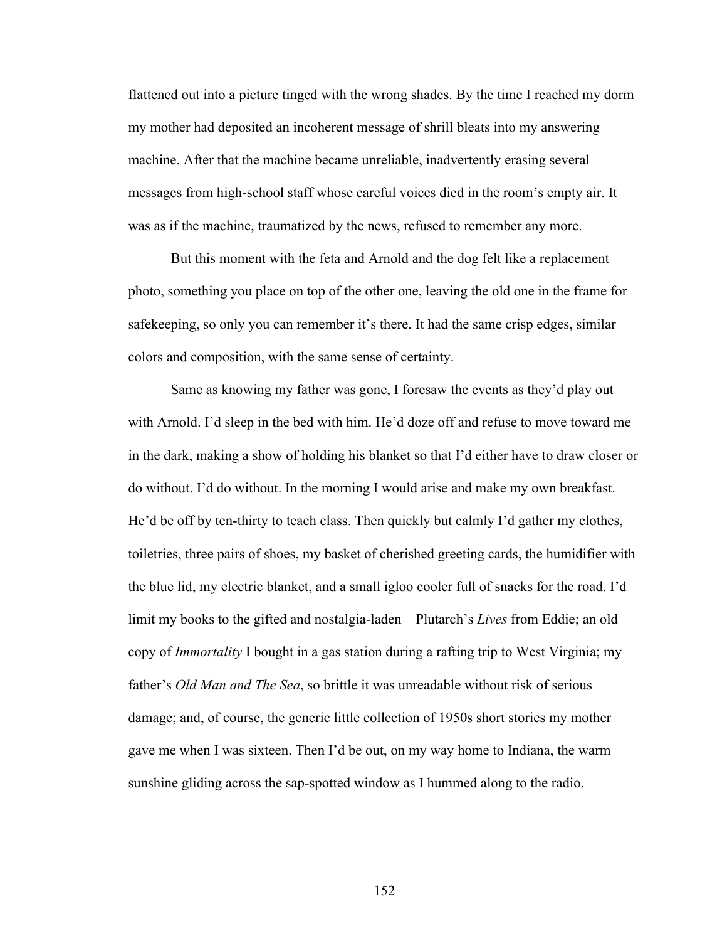flattened out into a picture tinged with the wrong shades. By the time I reached my dorm my mother had deposited an incoherent message of shrill bleats into my answering machine. After that the machine became unreliable, inadvertently erasing several messages from high-school staff whose careful voices died in the room's empty air. It was as if the machine, traumatized by the news, refused to remember any more.

But this moment with the feta and Arnold and the dog felt like a replacement photo, something you place on top of the other one, leaving the old one in the frame for safekeeping, so only you can remember it's there. It had the same crisp edges, similar colors and composition, with the same sense of certainty.

Same as knowing my father was gone, I foresaw the events as they'd play out with Arnold. I'd sleep in the bed with him. He'd doze off and refuse to move toward me in the dark, making a show of holding his blanket so that I'd either have to draw closer or do without. I'd do without. In the morning I would arise and make my own breakfast. He'd be off by ten-thirty to teach class. Then quickly but calmly I'd gather my clothes, toiletries, three pairs of shoes, my basket of cherished greeting cards, the humidifier with the blue lid, my electric blanket, and a small igloo cooler full of snacks for the road. I'd limit my books to the gifted and nostalgia-laden—Plutarch's *Lives* from Eddie; an old copy of *Immortality* I bought in a gas station during a rafting trip to West Virginia; my father's *Old Man and The Sea*, so brittle it was unreadable without risk of serious damage; and, of course, the generic little collection of 1950s short stories my mother gave me when I was sixteen. Then I'd be out, on my way home to Indiana, the warm sunshine gliding across the sap-spotted window as I hummed along to the radio.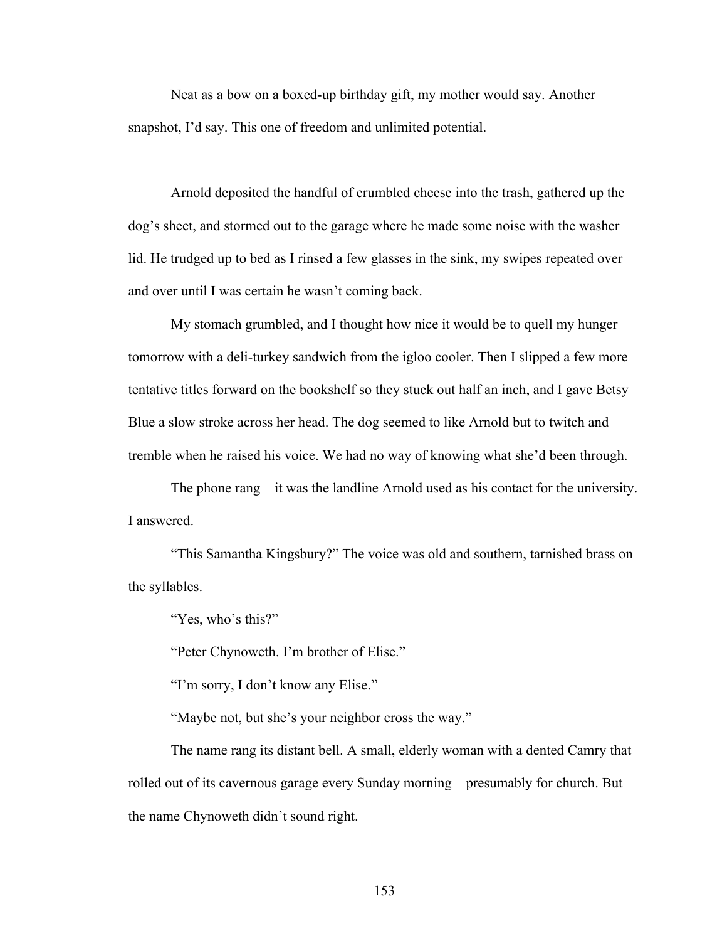Neat as a bow on a boxed-up birthday gift, my mother would say. Another snapshot, I'd say. This one of freedom and unlimited potential.

Arnold deposited the handful of crumbled cheese into the trash, gathered up the dog's sheet, and stormed out to the garage where he made some noise with the washer lid. He trudged up to bed as I rinsed a few glasses in the sink, my swipes repeated over and over until I was certain he wasn't coming back.

My stomach grumbled, and I thought how nice it would be to quell my hunger tomorrow with a deli-turkey sandwich from the igloo cooler. Then I slipped a few more tentative titles forward on the bookshelf so they stuck out half an inch, and I gave Betsy Blue a slow stroke across her head. The dog seemed to like Arnold but to twitch and tremble when he raised his voice. We had no way of knowing what she'd been through.

The phone rang—it was the landline Arnold used as his contact for the university. I answered.

"This Samantha Kingsbury?" The voice was old and southern, tarnished brass on the syllables.

"Yes, who's this?"

"Peter Chynoweth. I'm brother of Elise."

"I'm sorry, I don't know any Elise."

"Maybe not, but she's your neighbor cross the way."

The name rang its distant bell. A small, elderly woman with a dented Camry that rolled out of its cavernous garage every Sunday morning—presumably for church. But the name Chynoweth didn't sound right.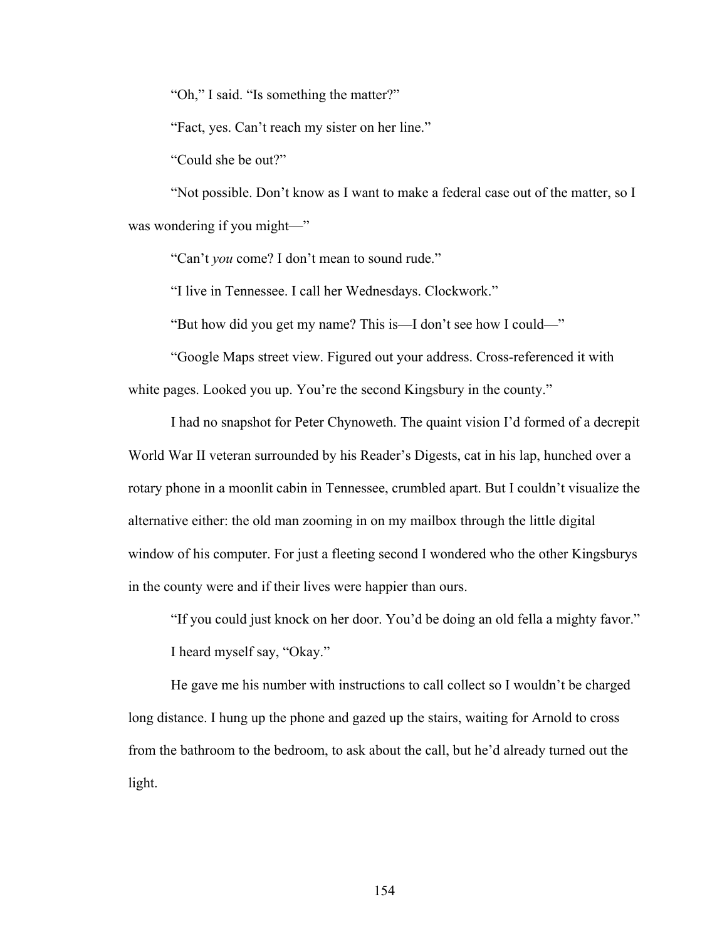"Oh," I said. "Is something the matter?"

"Fact, yes. Can't reach my sister on her line."

"Could she be out?"

"Not possible. Don't know as I want to make a federal case out of the matter, so I was wondering if you might—"

"Can't *you* come? I don't mean to sound rude."

"I live in Tennessee. I call her Wednesdays. Clockwork."

"But how did you get my name? This is—I don't see how I could—"

"Google Maps street view. Figured out your address. Cross-referenced it with white pages. Looked you up. You're the second Kingsbury in the county."

I had no snapshot for Peter Chynoweth. The quaint vision I'd formed of a decrepit World War II veteran surrounded by his Reader's Digests, cat in his lap, hunched over a rotary phone in a moonlit cabin in Tennessee, crumbled apart. But I couldn't visualize the alternative either: the old man zooming in on my mailbox through the little digital window of his computer. For just a fleeting second I wondered who the other Kingsburys in the county were and if their lives were happier than ours.

"If you could just knock on her door. You'd be doing an old fella a mighty favor." I heard myself say, "Okay."

He gave me his number with instructions to call collect so I wouldn't be charged long distance. I hung up the phone and gazed up the stairs, waiting for Arnold to cross from the bathroom to the bedroom, to ask about the call, but he'd already turned out the light.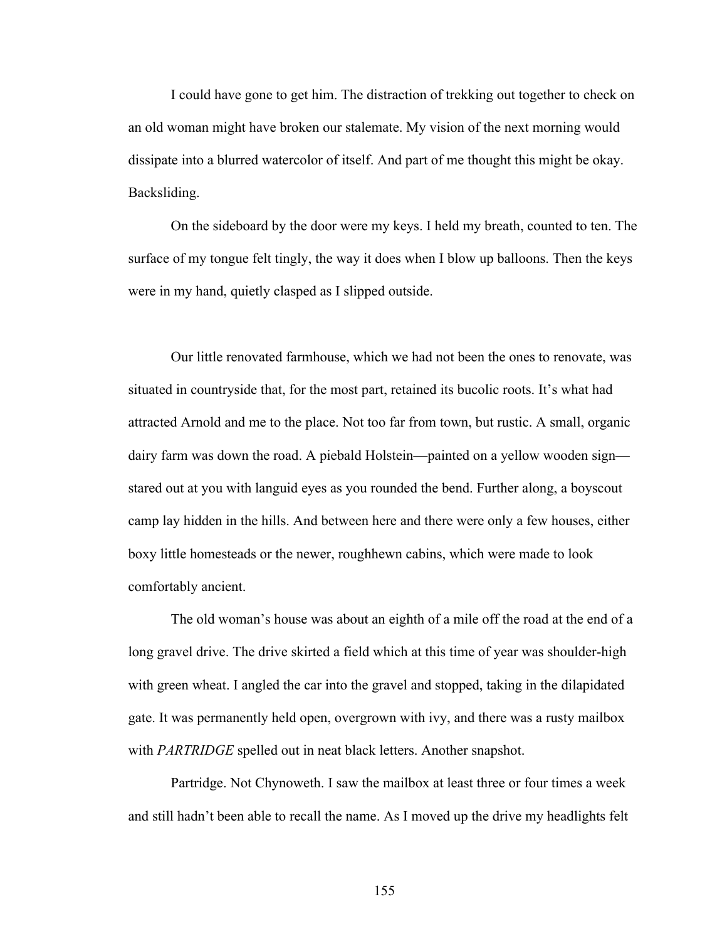I could have gone to get him. The distraction of trekking out together to check on an old woman might have broken our stalemate. My vision of the next morning would dissipate into a blurred watercolor of itself. And part of me thought this might be okay. Backsliding.

On the sideboard by the door were my keys. I held my breath, counted to ten. The surface of my tongue felt tingly, the way it does when I blow up balloons. Then the keys were in my hand, quietly clasped as I slipped outside.

Our little renovated farmhouse, which we had not been the ones to renovate, was situated in countryside that, for the most part, retained its bucolic roots. It's what had attracted Arnold and me to the place. Not too far from town, but rustic. A small, organic dairy farm was down the road. A piebald Holstein—painted on a yellow wooden sign stared out at you with languid eyes as you rounded the bend. Further along, a boyscout camp lay hidden in the hills. And between here and there were only a few houses, either boxy little homesteads or the newer, roughhewn cabins, which were made to look comfortably ancient.

The old woman's house was about an eighth of a mile off the road at the end of a long gravel drive. The drive skirted a field which at this time of year was shoulder-high with green wheat. I angled the car into the gravel and stopped, taking in the dilapidated gate. It was permanently held open, overgrown with ivy, and there was a rusty mailbox with *PARTRIDGE* spelled out in neat black letters. Another snapshot.

Partridge. Not Chynoweth. I saw the mailbox at least three or four times a week and still hadn't been able to recall the name. As I moved up the drive my headlights felt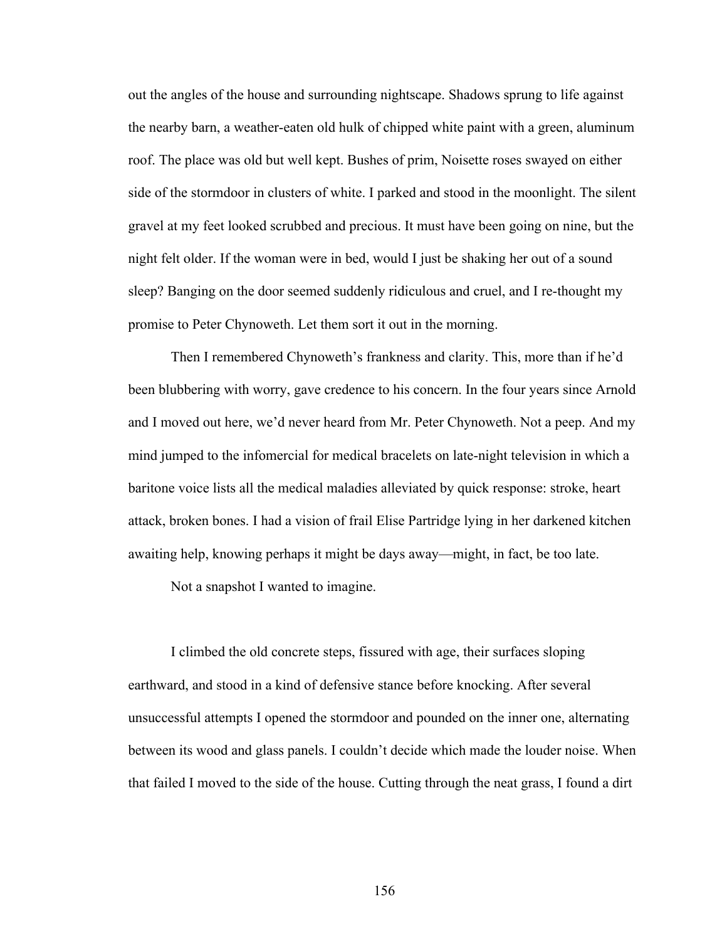out the angles of the house and surrounding nightscape. Shadows sprung to life against the nearby barn, a weather-eaten old hulk of chipped white paint with a green, aluminum roof. The place was old but well kept. Bushes of prim, Noisette roses swayed on either side of the stormdoor in clusters of white. I parked and stood in the moonlight. The silent gravel at my feet looked scrubbed and precious. It must have been going on nine, but the night felt older. If the woman were in bed, would I just be shaking her out of a sound sleep? Banging on the door seemed suddenly ridiculous and cruel, and I re-thought my promise to Peter Chynoweth. Let them sort it out in the morning.

Then I remembered Chynoweth's frankness and clarity. This, more than if he'd been blubbering with worry, gave credence to his concern. In the four years since Arnold and I moved out here, we'd never heard from Mr. Peter Chynoweth. Not a peep. And my mind jumped to the infomercial for medical bracelets on late-night television in which a baritone voice lists all the medical maladies alleviated by quick response: stroke, heart attack, broken bones. I had a vision of frail Elise Partridge lying in her darkened kitchen awaiting help, knowing perhaps it might be days away—might, in fact, be too late.

Not a snapshot I wanted to imagine.

I climbed the old concrete steps, fissured with age, their surfaces sloping earthward, and stood in a kind of defensive stance before knocking. After several unsuccessful attempts I opened the stormdoor and pounded on the inner one, alternating between its wood and glass panels. I couldn't decide which made the louder noise. When that failed I moved to the side of the house. Cutting through the neat grass, I found a dirt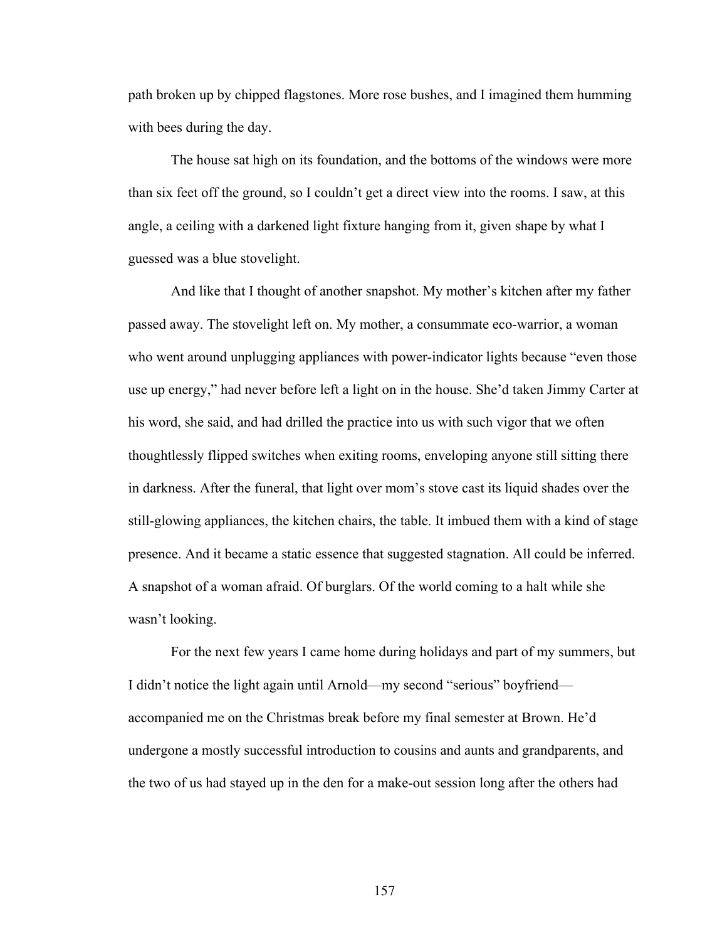path broken up by chipped flagstones. More rose bushes, and I imagined them humming with bees during the day.

The house sat high on its foundation, and the bottoms of the windows were more than six feet off the ground, so I couldn't get a direct view into the rooms. I saw, at this angle, a ceiling with a darkened light fixture hanging from it, given shape by what I guessed was a blue stovelight.

And like that I thought of another snapshot. My mother's kitchen after my father passed away. The stovelight left on. My mother, a consummate eco-warrior, a woman who went around unplugging appliances with power-indicator lights because "even those" use up energy," had never before left a light on in the house. She'd taken Jimmy Carter at his word, she said, and had drilled the practice into us with such vigor that we often thoughtlessly flipped switches when exiting rooms, enveloping anyone still sitting there in darkness. After the funeral, that light over mom's stove cast its liquid shades over the still-glowing appliances, the kitchen chairs, the table. It imbued them with a kind of stage presence. And it became a static essence that suggested stagnation. All could be inferred. A snapshot of a woman afraid. Of burglars. Of the world coming to a halt while she wasn't looking.

For the next few years I came home during holidays and part of my summers, but I didn't notice the light again until Arnold—my second "serious" boyfriend accompanied me on the Christmas break before my final semester at Brown. He'd undergone a mostly successful introduction to cousins and aunts and grandparents, and the two of us had stayed up in the den for a make-out session long after the others had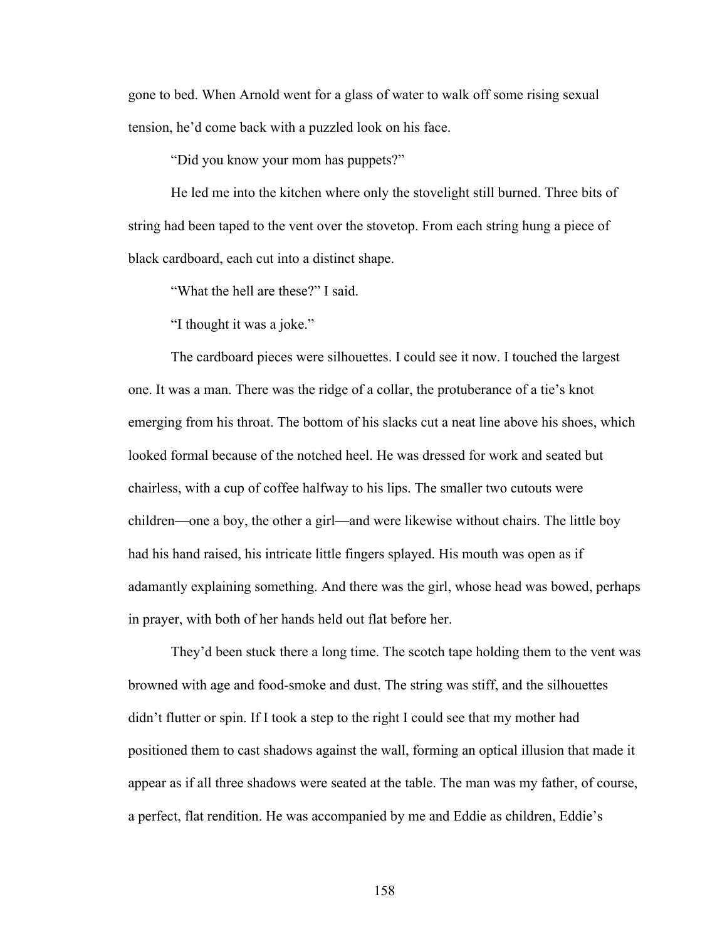gone to bed. When Arnold went for a glass of water to walk off some rising sexual tension, he'd come back with a puzzled look on his face.

"Did you know your mom has puppets?"

He led me into the kitchen where only the stovelight still burned. Three bits of string had been taped to the vent over the stovetop. From each string hung a piece of black cardboard, each cut into a distinct shape.

"What the hell are these?" I said.

"I thought it was a joke."

The cardboard pieces were silhouettes. I could see it now. I touched the largest one. It was a man. There was the ridge of a collar, the protuberance of a tie's knot emerging from his throat. The bottom of his slacks cut a neat line above his shoes, which looked formal because of the notched heel. He was dressed for work and seated but chairless, with a cup of coffee halfway to his lips. The smaller two cutouts were children—one a boy, the other a girl—and were likewise without chairs. The little boy had his hand raised, his intricate little fingers splayed. His mouth was open as if adamantly explaining something. And there was the girl, whose head was bowed, perhaps in prayer, with both of her hands held out flat before her.

They'd been stuck there a long time. The scotch tape holding them to the vent was browned with age and food-smoke and dust. The string was stiff, and the silhouettes didn't flutter or spin. If I took a step to the right I could see that my mother had positioned them to cast shadows against the wall, forming an optical illusion that made it appear as if all three shadows were seated at the table. The man was my father, of course, a perfect, flat rendition. He was accompanied by me and Eddie as children, Eddie's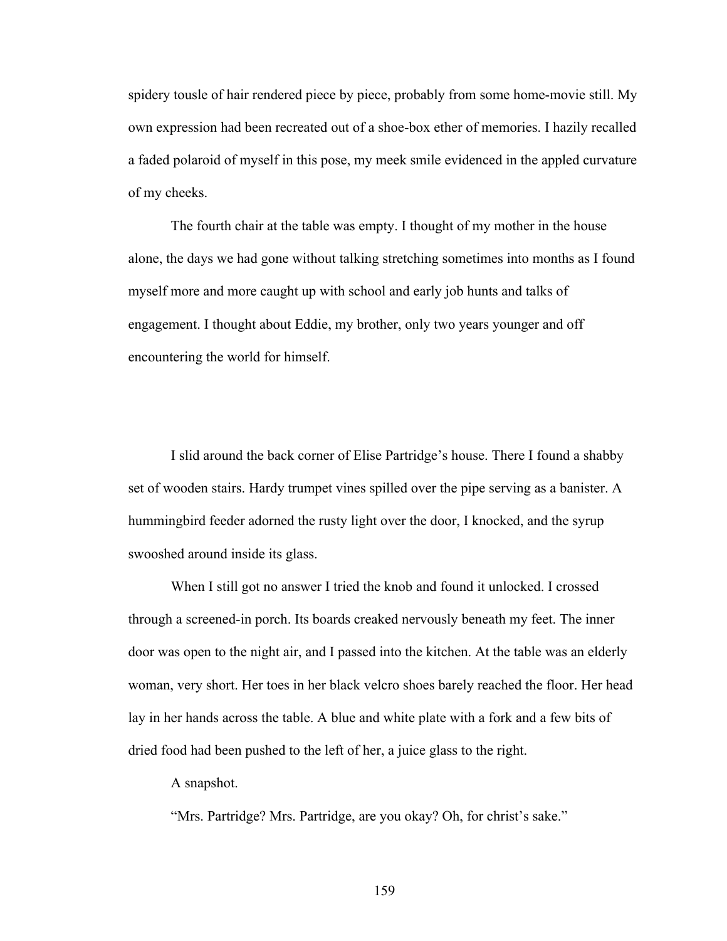spidery tousle of hair rendered piece by piece, probably from some home-movie still. My own expression had been recreated out of a shoe-box ether of memories. I hazily recalled a faded polaroid of myself in this pose, my meek smile evidenced in the appled curvature of my cheeks.

The fourth chair at the table was empty. I thought of my mother in the house alone, the days we had gone without talking stretching sometimes into months as I found myself more and more caught up with school and early job hunts and talks of engagement. I thought about Eddie, my brother, only two years younger and off encountering the world for himself.

I slid around the back corner of Elise Partridge's house. There I found a shabby set of wooden stairs. Hardy trumpet vines spilled over the pipe serving as a banister. A hummingbird feeder adorned the rusty light over the door, I knocked, and the syrup swooshed around inside its glass.

When I still got no answer I tried the knob and found it unlocked. I crossed through a screened-in porch. Its boards creaked nervously beneath my feet. The inner door was open to the night air, and I passed into the kitchen. At the table was an elderly woman, very short. Her toes in her black velcro shoes barely reached the floor. Her head lay in her hands across the table. A blue and white plate with a fork and a few bits of dried food had been pushed to the left of her, a juice glass to the right.

A snapshot.

"Mrs. Partridge? Mrs. Partridge, are you okay? Oh, for christ's sake."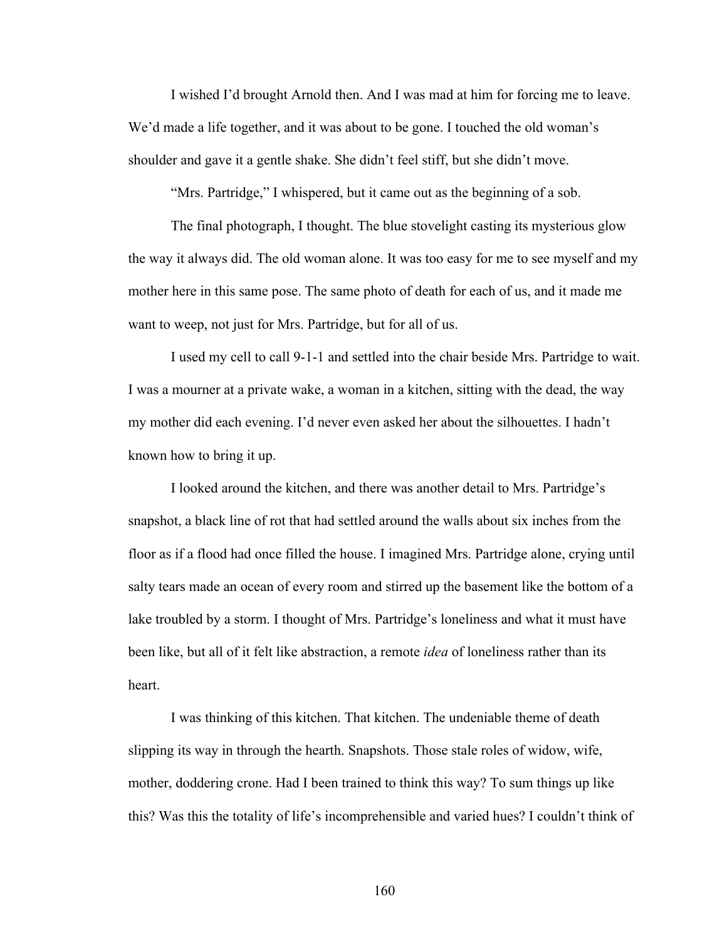I wished I'd brought Arnold then. And I was mad at him for forcing me to leave. We'd made a life together, and it was about to be gone. I touched the old woman's shoulder and gave it a gentle shake. She didn't feel stiff, but she didn't move.

"Mrs. Partridge," I whispered, but it came out as the beginning of a sob.

The final photograph, I thought. The blue stovelight casting its mysterious glow the way it always did. The old woman alone. It was too easy for me to see myself and my mother here in this same pose. The same photo of death for each of us, and it made me want to weep, not just for Mrs. Partridge, but for all of us.

I used my cell to call 9-1-1 and settled into the chair beside Mrs. Partridge to wait. I was a mourner at a private wake, a woman in a kitchen, sitting with the dead, the way my mother did each evening. I'd never even asked her about the silhouettes. I hadn't known how to bring it up.

I looked around the kitchen, and there was another detail to Mrs. Partridge's snapshot, a black line of rot that had settled around the walls about six inches from the floor as if a flood had once filled the house. I imagined Mrs. Partridge alone, crying until salty tears made an ocean of every room and stirred up the basement like the bottom of a lake troubled by a storm. I thought of Mrs. Partridge's loneliness and what it must have been like, but all of it felt like abstraction, a remote *idea* of loneliness rather than its heart.

I was thinking of this kitchen. That kitchen. The undeniable theme of death slipping its way in through the hearth. Snapshots. Those stale roles of widow, wife, mother, doddering crone. Had I been trained to think this way? To sum things up like this? Was this the totality of life's incomprehensible and varied hues? I couldn't think of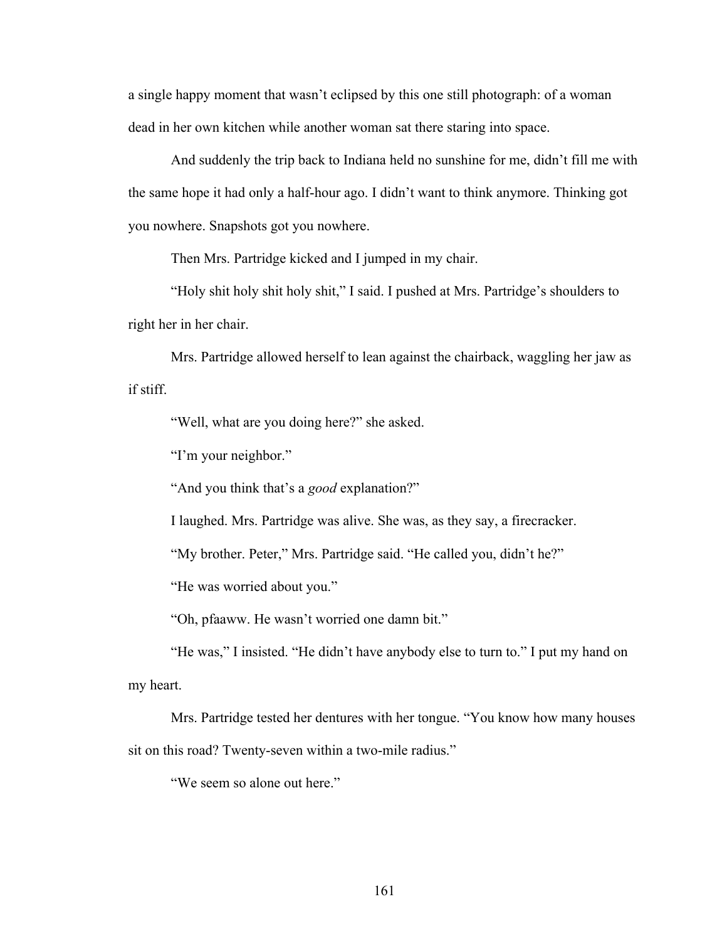a single happy moment that wasn't eclipsed by this one still photograph: of a woman dead in her own kitchen while another woman sat there staring into space.

And suddenly the trip back to Indiana held no sunshine for me, didn't fill me with the same hope it had only a half-hour ago. I didn't want to think anymore. Thinking got you nowhere. Snapshots got you nowhere.

Then Mrs. Partridge kicked and I jumped in my chair.

"Holy shit holy shit holy shit," I said. I pushed at Mrs. Partridge's shoulders to right her in her chair.

Mrs. Partridge allowed herself to lean against the chairback, waggling her jaw as if stiff.

"Well, what are you doing here?" she asked.

"I'm your neighbor."

"And you think that's a *good* explanation?"

I laughed. Mrs. Partridge was alive. She was, as they say, a firecracker.

"My brother. Peter," Mrs. Partridge said. "He called you, didn't he?"

"He was worried about you."

"Oh, pfaaww. He wasn't worried one damn bit."

"He was," I insisted. "He didn't have anybody else to turn to." I put my hand on my heart.

Mrs. Partridge tested her dentures with her tongue. "You know how many houses sit on this road? Twenty-seven within a two-mile radius."

"We seem so alone out here."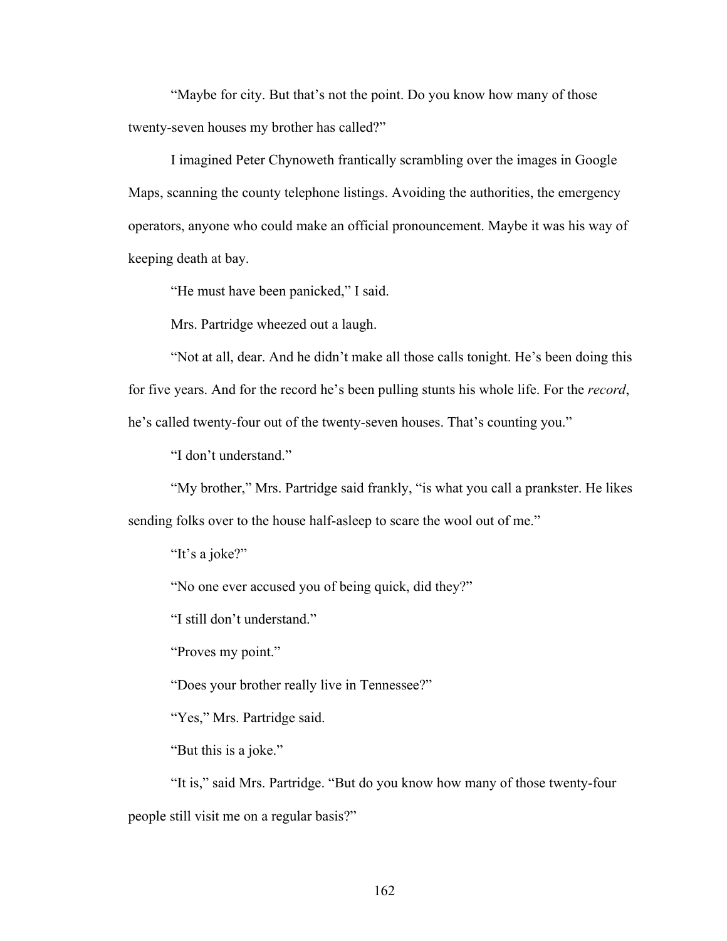"Maybe for city. But that's not the point. Do you know how many of those twenty-seven houses my brother has called?"

I imagined Peter Chynoweth frantically scrambling over the images in Google Maps, scanning the county telephone listings. Avoiding the authorities, the emergency operators, anyone who could make an official pronouncement. Maybe it was his way of keeping death at bay.

"He must have been panicked," I said.

Mrs. Partridge wheezed out a laugh.

"Not at all, dear. And he didn't make all those calls tonight. He's been doing this for five years. And for the record he's been pulling stunts his whole life. For the *record*, he's called twenty-four out of the twenty-seven houses. That's counting you."

"I don't understand."

"My brother," Mrs. Partridge said frankly, "is what you call a prankster. He likes sending folks over to the house half-asleep to scare the wool out of me."

"It's a joke?"

"No one ever accused you of being quick, did they?"

"I still don't understand."

"Proves my point."

"Does your brother really live in Tennessee?"

"Yes," Mrs. Partridge said.

"But this is a joke."

"It is," said Mrs. Partridge. "But do you know how many of those twenty-four people still visit me on a regular basis?"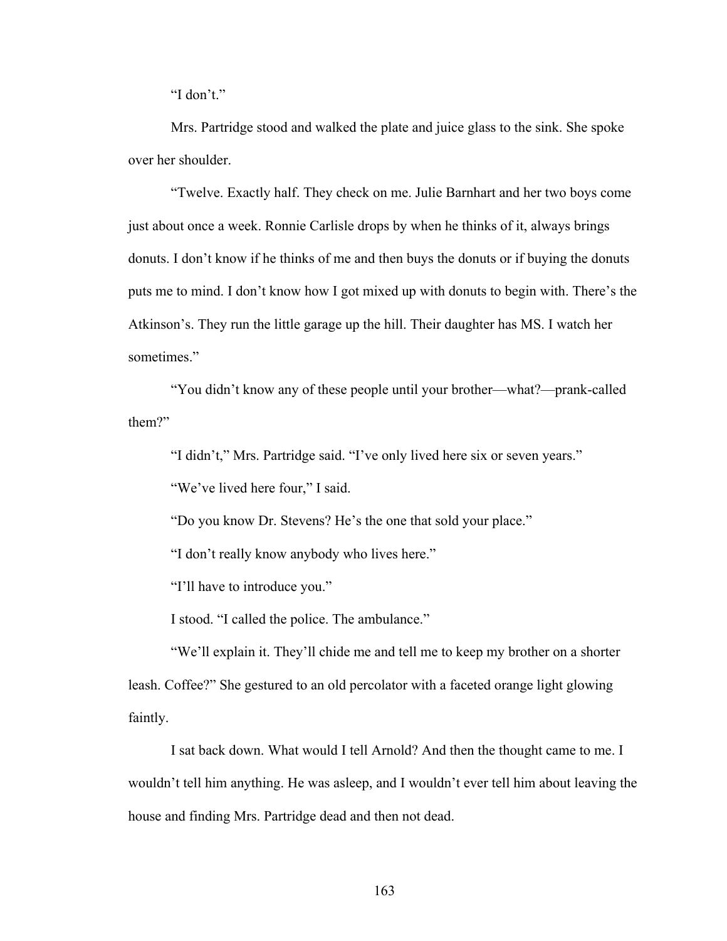"I don't."

Mrs. Partridge stood and walked the plate and juice glass to the sink. She spoke over her shoulder.

"Twelve. Exactly half. They check on me. Julie Barnhart and her two boys come just about once a week. Ronnie Carlisle drops by when he thinks of it, always brings donuts. I don't know if he thinks of me and then buys the donuts or if buying the donuts puts me to mind. I don't know how I got mixed up with donuts to begin with. There's the Atkinson's. They run the little garage up the hill. Their daughter has MS. I watch her sometimes."

"You didn't know any of these people until your brother—what?—prank-called them?"

"I didn't," Mrs. Partridge said. "I've only lived here six or seven years."

"We've lived here four," I said.

"Do you know Dr. Stevens? He's the one that sold your place."

"I don't really know anybody who lives here."

"I'll have to introduce you."

I stood. "I called the police. The ambulance."

"We'll explain it. They'll chide me and tell me to keep my brother on a shorter leash. Coffee?" She gestured to an old percolator with a faceted orange light glowing faintly.

I sat back down. What would I tell Arnold? And then the thought came to me. I wouldn't tell him anything. He was asleep, and I wouldn't ever tell him about leaving the house and finding Mrs. Partridge dead and then not dead.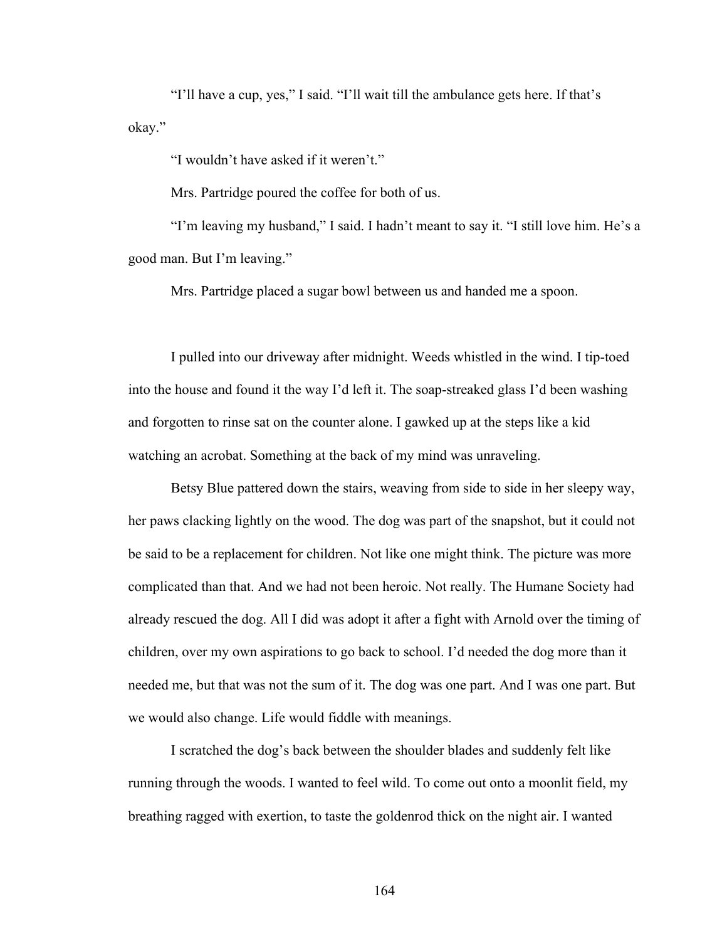"I'll have a cup, yes," I said. "I'll wait till the ambulance gets here. If that's okay."

"I wouldn't have asked if it weren't."

Mrs. Partridge poured the coffee for both of us.

"I'm leaving my husband," I said. I hadn't meant to say it. "I still love him. He's a good man. But I'm leaving."

Mrs. Partridge placed a sugar bowl between us and handed me a spoon.

I pulled into our driveway after midnight. Weeds whistled in the wind. I tip-toed into the house and found it the way I'd left it. The soap-streaked glass I'd been washing and forgotten to rinse sat on the counter alone. I gawked up at the steps like a kid watching an acrobat. Something at the back of my mind was unraveling.

Betsy Blue pattered down the stairs, weaving from side to side in her sleepy way, her paws clacking lightly on the wood. The dog was part of the snapshot, but it could not be said to be a replacement for children. Not like one might think. The picture was more complicated than that. And we had not been heroic. Not really. The Humane Society had already rescued the dog. All I did was adopt it after a fight with Arnold over the timing of children, over my own aspirations to go back to school. I'd needed the dog more than it needed me, but that was not the sum of it. The dog was one part. And I was one part. But we would also change. Life would fiddle with meanings.

I scratched the dog's back between the shoulder blades and suddenly felt like running through the woods. I wanted to feel wild. To come out onto a moonlit field, my breathing ragged with exertion, to taste the goldenrod thick on the night air. I wanted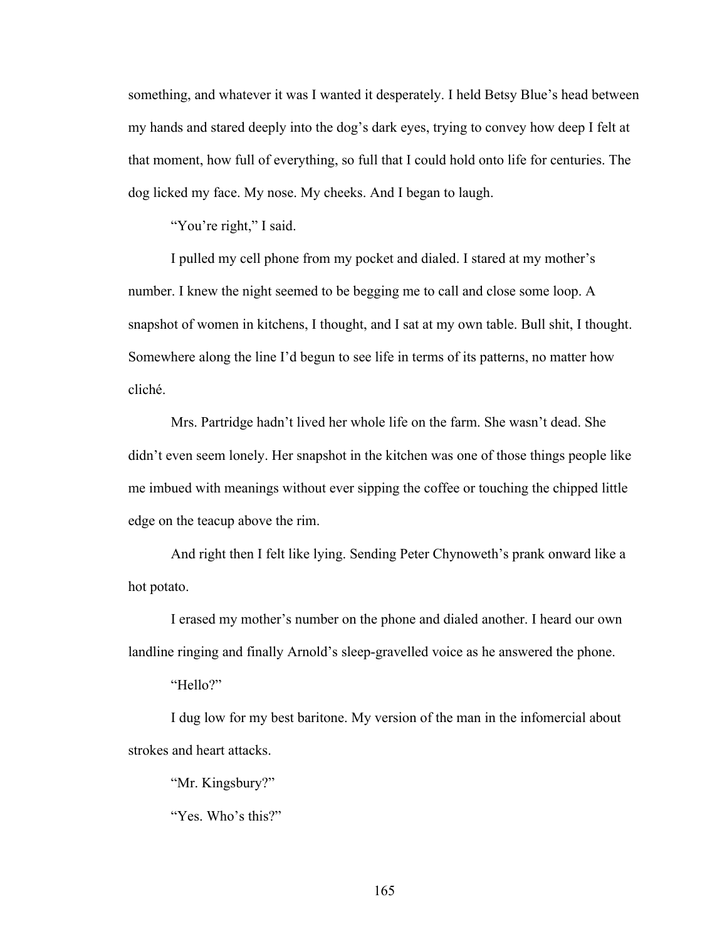something, and whatever it was I wanted it desperately. I held Betsy Blue's head between my hands and stared deeply into the dog's dark eyes, trying to convey how deep I felt at that moment, how full of everything, so full that I could hold onto life for centuries. The dog licked my face. My nose. My cheeks. And I began to laugh.

"You're right," I said.

I pulled my cell phone from my pocket and dialed. I stared at my mother's number. I knew the night seemed to be begging me to call and close some loop. A snapshot of women in kitchens, I thought, and I sat at my own table. Bull shit, I thought. Somewhere along the line I'd begun to see life in terms of its patterns, no matter how cliché.

Mrs. Partridge hadn't lived her whole life on the farm. She wasn't dead. She didn't even seem lonely. Her snapshot in the kitchen was one of those things people like me imbued with meanings without ever sipping the coffee or touching the chipped little edge on the teacup above the rim.

And right then I felt like lying. Sending Peter Chynoweth's prank onward like a hot potato.

I erased my mother's number on the phone and dialed another. I heard our own landline ringing and finally Arnold's sleep-gravelled voice as he answered the phone.

"Hello?"

I dug low for my best baritone. My version of the man in the infomercial about strokes and heart attacks.

"Mr. Kingsbury?"

"Yes. Who's this?"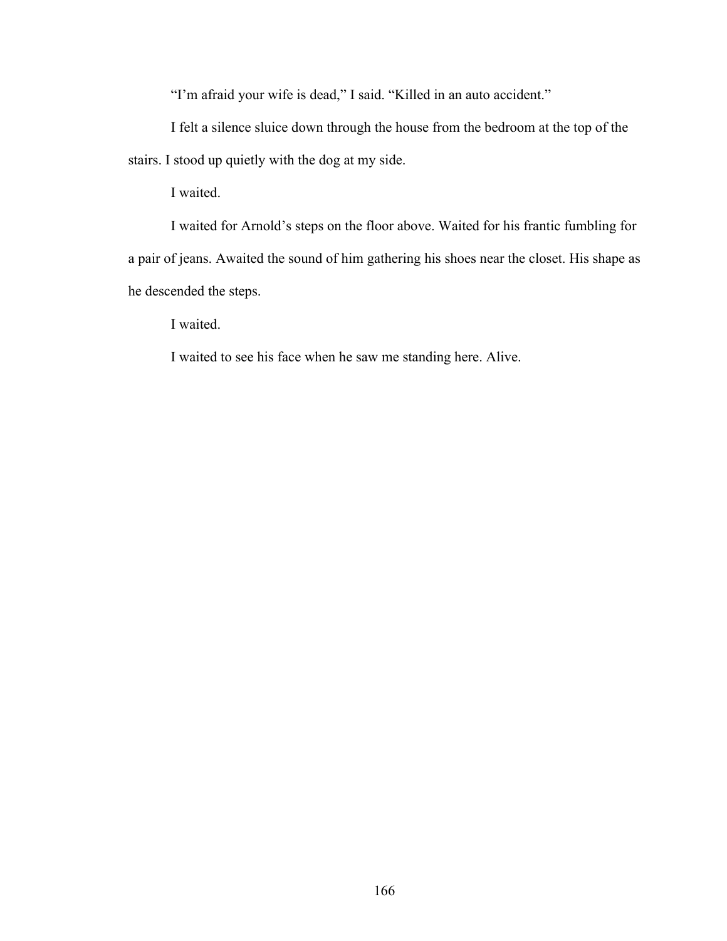"I'm afraid your wife is dead," I said. "Killed in an auto accident."

I felt a silence sluice down through the house from the bedroom at the top of the stairs. I stood up quietly with the dog at my side.

I waited.

I waited for Arnold's steps on the floor above. Waited for his frantic fumbling for a pair of jeans. Awaited the sound of him gathering his shoes near the closet. His shape as he descended the steps.

I waited.

I waited to see his face when he saw me standing here. Alive.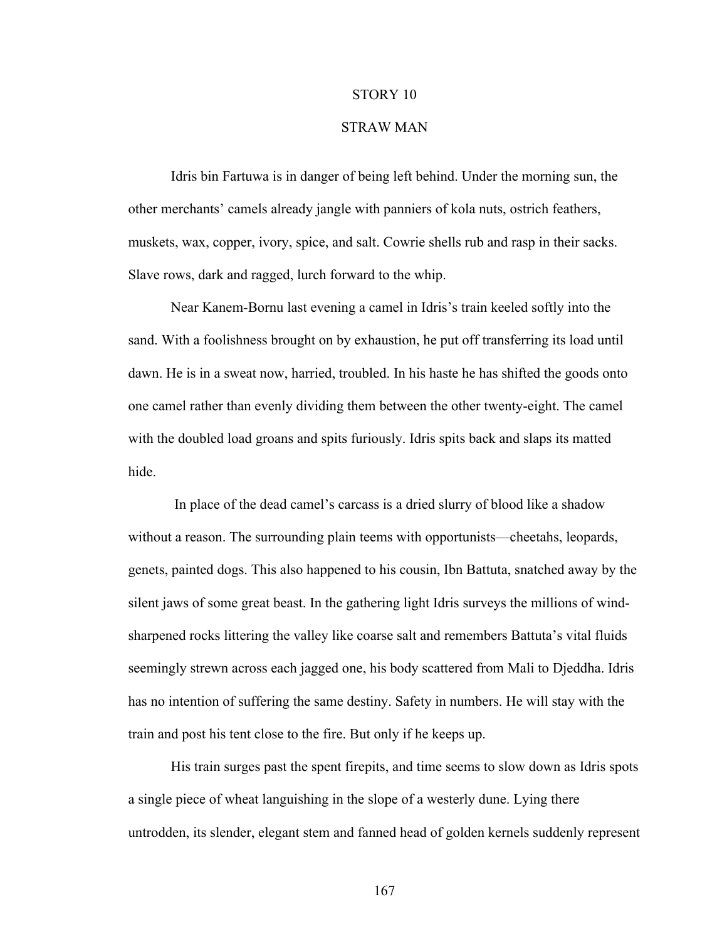## STORY 10

## STRAW MAN

Idris bin Fartuwa is in danger of being left behind. Under the morning sun, the other merchants' camels already jangle with panniers of kola nuts, ostrich feathers, muskets, wax, copper, ivory, spice, and salt. Cowrie shells rub and rasp in their sacks. Slave rows, dark and ragged, lurch forward to the whip.

Near Kanem-Bornu last evening a camel in Idris's train keeled softly into the sand. With a foolishness brought on by exhaustion, he put off transferring its load until dawn. He is in a sweat now, harried, troubled. In his haste he has shifted the goods onto one camel rather than evenly dividing them between the other twenty-eight. The camel with the doubled load groans and spits furiously. Idris spits back and slaps its matted hide.

In place of the dead camel's carcass is a dried slurry of blood like a shadow without a reason. The surrounding plain teems with opportunists—cheetahs, leopards, genets, painted dogs. This also happened to his cousin, Ibn Battuta, snatched away by the silent jaws of some great beast. In the gathering light Idris surveys the millions of windsharpened rocks littering the valley like coarse salt and remembers Battuta's vital fluids seemingly strewn across each jagged one, his body scattered from Mali to Djeddha. Idris has no intention of suffering the same destiny. Safety in numbers. He will stay with the train and post his tent close to the fire. But only if he keeps up.

His train surges past the spent firepits, and time seems to slow down as Idris spots a single piece of wheat languishing in the slope of a westerly dune. Lying there untrodden, its slender, elegant stem and fanned head of golden kernels suddenly represent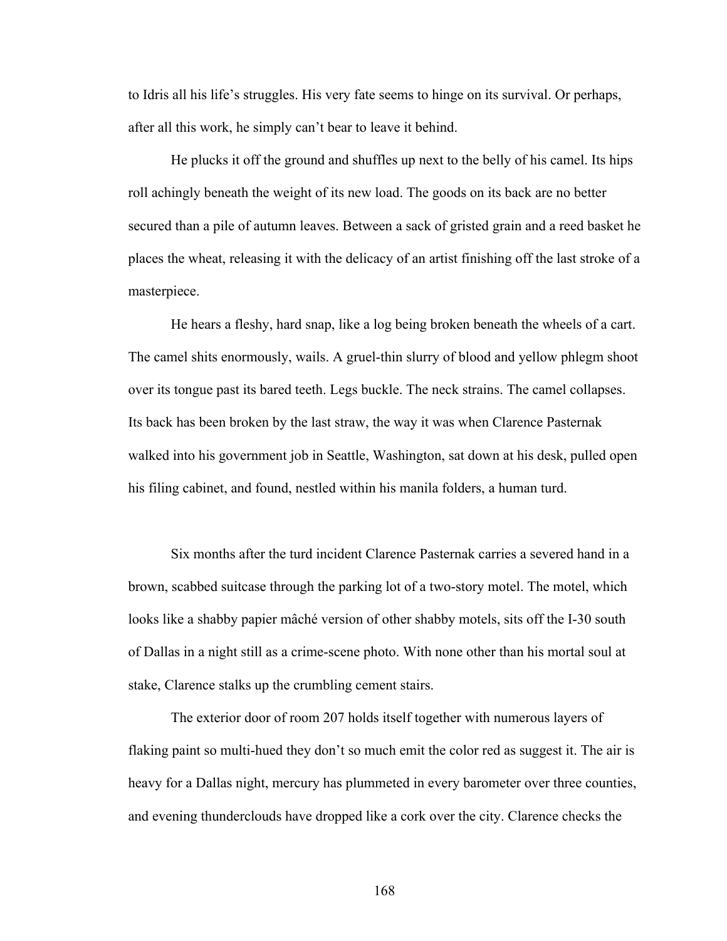to Idris all his life's struggles. His very fate seems to hinge on its survival. Or perhaps, after all this work, he simply can't bear to leave it behind.

He plucks it off the ground and shuffles up next to the belly of his camel. Its hips roll achingly beneath the weight of its new load. The goods on its back are no better secured than a pile of autumn leaves. Between a sack of gristed grain and a reed basket he places the wheat, releasing it with the delicacy of an artist finishing off the last stroke of a masterpiece.

He hears a fleshy, hard snap, like a log being broken beneath the wheels of a cart. The camel shits enormously, wails. A gruel-thin slurry of blood and yellow phlegm shoot over its tongue past its bared teeth. Legs buckle. The neck strains. The camel collapses. Its back has been broken by the last straw, the way it was when Clarence Pasternak walked into his government job in Seattle, Washington, sat down at his desk, pulled open his filing cabinet, and found, nestled within his manila folders, a human turd.

Six months after the turd incident Clarence Pasternak carries a severed hand in a brown, scabbed suitcase through the parking lot of a two-story motel. The motel, which looks like a shabby papier mâché version of other shabby motels, sits off the I-30 south of Dallas in a night still as a crime-scene photo. With none other than his mortal soul at stake, Clarence stalks up the crumbling cement stairs.

The exterior door of room 207 holds itself together with numerous layers of flaking paint so multi-hued they don't so much emit the color red as suggest it. The air is heavy for a Dallas night, mercury has plummeted in every barometer over three counties, and evening thunderclouds have dropped like a cork over the city. Clarence checks the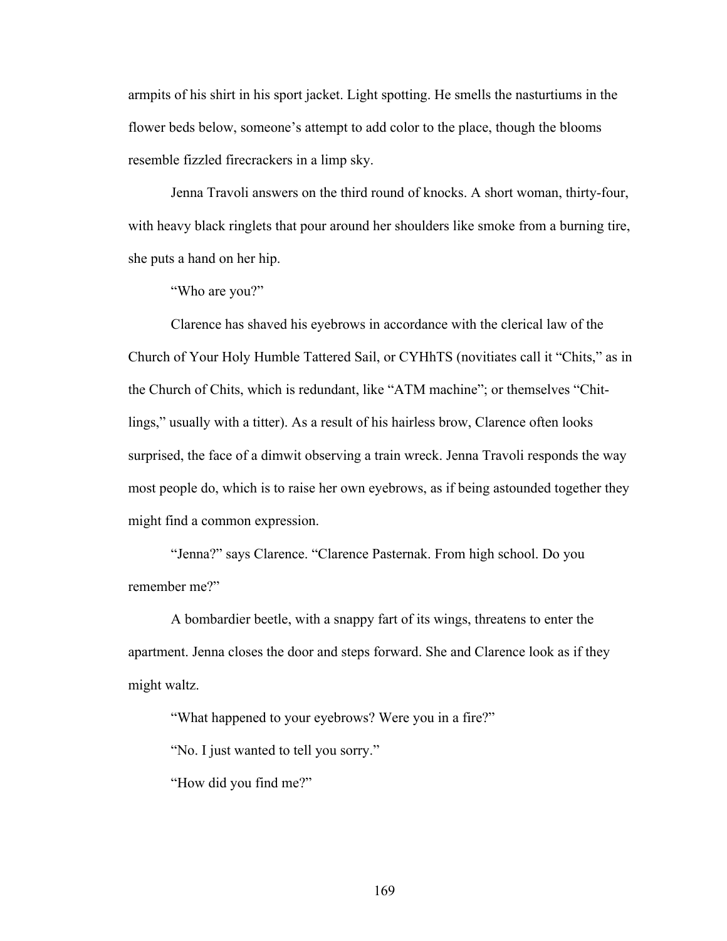armpits of his shirt in his sport jacket. Light spotting. He smells the nasturtiums in the flower beds below, someone's attempt to add color to the place, though the blooms resemble fizzled firecrackers in a limp sky.

Jenna Travoli answers on the third round of knocks. A short woman, thirty-four, with heavy black ringlets that pour around her shoulders like smoke from a burning tire, she puts a hand on her hip.

"Who are you?"

Clarence has shaved his eyebrows in accordance with the clerical law of the Church of Your Holy Humble Tattered Sail, or CYHhTS (novitiates call it "Chits," as in the Church of Chits, which is redundant, like "ATM machine"; or themselves "Chitlings," usually with a titter). As a result of his hairless brow, Clarence often looks surprised, the face of a dimwit observing a train wreck. Jenna Travoli responds the way most people do, which is to raise her own eyebrows, as if being astounded together they might find a common expression.

"Jenna?" says Clarence. "Clarence Pasternak. From high school. Do you remember me?"

A bombardier beetle, with a snappy fart of its wings, threatens to enter the apartment. Jenna closes the door and steps forward. She and Clarence look as if they might waltz.

"What happened to your eyebrows? Were you in a fire?"

"No. I just wanted to tell you sorry."

"How did you find me?"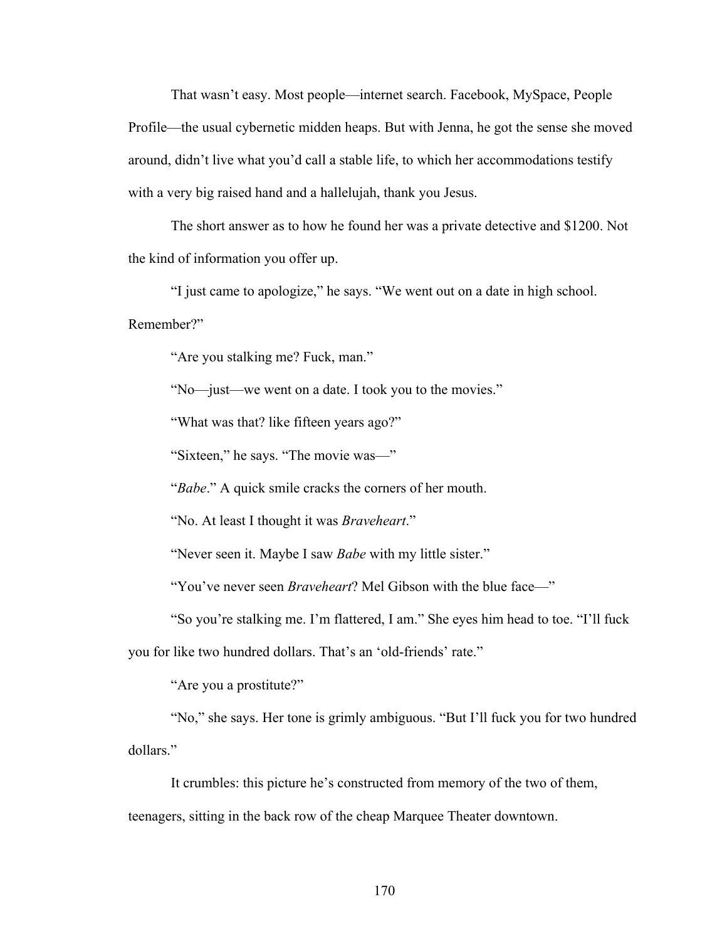That wasn't easy. Most people—internet search. Facebook, MySpace, People Profile—the usual cybernetic midden heaps. But with Jenna, he got the sense she moved around, didn't live what you'd call a stable life, to which her accommodations testify with a very big raised hand and a hallelujah, thank you Jesus.

The short answer as to how he found her was a private detective and \$1200. Not the kind of information you offer up.

"I just came to apologize," he says. "We went out on a date in high school.

Remember?"

"Are you stalking me? Fuck, man."

"No—just—we went on a date. I took you to the movies."

"What was that? like fifteen years ago?"

"Sixteen," he says. "The movie was—"

"*Babe*." A quick smile cracks the corners of her mouth.

"No. At least I thought it was *Braveheart*."

"Never seen it. Maybe I saw *Babe* with my little sister."

"You've never seen *Braveheart*? Mel Gibson with the blue face—"

"So you're stalking me. I'm flattered, I am." She eyes him head to toe. "I'll fuck

you for like two hundred dollars. That's an 'old-friends' rate."

"Are you a prostitute?"

"No," she says. Her tone is grimly ambiguous. "But I'll fuck you for two hundred dollars."

It crumbles: this picture he's constructed from memory of the two of them, teenagers, sitting in the back row of the cheap Marquee Theater downtown.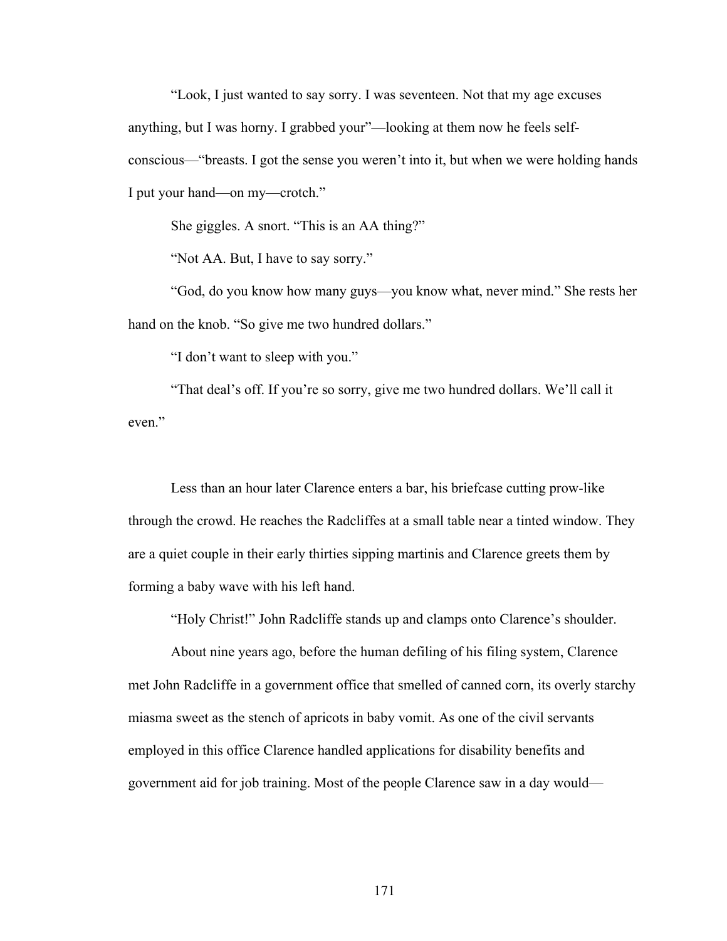"Look, I just wanted to say sorry. I was seventeen. Not that my age excuses anything, but I was horny. I grabbed your"—looking at them now he feels selfconscious—"breasts. I got the sense you weren't into it, but when we were holding hands I put your hand—on my—crotch."

She giggles. A snort. "This is an AA thing?"

"Not AA. But, I have to say sorry."

"God, do you know how many guys—you know what, never mind." She rests her hand on the knob. "So give me two hundred dollars."

"I don't want to sleep with you."

"That deal's off. If you're so sorry, give me two hundred dollars. We'll call it even."

Less than an hour later Clarence enters a bar, his briefcase cutting prow-like through the crowd. He reaches the Radcliffes at a small table near a tinted window. They are a quiet couple in their early thirties sipping martinis and Clarence greets them by forming a baby wave with his left hand.

"Holy Christ!" John Radcliffe stands up and clamps onto Clarence's shoulder.

About nine years ago, before the human defiling of his filing system, Clarence met John Radcliffe in a government office that smelled of canned corn, its overly starchy miasma sweet as the stench of apricots in baby vomit. As one of the civil servants employed in this office Clarence handled applications for disability benefits and government aid for job training. Most of the people Clarence saw in a day would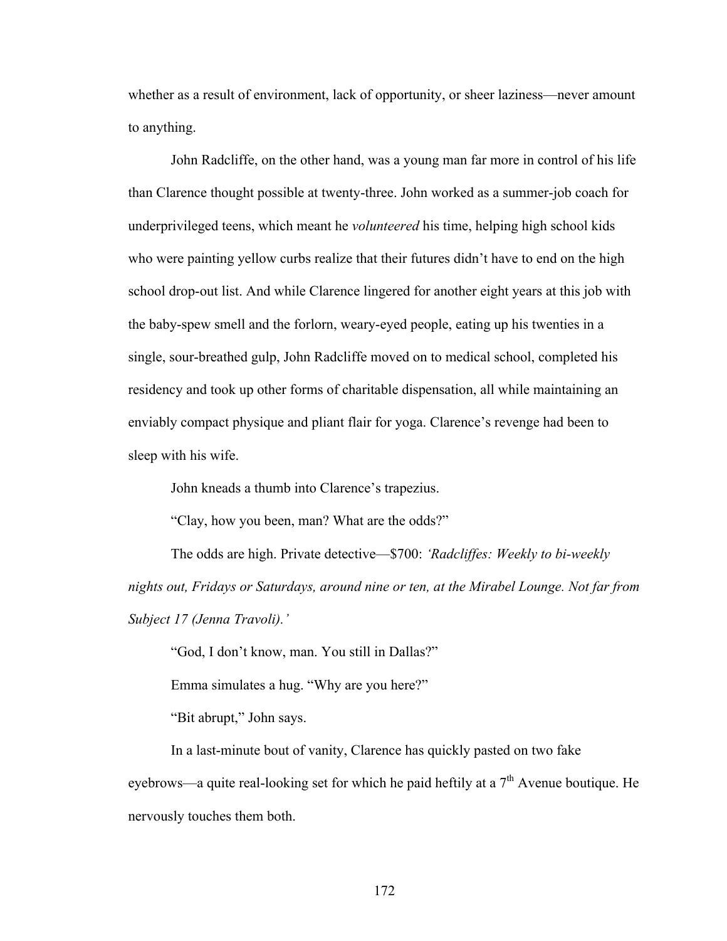whether as a result of environment, lack of opportunity, or sheer laziness—never amount to anything.

John Radcliffe, on the other hand, was a young man far more in control of his life than Clarence thought possible at twenty-three. John worked as a summer-job coach for underprivileged teens, which meant he *volunteered* his time, helping high school kids who were painting yellow curbs realize that their futures didn't have to end on the high school drop-out list. And while Clarence lingered for another eight years at this job with the baby-spew smell and the forlorn, weary-eyed people, eating up his twenties in a single, sour-breathed gulp, John Radcliffe moved on to medical school, completed his residency and took up other forms of charitable dispensation, all while maintaining an enviably compact physique and pliant flair for yoga. Clarence's revenge had been to sleep with his wife.

John kneads a thumb into Clarence's trapezius.

"Clay, how you been, man? What are the odds?"

The odds are high. Private detective—\$700: *'Radcliffes: Weekly to bi-weekly nights out, Fridays or Saturdays, around nine or ten, at the Mirabel Lounge. Not far from Subject 17 (Jenna Travoli).'*

"God, I don't know, man. You still in Dallas?"

Emma simulates a hug. "Why are you here?"

"Bit abrupt," John says.

In a last-minute bout of vanity, Clarence has quickly pasted on two fake eyebrows—a quite real-looking set for which he paid heftily at a  $7<sup>th</sup>$  Avenue boutique. He nervously touches them both.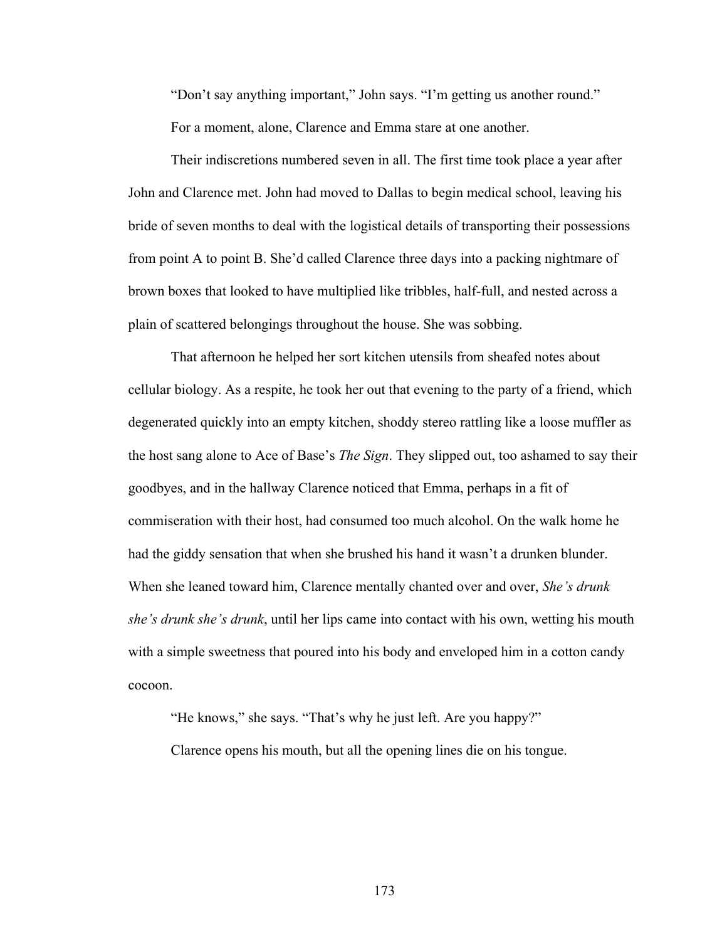"Don't say anything important," John says. "I'm getting us another round." For a moment, alone, Clarence and Emma stare at one another.

Their indiscretions numbered seven in all. The first time took place a year after John and Clarence met. John had moved to Dallas to begin medical school, leaving his bride of seven months to deal with the logistical details of transporting their possessions from point A to point B. She'd called Clarence three days into a packing nightmare of brown boxes that looked to have multiplied like tribbles, half-full, and nested across a plain of scattered belongings throughout the house. She was sobbing.

That afternoon he helped her sort kitchen utensils from sheafed notes about cellular biology. As a respite, he took her out that evening to the party of a friend, which degenerated quickly into an empty kitchen, shoddy stereo rattling like a loose muffler as the host sang alone to Ace of Base's *The Sign*. They slipped out, too ashamed to say their goodbyes, and in the hallway Clarence noticed that Emma, perhaps in a fit of commiseration with their host, had consumed too much alcohol. On the walk home he had the giddy sensation that when she brushed his hand it wasn't a drunken blunder. When she leaned toward him, Clarence mentally chanted over and over, *She's drunk she's drunk she's drunk*, until her lips came into contact with his own, wetting his mouth with a simple sweetness that poured into his body and enveloped him in a cotton candy cocoon.

"He knows," she says. "That's why he just left. Are you happy?"

Clarence opens his mouth, but all the opening lines die on his tongue.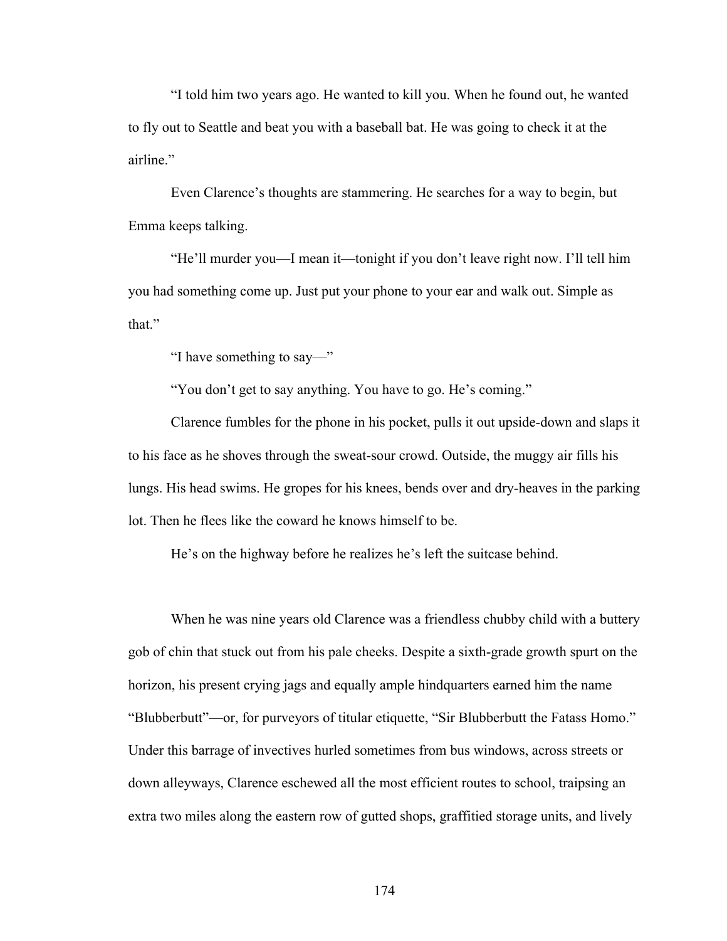"I told him two years ago. He wanted to kill you. When he found out, he wanted to fly out to Seattle and beat you with a baseball bat. He was going to check it at the airline"

Even Clarence's thoughts are stammering. He searches for a way to begin, but Emma keeps talking.

"He'll murder you—I mean it—tonight if you don't leave right now. I'll tell him you had something come up. Just put your phone to your ear and walk out. Simple as that."

"I have something to say—"

"You don't get to say anything. You have to go. He's coming."

Clarence fumbles for the phone in his pocket, pulls it out upside-down and slaps it to his face as he shoves through the sweat-sour crowd. Outside, the muggy air fills his lungs. His head swims. He gropes for his knees, bends over and dry-heaves in the parking lot. Then he flees like the coward he knows himself to be.

He's on the highway before he realizes he's left the suitcase behind.

When he was nine years old Clarence was a friendless chubby child with a buttery gob of chin that stuck out from his pale cheeks. Despite a sixth-grade growth spurt on the horizon, his present crying jags and equally ample hindquarters earned him the name "Blubberbutt"—or, for purveyors of titular etiquette, "Sir Blubberbutt the Fatass Homo." Under this barrage of invectives hurled sometimes from bus windows, across streets or down alleyways, Clarence eschewed all the most efficient routes to school, traipsing an extra two miles along the eastern row of gutted shops, graffitied storage units, and lively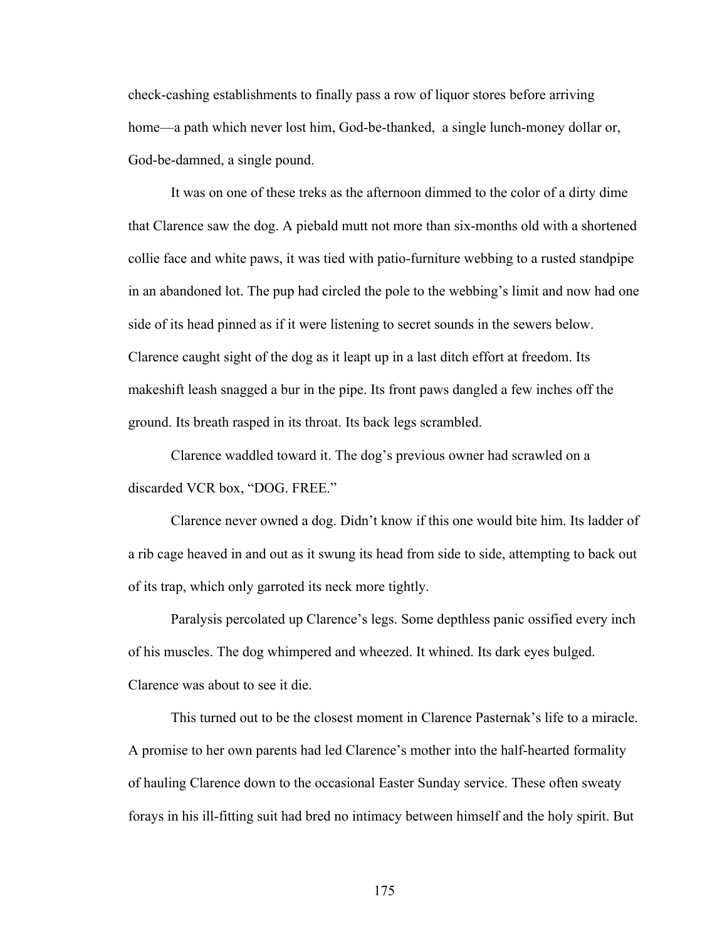check-cashing establishments to finally pass a row of liquor stores before arriving home—a path which never lost him, God-be-thanked, a single lunch-money dollar or, God-be-damned, a single pound.

It was on one of these treks as the afternoon dimmed to the color of a dirty dime that Clarence saw the dog. A piebald mutt not more than six-months old with a shortened collie face and white paws, it was tied with patio-furniture webbing to a rusted standpipe in an abandoned lot. The pup had circled the pole to the webbing's limit and now had one side of its head pinned as if it were listening to secret sounds in the sewers below. Clarence caught sight of the dog as it leapt up in a last ditch effort at freedom. Its makeshift leash snagged a bur in the pipe. Its front paws dangled a few inches off the ground. Its breath rasped in its throat. Its back legs scrambled.

Clarence waddled toward it. The dog's previous owner had scrawled on a discarded VCR box, "DOG. FREE."

Clarence never owned a dog. Didn't know if this one would bite him. Its ladder of a rib cage heaved in and out as it swung its head from side to side, attempting to back out of its trap, which only garroted its neck more tightly.

Paralysis percolated up Clarence's legs. Some depthless panic ossified every inch of his muscles. The dog whimpered and wheezed. It whined. Its dark eyes bulged. Clarence was about to see it die.

This turned out to be the closest moment in Clarence Pasternak's life to a miracle. A promise to her own parents had led Clarence's mother into the half-hearted formality of hauling Clarence down to the occasional Easter Sunday service. These often sweaty forays in his ill-fitting suit had bred no intimacy between himself and the holy spirit. But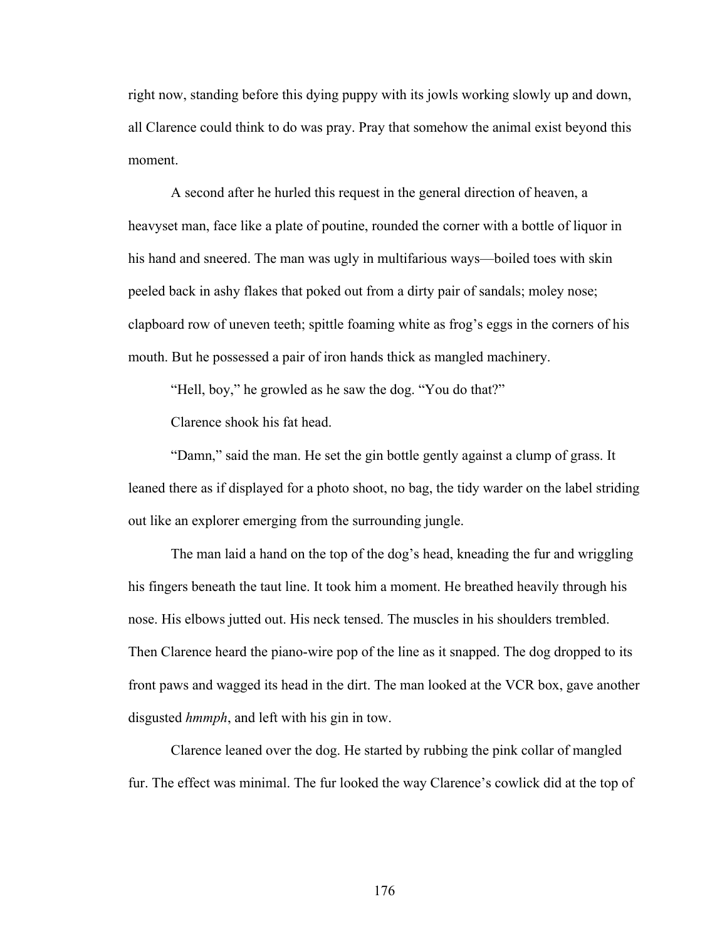right now, standing before this dying puppy with its jowls working slowly up and down, all Clarence could think to do was pray. Pray that somehow the animal exist beyond this moment.

A second after he hurled this request in the general direction of heaven, a heavyset man, face like a plate of poutine, rounded the corner with a bottle of liquor in his hand and sneered. The man was ugly in multifarious ways—boiled toes with skin peeled back in ashy flakes that poked out from a dirty pair of sandals; moley nose; clapboard row of uneven teeth; spittle foaming white as frog's eggs in the corners of his mouth. But he possessed a pair of iron hands thick as mangled machinery.

"Hell, boy," he growled as he saw the dog. "You do that?"

Clarence shook his fat head.

"Damn," said the man. He set the gin bottle gently against a clump of grass. It leaned there as if displayed for a photo shoot, no bag, the tidy warder on the label striding out like an explorer emerging from the surrounding jungle.

The man laid a hand on the top of the dog's head, kneading the fur and wriggling his fingers beneath the taut line. It took him a moment. He breathed heavily through his nose. His elbows jutted out. His neck tensed. The muscles in his shoulders trembled. Then Clarence heard the piano-wire pop of the line as it snapped. The dog dropped to its front paws and wagged its head in the dirt. The man looked at the VCR box, gave another disgusted *hmmph*, and left with his gin in tow.

Clarence leaned over the dog. He started by rubbing the pink collar of mangled fur. The effect was minimal. The fur looked the way Clarence's cowlick did at the top of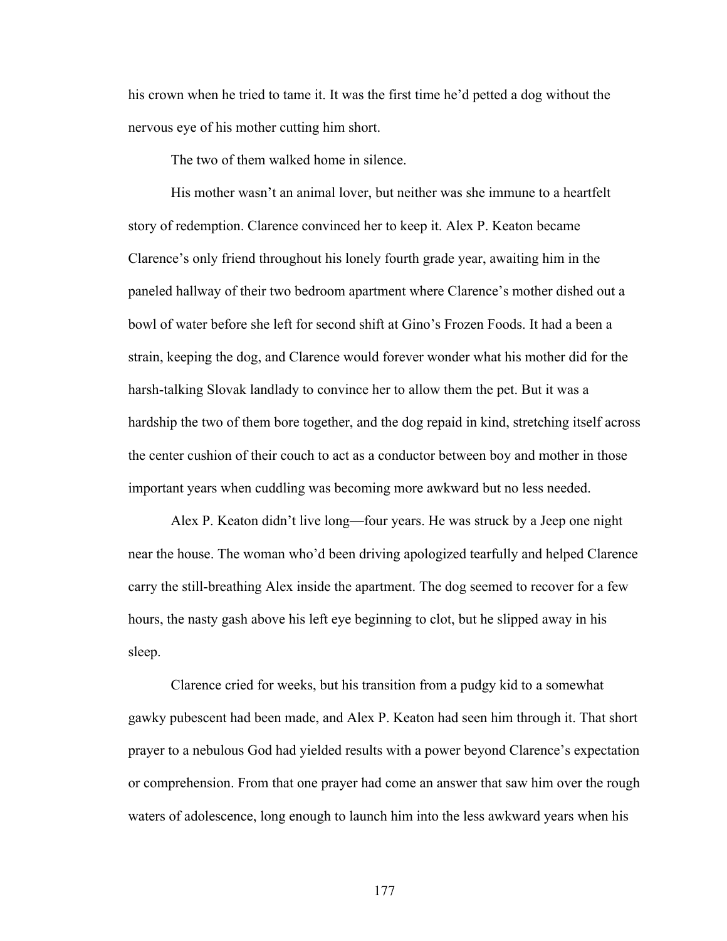his crown when he tried to tame it. It was the first time he'd petted a dog without the nervous eye of his mother cutting him short.

The two of them walked home in silence.

His mother wasn't an animal lover, but neither was she immune to a heartfelt story of redemption. Clarence convinced her to keep it. Alex P. Keaton became Clarence's only friend throughout his lonely fourth grade year, awaiting him in the paneled hallway of their two bedroom apartment where Clarence's mother dished out a bowl of water before she left for second shift at Gino's Frozen Foods. It had a been a strain, keeping the dog, and Clarence would forever wonder what his mother did for the harsh-talking Slovak landlady to convince her to allow them the pet. But it was a hardship the two of them bore together, and the dog repaid in kind, stretching itself across the center cushion of their couch to act as a conductor between boy and mother in those important years when cuddling was becoming more awkward but no less needed.

Alex P. Keaton didn't live long—four years. He was struck by a Jeep one night near the house. The woman who'd been driving apologized tearfully and helped Clarence carry the still-breathing Alex inside the apartment. The dog seemed to recover for a few hours, the nasty gash above his left eye beginning to clot, but he slipped away in his sleep.

Clarence cried for weeks, but his transition from a pudgy kid to a somewhat gawky pubescent had been made, and Alex P. Keaton had seen him through it. That short prayer to a nebulous God had yielded results with a power beyond Clarence's expectation or comprehension. From that one prayer had come an answer that saw him over the rough waters of adolescence, long enough to launch him into the less awkward years when his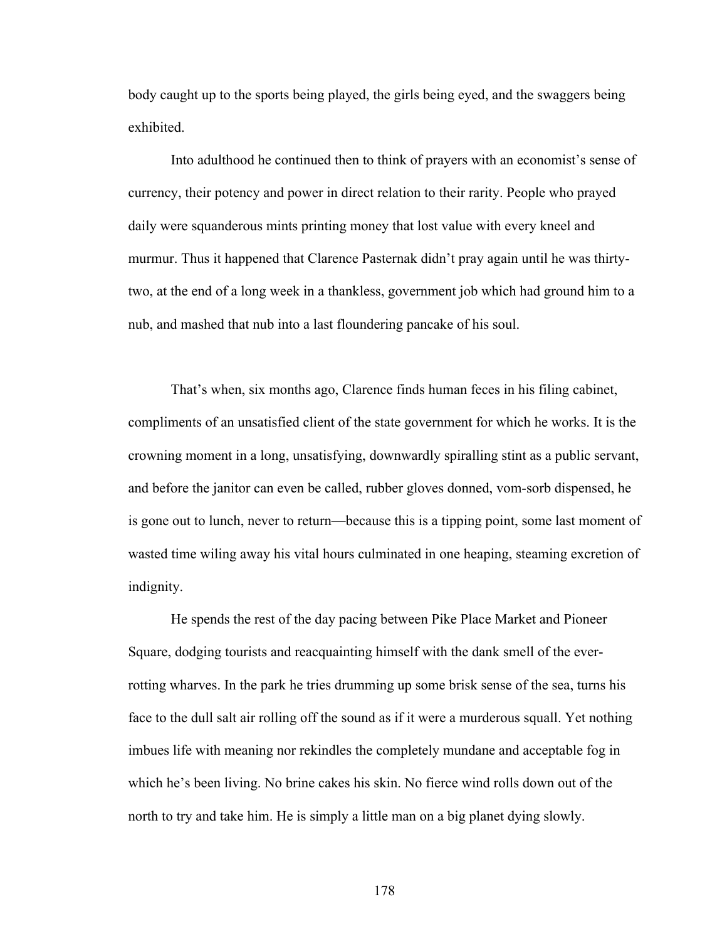body caught up to the sports being played, the girls being eyed, and the swaggers being exhibited.

Into adulthood he continued then to think of prayers with an economist's sense of currency, their potency and power in direct relation to their rarity. People who prayed daily were squanderous mints printing money that lost value with every kneel and murmur. Thus it happened that Clarence Pasternak didn't pray again until he was thirtytwo, at the end of a long week in a thankless, government job which had ground him to a nub, and mashed that nub into a last floundering pancake of his soul.

That's when, six months ago, Clarence finds human feces in his filing cabinet, compliments of an unsatisfied client of the state government for which he works. It is the crowning moment in a long, unsatisfying, downwardly spiralling stint as a public servant, and before the janitor can even be called, rubber gloves donned, vom-sorb dispensed, he is gone out to lunch, never to return—because this is a tipping point, some last moment of wasted time wiling away his vital hours culminated in one heaping, steaming excretion of indignity.

He spends the rest of the day pacing between Pike Place Market and Pioneer Square, dodging tourists and reacquainting himself with the dank smell of the everrotting wharves. In the park he tries drumming up some brisk sense of the sea, turns his face to the dull salt air rolling off the sound as if it were a murderous squall. Yet nothing imbues life with meaning nor rekindles the completely mundane and acceptable fog in which he's been living. No brine cakes his skin. No fierce wind rolls down out of the north to try and take him. He is simply a little man on a big planet dying slowly.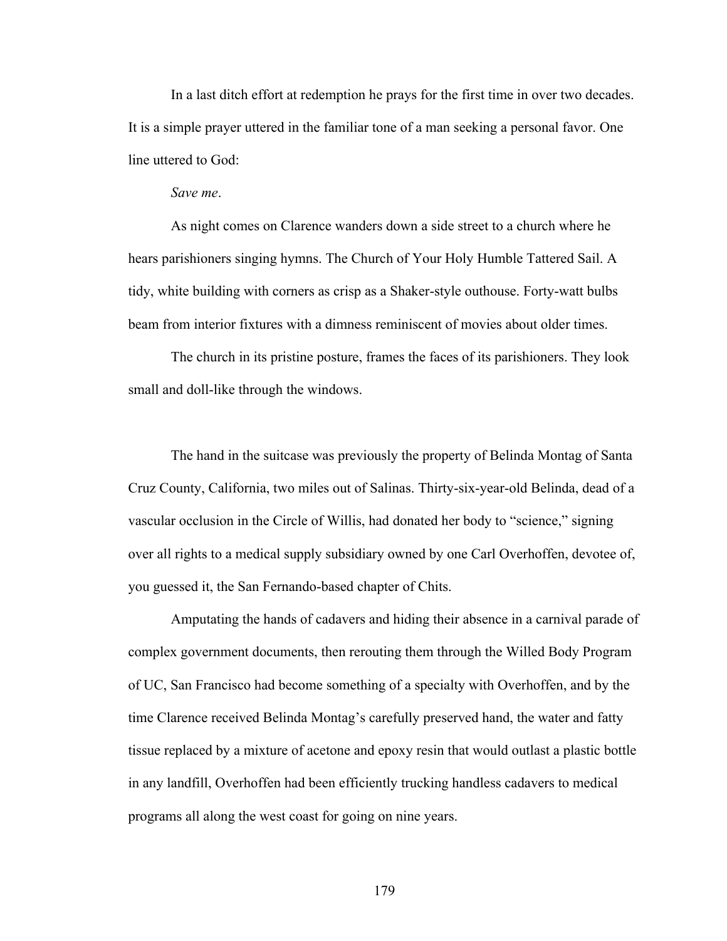In a last ditch effort at redemption he prays for the first time in over two decades. It is a simple prayer uttered in the familiar tone of a man seeking a personal favor. One line uttered to God:

## *Save me*.

As night comes on Clarence wanders down a side street to a church where he hears parishioners singing hymns. The Church of Your Holy Humble Tattered Sail. A tidy, white building with corners as crisp as a Shaker-style outhouse. Forty-watt bulbs beam from interior fixtures with a dimness reminiscent of movies about older times.

The church in its pristine posture, frames the faces of its parishioners. They look small and doll-like through the windows.

The hand in the suitcase was previously the property of Belinda Montag of Santa Cruz County, California, two miles out of Salinas. Thirty-six-year-old Belinda, dead of a vascular occlusion in the Circle of Willis, had donated her body to "science," signing over all rights to a medical supply subsidiary owned by one Carl Overhoffen, devotee of, you guessed it, the San Fernando-based chapter of Chits.

Amputating the hands of cadavers and hiding their absence in a carnival parade of complex government documents, then rerouting them through the Willed Body Program of UC, San Francisco had become something of a specialty with Overhoffen, and by the time Clarence received Belinda Montag's carefully preserved hand, the water and fatty tissue replaced by a mixture of acetone and epoxy resin that would outlast a plastic bottle in any landfill, Overhoffen had been efficiently trucking handless cadavers to medical programs all along the west coast for going on nine years.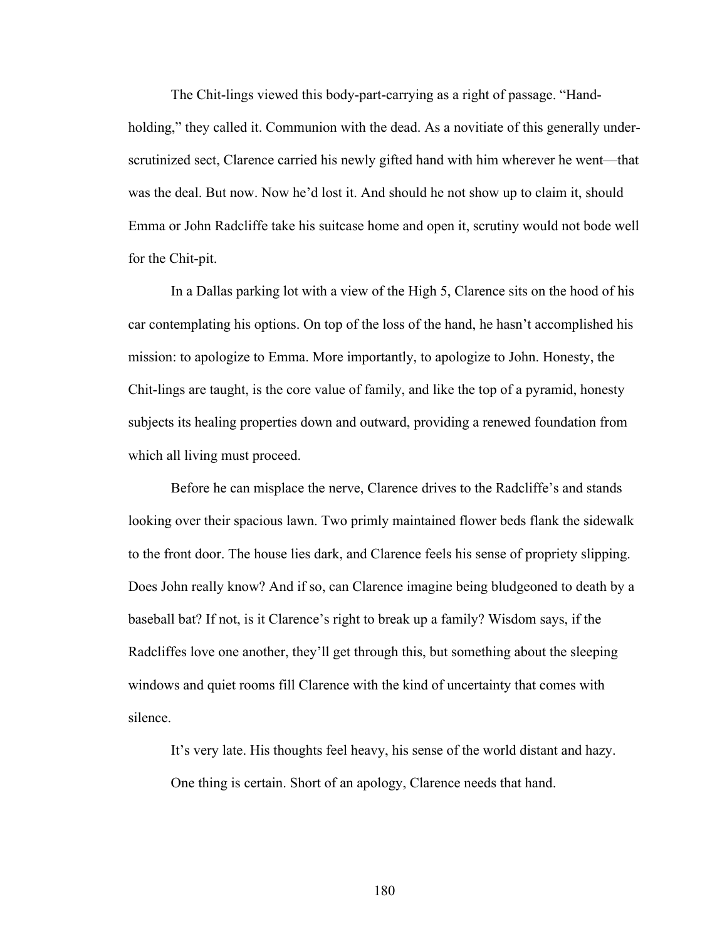The Chit-lings viewed this body-part-carrying as a right of passage. "Handholding," they called it. Communion with the dead. As a novitiate of this generally underscrutinized sect, Clarence carried his newly gifted hand with him wherever he went—that was the deal. But now. Now he'd lost it. And should he not show up to claim it, should Emma or John Radcliffe take his suitcase home and open it, scrutiny would not bode well for the Chit-pit.

In a Dallas parking lot with a view of the High 5, Clarence sits on the hood of his car contemplating his options. On top of the loss of the hand, he hasn't accomplished his mission: to apologize to Emma. More importantly, to apologize to John. Honesty, the Chit-lings are taught, is the core value of family, and like the top of a pyramid, honesty subjects its healing properties down and outward, providing a renewed foundation from which all living must proceed.

Before he can misplace the nerve, Clarence drives to the Radcliffe's and stands looking over their spacious lawn. Two primly maintained flower beds flank the sidewalk to the front door. The house lies dark, and Clarence feels his sense of propriety slipping. Does John really know? And if so, can Clarence imagine being bludgeoned to death by a baseball bat? If not, is it Clarence's right to break up a family? Wisdom says, if the Radcliffes love one another, they'll get through this, but something about the sleeping windows and quiet rooms fill Clarence with the kind of uncertainty that comes with silence.

It's very late. His thoughts feel heavy, his sense of the world distant and hazy. One thing is certain. Short of an apology, Clarence needs that hand.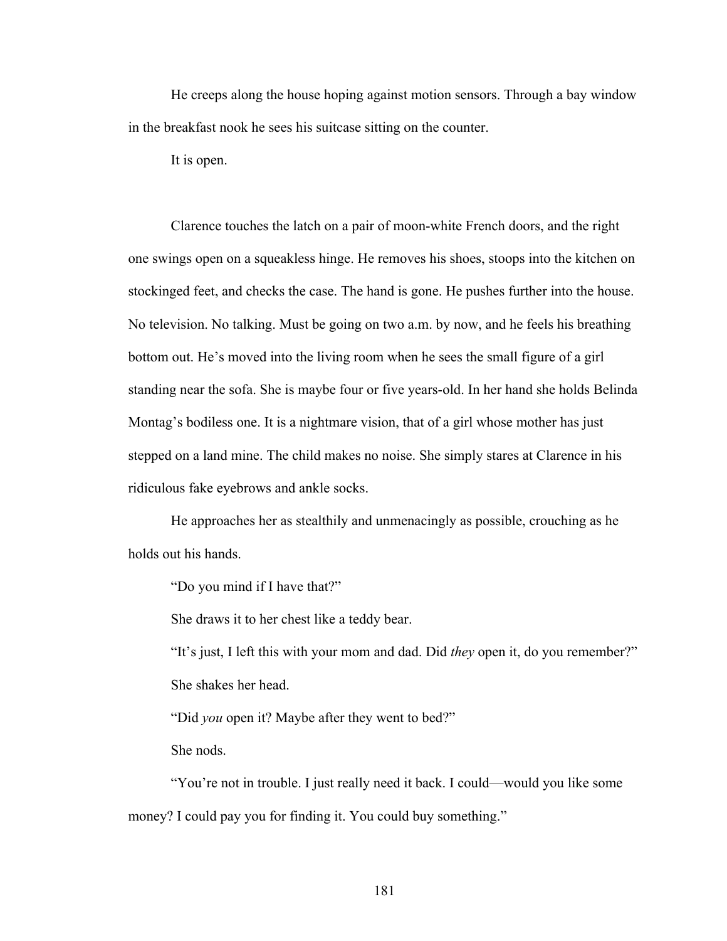He creeps along the house hoping against motion sensors. Through a bay window in the breakfast nook he sees his suitcase sitting on the counter.

It is open.

Clarence touches the latch on a pair of moon-white French doors, and the right one swings open on a squeakless hinge. He removes his shoes, stoops into the kitchen on stockinged feet, and checks the case. The hand is gone. He pushes further into the house. No television. No talking. Must be going on two a.m. by now, and he feels his breathing bottom out. He's moved into the living room when he sees the small figure of a girl standing near the sofa. She is maybe four or five years-old. In her hand she holds Belinda Montag's bodiless one. It is a nightmare vision, that of a girl whose mother has just stepped on a land mine. The child makes no noise. She simply stares at Clarence in his ridiculous fake eyebrows and ankle socks.

He approaches her as stealthily and unmenacingly as possible, crouching as he holds out his hands.

"Do you mind if I have that?"

She draws it to her chest like a teddy bear.

"It's just, I left this with your mom and dad. Did *they* open it, do you remember?" She shakes her head.

"Did *you* open it? Maybe after they went to bed?"

She nods.

"You're not in trouble. I just really need it back. I could—would you like some money? I could pay you for finding it. You could buy something."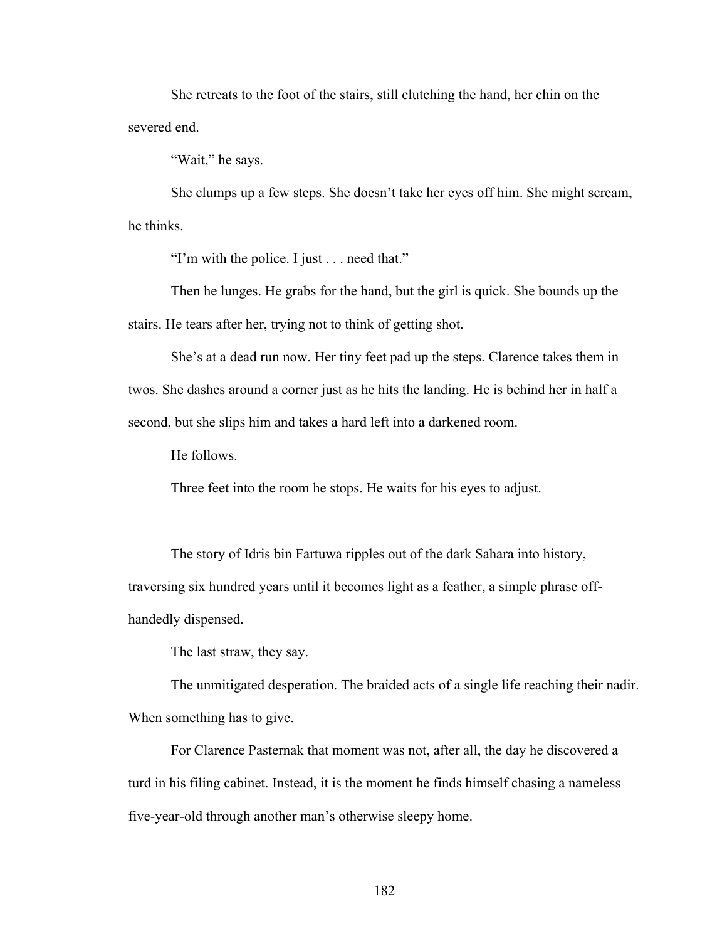She retreats to the foot of the stairs, still clutching the hand, her chin on the severed end.

"Wait," he says.

She clumps up a few steps. She doesn't take her eyes off him. She might scream, he thinks.

"I'm with the police. I just . . . need that."

Then he lunges. He grabs for the hand, but the girl is quick. She bounds up the stairs. He tears after her, trying not to think of getting shot.

She's at a dead run now. Her tiny feet pad up the steps. Clarence takes them in twos. She dashes around a corner just as he hits the landing. He is behind her in half a second, but she slips him and takes a hard left into a darkened room.

He follows.

Three feet into the room he stops. He waits for his eyes to adjust.

The story of Idris bin Fartuwa ripples out of the dark Sahara into history, traversing six hundred years until it becomes light as a feather, a simple phrase offhandedly dispensed.

The last straw, they say.

The unmitigated desperation. The braided acts of a single life reaching their nadir. When something has to give.

For Clarence Pasternak that moment was not, after all, the day he discovered a turd in his filing cabinet. Instead, it is the moment he finds himself chasing a nameless five-year-old through another man's otherwise sleepy home.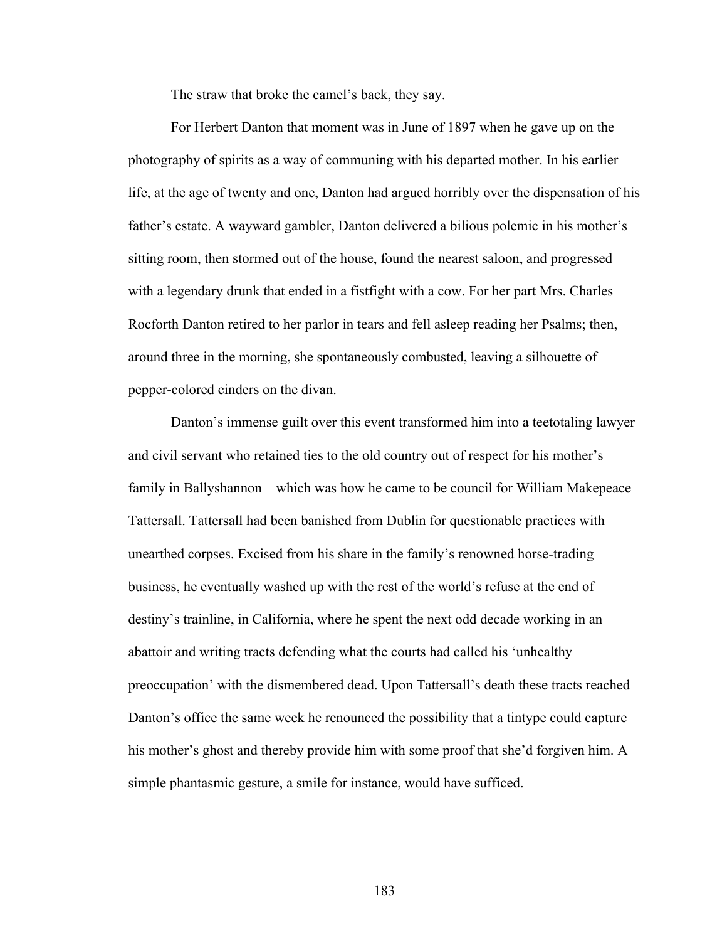The straw that broke the camel's back, they say.

For Herbert Danton that moment was in June of 1897 when he gave up on the photography of spirits as a way of communing with his departed mother. In his earlier life, at the age of twenty and one, Danton had argued horribly over the dispensation of his father's estate. A wayward gambler, Danton delivered a bilious polemic in his mother's sitting room, then stormed out of the house, found the nearest saloon, and progressed with a legendary drunk that ended in a fistfight with a cow. For her part Mrs. Charles Rocforth Danton retired to her parlor in tears and fell asleep reading her Psalms; then, around three in the morning, she spontaneously combusted, leaving a silhouette of pepper-colored cinders on the divan.

Danton's immense guilt over this event transformed him into a teetotaling lawyer and civil servant who retained ties to the old country out of respect for his mother's family in Ballyshannon—which was how he came to be council for William Makepeace Tattersall. Tattersall had been banished from Dublin for questionable practices with unearthed corpses. Excised from his share in the family's renowned horse-trading business, he eventually washed up with the rest of the world's refuse at the end of destiny's trainline, in California, where he spent the next odd decade working in an abattoir and writing tracts defending what the courts had called his 'unhealthy preoccupation' with the dismembered dead. Upon Tattersall's death these tracts reached Danton's office the same week he renounced the possibility that a tintype could capture his mother's ghost and thereby provide him with some proof that she'd forgiven him. A simple phantasmic gesture, a smile for instance, would have sufficed.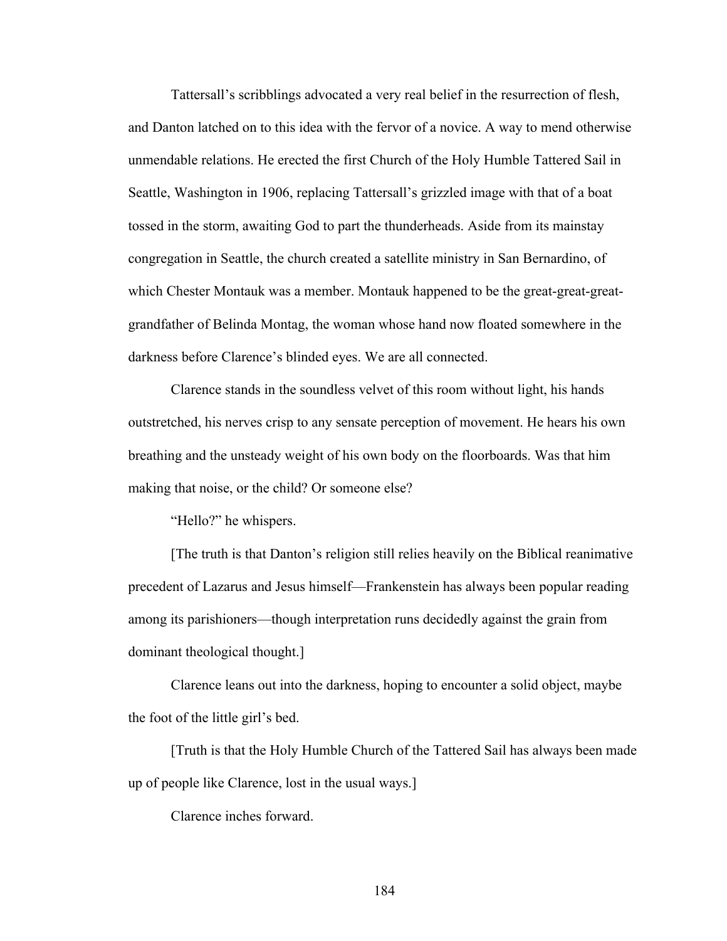Tattersall's scribblings advocated a very real belief in the resurrection of flesh, and Danton latched on to this idea with the fervor of a novice. A way to mend otherwise unmendable relations. He erected the first Church of the Holy Humble Tattered Sail in Seattle, Washington in 1906, replacing Tattersall's grizzled image with that of a boat tossed in the storm, awaiting God to part the thunderheads. Aside from its mainstay congregation in Seattle, the church created a satellite ministry in San Bernardino, of which Chester Montauk was a member. Montauk happened to be the great-great-greatgrandfather of Belinda Montag, the woman whose hand now floated somewhere in the darkness before Clarence's blinded eyes. We are all connected.

Clarence stands in the soundless velvet of this room without light, his hands outstretched, his nerves crisp to any sensate perception of movement. He hears his own breathing and the unsteady weight of his own body on the floorboards. Was that him making that noise, or the child? Or someone else?

"Hello?" he whispers.

[The truth is that Danton's religion still relies heavily on the Biblical reanimative precedent of Lazarus and Jesus himself—Frankenstein has always been popular reading among its parishioners—though interpretation runs decidedly against the grain from dominant theological thought.]

Clarence leans out into the darkness, hoping to encounter a solid object, maybe the foot of the little girl's bed.

[Truth is that the Holy Humble Church of the Tattered Sail has always been made up of people like Clarence, lost in the usual ways.]

Clarence inches forward.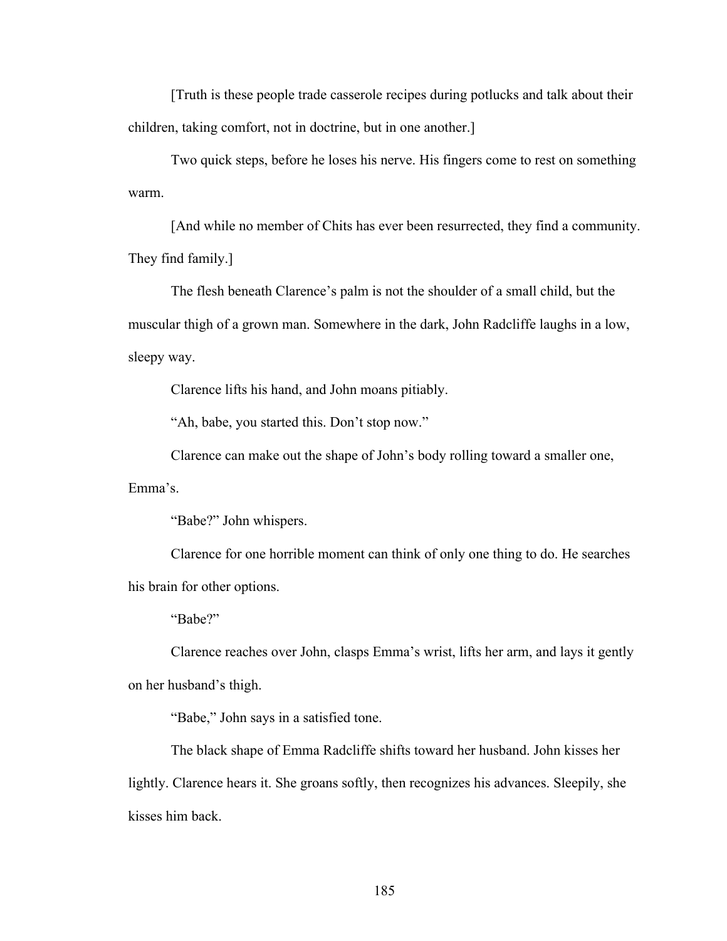[Truth is these people trade casserole recipes during potlucks and talk about their children, taking comfort, not in doctrine, but in one another.]

Two quick steps, before he loses his nerve. His fingers come to rest on something warm.

[And while no member of Chits has ever been resurrected, they find a community. They find family.]

The flesh beneath Clarence's palm is not the shoulder of a small child, but the muscular thigh of a grown man. Somewhere in the dark, John Radcliffe laughs in a low, sleepy way.

Clarence lifts his hand, and John moans pitiably.

"Ah, babe, you started this. Don't stop now."

Clarence can make out the shape of John's body rolling toward a smaller one,

Emma's.

"Babe?" John whispers.

Clarence for one horrible moment can think of only one thing to do. He searches his brain for other options.

"Babe?"

Clarence reaches over John, clasps Emma's wrist, lifts her arm, and lays it gently on her husband's thigh.

"Babe," John says in a satisfied tone.

The black shape of Emma Radcliffe shifts toward her husband. John kisses her lightly. Clarence hears it. She groans softly, then recognizes his advances. Sleepily, she kisses him back.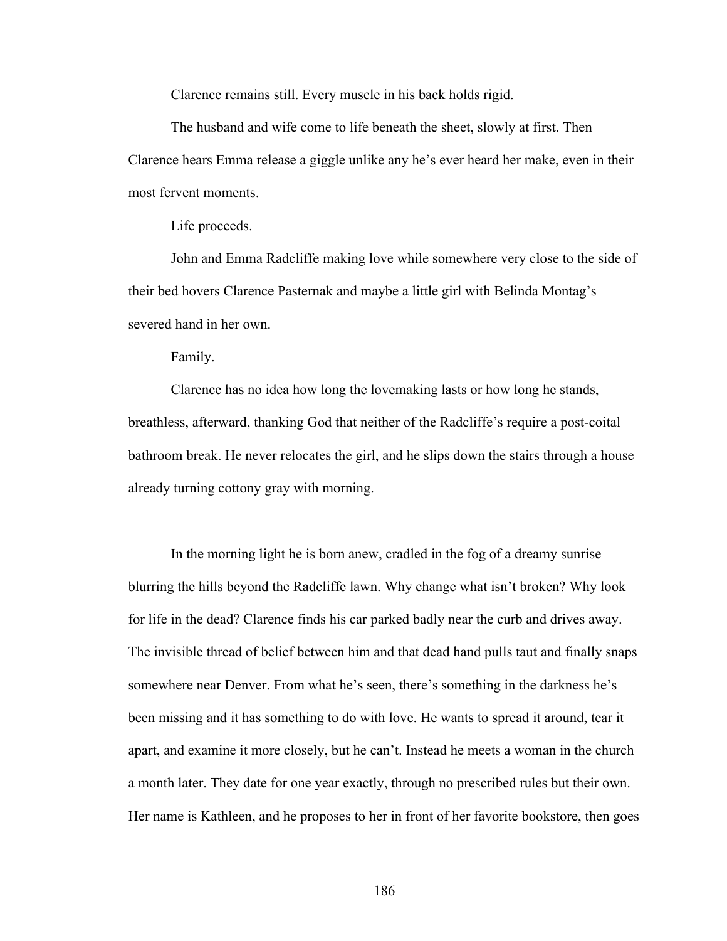Clarence remains still. Every muscle in his back holds rigid.

The husband and wife come to life beneath the sheet, slowly at first. Then Clarence hears Emma release a giggle unlike any he's ever heard her make, even in their most fervent moments.

Life proceeds.

John and Emma Radcliffe making love while somewhere very close to the side of their bed hovers Clarence Pasternak and maybe a little girl with Belinda Montag's severed hand in her own.

Family.

Clarence has no idea how long the lovemaking lasts or how long he stands, breathless, afterward, thanking God that neither of the Radcliffe's require a post-coital bathroom break. He never relocates the girl, and he slips down the stairs through a house already turning cottony gray with morning.

In the morning light he is born anew, cradled in the fog of a dreamy sunrise blurring the hills beyond the Radcliffe lawn. Why change what isn't broken? Why look for life in the dead? Clarence finds his car parked badly near the curb and drives away. The invisible thread of belief between him and that dead hand pulls taut and finally snaps somewhere near Denver. From what he's seen, there's something in the darkness he's been missing and it has something to do with love. He wants to spread it around, tear it apart, and examine it more closely, but he can't. Instead he meets a woman in the church a month later. They date for one year exactly, through no prescribed rules but their own. Her name is Kathleen, and he proposes to her in front of her favorite bookstore, then goes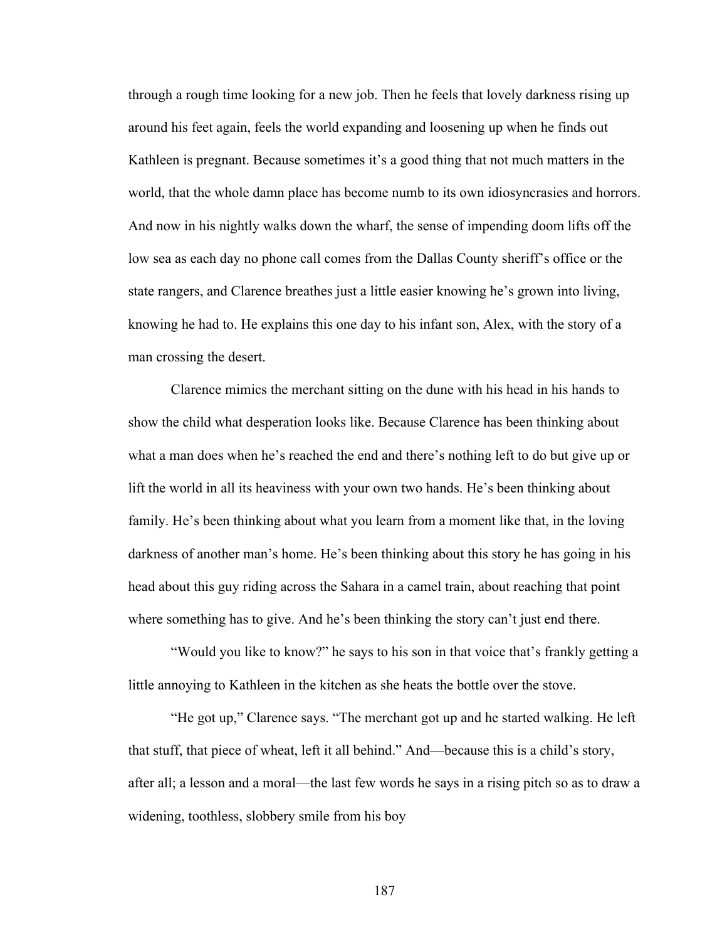through a rough time looking for a new job. Then he feels that lovely darkness rising up around his feet again, feels the world expanding and loosening up when he finds out Kathleen is pregnant. Because sometimes it's a good thing that not much matters in the world, that the whole damn place has become numb to its own idiosyncrasies and horrors. And now in his nightly walks down the wharf, the sense of impending doom lifts off the low sea as each day no phone call comes from the Dallas County sheriff's office or the state rangers, and Clarence breathes just a little easier knowing he's grown into living, knowing he had to. He explains this one day to his infant son, Alex, with the story of a man crossing the desert.

Clarence mimics the merchant sitting on the dune with his head in his hands to show the child what desperation looks like. Because Clarence has been thinking about what a man does when he's reached the end and there's nothing left to do but give up or lift the world in all its heaviness with your own two hands. He's been thinking about family. He's been thinking about what you learn from a moment like that, in the loving darkness of another man's home. He's been thinking about this story he has going in his head about this guy riding across the Sahara in a camel train, about reaching that point where something has to give. And he's been thinking the story can't just end there.

"Would you like to know?" he says to his son in that voice that's frankly getting a little annoying to Kathleen in the kitchen as she heats the bottle over the stove.

"He got up," Clarence says. "The merchant got up and he started walking. He left that stuff, that piece of wheat, left it all behind." And—because this is a child's story, after all; a lesson and a moral—the last few words he says in a rising pitch so as to draw a widening, toothless, slobbery smile from his boy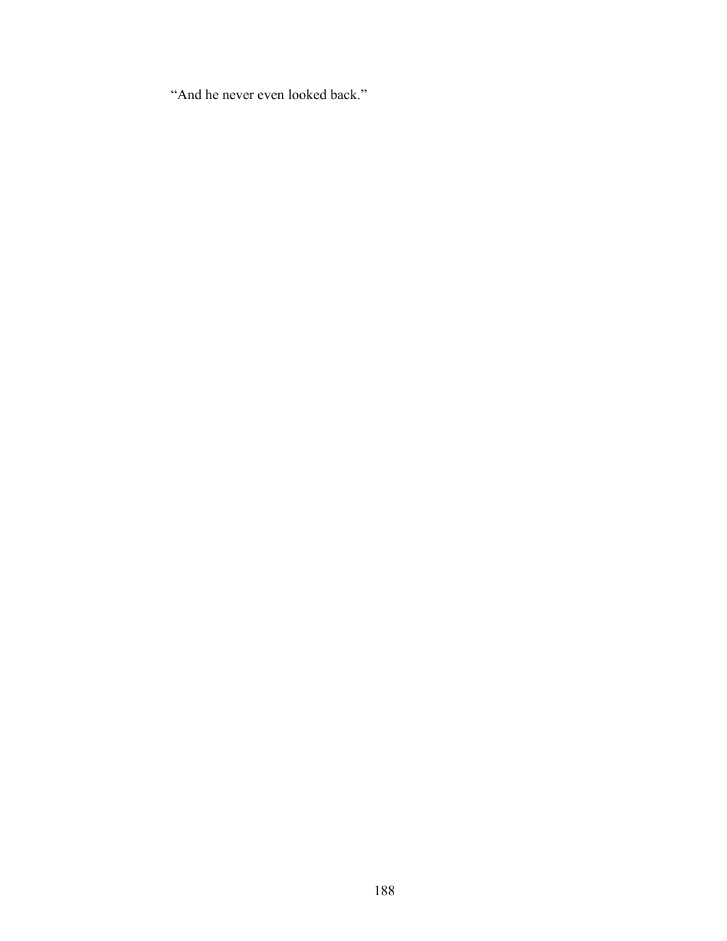"And he never even looked back."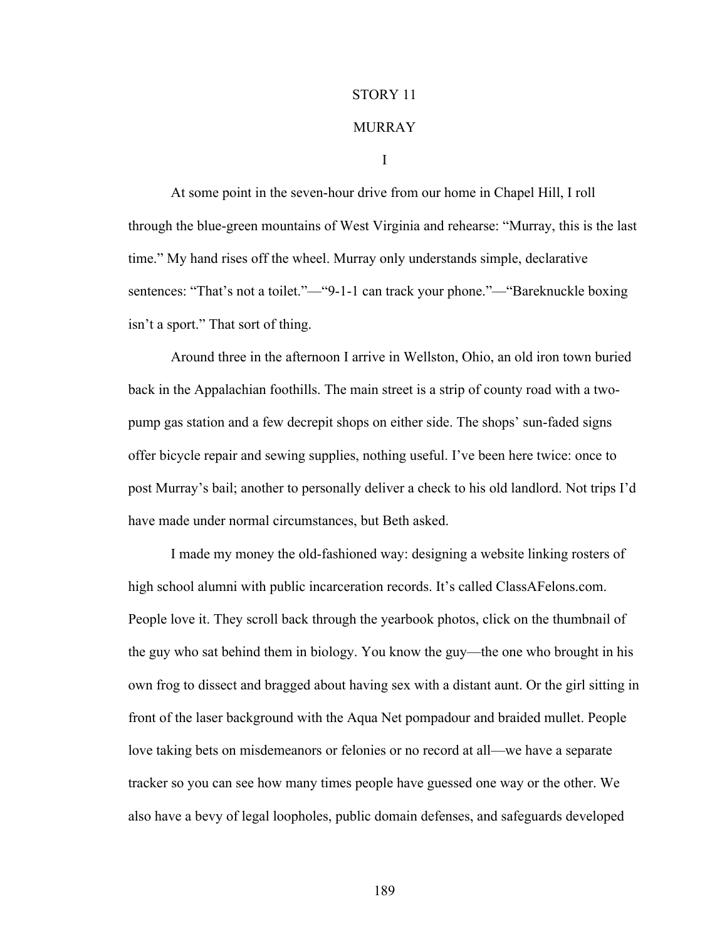## STORY 11

## MURRAY

I

At some point in the seven-hour drive from our home in Chapel Hill, I roll through the blue-green mountains of West Virginia and rehearse: "Murray, this is the last time." My hand rises off the wheel. Murray only understands simple, declarative sentences: "That's not a toilet."—"9-1-1 can track your phone."—"Bareknuckle boxing isn't a sport." That sort of thing.

Around three in the afternoon I arrive in Wellston, Ohio, an old iron town buried back in the Appalachian foothills. The main street is a strip of county road with a twopump gas station and a few decrepit shops on either side. The shops' sun-faded signs offer bicycle repair and sewing supplies, nothing useful. I've been here twice: once to post Murray's bail; another to personally deliver a check to his old landlord. Not trips I'd have made under normal circumstances, but Beth asked.

I made my money the old-fashioned way: designing a website linking rosters of high school alumni with public incarceration records. It's called ClassAFelons.com. People love it. They scroll back through the yearbook photos, click on the thumbnail of the guy who sat behind them in biology. You know the guy—the one who brought in his own frog to dissect and bragged about having sex with a distant aunt. Or the girl sitting in front of the laser background with the Aqua Net pompadour and braided mullet. People love taking bets on misdemeanors or felonies or no record at all—we have a separate tracker so you can see how many times people have guessed one way or the other. We also have a bevy of legal loopholes, public domain defenses, and safeguards developed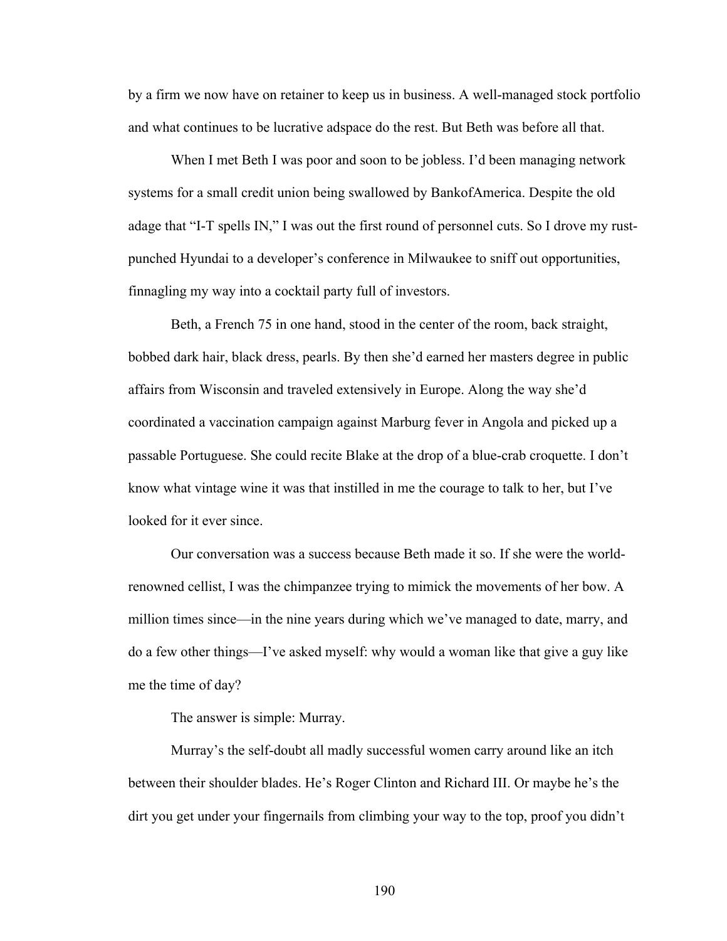by a firm we now have on retainer to keep us in business. A well-managed stock portfolio and what continues to be lucrative adspace do the rest. But Beth was before all that.

When I met Beth I was poor and soon to be jobless. I'd been managing network systems for a small credit union being swallowed by BankofAmerica. Despite the old adage that "I-T spells IN," I was out the first round of personnel cuts. So I drove my rustpunched Hyundai to a developer's conference in Milwaukee to sniff out opportunities, finnagling my way into a cocktail party full of investors.

Beth, a French 75 in one hand, stood in the center of the room, back straight, bobbed dark hair, black dress, pearls. By then she'd earned her masters degree in public affairs from Wisconsin and traveled extensively in Europe. Along the way she'd coordinated a vaccination campaign against Marburg fever in Angola and picked up a passable Portuguese. She could recite Blake at the drop of a blue-crab croquette. I don't know what vintage wine it was that instilled in me the courage to talk to her, but I've looked for it ever since.

Our conversation was a success because Beth made it so. If she were the worldrenowned cellist, I was the chimpanzee trying to mimick the movements of her bow. A million times since—in the nine years during which we've managed to date, marry, and do a few other things—I've asked myself: why would a woman like that give a guy like me the time of day?

The answer is simple: Murray.

Murray's the self-doubt all madly successful women carry around like an itch between their shoulder blades. He's Roger Clinton and Richard III. Or maybe he's the dirt you get under your fingernails from climbing your way to the top, proof you didn't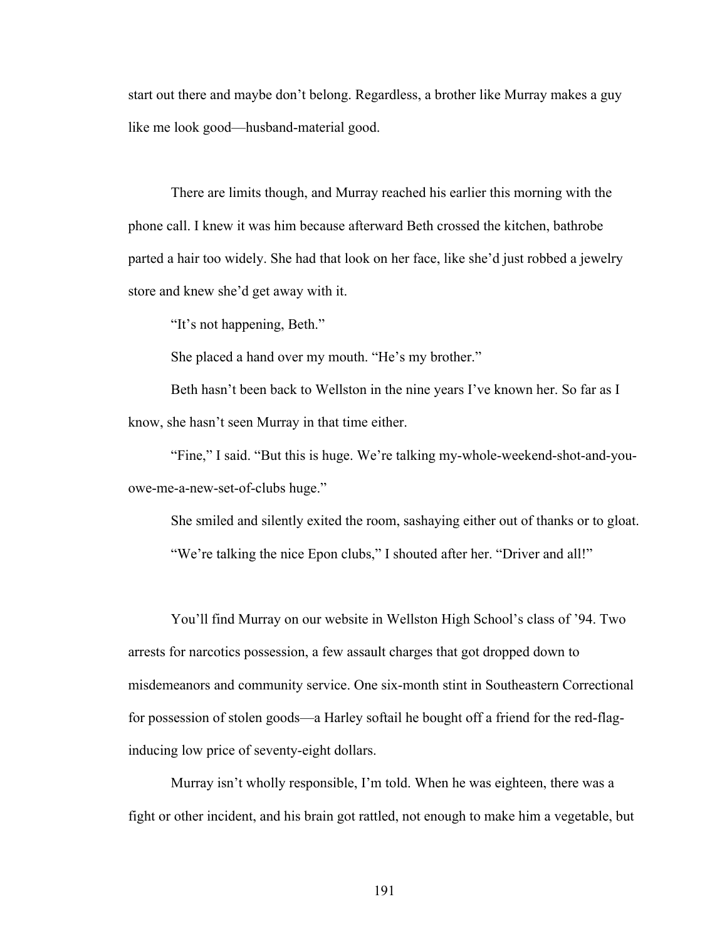start out there and maybe don't belong. Regardless, a brother like Murray makes a guy like me look good—husband-material good.

There are limits though, and Murray reached his earlier this morning with the phone call. I knew it was him because afterward Beth crossed the kitchen, bathrobe parted a hair too widely. She had that look on her face, like she'd just robbed a jewelry store and knew she'd get away with it.

"It's not happening, Beth."

She placed a hand over my mouth. "He's my brother."

Beth hasn't been back to Wellston in the nine years I've known her. So far as I know, she hasn't seen Murray in that time either.

"Fine," I said. "But this is huge. We're talking my-whole-weekend-shot-and-youowe-me-a-new-set-of-clubs huge."

She smiled and silently exited the room, sashaying either out of thanks or to gloat. "We're talking the nice Epon clubs," I shouted after her. "Driver and all!"

You'll find Murray on our website in Wellston High School's class of '94. Two arrests for narcotics possession, a few assault charges that got dropped down to misdemeanors and community service. One six-month stint in Southeastern Correctional for possession of stolen goods—a Harley softail he bought off a friend for the red-flaginducing low price of seventy-eight dollars.

Murray isn't wholly responsible, I'm told. When he was eighteen, there was a fight or other incident, and his brain got rattled, not enough to make him a vegetable, but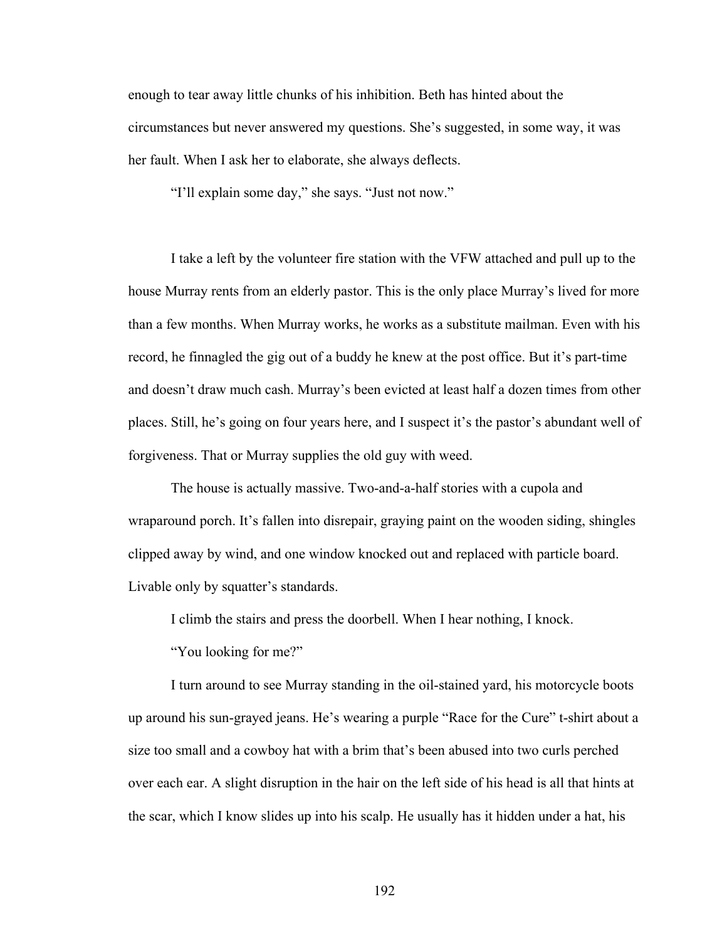enough to tear away little chunks of his inhibition. Beth has hinted about the circumstances but never answered my questions. She's suggested, in some way, it was her fault. When I ask her to elaborate, she always deflects.

"I'll explain some day," she says. "Just not now."

I take a left by the volunteer fire station with the VFW attached and pull up to the house Murray rents from an elderly pastor. This is the only place Murray's lived for more than a few months. When Murray works, he works as a substitute mailman. Even with his record, he finnagled the gig out of a buddy he knew at the post office. But it's part-time and doesn't draw much cash. Murray's been evicted at least half a dozen times from other places. Still, he's going on four years here, and I suspect it's the pastor's abundant well of forgiveness. That or Murray supplies the old guy with weed.

The house is actually massive. Two-and-a-half stories with a cupola and wraparound porch. It's fallen into disrepair, graying paint on the wooden siding, shingles clipped away by wind, and one window knocked out and replaced with particle board. Livable only by squatter's standards.

I climb the stairs and press the doorbell. When I hear nothing, I knock.

"You looking for me?"

I turn around to see Murray standing in the oil-stained yard, his motorcycle boots up around his sun-grayed jeans. He's wearing a purple "Race for the Cure" t-shirt about a size too small and a cowboy hat with a brim that's been abused into two curls perched over each ear. A slight disruption in the hair on the left side of his head is all that hints at the scar, which I know slides up into his scalp. He usually has it hidden under a hat, his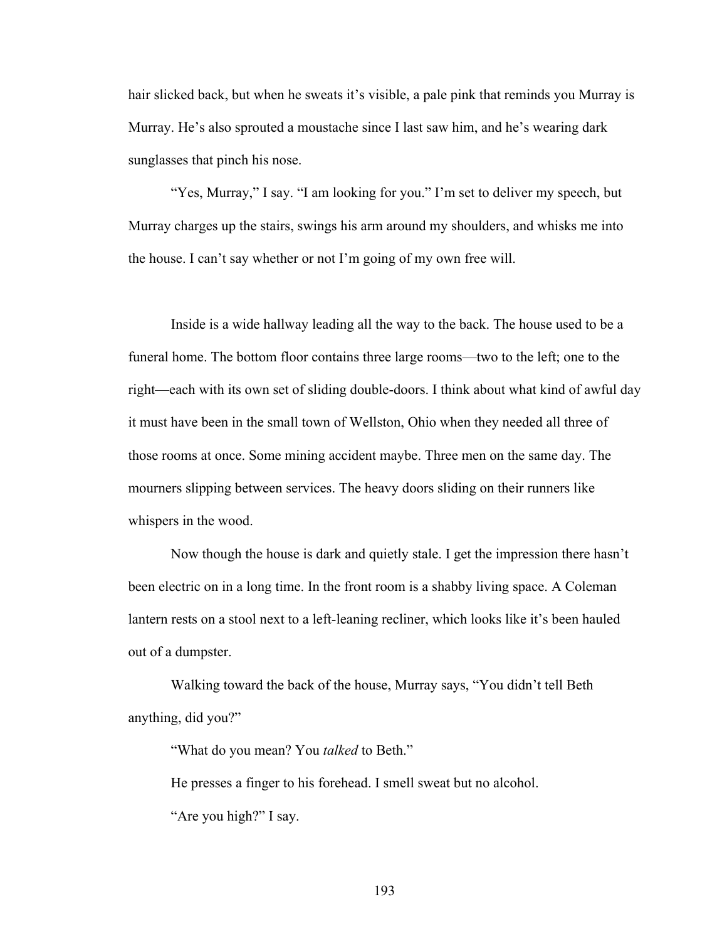hair slicked back, but when he sweats it's visible, a pale pink that reminds you Murray is Murray. He's also sprouted a moustache since I last saw him, and he's wearing dark sunglasses that pinch his nose.

"Yes, Murray," I say. "I am looking for you." I'm set to deliver my speech, but Murray charges up the stairs, swings his arm around my shoulders, and whisks me into the house. I can't say whether or not I'm going of my own free will.

Inside is a wide hallway leading all the way to the back. The house used to be a funeral home. The bottom floor contains three large rooms—two to the left; one to the right—each with its own set of sliding double-doors. I think about what kind of awful day it must have been in the small town of Wellston, Ohio when they needed all three of those rooms at once. Some mining accident maybe. Three men on the same day. The mourners slipping between services. The heavy doors sliding on their runners like whispers in the wood.

Now though the house is dark and quietly stale. I get the impression there hasn't been electric on in a long time. In the front room is a shabby living space. A Coleman lantern rests on a stool next to a left-leaning recliner, which looks like it's been hauled out of a dumpster.

Walking toward the back of the house, Murray says, "You didn't tell Beth anything, did you?"

"What do you mean? You *talked* to Beth."

He presses a finger to his forehead. I smell sweat but no alcohol. "Are you high?" I say.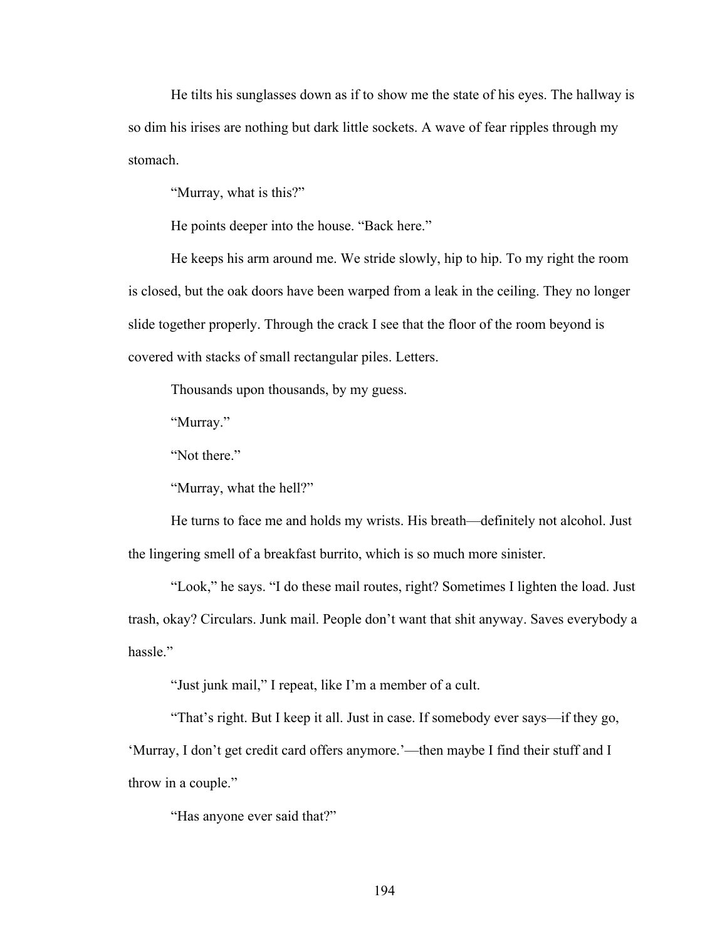He tilts his sunglasses down as if to show me the state of his eyes. The hallway is so dim his irises are nothing but dark little sockets. A wave of fear ripples through my stomach.

"Murray, what is this?"

He points deeper into the house. "Back here."

He keeps his arm around me. We stride slowly, hip to hip. To my right the room is closed, but the oak doors have been warped from a leak in the ceiling. They no longer slide together properly. Through the crack I see that the floor of the room beyond is covered with stacks of small rectangular piles. Letters.

Thousands upon thousands, by my guess.

"Murray."

"Not there."

"Murray, what the hell?"

He turns to face me and holds my wrists. His breath—definitely not alcohol. Just the lingering smell of a breakfast burrito, which is so much more sinister.

"Look," he says. "I do these mail routes, right? Sometimes I lighten the load. Just trash, okay? Circulars. Junk mail. People don't want that shit anyway. Saves everybody a hassle"

"Just junk mail," I repeat, like I'm a member of a cult.

"That's right. But I keep it all. Just in case. If somebody ever says—if they go, 'Murray, I don't get credit card offers anymore.'—then maybe I find their stuff and I throw in a couple."

"Has anyone ever said that?"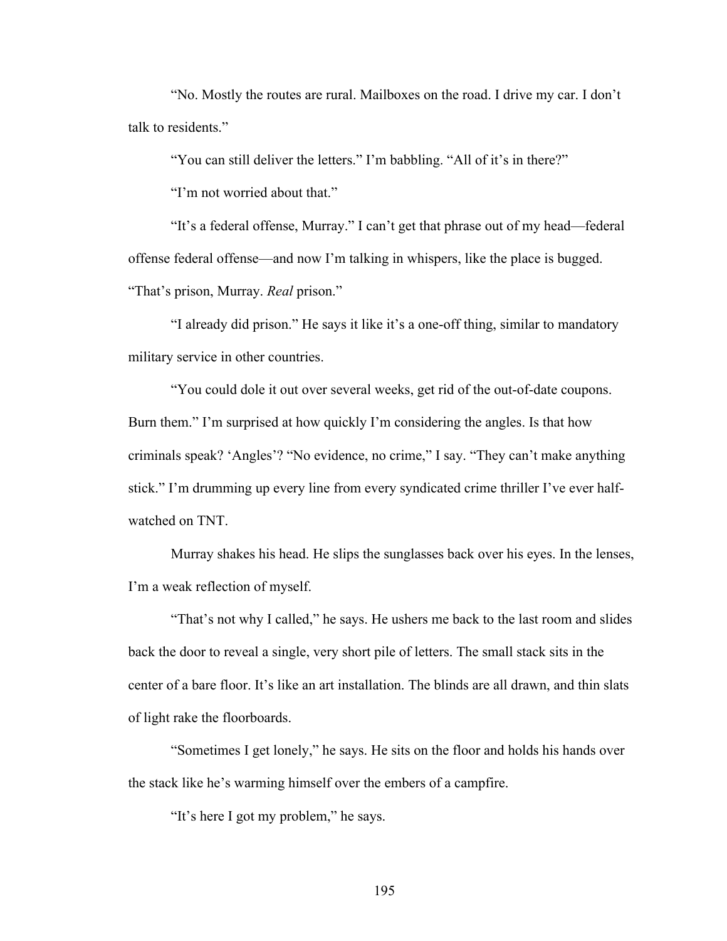"No. Mostly the routes are rural. Mailboxes on the road. I drive my car. I don't talk to residents."

"You can still deliver the letters." I'm babbling. "All of it's in there?"

"I'm not worried about that."

"It's a federal offense, Murray." I can't get that phrase out of my head—federal offense federal offense—and now I'm talking in whispers, like the place is bugged. "That's prison, Murray. *Real* prison."

"I already did prison." He says it like it's a one-off thing, similar to mandatory military service in other countries.

"You could dole it out over several weeks, get rid of the out-of-date coupons. Burn them." I'm surprised at how quickly I'm considering the angles. Is that how criminals speak? 'Angles'? "No evidence, no crime," I say. "They can't make anything stick." I'm drumming up every line from every syndicated crime thriller I've ever halfwatched on TNT.

Murray shakes his head. He slips the sunglasses back over his eyes. In the lenses, I'm a weak reflection of myself.

"That's not why I called," he says. He ushers me back to the last room and slides back the door to reveal a single, very short pile of letters. The small stack sits in the center of a bare floor. It's like an art installation. The blinds are all drawn, and thin slats of light rake the floorboards.

"Sometimes I get lonely," he says. He sits on the floor and holds his hands over the stack like he's warming himself over the embers of a campfire.

"It's here I got my problem," he says.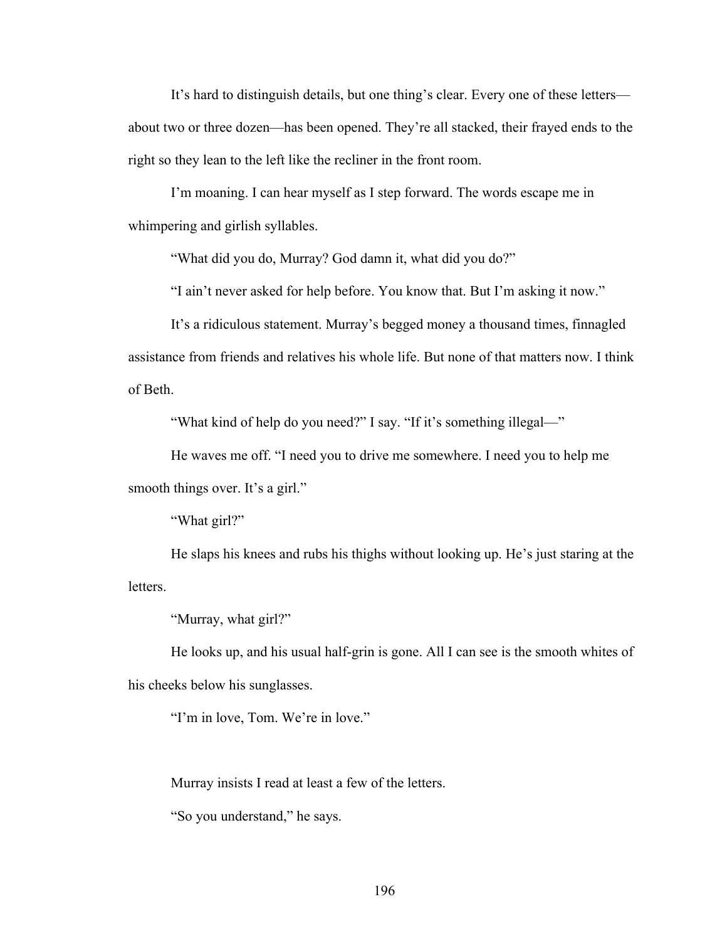It's hard to distinguish details, but one thing's clear. Every one of these letters about two or three dozen—has been opened. They're all stacked, their frayed ends to the right so they lean to the left like the recliner in the front room.

I'm moaning. I can hear myself as I step forward. The words escape me in whimpering and girlish syllables.

"What did you do, Murray? God damn it, what did you do?"

"I ain't never asked for help before. You know that. But I'm asking it now."

It's a ridiculous statement. Murray's begged money a thousand times, finnagled assistance from friends and relatives his whole life. But none of that matters now. I think of Beth.

"What kind of help do you need?" I say. "If it's something illegal—"

He waves me off. "I need you to drive me somewhere. I need you to help me smooth things over. It's a girl."

"What girl?"

He slaps his knees and rubs his thighs without looking up. He's just staring at the letters.

"Murray, what girl?"

He looks up, and his usual half-grin is gone. All I can see is the smooth whites of his cheeks below his sunglasses.

"I'm in love, Tom. We're in love."

Murray insists I read at least a few of the letters.

"So you understand," he says.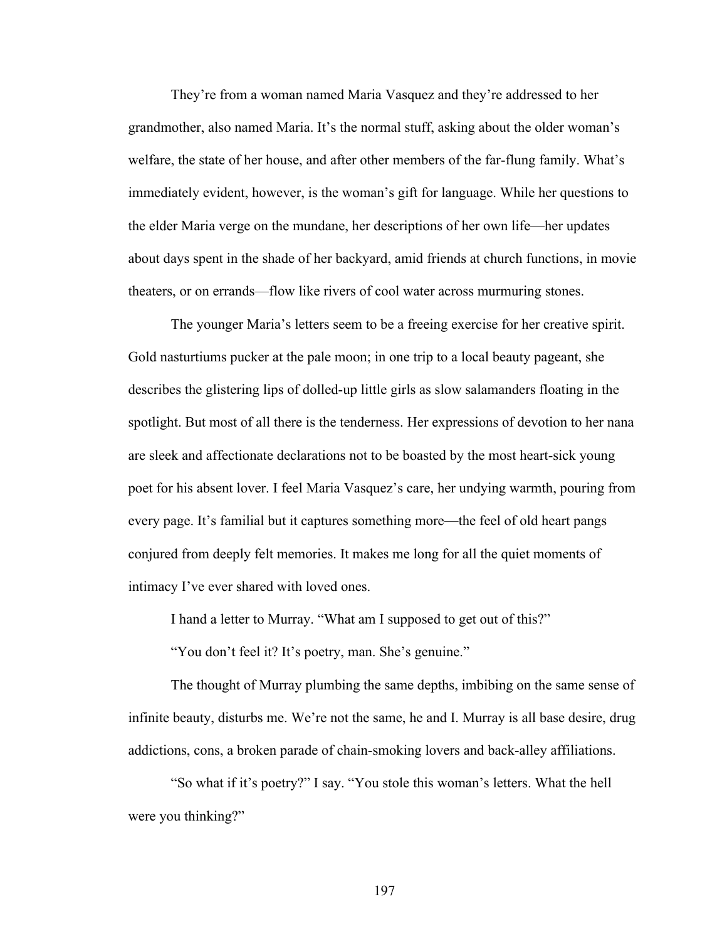They're from a woman named Maria Vasquez and they're addressed to her grandmother, also named Maria. It's the normal stuff, asking about the older woman's welfare, the state of her house, and after other members of the far-flung family. What's immediately evident, however, is the woman's gift for language. While her questions to the elder Maria verge on the mundane, her descriptions of her own life—her updates about days spent in the shade of her backyard, amid friends at church functions, in movie theaters, or on errands—flow like rivers of cool water across murmuring stones.

The younger Maria's letters seem to be a freeing exercise for her creative spirit. Gold nasturtiums pucker at the pale moon; in one trip to a local beauty pageant, she describes the glistering lips of dolled-up little girls as slow salamanders floating in the spotlight. But most of all there is the tenderness. Her expressions of devotion to her nana are sleek and affectionate declarations not to be boasted by the most heart-sick young poet for his absent lover. I feel Maria Vasquez's care, her undying warmth, pouring from every page. It's familial but it captures something more—the feel of old heart pangs conjured from deeply felt memories. It makes me long for all the quiet moments of intimacy I've ever shared with loved ones.

I hand a letter to Murray. "What am I supposed to get out of this?"

"You don't feel it? It's poetry, man. She's genuine."

The thought of Murray plumbing the same depths, imbibing on the same sense of infinite beauty, disturbs me. We're not the same, he and I. Murray is all base desire, drug addictions, cons, a broken parade of chain-smoking lovers and back-alley affiliations.

"So what if it's poetry?" I say. "You stole this woman's letters. What the hell were you thinking?"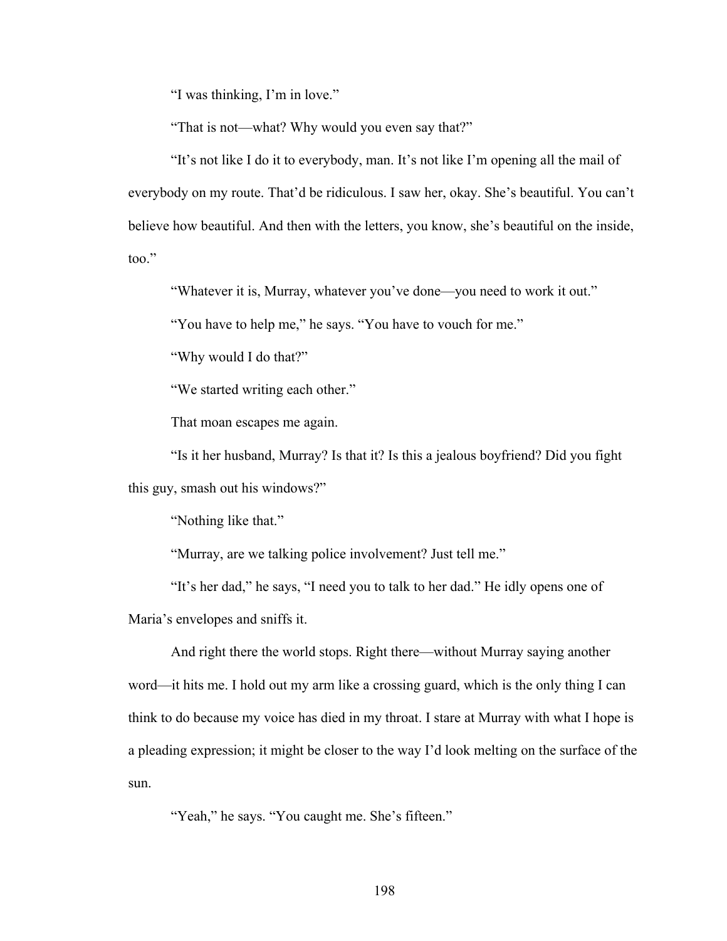"I was thinking, I'm in love."

"That is not—what? Why would you even say that?"

"It's not like I do it to everybody, man. It's not like I'm opening all the mail of everybody on my route. That'd be ridiculous. I saw her, okay. She's beautiful. You can't believe how beautiful. And then with the letters, you know, she's beautiful on the inside, too."

"Whatever it is, Murray, whatever you've done—you need to work it out."

"You have to help me," he says. "You have to vouch for me."

"Why would I do that?"

"We started writing each other."

That moan escapes me again.

"Is it her husband, Murray? Is that it? Is this a jealous boyfriend? Did you fight this guy, smash out his windows?"

"Nothing like that."

"Murray, are we talking police involvement? Just tell me."

"It's her dad," he says, "I need you to talk to her dad." He idly opens one of Maria's envelopes and sniffs it.

And right there the world stops. Right there—without Murray saying another word—it hits me. I hold out my arm like a crossing guard, which is the only thing I can think to do because my voice has died in my throat. I stare at Murray with what I hope is a pleading expression; it might be closer to the way I'd look melting on the surface of the sun.

"Yeah," he says. "You caught me. She's fifteen."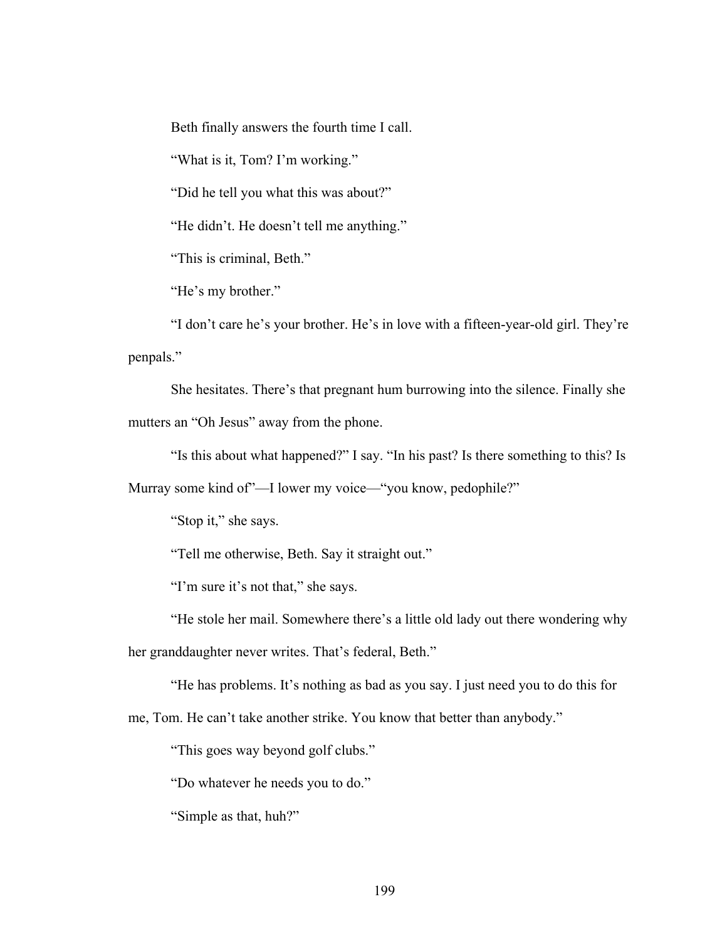Beth finally answers the fourth time I call.

"What is it, Tom? I'm working."

"Did he tell you what this was about?"

"He didn't. He doesn't tell me anything."

"This is criminal, Beth."

"He's my brother."

"I don't care he's your brother. He's in love with a fifteen-year-old girl. They're penpals."

She hesitates. There's that pregnant hum burrowing into the silence. Finally she mutters an "Oh Jesus" away from the phone.

"Is this about what happened?" I say. "In his past? Is there something to this? Is

Murray some kind of"—I lower my voice—"you know, pedophile?"

"Stop it," she says.

"Tell me otherwise, Beth. Say it straight out."

"I'm sure it's not that," she says.

"He stole her mail. Somewhere there's a little old lady out there wondering why

her granddaughter never writes. That's federal, Beth."

"He has problems. It's nothing as bad as you say. I just need you to do this for

me, Tom. He can't take another strike. You know that better than anybody."

"This goes way beyond golf clubs."

"Do whatever he needs you to do."

"Simple as that, huh?"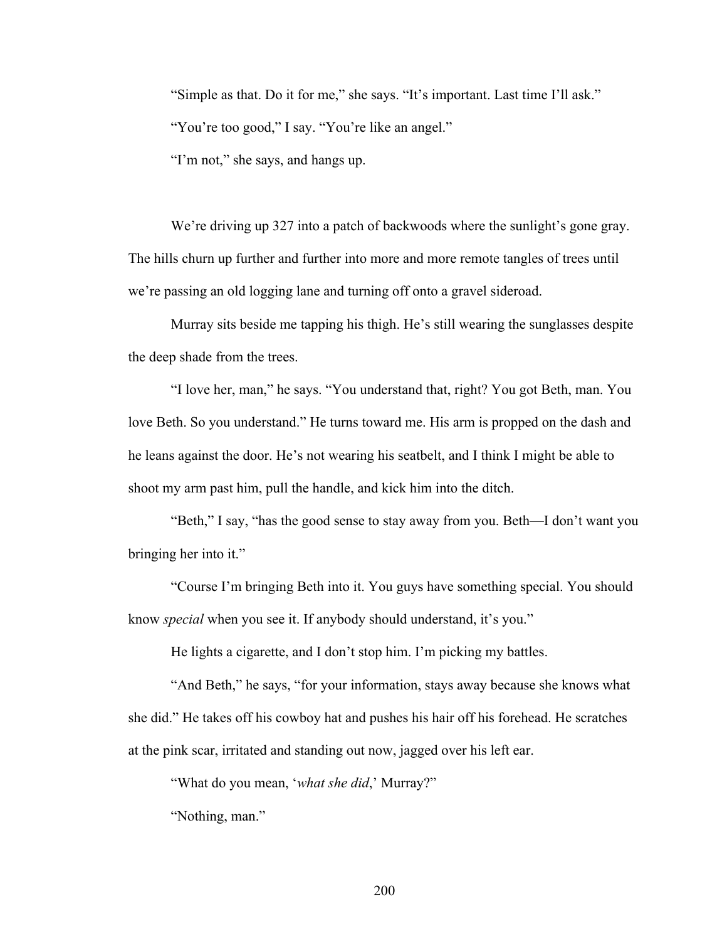"Simple as that. Do it for me," she says. "It's important. Last time I'll ask." "You're too good," I say. "You're like an angel." "I'm not," she says, and hangs up.

We're driving up 327 into a patch of backwoods where the sunlight's gone gray. The hills churn up further and further into more and more remote tangles of trees until we're passing an old logging lane and turning off onto a gravel sideroad.

Murray sits beside me tapping his thigh. He's still wearing the sunglasses despite the deep shade from the trees.

"I love her, man," he says. "You understand that, right? You got Beth, man. You love Beth. So you understand." He turns toward me. His arm is propped on the dash and he leans against the door. He's not wearing his seatbelt, and I think I might be able to shoot my arm past him, pull the handle, and kick him into the ditch.

"Beth," I say, "has the good sense to stay away from you. Beth—I don't want you bringing her into it."

"Course I'm bringing Beth into it. You guys have something special. You should know *special* when you see it. If anybody should understand, it's you."

He lights a cigarette, and I don't stop him. I'm picking my battles.

"And Beth," he says, "for your information, stays away because she knows what she did." He takes off his cowboy hat and pushes his hair off his forehead. He scratches at the pink scar, irritated and standing out now, jagged over his left ear.

"What do you mean, '*what she did*,' Murray?"

"Nothing, man."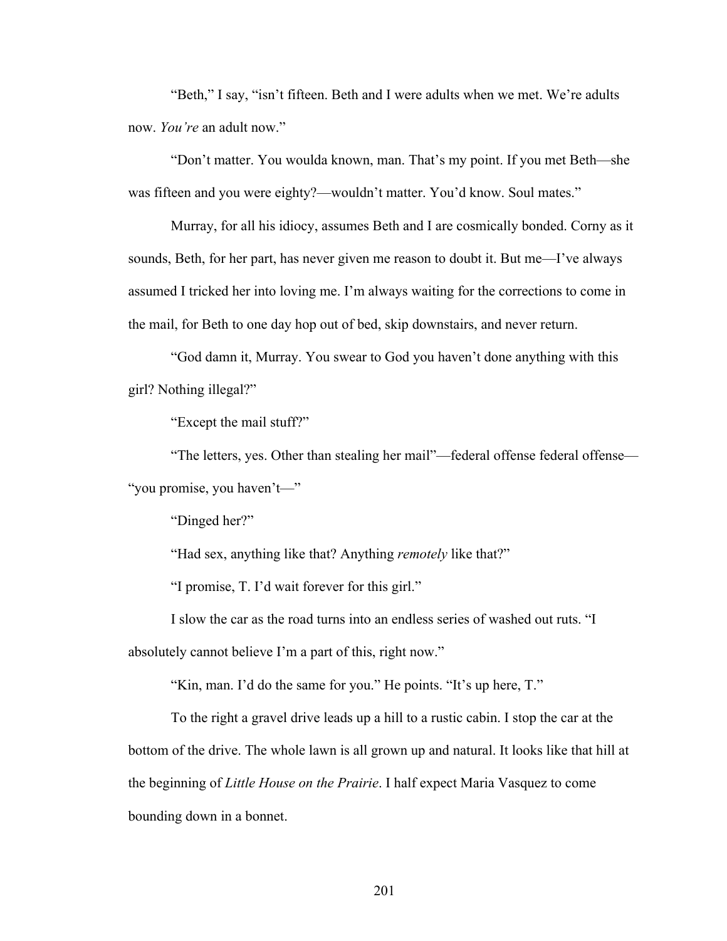"Beth," I say, "isn't fifteen. Beth and I were adults when we met. We're adults now. *You're* an adult now."

"Don't matter. You woulda known, man. That's my point. If you met Beth—she was fifteen and you were eighty?—wouldn't matter. You'd know. Soul mates."

Murray, for all his idiocy, assumes Beth and I are cosmically bonded. Corny as it sounds, Beth, for her part, has never given me reason to doubt it. But me—I've always assumed I tricked her into loving me. I'm always waiting for the corrections to come in the mail, for Beth to one day hop out of bed, skip downstairs, and never return.

"God damn it, Murray. You swear to God you haven't done anything with this girl? Nothing illegal?"

"Except the mail stuff?"

"The letters, yes. Other than stealing her mail"—federal offense federal offense— "you promise, you haven't—"

"Dinged her?"

"Had sex, anything like that? Anything *remotely* like that?"

"I promise, T. I'd wait forever for this girl."

I slow the car as the road turns into an endless series of washed out ruts. "I

absolutely cannot believe I'm a part of this, right now."

"Kin, man. I'd do the same for you." He points. "It's up here, T."

To the right a gravel drive leads up a hill to a rustic cabin. I stop the car at the bottom of the drive. The whole lawn is all grown up and natural. It looks like that hill at the beginning of *Little House on the Prairie*. I half expect Maria Vasquez to come bounding down in a bonnet.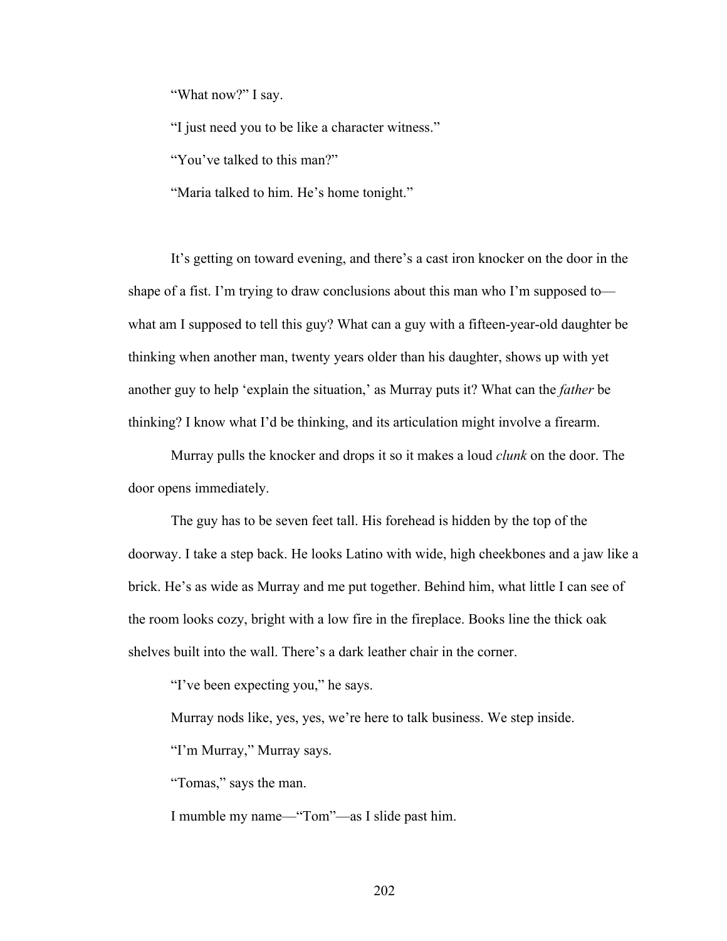"What now?" I say.

"I just need you to be like a character witness."

"You've talked to this man?"

"Maria talked to him. He's home tonight."

It's getting on toward evening, and there's a cast iron knocker on the door in the shape of a fist. I'm trying to draw conclusions about this man who I'm supposed to what am I supposed to tell this guy? What can a guy with a fifteen-year-old daughter be thinking when another man, twenty years older than his daughter, shows up with yet another guy to help 'explain the situation,' as Murray puts it? What can the *father* be thinking? I know what I'd be thinking, and its articulation might involve a firearm.

Murray pulls the knocker and drops it so it makes a loud *clunk* on the door. The door opens immediately.

The guy has to be seven feet tall. His forehead is hidden by the top of the doorway. I take a step back. He looks Latino with wide, high cheekbones and a jaw like a brick. He's as wide as Murray and me put together. Behind him, what little I can see of the room looks cozy, bright with a low fire in the fireplace. Books line the thick oak shelves built into the wall. There's a dark leather chair in the corner.

"I've been expecting you," he says.

Murray nods like, yes, yes, we're here to talk business. We step inside.

"I'm Murray," Murray says.

"Tomas," says the man.

I mumble my name—"Tom"—as I slide past him.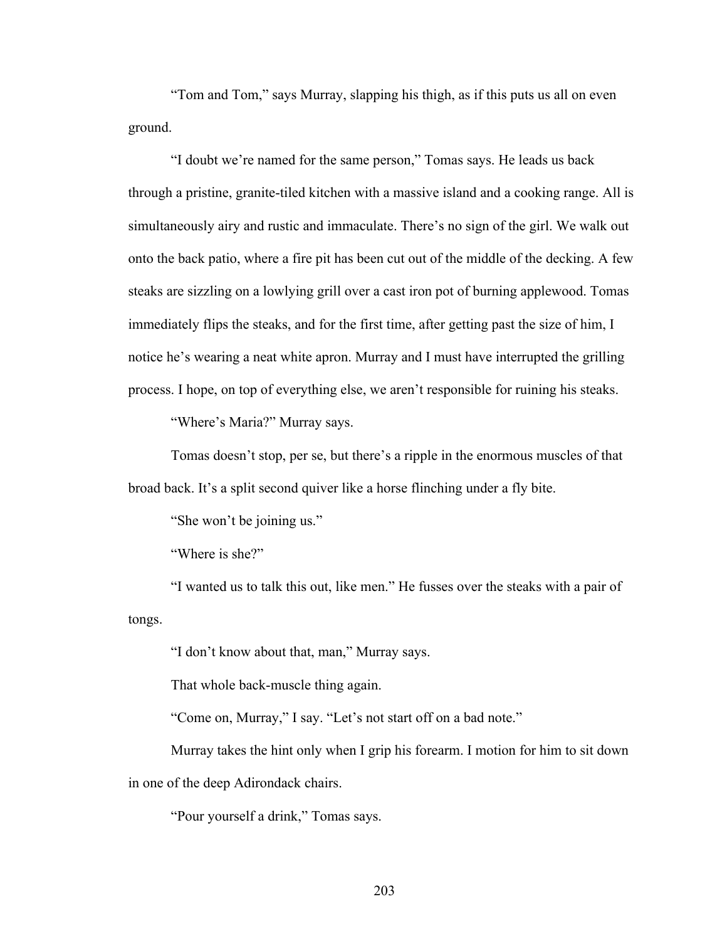"Tom and Tom," says Murray, slapping his thigh, as if this puts us all on even ground.

"I doubt we're named for the same person," Tomas says. He leads us back through a pristine, granite-tiled kitchen with a massive island and a cooking range. All is simultaneously airy and rustic and immaculate. There's no sign of the girl. We walk out onto the back patio, where a fire pit has been cut out of the middle of the decking. A few steaks are sizzling on a lowlying grill over a cast iron pot of burning applewood. Tomas immediately flips the steaks, and for the first time, after getting past the size of him, I notice he's wearing a neat white apron. Murray and I must have interrupted the grilling process. I hope, on top of everything else, we aren't responsible for ruining his steaks.

"Where's Maria?" Murray says.

Tomas doesn't stop, per se, but there's a ripple in the enormous muscles of that broad back. It's a split second quiver like a horse flinching under a fly bite.

"She won't be joining us."

"Where is she?"

"I wanted us to talk this out, like men." He fusses over the steaks with a pair of tongs.

"I don't know about that, man," Murray says.

That whole back-muscle thing again.

"Come on, Murray," I say. "Let's not start off on a bad note."

Murray takes the hint only when I grip his forearm. I motion for him to sit down in one of the deep Adirondack chairs.

"Pour yourself a drink," Tomas says.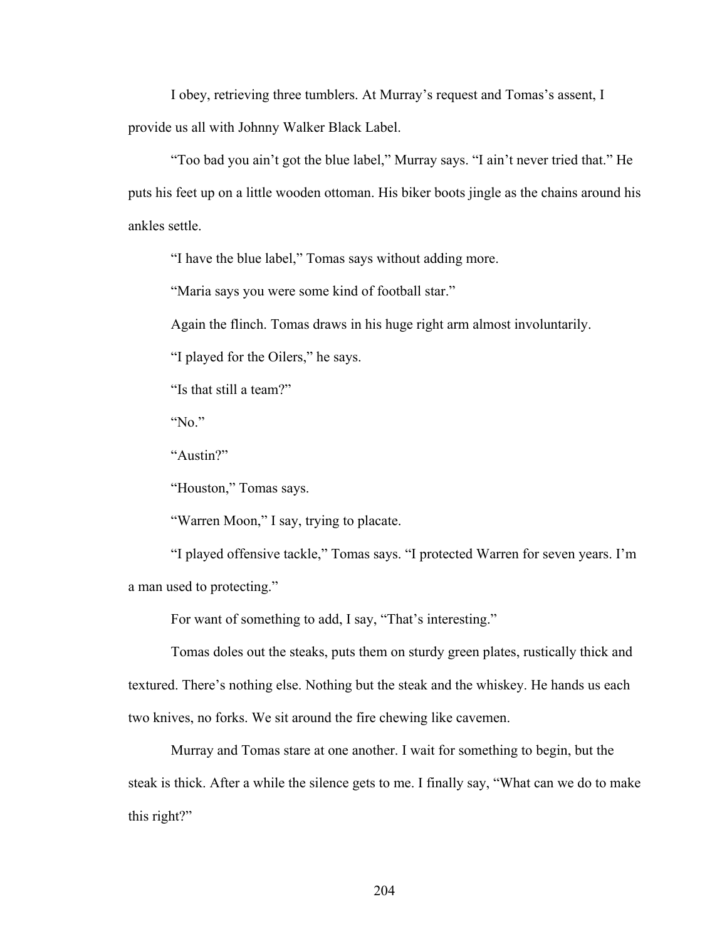I obey, retrieving three tumblers. At Murray's request and Tomas's assent, I provide us all with Johnny Walker Black Label.

"Too bad you ain't got the blue label," Murray says. "I ain't never tried that." He puts his feet up on a little wooden ottoman. His biker boots jingle as the chains around his ankles settle.

"I have the blue label," Tomas says without adding more.

"Maria says you were some kind of football star."

Again the flinch. Tomas draws in his huge right arm almost involuntarily.

"I played for the Oilers," he says.

"Is that still a team?"

"No."

"Austin?"

"Houston," Tomas says.

"Warren Moon," I say, trying to placate.

"I played offensive tackle," Tomas says. "I protected Warren for seven years. I'm a man used to protecting."

For want of something to add, I say, "That's interesting."

Tomas doles out the steaks, puts them on sturdy green plates, rustically thick and textured. There's nothing else. Nothing but the steak and the whiskey. He hands us each two knives, no forks. We sit around the fire chewing like cavemen.

Murray and Tomas stare at one another. I wait for something to begin, but the steak is thick. After a while the silence gets to me. I finally say, "What can we do to make this right?"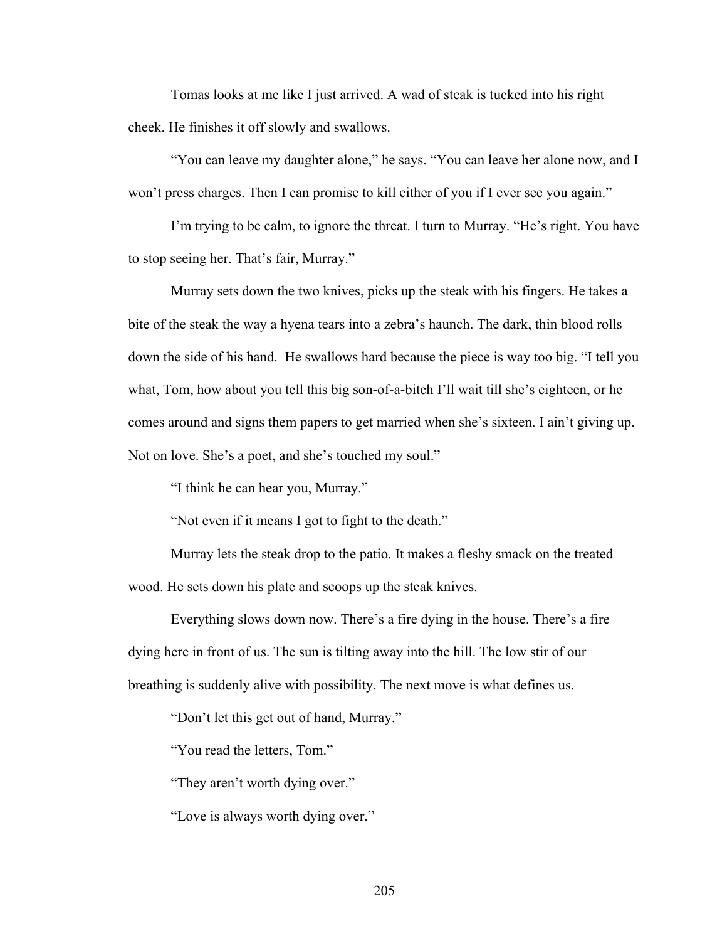Tomas looks at me like I just arrived. A wad of steak is tucked into his right cheek. He finishes it off slowly and swallows.

"You can leave my daughter alone," he says. "You can leave her alone now, and I won't press charges. Then I can promise to kill either of you if I ever see you again."

I'm trying to be calm, to ignore the threat. I turn to Murray. "He's right. You have to stop seeing her. That's fair, Murray."

Murray sets down the two knives, picks up the steak with his fingers. He takes a bite of the steak the way a hyena tears into a zebra's haunch. The dark, thin blood rolls down the side of his hand. He swallows hard because the piece is way too big. "I tell you what, Tom, how about you tell this big son-of-a-bitch I'll wait till she's eighteen, or he comes around and signs them papers to get married when she's sixteen. I ain't giving up. Not on love. She's a poet, and she's touched my soul."

"I think he can hear you, Murray."

"Not even if it means I got to fight to the death."

Murray lets the steak drop to the patio. It makes a fleshy smack on the treated wood. He sets down his plate and scoops up the steak knives.

Everything slows down now. There's a fire dying in the house. There's a fire dying here in front of us. The sun is tilting away into the hill. The low stir of our breathing is suddenly alive with possibility. The next move is what defines us.

"Don't let this get out of hand, Murray."

"You read the letters, Tom."

"They aren't worth dying over."

"Love is always worth dying over."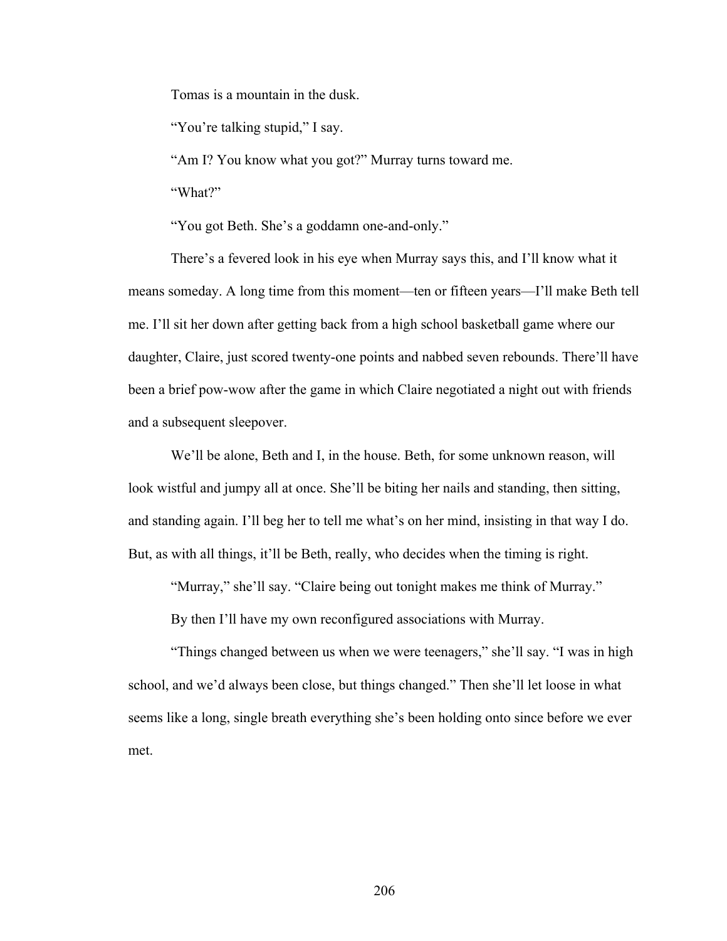Tomas is a mountain in the dusk.

"You're talking stupid," I say.

"Am I? You know what you got?" Murray turns toward me.

"What?"

"You got Beth. She's a goddamn one-and-only."

There's a fevered look in his eye when Murray says this, and I'll know what it means someday. A long time from this moment—ten or fifteen years—I'll make Beth tell me. I'll sit her down after getting back from a high school basketball game where our daughter, Claire, just scored twenty-one points and nabbed seven rebounds. There'll have been a brief pow-wow after the game in which Claire negotiated a night out with friends and a subsequent sleepover.

We'll be alone, Beth and I, in the house. Beth, for some unknown reason, will look wistful and jumpy all at once. She'll be biting her nails and standing, then sitting, and standing again. I'll beg her to tell me what's on her mind, insisting in that way I do. But, as with all things, it'll be Beth, really, who decides when the timing is right.

"Murray," she'll say. "Claire being out tonight makes me think of Murray."

By then I'll have my own reconfigured associations with Murray.

"Things changed between us when we were teenagers," she'll say. "I was in high school, and we'd always been close, but things changed." Then she'll let loose in what seems like a long, single breath everything she's been holding onto since before we ever met.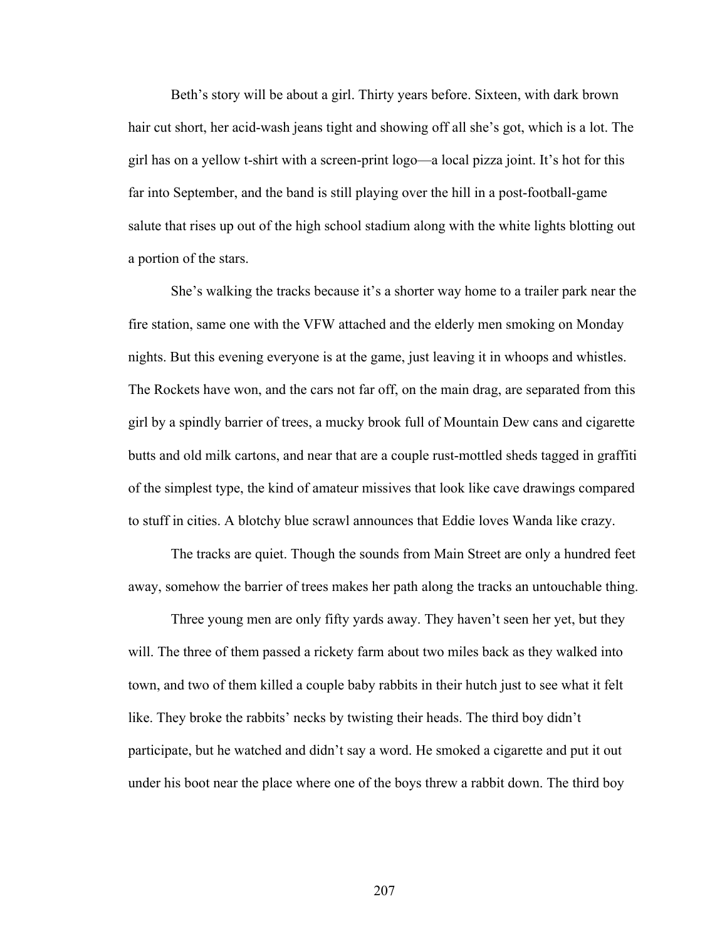Beth's story will be about a girl. Thirty years before. Sixteen, with dark brown hair cut short, her acid-wash jeans tight and showing off all she's got, which is a lot. The girl has on a yellow t-shirt with a screen-print logo—a local pizza joint. It's hot for this far into September, and the band is still playing over the hill in a post-football-game salute that rises up out of the high school stadium along with the white lights blotting out a portion of the stars.

She's walking the tracks because it's a shorter way home to a trailer park near the fire station, same one with the VFW attached and the elderly men smoking on Monday nights. But this evening everyone is at the game, just leaving it in whoops and whistles. The Rockets have won, and the cars not far off, on the main drag, are separated from this girl by a spindly barrier of trees, a mucky brook full of Mountain Dew cans and cigarette butts and old milk cartons, and near that are a couple rust-mottled sheds tagged in graffiti of the simplest type, the kind of amateur missives that look like cave drawings compared to stuff in cities. A blotchy blue scrawl announces that Eddie loves Wanda like crazy.

The tracks are quiet. Though the sounds from Main Street are only a hundred feet away, somehow the barrier of trees makes her path along the tracks an untouchable thing.

Three young men are only fifty yards away. They haven't seen her yet, but they will. The three of them passed a rickety farm about two miles back as they walked into town, and two of them killed a couple baby rabbits in their hutch just to see what it felt like. They broke the rabbits' necks by twisting their heads. The third boy didn't participate, but he watched and didn't say a word. He smoked a cigarette and put it out under his boot near the place where one of the boys threw a rabbit down. The third boy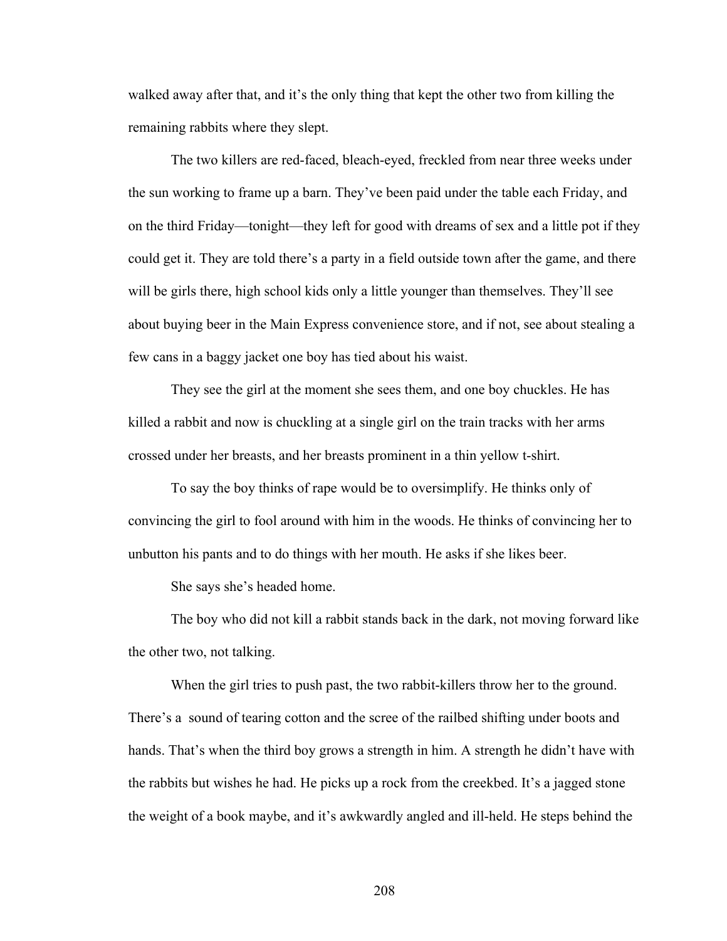walked away after that, and it's the only thing that kept the other two from killing the remaining rabbits where they slept.

The two killers are red-faced, bleach-eyed, freckled from near three weeks under the sun working to frame up a barn. They've been paid under the table each Friday, and on the third Friday—tonight—they left for good with dreams of sex and a little pot if they could get it. They are told there's a party in a field outside town after the game, and there will be girls there, high school kids only a little younger than themselves. They'll see about buying beer in the Main Express convenience store, and if not, see about stealing a few cans in a baggy jacket one boy has tied about his waist.

They see the girl at the moment she sees them, and one boy chuckles. He has killed a rabbit and now is chuckling at a single girl on the train tracks with her arms crossed under her breasts, and her breasts prominent in a thin yellow t-shirt.

To say the boy thinks of rape would be to oversimplify. He thinks only of convincing the girl to fool around with him in the woods. He thinks of convincing her to unbutton his pants and to do things with her mouth. He asks if she likes beer.

She says she's headed home.

The boy who did not kill a rabbit stands back in the dark, not moving forward like the other two, not talking.

When the girl tries to push past, the two rabbit-killers throw her to the ground. There's a sound of tearing cotton and the scree of the railbed shifting under boots and hands. That's when the third boy grows a strength in him. A strength he didn't have with the rabbits but wishes he had. He picks up a rock from the creekbed. It's a jagged stone the weight of a book maybe, and it's awkwardly angled and ill-held. He steps behind the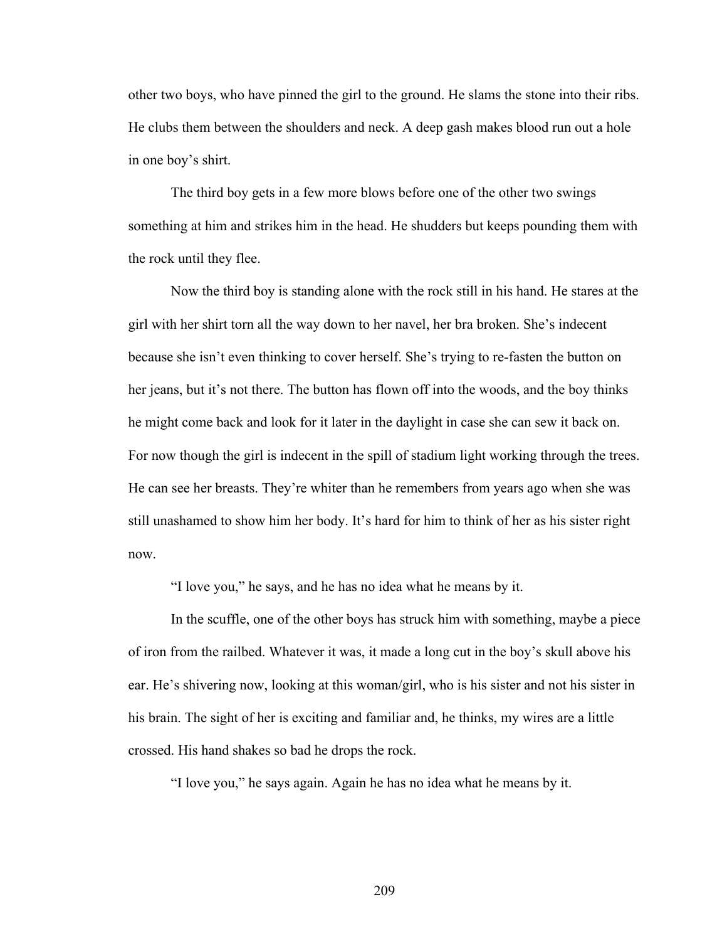other two boys, who have pinned the girl to the ground. He slams the stone into their ribs. He clubs them between the shoulders and neck. A deep gash makes blood run out a hole in one boy's shirt.

The third boy gets in a few more blows before one of the other two swings something at him and strikes him in the head. He shudders but keeps pounding them with the rock until they flee.

Now the third boy is standing alone with the rock still in his hand. He stares at the girl with her shirt torn all the way down to her navel, her bra broken. She's indecent because she isn't even thinking to cover herself. She's trying to re-fasten the button on her jeans, but it's not there. The button has flown off into the woods, and the boy thinks he might come back and look for it later in the daylight in case she can sew it back on. For now though the girl is indecent in the spill of stadium light working through the trees. He can see her breasts. They're whiter than he remembers from years ago when she was still unashamed to show him her body. It's hard for him to think of her as his sister right now.

"I love you," he says, and he has no idea what he means by it.

In the scuffle, one of the other boys has struck him with something, maybe a piece of iron from the railbed. Whatever it was, it made a long cut in the boy's skull above his ear. He's shivering now, looking at this woman/girl, who is his sister and not his sister in his brain. The sight of her is exciting and familiar and, he thinks, my wires are a little crossed. His hand shakes so bad he drops the rock.

"I love you," he says again. Again he has no idea what he means by it.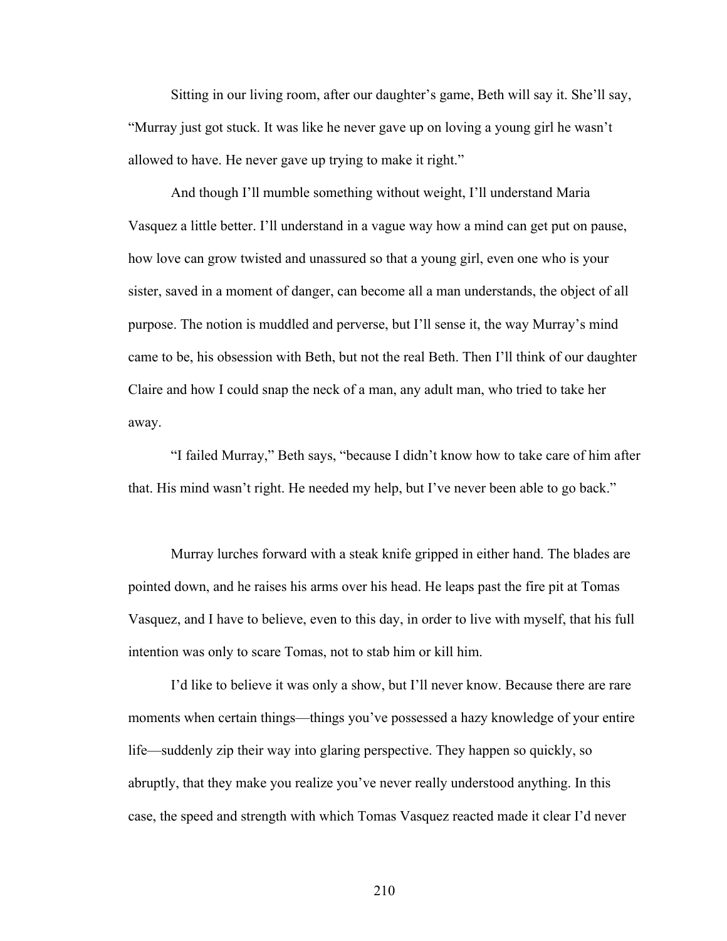Sitting in our living room, after our daughter's game, Beth will say it. She'll say, "Murray just got stuck. It was like he never gave up on loving a young girl he wasn't allowed to have. He never gave up trying to make it right."

And though I'll mumble something without weight, I'll understand Maria Vasquez a little better. I'll understand in a vague way how a mind can get put on pause, how love can grow twisted and unassured so that a young girl, even one who is your sister, saved in a moment of danger, can become all a man understands, the object of all purpose. The notion is muddled and perverse, but I'll sense it, the way Murray's mind came to be, his obsession with Beth, but not the real Beth. Then I'll think of our daughter Claire and how I could snap the neck of a man, any adult man, who tried to take her away.

"I failed Murray," Beth says, "because I didn't know how to take care of him after that. His mind wasn't right. He needed my help, but I've never been able to go back."

Murray lurches forward with a steak knife gripped in either hand. The blades are pointed down, and he raises his arms over his head. He leaps past the fire pit at Tomas Vasquez, and I have to believe, even to this day, in order to live with myself, that his full intention was only to scare Tomas, not to stab him or kill him.

I'd like to believe it was only a show, but I'll never know. Because there are rare moments when certain things—things you've possessed a hazy knowledge of your entire life—suddenly zip their way into glaring perspective. They happen so quickly, so abruptly, that they make you realize you've never really understood anything. In this case, the speed and strength with which Tomas Vasquez reacted made it clear I'd never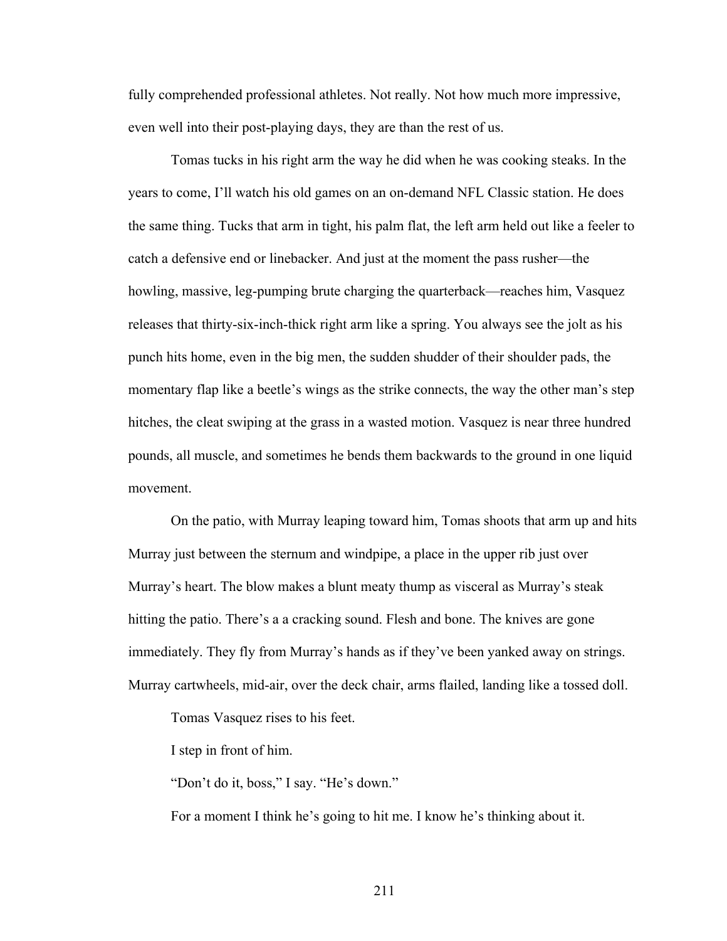fully comprehended professional athletes. Not really. Not how much more impressive, even well into their post-playing days, they are than the rest of us.

Tomas tucks in his right arm the way he did when he was cooking steaks. In the years to come, I'll watch his old games on an on-demand NFL Classic station. He does the same thing. Tucks that arm in tight, his palm flat, the left arm held out like a feeler to catch a defensive end or linebacker. And just at the moment the pass rusher—the howling, massive, leg-pumping brute charging the quarterback—reaches him, Vasquez releases that thirty-six-inch-thick right arm like a spring. You always see the jolt as his punch hits home, even in the big men, the sudden shudder of their shoulder pads, the momentary flap like a beetle's wings as the strike connects, the way the other man's step hitches, the cleat swiping at the grass in a wasted motion. Vasquez is near three hundred pounds, all muscle, and sometimes he bends them backwards to the ground in one liquid movement.

On the patio, with Murray leaping toward him, Tomas shoots that arm up and hits Murray just between the sternum and windpipe, a place in the upper rib just over Murray's heart. The blow makes a blunt meaty thump as visceral as Murray's steak hitting the patio. There's a a cracking sound. Flesh and bone. The knives are gone immediately. They fly from Murray's hands as if they've been yanked away on strings. Murray cartwheels, mid-air, over the deck chair, arms flailed, landing like a tossed doll.

Tomas Vasquez rises to his feet.

I step in front of him.

"Don't do it, boss," I say. "He's down."

For a moment I think he's going to hit me. I know he's thinking about it.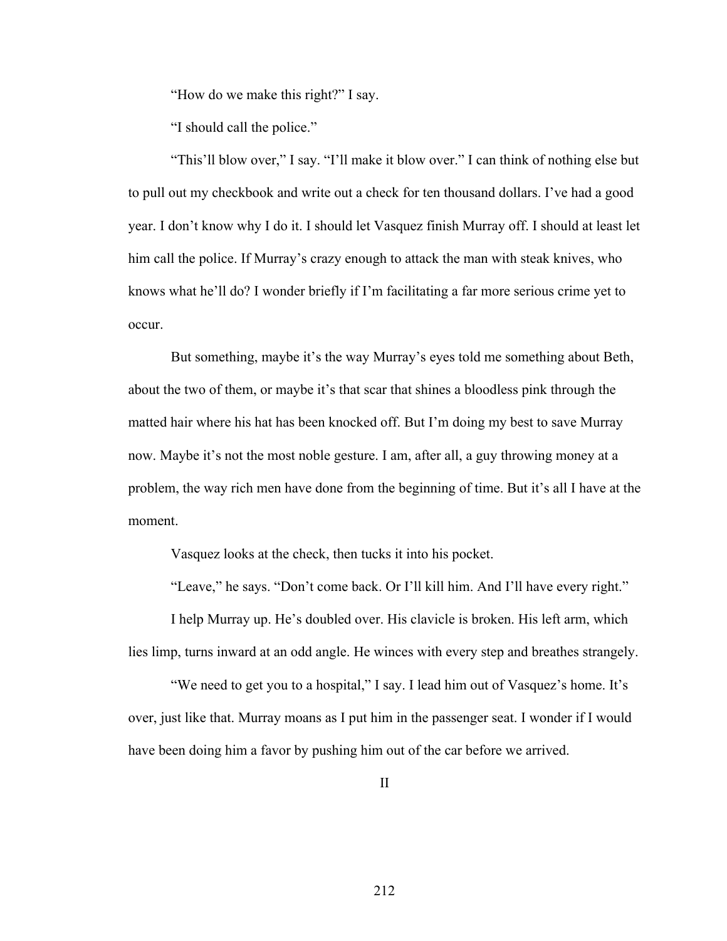"How do we make this right?" I say.

"I should call the police."

"This'll blow over," I say. "I'll make it blow over." I can think of nothing else but to pull out my checkbook and write out a check for ten thousand dollars. I've had a good year. I don't know why I do it. I should let Vasquez finish Murray off. I should at least let him call the police. If Murray's crazy enough to attack the man with steak knives, who knows what he'll do? I wonder briefly if I'm facilitating a far more serious crime yet to occur.

But something, maybe it's the way Murray's eyes told me something about Beth, about the two of them, or maybe it's that scar that shines a bloodless pink through the matted hair where his hat has been knocked off. But I'm doing my best to save Murray now. Maybe it's not the most noble gesture. I am, after all, a guy throwing money at a problem, the way rich men have done from the beginning of time. But it's all I have at the moment.

Vasquez looks at the check, then tucks it into his pocket.

"Leave," he says. "Don't come back. Or I'll kill him. And I'll have every right."

I help Murray up. He's doubled over. His clavicle is broken. His left arm, which lies limp, turns inward at an odd angle. He winces with every step and breathes strangely.

"We need to get you to a hospital," I say. I lead him out of Vasquez's home. It's over, just like that. Murray moans as I put him in the passenger seat. I wonder if I would have been doing him a favor by pushing him out of the car before we arrived.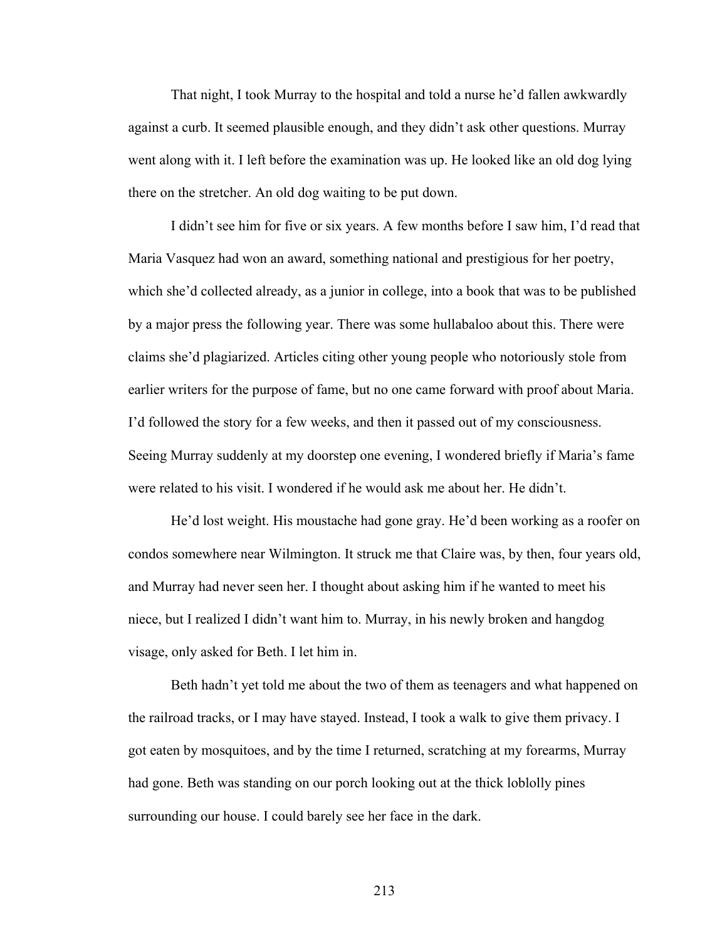That night, I took Murray to the hospital and told a nurse he'd fallen awkwardly against a curb. It seemed plausible enough, and they didn't ask other questions. Murray went along with it. I left before the examination was up. He looked like an old dog lying there on the stretcher. An old dog waiting to be put down.

I didn't see him for five or six years. A few months before I saw him, I'd read that Maria Vasquez had won an award, something national and prestigious for her poetry, which she'd collected already, as a junior in college, into a book that was to be published by a major press the following year. There was some hullabaloo about this. There were claims she'd plagiarized. Articles citing other young people who notoriously stole from earlier writers for the purpose of fame, but no one came forward with proof about Maria. I'd followed the story for a few weeks, and then it passed out of my consciousness. Seeing Murray suddenly at my doorstep one evening, I wondered briefly if Maria's fame were related to his visit. I wondered if he would ask me about her. He didn't.

He'd lost weight. His moustache had gone gray. He'd been working as a roofer on condos somewhere near Wilmington. It struck me that Claire was, by then, four years old, and Murray had never seen her. I thought about asking him if he wanted to meet his niece, but I realized I didn't want him to. Murray, in his newly broken and hangdog visage, only asked for Beth. I let him in.

Beth hadn't yet told me about the two of them as teenagers and what happened on the railroad tracks, or I may have stayed. Instead, I took a walk to give them privacy. I got eaten by mosquitoes, and by the time I returned, scratching at my forearms, Murray had gone. Beth was standing on our porch looking out at the thick loblolly pines surrounding our house. I could barely see her face in the dark.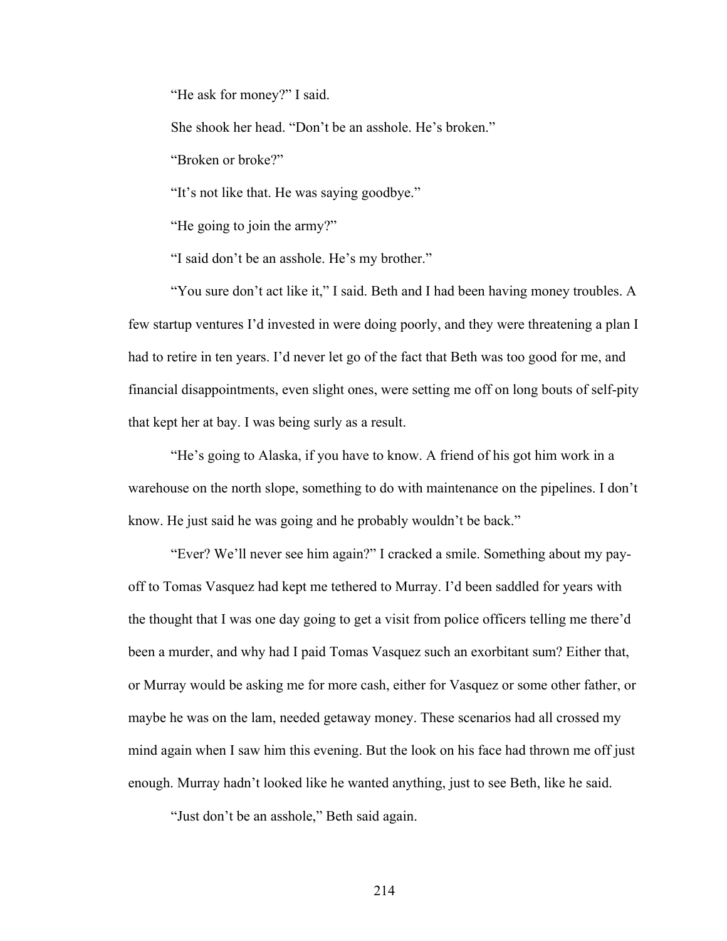"He ask for money?" I said.

She shook her head. "Don't be an asshole. He's broken."

"Broken or broke?"

"It's not like that. He was saying goodbye."

"He going to join the army?"

"I said don't be an asshole. He's my brother."

"You sure don't act like it," I said. Beth and I had been having money troubles. A few startup ventures I'd invested in were doing poorly, and they were threatening a plan I had to retire in ten years. I'd never let go of the fact that Beth was too good for me, and financial disappointments, even slight ones, were setting me off on long bouts of self-pity that kept her at bay. I was being surly as a result.

"He's going to Alaska, if you have to know. A friend of his got him work in a warehouse on the north slope, something to do with maintenance on the pipelines. I don't know. He just said he was going and he probably wouldn't be back."

"Ever? We'll never see him again?" I cracked a smile. Something about my payoff to Tomas Vasquez had kept me tethered to Murray. I'd been saddled for years with the thought that I was one day going to get a visit from police officers telling me there'd been a murder, and why had I paid Tomas Vasquez such an exorbitant sum? Either that, or Murray would be asking me for more cash, either for Vasquez or some other father, or maybe he was on the lam, needed getaway money. These scenarios had all crossed my mind again when I saw him this evening. But the look on his face had thrown me off just enough. Murray hadn't looked like he wanted anything, just to see Beth, like he said.

"Just don't be an asshole," Beth said again.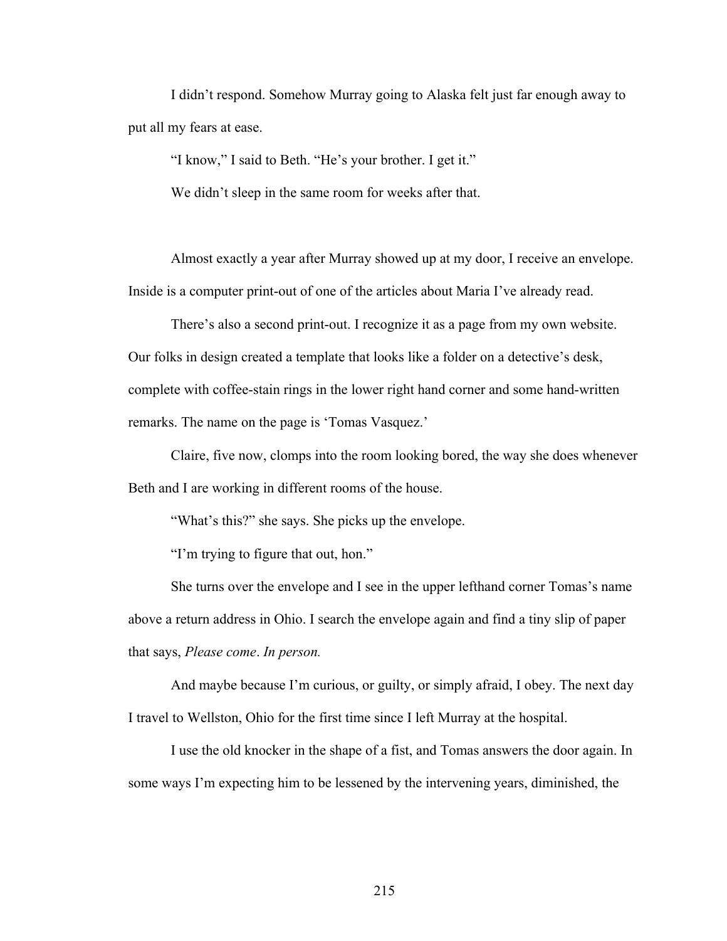I didn't respond. Somehow Murray going to Alaska felt just far enough away to put all my fears at ease.

"I know," I said to Beth. "He's your brother. I get it."

We didn't sleep in the same room for weeks after that.

Almost exactly a year after Murray showed up at my door, I receive an envelope. Inside is a computer print-out of one of the articles about Maria I've already read.

There's also a second print-out. I recognize it as a page from my own website. Our folks in design created a template that looks like a folder on a detective's desk, complete with coffee-stain rings in the lower right hand corner and some hand-written remarks. The name on the page is 'Tomas Vasquez.'

Claire, five now, clomps into the room looking bored, the way she does whenever Beth and I are working in different rooms of the house.

"What's this?" she says. She picks up the envelope.

"I'm trying to figure that out, hon."

She turns over the envelope and I see in the upper lefthand corner Tomas's name above a return address in Ohio. I search the envelope again and find a tiny slip of paper that says, *Please come*. *In person.*

And maybe because I'm curious, or guilty, or simply afraid, I obey. The next day I travel to Wellston, Ohio for the first time since I left Murray at the hospital.

I use the old knocker in the shape of a fist, and Tomas answers the door again. In some ways I'm expecting him to be lessened by the intervening years, diminished, the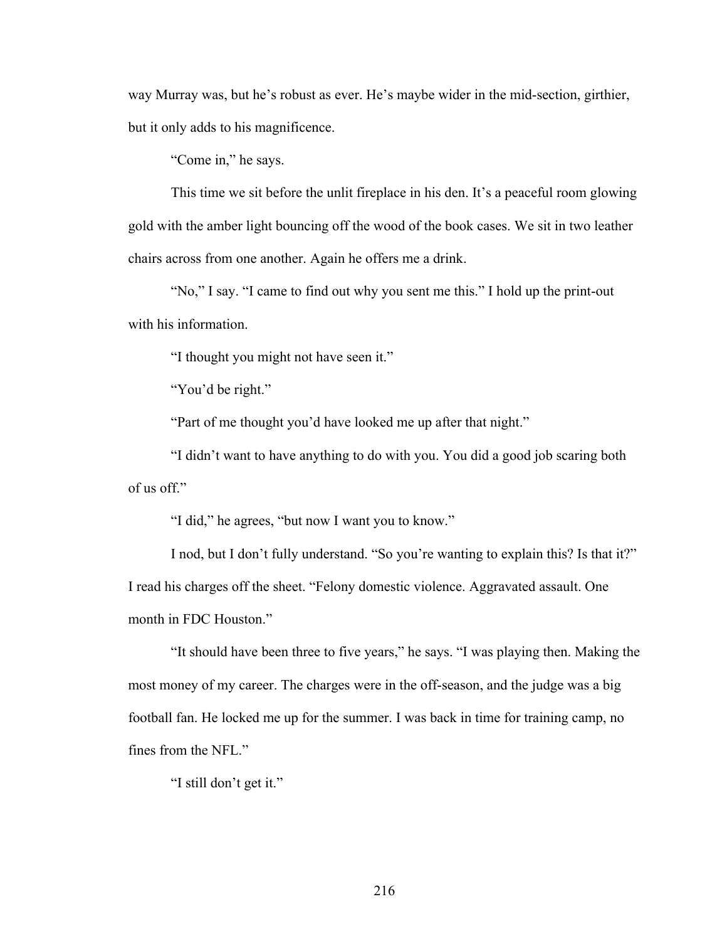way Murray was, but he's robust as ever. He's maybe wider in the mid-section, girthier, but it only adds to his magnificence.

"Come in," he says.

This time we sit before the unlit fireplace in his den. It's a peaceful room glowing gold with the amber light bouncing off the wood of the book cases. We sit in two leather chairs across from one another. Again he offers me a drink.

"No," I say. "I came to find out why you sent me this." I hold up the print-out with his information.

"I thought you might not have seen it."

"You'd be right."

"Part of me thought you'd have looked me up after that night."

"I didn't want to have anything to do with you. You did a good job scaring both of us off."

"I did," he agrees, "but now I want you to know."

I nod, but I don't fully understand. "So you're wanting to explain this? Is that it?" I read his charges off the sheet. "Felony domestic violence. Aggravated assault. One month in FDC Houston."

"It should have been three to five years," he says. "I was playing then. Making the most money of my career. The charges were in the off-season, and the judge was a big football fan. He locked me up for the summer. I was back in time for training camp, no fines from the NFL."

"I still don't get it."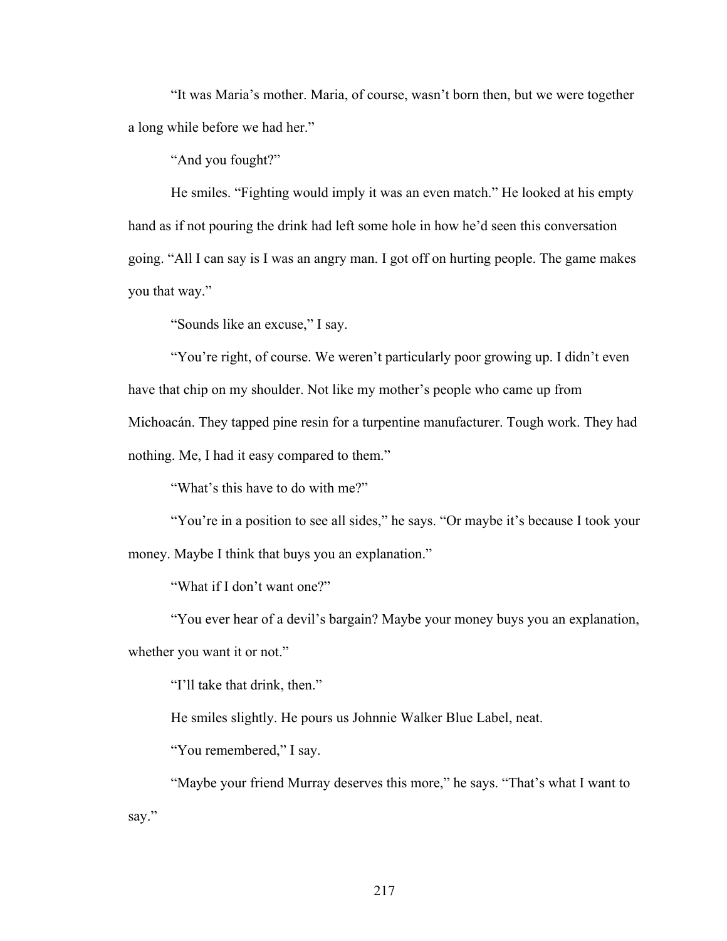"It was Maria's mother. Maria, of course, wasn't born then, but we were together a long while before we had her."

"And you fought?"

He smiles. "Fighting would imply it was an even match." He looked at his empty hand as if not pouring the drink had left some hole in how he'd seen this conversation going. "All I can say is I was an angry man. I got off on hurting people. The game makes you that way."

"Sounds like an excuse," I say.

"You're right, of course. We weren't particularly poor growing up. I didn't even have that chip on my shoulder. Not like my mother's people who came up from Michoacán. They tapped pine resin for a turpentine manufacturer. Tough work. They had nothing. Me, I had it easy compared to them."

"What's this have to do with me?"

"You're in a position to see all sides," he says. "Or maybe it's because I took your money. Maybe I think that buys you an explanation."

"What if I don't want one?"

"You ever hear of a devil's bargain? Maybe your money buys you an explanation, whether you want it or not."

"I'll take that drink, then."

He smiles slightly. He pours us Johnnie Walker Blue Label, neat.

"You remembered," I say.

"Maybe your friend Murray deserves this more," he says. "That's what I want to say."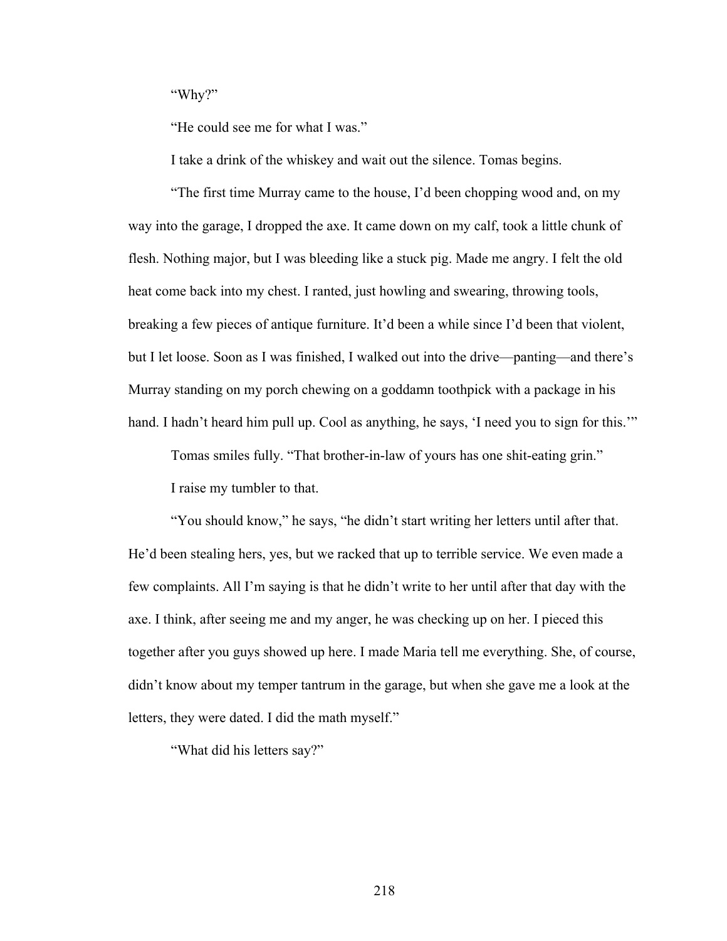"Why?"

"He could see me for what I was."

I take a drink of the whiskey and wait out the silence. Tomas begins.

"The first time Murray came to the house, I'd been chopping wood and, on my way into the garage, I dropped the axe. It came down on my calf, took a little chunk of flesh. Nothing major, but I was bleeding like a stuck pig. Made me angry. I felt the old heat come back into my chest. I ranted, just howling and swearing, throwing tools, breaking a few pieces of antique furniture. It'd been a while since I'd been that violent, but I let loose. Soon as I was finished, I walked out into the drive—panting—and there's Murray standing on my porch chewing on a goddamn toothpick with a package in his hand. I hadn't heard him pull up. Cool as anything, he says, 'I need you to sign for this.'"

Tomas smiles fully. "That brother-in-law of yours has one shit-eating grin."

I raise my tumbler to that.

"You should know," he says, "he didn't start writing her letters until after that. He'd been stealing hers, yes, but we racked that up to terrible service. We even made a few complaints. All I'm saying is that he didn't write to her until after that day with the axe. I think, after seeing me and my anger, he was checking up on her. I pieced this together after you guys showed up here. I made Maria tell me everything. She, of course, didn't know about my temper tantrum in the garage, but when she gave me a look at the letters, they were dated. I did the math myself."

"What did his letters say?"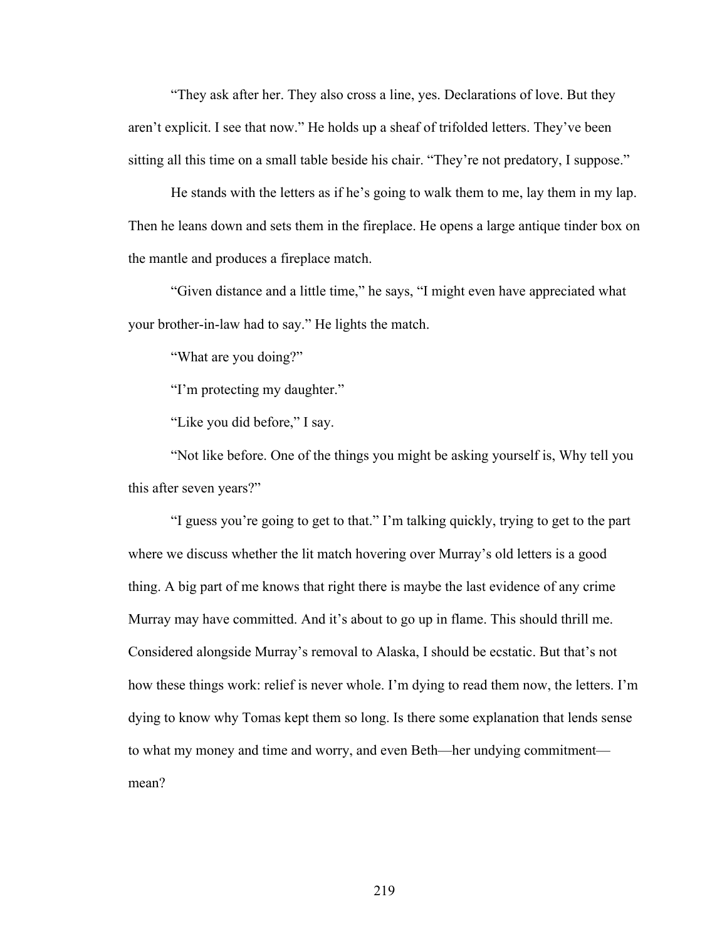"They ask after her. They also cross a line, yes. Declarations of love. But they aren't explicit. I see that now." He holds up a sheaf of trifolded letters. They've been sitting all this time on a small table beside his chair. "They're not predatory, I suppose."

He stands with the letters as if he's going to walk them to me, lay them in my lap. Then he leans down and sets them in the fireplace. He opens a large antique tinder box on the mantle and produces a fireplace match.

"Given distance and a little time," he says, "I might even have appreciated what your brother-in-law had to say." He lights the match.

"What are you doing?"

"I'm protecting my daughter."

"Like you did before," I say.

"Not like before. One of the things you might be asking yourself is, Why tell you this after seven years?"

"I guess you're going to get to that." I'm talking quickly, trying to get to the part where we discuss whether the lit match hovering over Murray's old letters is a good thing. A big part of me knows that right there is maybe the last evidence of any crime Murray may have committed. And it's about to go up in flame. This should thrill me. Considered alongside Murray's removal to Alaska, I should be ecstatic. But that's not how these things work: relief is never whole. I'm dying to read them now, the letters. I'm dying to know why Tomas kept them so long. Is there some explanation that lends sense to what my money and time and worry, and even Beth—her undying commitment mean?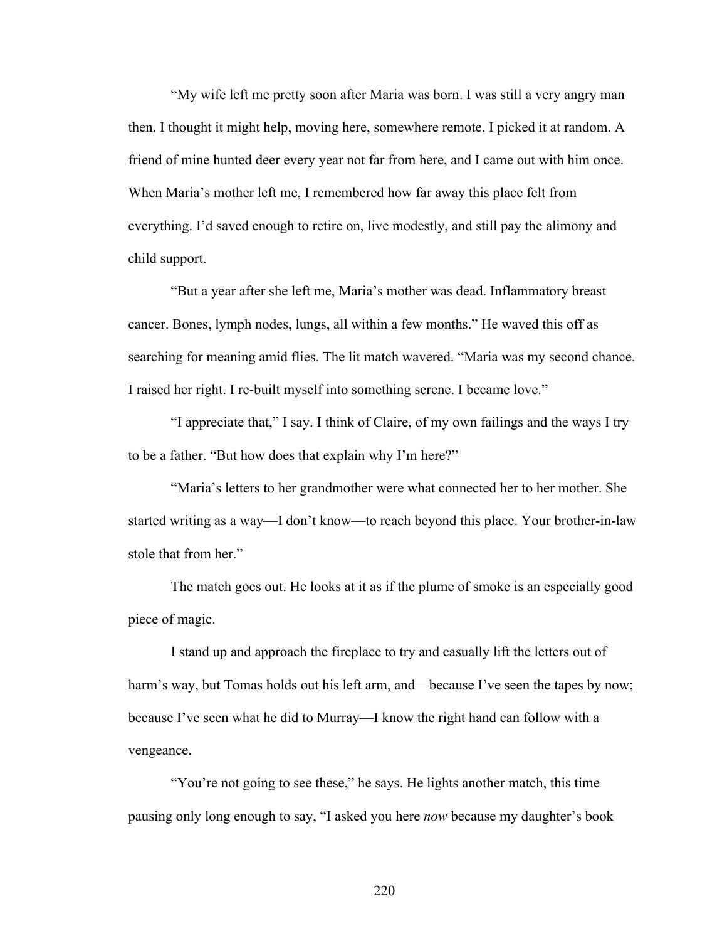"My wife left me pretty soon after Maria was born. I was still a very angry man then. I thought it might help, moving here, somewhere remote. I picked it at random. A friend of mine hunted deer every year not far from here, and I came out with him once. When Maria's mother left me, I remembered how far away this place felt from everything. I'd saved enough to retire on, live modestly, and still pay the alimony and child support.

"But a year after she left me, Maria's mother was dead. Inflammatory breast cancer. Bones, lymph nodes, lungs, all within a few months." He waved this off as searching for meaning amid flies. The lit match wavered. "Maria was my second chance. I raised her right. I re-built myself into something serene. I became love."

"I appreciate that," I say. I think of Claire, of my own failings and the ways I try to be a father. "But how does that explain why I'm here?"

"Maria's letters to her grandmother were what connected her to her mother. She started writing as a way—I don't know—to reach beyond this place. Your brother-in-law stole that from her."

The match goes out. He looks at it as if the plume of smoke is an especially good piece of magic.

I stand up and approach the fireplace to try and casually lift the letters out of harm's way, but Tomas holds out his left arm, and—because I've seen the tapes by now; because I've seen what he did to Murray—I know the right hand can follow with a vengeance.

"You're not going to see these," he says. He lights another match, this time pausing only long enough to say, "I asked you here *now* because my daughter's book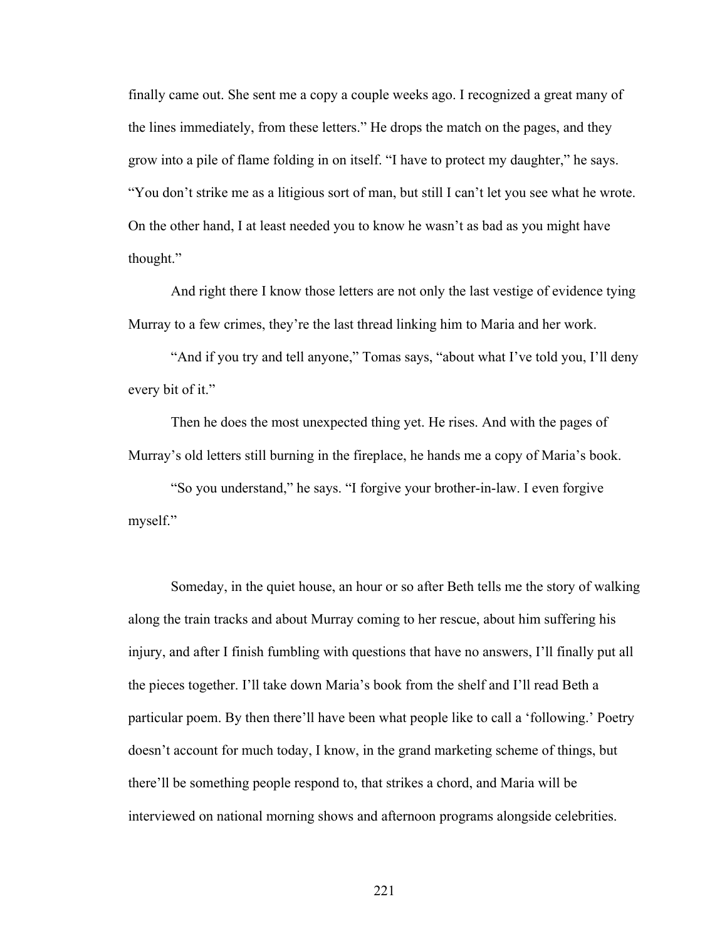finally came out. She sent me a copy a couple weeks ago. I recognized a great many of the lines immediately, from these letters." He drops the match on the pages, and they grow into a pile of flame folding in on itself. "I have to protect my daughter," he says. "You don't strike me as a litigious sort of man, but still I can't let you see what he wrote. On the other hand, I at least needed you to know he wasn't as bad as you might have thought."

And right there I know those letters are not only the last vestige of evidence tying Murray to a few crimes, they're the last thread linking him to Maria and her work.

"And if you try and tell anyone," Tomas says, "about what I've told you, I'll deny every bit of it."

Then he does the most unexpected thing yet. He rises. And with the pages of Murray's old letters still burning in the fireplace, he hands me a copy of Maria's book.

"So you understand," he says. "I forgive your brother-in-law. I even forgive myself."

Someday, in the quiet house, an hour or so after Beth tells me the story of walking along the train tracks and about Murray coming to her rescue, about him suffering his injury, and after I finish fumbling with questions that have no answers, I'll finally put all the pieces together. I'll take down Maria's book from the shelf and I'll read Beth a particular poem. By then there'll have been what people like to call a 'following.' Poetry doesn't account for much today, I know, in the grand marketing scheme of things, but there'll be something people respond to, that strikes a chord, and Maria will be interviewed on national morning shows and afternoon programs alongside celebrities.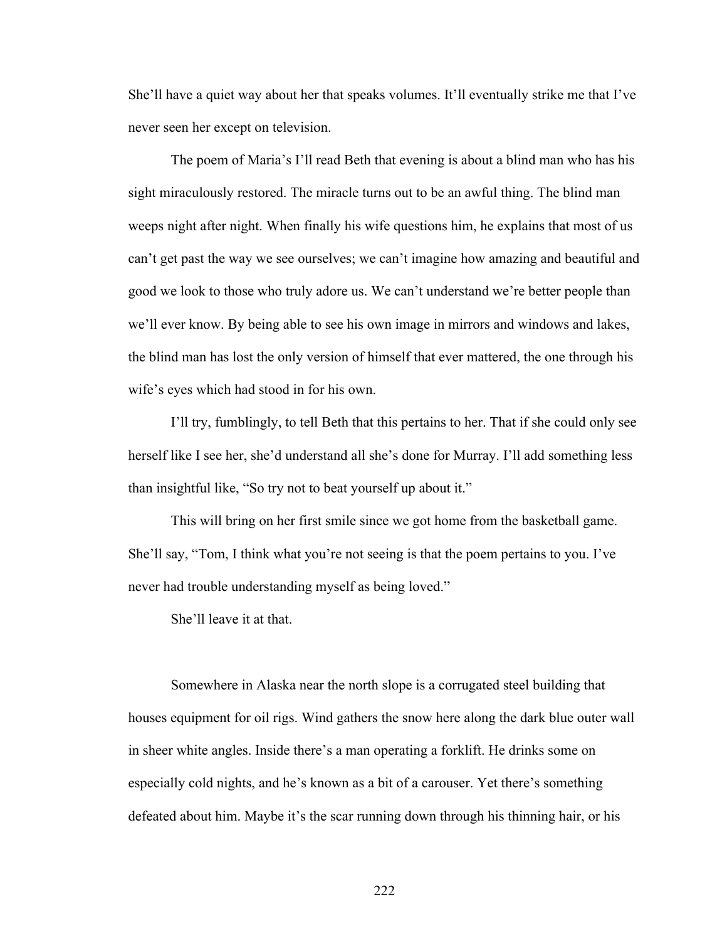She'll have a quiet way about her that speaks volumes. It'll eventually strike me that I've never seen her except on television.

The poem of Maria's I'll read Beth that evening is about a blind man who has his sight miraculously restored. The miracle turns out to be an awful thing. The blind man weeps night after night. When finally his wife questions him, he explains that most of us can't get past the way we see ourselves; we can't imagine how amazing and beautiful and good we look to those who truly adore us. We can't understand we're better people than we'll ever know. By being able to see his own image in mirrors and windows and lakes, the blind man has lost the only version of himself that ever mattered, the one through his wife's eyes which had stood in for his own.

I'll try, fumblingly, to tell Beth that this pertains to her. That if she could only see herself like I see her, she'd understand all she's done for Murray. I'll add something less than insightful like, "So try not to beat yourself up about it."

This will bring on her first smile since we got home from the basketball game. She'll say, "Tom, I think what you're not seeing is that the poem pertains to you. I've never had trouble understanding myself as being loved."

She'll leave it at that.

Somewhere in Alaska near the north slope is a corrugated steel building that houses equipment for oil rigs. Wind gathers the snow here along the dark blue outer wall in sheer white angles. Inside there's a man operating a forklift. He drinks some on especially cold nights, and he's known as a bit of a carouser. Yet there's something defeated about him. Maybe it's the scar running down through his thinning hair, or his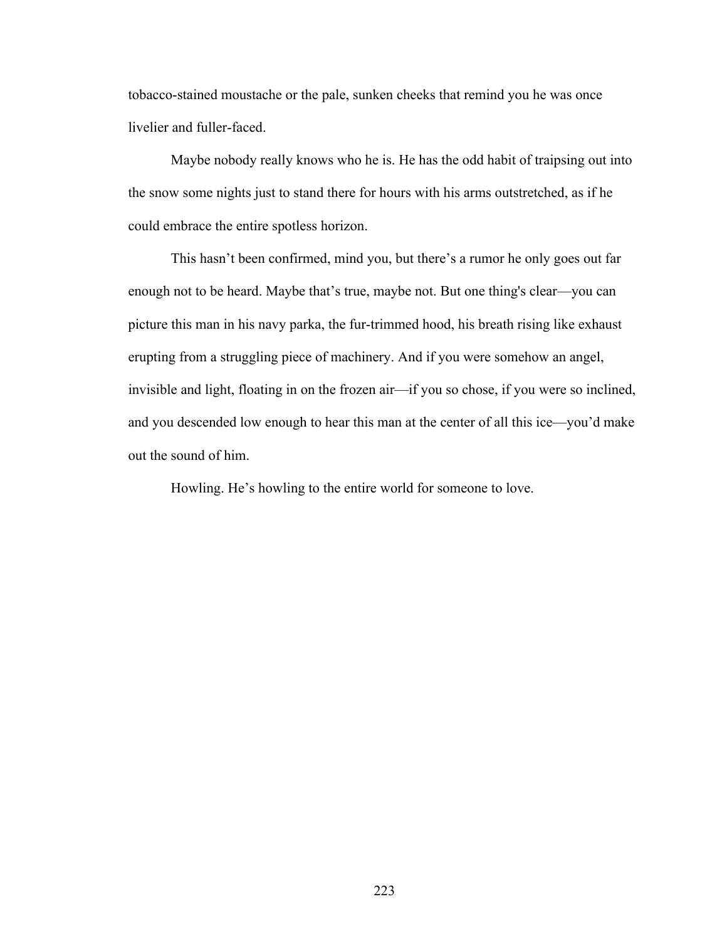tobacco-stained moustache or the pale, sunken cheeks that remind you he was once livelier and fuller-faced.

Maybe nobody really knows who he is. He has the odd habit of traipsing out into the snow some nights just to stand there for hours with his arms outstretched, as if he could embrace the entire spotless horizon.

This hasn't been confirmed, mind you, but there's a rumor he only goes out far enough not to be heard. Maybe that's true, maybe not. But one thing's clear—you can picture this man in his navy parka, the fur-trimmed hood, his breath rising like exhaust erupting from a struggling piece of machinery. And if you were somehow an angel, invisible and light, floating in on the frozen air—if you so chose, if you were so inclined, and you descended low enough to hear this man at the center of all this ice—you'd make out the sound of him.

Howling. He's howling to the entire world for someone to love.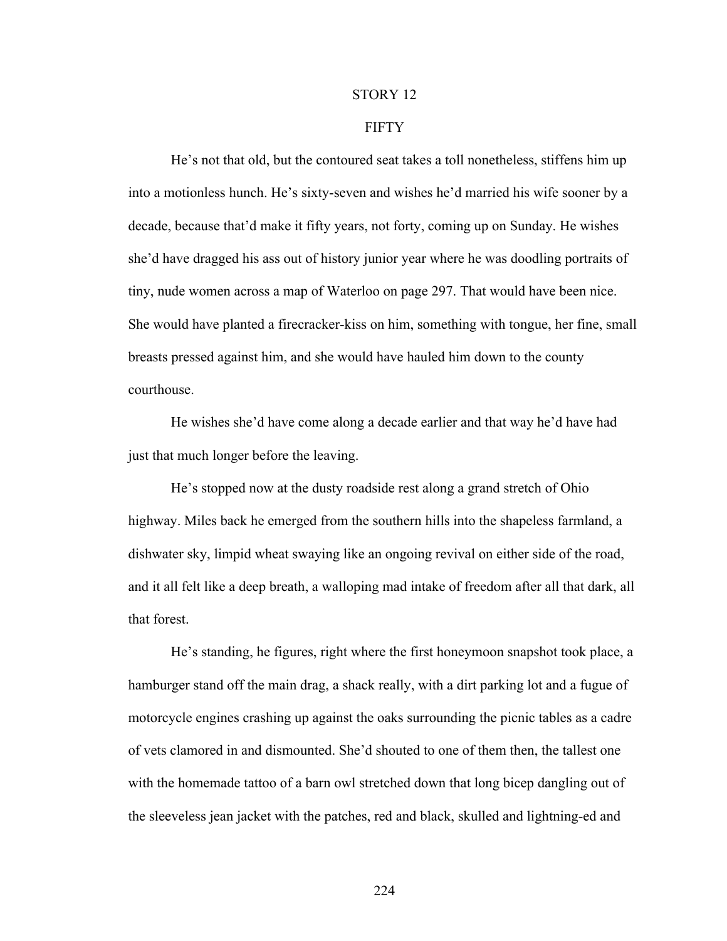#### STORY 12

## **FIFTY**

He's not that old, but the contoured seat takes a toll nonetheless, stiffens him up into a motionless hunch. He's sixty-seven and wishes he'd married his wife sooner by a decade, because that'd make it fifty years, not forty, coming up on Sunday. He wishes she'd have dragged his ass out of history junior year where he was doodling portraits of tiny, nude women across a map of Waterloo on page 297. That would have been nice. She would have planted a firecracker-kiss on him, something with tongue, her fine, small breasts pressed against him, and she would have hauled him down to the county courthouse.

He wishes she'd have come along a decade earlier and that way he'd have had just that much longer before the leaving.

He's stopped now at the dusty roadside rest along a grand stretch of Ohio highway. Miles back he emerged from the southern hills into the shapeless farmland, a dishwater sky, limpid wheat swaying like an ongoing revival on either side of the road, and it all felt like a deep breath, a walloping mad intake of freedom after all that dark, all that forest.

He's standing, he figures, right where the first honeymoon snapshot took place, a hamburger stand off the main drag, a shack really, with a dirt parking lot and a fugue of motorcycle engines crashing up against the oaks surrounding the picnic tables as a cadre of vets clamored in and dismounted. She'd shouted to one of them then, the tallest one with the homemade tattoo of a barn owl stretched down that long bicep dangling out of the sleeveless jean jacket with the patches, red and black, skulled and lightning-ed and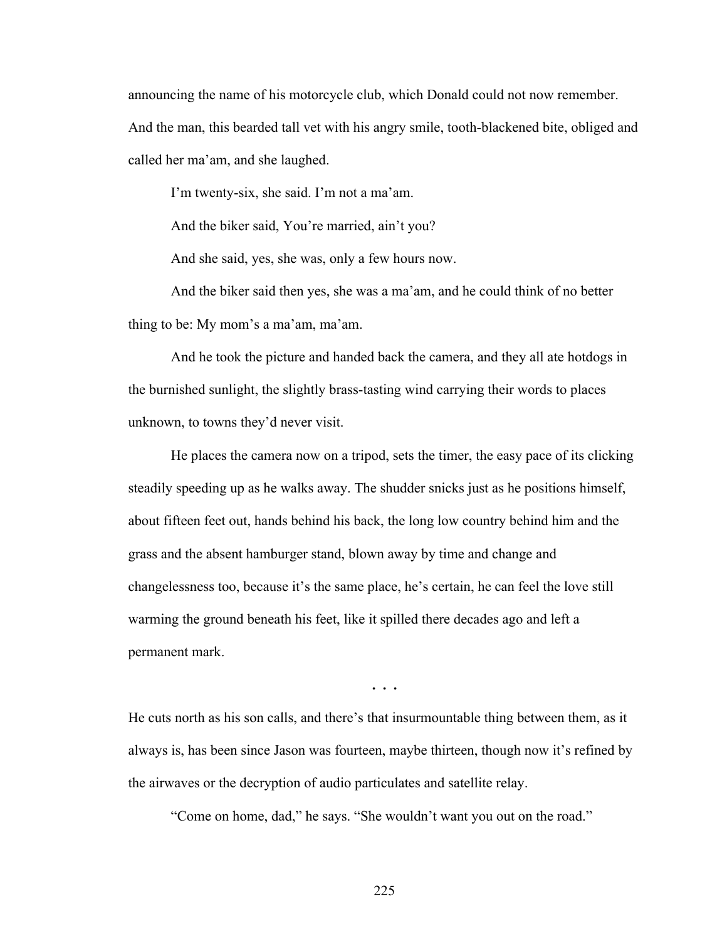announcing the name of his motorcycle club, which Donald could not now remember. And the man, this bearded tall vet with his angry smile, tooth-blackened bite, obliged and called her ma'am, and she laughed.

I'm twenty-six, she said. I'm not a ma'am.

And the biker said, You're married, ain't you?

And she said, yes, she was, only a few hours now.

And the biker said then yes, she was a ma'am, and he could think of no better thing to be: My mom's a ma'am, ma'am.

And he took the picture and handed back the camera, and they all ate hotdogs in the burnished sunlight, the slightly brass-tasting wind carrying their words to places unknown, to towns they'd never visit.

He places the camera now on a tripod, sets the timer, the easy pace of its clicking steadily speeding up as he walks away. The shudder snicks just as he positions himself, about fifteen feet out, hands behind his back, the long low country behind him and the grass and the absent hamburger stand, blown away by time and change and changelessness too, because it's the same place, he's certain, he can feel the love still warming the ground beneath his feet, like it spilled there decades ago and left a permanent mark.

**. . .**

He cuts north as his son calls, and there's that insurmountable thing between them, as it always is, has been since Jason was fourteen, maybe thirteen, though now it's refined by the airwaves or the decryption of audio particulates and satellite relay.

"Come on home, dad," he says. "She wouldn't want you out on the road."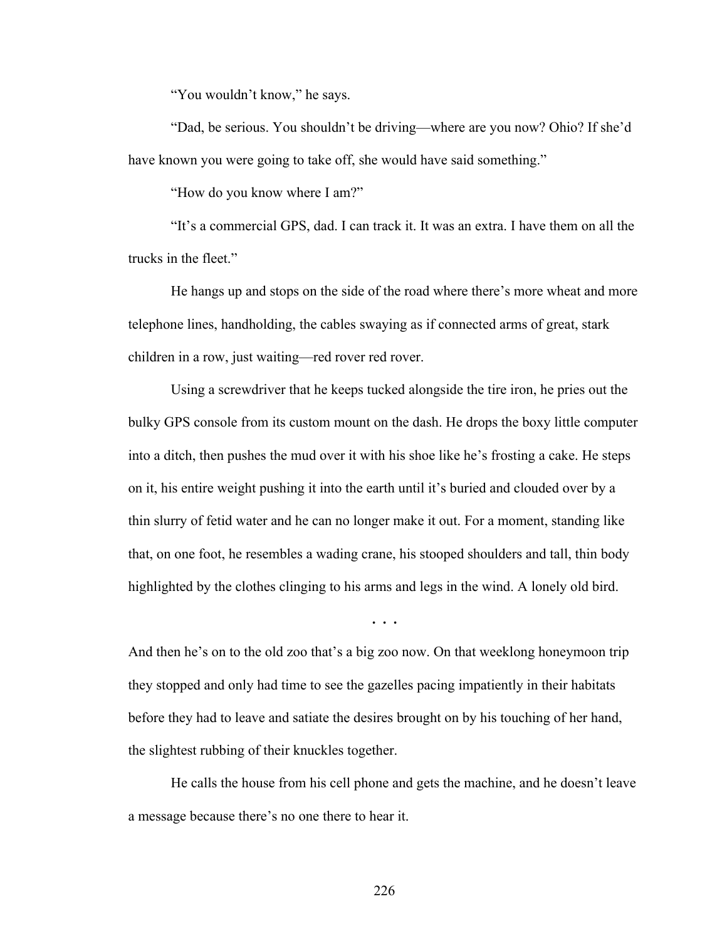"You wouldn't know," he says.

"Dad, be serious. You shouldn't be driving—where are you now? Ohio? If she'd have known you were going to take off, she would have said something."

"How do you know where I am?"

"It's a commercial GPS, dad. I can track it. It was an extra. I have them on all the trucks in the fleet."

He hangs up and stops on the side of the road where there's more wheat and more telephone lines, handholding, the cables swaying as if connected arms of great, stark children in a row, just waiting—red rover red rover.

Using a screwdriver that he keeps tucked alongside the tire iron, he pries out the bulky GPS console from its custom mount on the dash. He drops the boxy little computer into a ditch, then pushes the mud over it with his shoe like he's frosting a cake. He steps on it, his entire weight pushing it into the earth until it's buried and clouded over by a thin slurry of fetid water and he can no longer make it out. For a moment, standing like that, on one foot, he resembles a wading crane, his stooped shoulders and tall, thin body highlighted by the clothes clinging to his arms and legs in the wind. A lonely old bird.

**. . .**

And then he's on to the old zoo that's a big zoo now. On that weeklong honeymoon trip they stopped and only had time to see the gazelles pacing impatiently in their habitats before they had to leave and satiate the desires brought on by his touching of her hand, the slightest rubbing of their knuckles together.

He calls the house from his cell phone and gets the machine, and he doesn't leave a message because there's no one there to hear it.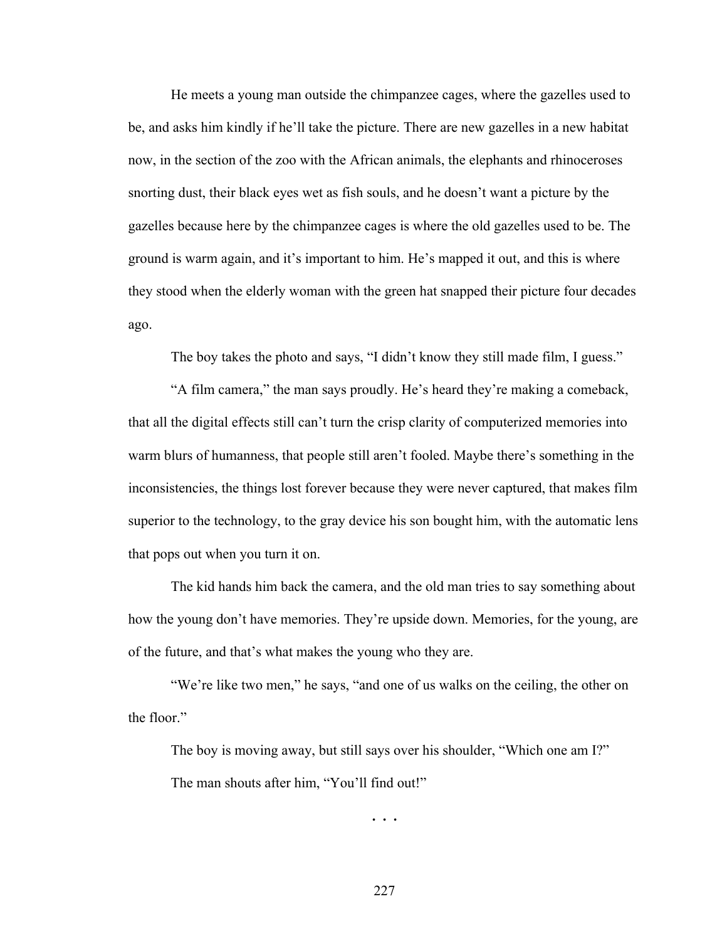He meets a young man outside the chimpanzee cages, where the gazelles used to be, and asks him kindly if he'll take the picture. There are new gazelles in a new habitat now, in the section of the zoo with the African animals, the elephants and rhinoceroses snorting dust, their black eyes wet as fish souls, and he doesn't want a picture by the gazelles because here by the chimpanzee cages is where the old gazelles used to be. The ground is warm again, and it's important to him. He's mapped it out, and this is where they stood when the elderly woman with the green hat snapped their picture four decades ago.

The boy takes the photo and says, "I didn't know they still made film, I guess."

"A film camera," the man says proudly. He's heard they're making a comeback, that all the digital effects still can't turn the crisp clarity of computerized memories into warm blurs of humanness, that people still aren't fooled. Maybe there's something in the inconsistencies, the things lost forever because they were never captured, that makes film superior to the technology, to the gray device his son bought him, with the automatic lens that pops out when you turn it on.

The kid hands him back the camera, and the old man tries to say something about how the young don't have memories. They're upside down. Memories, for the young, are of the future, and that's what makes the young who they are.

"We're like two men," he says, "and one of us walks on the ceiling, the other on the floor."

The boy is moving away, but still says over his shoulder, "Which one am I?" The man shouts after him, "You'll find out!"

**. . .**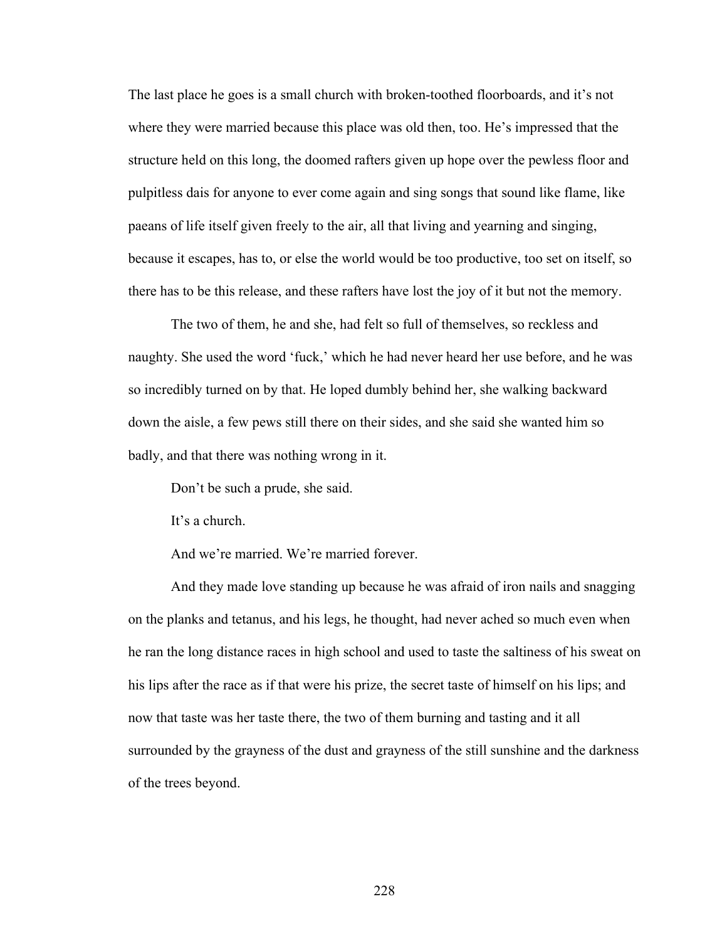The last place he goes is a small church with broken-toothed floorboards, and it's not where they were married because this place was old then, too. He's impressed that the structure held on this long, the doomed rafters given up hope over the pewless floor and pulpitless dais for anyone to ever come again and sing songs that sound like flame, like paeans of life itself given freely to the air, all that living and yearning and singing, because it escapes, has to, or else the world would be too productive, too set on itself, so there has to be this release, and these rafters have lost the joy of it but not the memory.

The two of them, he and she, had felt so full of themselves, so reckless and naughty. She used the word 'fuck,' which he had never heard her use before, and he was so incredibly turned on by that. He loped dumbly behind her, she walking backward down the aisle, a few pews still there on their sides, and she said she wanted him so badly, and that there was nothing wrong in it.

Don't be such a prude, she said.

It's a church.

And we're married. We're married forever.

And they made love standing up because he was afraid of iron nails and snagging on the planks and tetanus, and his legs, he thought, had never ached so much even when he ran the long distance races in high school and used to taste the saltiness of his sweat on his lips after the race as if that were his prize, the secret taste of himself on his lips; and now that taste was her taste there, the two of them burning and tasting and it all surrounded by the grayness of the dust and grayness of the still sunshine and the darkness of the trees beyond.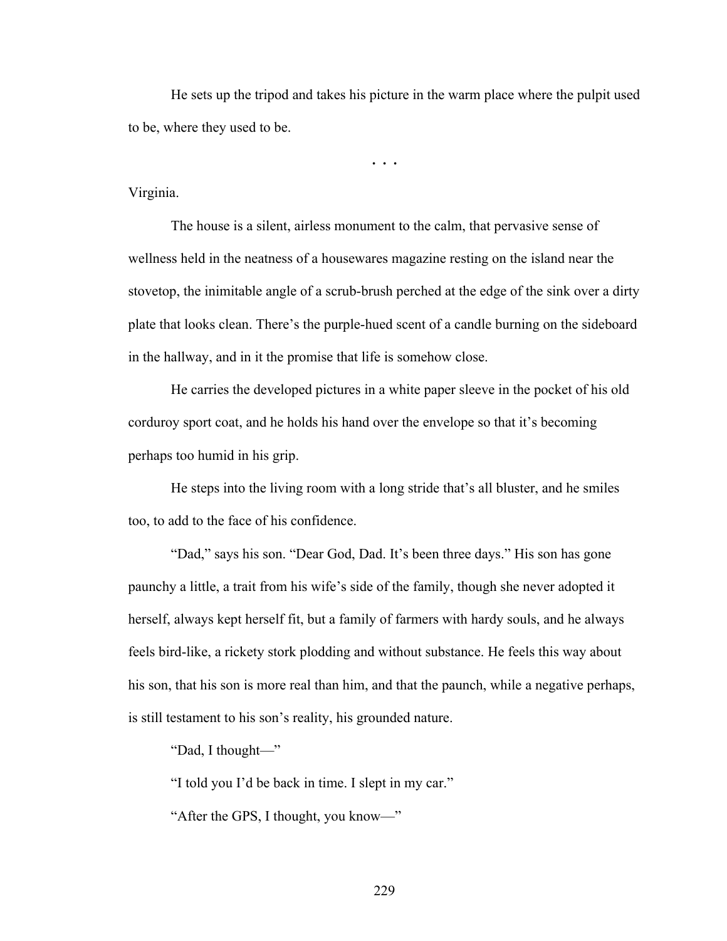He sets up the tripod and takes his picture in the warm place where the pulpit used to be, where they used to be.

**. . .**

## Virginia.

The house is a silent, airless monument to the calm, that pervasive sense of wellness held in the neatness of a housewares magazine resting on the island near the stovetop, the inimitable angle of a scrub-brush perched at the edge of the sink over a dirty plate that looks clean. There's the purple-hued scent of a candle burning on the sideboard in the hallway, and in it the promise that life is somehow close.

He carries the developed pictures in a white paper sleeve in the pocket of his old corduroy sport coat, and he holds his hand over the envelope so that it's becoming perhaps too humid in his grip.

He steps into the living room with a long stride that's all bluster, and he smiles too, to add to the face of his confidence.

"Dad," says his son. "Dear God, Dad. It's been three days." His son has gone paunchy a little, a trait from his wife's side of the family, though she never adopted it herself, always kept herself fit, but a family of farmers with hardy souls, and he always feels bird-like, a rickety stork plodding and without substance. He feels this way about his son, that his son is more real than him, and that the paunch, while a negative perhaps, is still testament to his son's reality, his grounded nature.

"Dad, I thought—"

"I told you I'd be back in time. I slept in my car."

"After the GPS, I thought, you know—"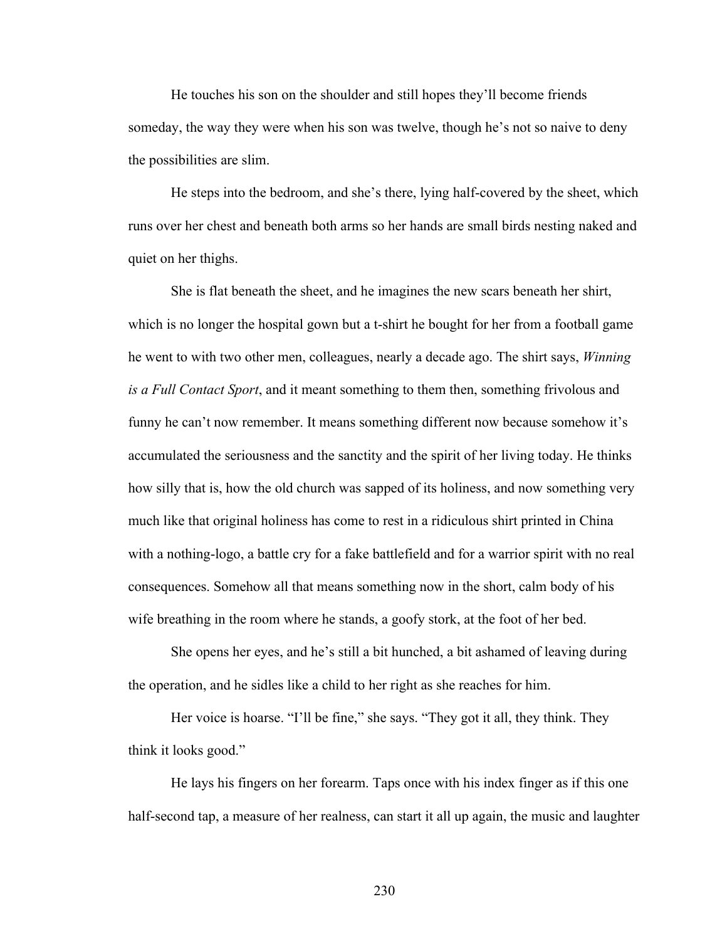He touches his son on the shoulder and still hopes they'll become friends someday, the way they were when his son was twelve, though he's not so naive to deny the possibilities are slim.

He steps into the bedroom, and she's there, lying half-covered by the sheet, which runs over her chest and beneath both arms so her hands are small birds nesting naked and quiet on her thighs.

She is flat beneath the sheet, and he imagines the new scars beneath her shirt, which is no longer the hospital gown but a t-shirt he bought for her from a football game he went to with two other men, colleagues, nearly a decade ago. The shirt says, *Winning is a Full Contact Sport*, and it meant something to them then, something frivolous and funny he can't now remember. It means something different now because somehow it's accumulated the seriousness and the sanctity and the spirit of her living today. He thinks how silly that is, how the old church was sapped of its holiness, and now something very much like that original holiness has come to rest in a ridiculous shirt printed in China with a nothing-logo, a battle cry for a fake battlefield and for a warrior spirit with no real consequences. Somehow all that means something now in the short, calm body of his wife breathing in the room where he stands, a goofy stork, at the foot of her bed.

She opens her eyes, and he's still a bit hunched, a bit ashamed of leaving during the operation, and he sidles like a child to her right as she reaches for him.

Her voice is hoarse. "I'll be fine," she says. "They got it all, they think. They think it looks good."

He lays his fingers on her forearm. Taps once with his index finger as if this one half-second tap, a measure of her realness, can start it all up again, the music and laughter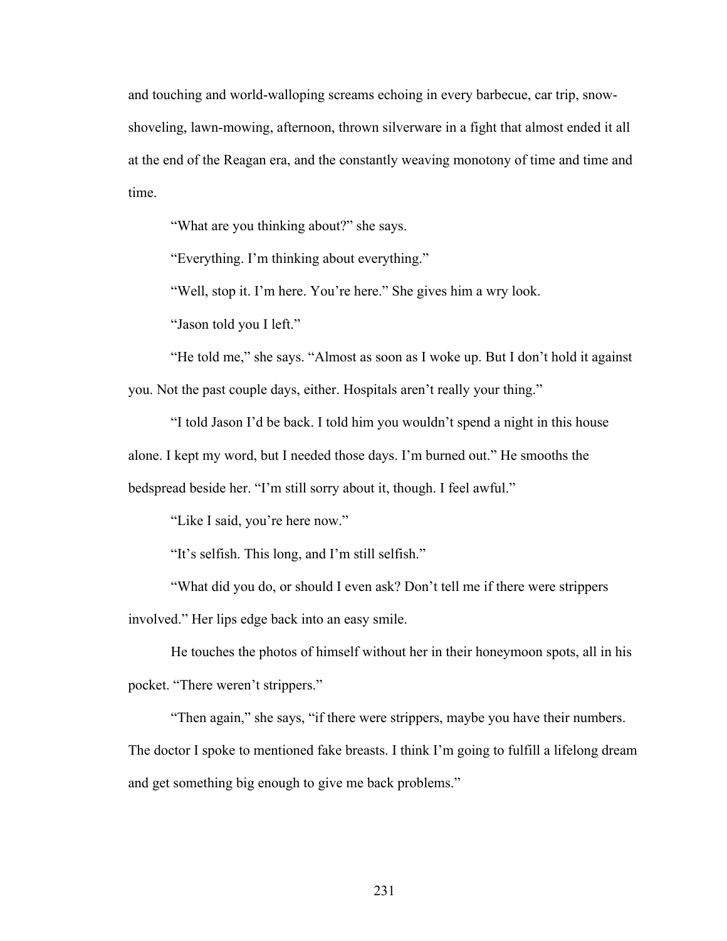and touching and world-walloping screams echoing in every barbecue, car trip, snowshoveling, lawn-mowing, afternoon, thrown silverware in a fight that almost ended it all at the end of the Reagan era, and the constantly weaving monotony of time and time and time.

"What are you thinking about?" she says.

"Everything. I'm thinking about everything."

"Well, stop it. I'm here. You're here." She gives him a wry look.

"Jason told you I left."

"He told me," she says. "Almost as soon as I woke up. But I don't hold it against you. Not the past couple days, either. Hospitals aren't really your thing."

"I told Jason I'd be back. I told him you wouldn't spend a night in this house alone. I kept my word, but I needed those days. I'm burned out." He smooths the bedspread beside her. "I'm still sorry about it, though. I feel awful."

"Like I said, you're here now."

"It's selfish. This long, and I'm still selfish."

"What did you do, or should I even ask? Don't tell me if there were strippers

involved." Her lips edge back into an easy smile.

He touches the photos of himself without her in their honeymoon spots, all in his pocket. "There weren't strippers."

"Then again," she says, "if there were strippers, maybe you have their numbers. The doctor I spoke to mentioned fake breasts. I think I'm going to fulfill a lifelong dream and get something big enough to give me back problems."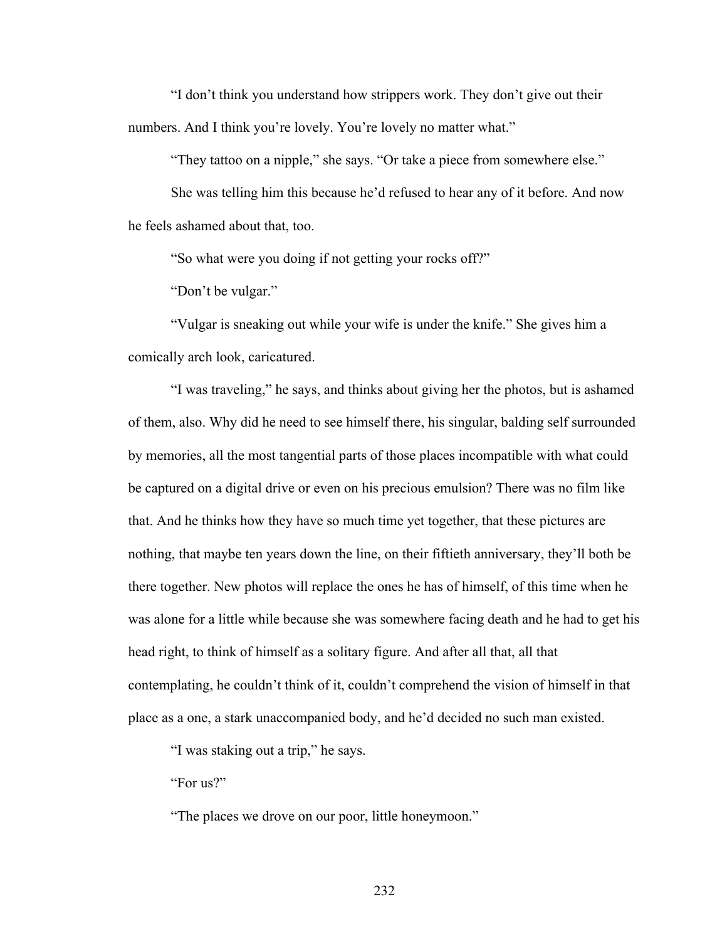"I don't think you understand how strippers work. They don't give out their numbers. And I think you're lovely. You're lovely no matter what."

"They tattoo on a nipple," she says. "Or take a piece from somewhere else."

She was telling him this because he'd refused to hear any of it before. And now he feels ashamed about that, too.

"So what were you doing if not getting your rocks off?"

"Don't be vulgar."

"Vulgar is sneaking out while your wife is under the knife." She gives him a comically arch look, caricatured.

"I was traveling," he says, and thinks about giving her the photos, but is ashamed of them, also. Why did he need to see himself there, his singular, balding self surrounded by memories, all the most tangential parts of those places incompatible with what could be captured on a digital drive or even on his precious emulsion? There was no film like that. And he thinks how they have so much time yet together, that these pictures are nothing, that maybe ten years down the line, on their fiftieth anniversary, they'll both be there together. New photos will replace the ones he has of himself, of this time when he was alone for a little while because she was somewhere facing death and he had to get his head right, to think of himself as a solitary figure. And after all that, all that contemplating, he couldn't think of it, couldn't comprehend the vision of himself in that place as a one, a stark unaccompanied body, and he'd decided no such man existed.

"I was staking out a trip," he says.

"For us?"

"The places we drove on our poor, little honeymoon."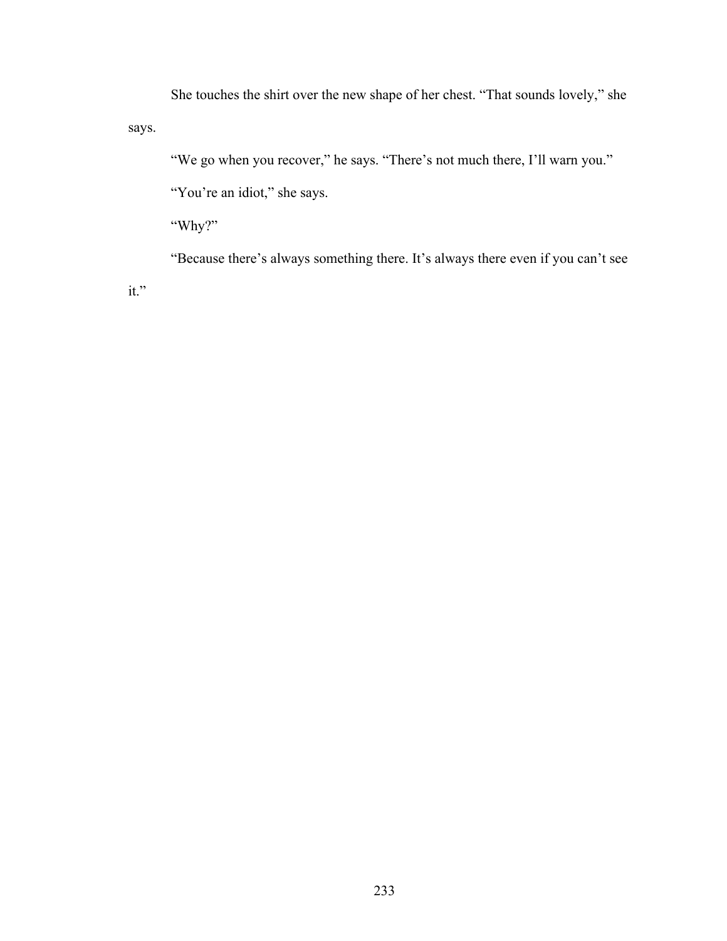She touches the shirt over the new shape of her chest. "That sounds lovely," she says.

"We go when you recover," he says. "There's not much there, I'll warn you."

"You're an idiot," she says.

"Why?"

"Because there's always something there. It's always there even if you can't see

it."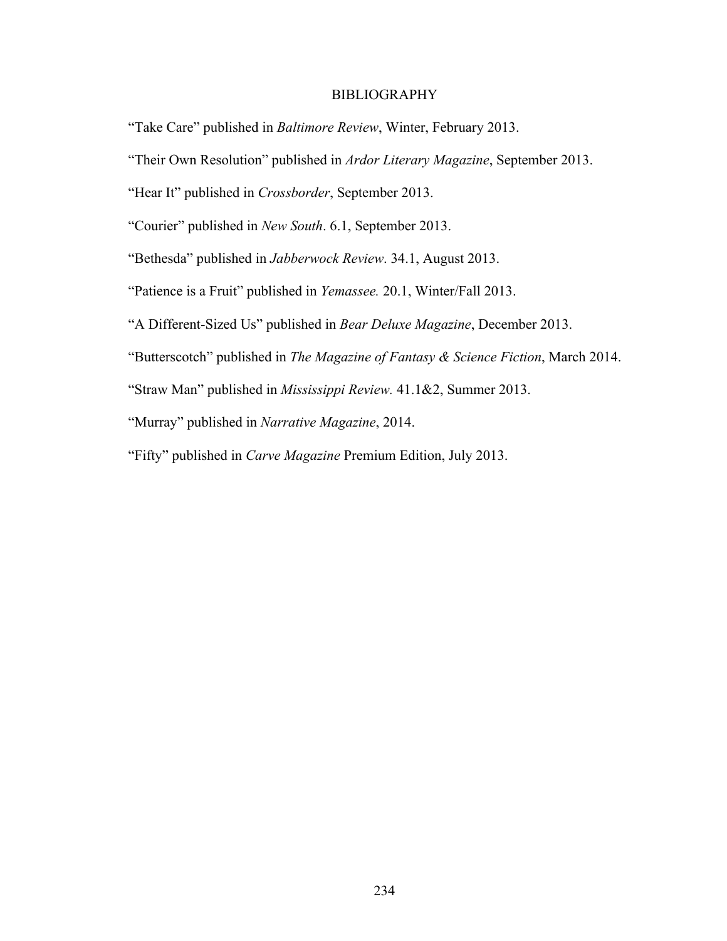#### **BIBLIOGRAPHY**

"Take Care" published in *Baltimore Review*, Winter, February 2013.

"Their Own Resolution" published in *Ardor Literary Magazine*, September 2013.

"Hear It" published in *Crossborder*, September 2013.

"Courier" published in *New South*. 6.1, September 2013.

"Bethesda" published in *Jabberwock Review*. 34.1, August 2013.

"Patience is a Fruit" published in *Yemassee.* 20.1, Winter/Fall 2013.

"A Different-Sized Us" published in *Bear Deluxe Magazine*, December 2013.

"Butterscotch" published in *The Magazine of Fantasy & Science Fiction*, March 2014.

"Straw Man" published in *Mississippi Review.* 41.1&2, Summer 2013.

"Murray" published in *Narrative Magazine*, 2014.

"Fifty" published in *Carve Magazine* Premium Edition, July 2013.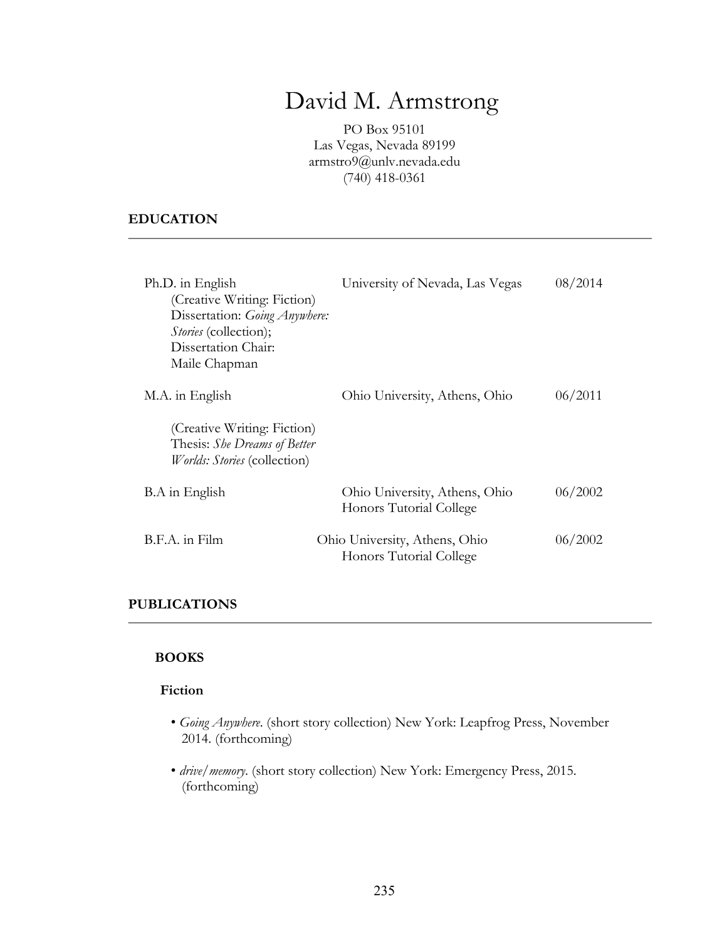# David M. Armstrong

PO Box 95101 Las Vegas, Nevada 89199 armstro9@unlv.nevada.edu (740) 418-0361

# **EDUCATION**

| Ph.D. in English<br>(Creative Writing: Fiction)<br>Dissertation: Going Anywhere:<br><i>Stories</i> (collection);<br>Dissertation Chair:<br>Maile Chapman | University of Nevada, Las Vegas                          | 08/2014 |
|----------------------------------------------------------------------------------------------------------------------------------------------------------|----------------------------------------------------------|---------|
| M.A. in English<br>(Creative Writing: Fiction)<br>Thesis: She Dreams of Better<br><i>Worlds: Stories</i> (collection)                                    | Ohio University, Athens, Ohio                            | 06/2011 |
| B.A in English                                                                                                                                           | Ohio University, Athens, Ohio<br>Honors Tutorial College | 06/2002 |
| B.F.A. in Film                                                                                                                                           | Ohio University, Athens, Ohio<br>Honors Tutorial College | 06/2002 |

# **PUBLICATIONS**

## **BOOKS**

#### **Fiction**

- *Going Anywhere*. (short story collection) New York: Leapfrog Press, November 2014. (forthcoming)
- *drive/memory*. (short story collection) New York: Emergency Press, 2015. (forthcoming)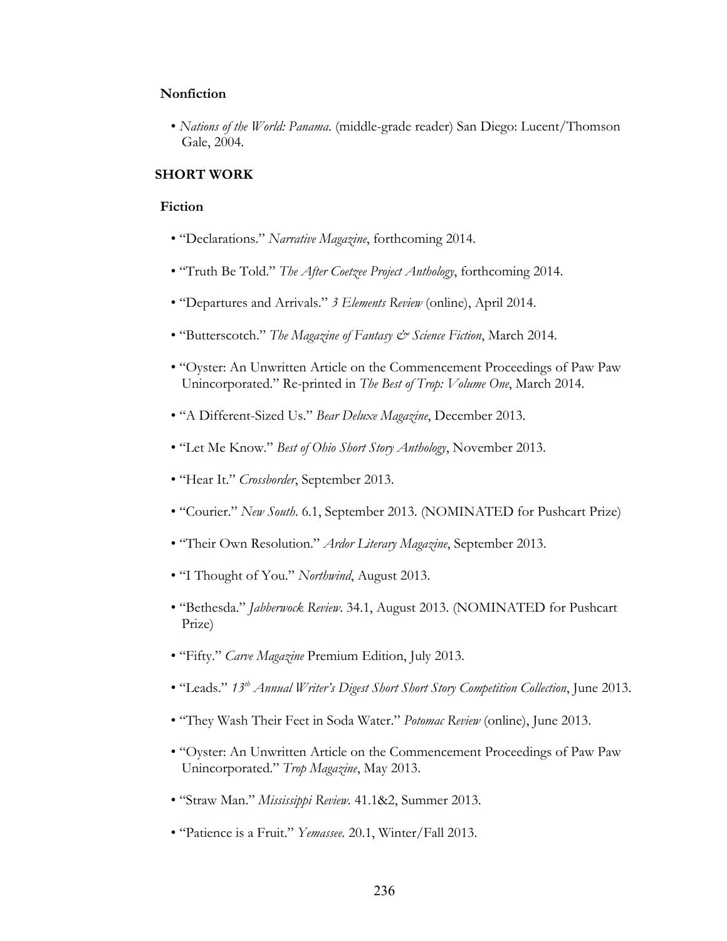#### **Nonfiction**

• *Nations of the World: Panama*. (middle-grade reader) San Diego: Lucent/Thomson Gale, 2004.

## **SHORT WORK**

#### **Fiction**

- "Declarations." *Narrative Magazine*, forthcoming 2014.
- "Truth Be Told." *The After Coetzee Project Anthology*, forthcoming 2014.
- "Departures and Arrivals." *3 Elements Review* (online), April 2014.
- "Butterscotch." *The Magazine of Fantasy & Science Fiction*, March 2014.
- "Oyster: An Unwritten Article on the Commencement Proceedings of Paw Paw Unincorporated." Re-printed in *The Best of Trop: Volume One*, March 2014.
- "A Different-Sized Us." *Bear Deluxe Magazine*, December 2013.
- "Let Me Know." *Best of Ohio Short Story Anthology*, November 2013.
- "Hear It." *Crossborder*, September 2013.
- "Courier." *New South*. 6.1, September 2013. (NOMINATED for Pushcart Prize)
- "Their Own Resolution." *Ardor Literary Magazine*, September 2013.
- "I Thought of You." *Northwind*, August 2013.
- "Bethesda." *Jabberwock Review*. 34.1, August 2013. (NOMINATED for Pushcart Prize)
- "Fifty." *Carve Magazine* Premium Edition, July 2013.
- "Leads." *13th Annual Writer's Digest Short Short Story Competition Collection*, June 2013.
- "They Wash Their Feet in Soda Water." *Potomac Review* (online), June 2013.
- "Oyster: An Unwritten Article on the Commencement Proceedings of Paw Paw Unincorporated." *Trop Magazine*, May 2013.
- "Straw Man." *Mississippi Review.* 41.1&2, Summer 2013.
- "Patience is a Fruit." *Yemassee.* 20.1, Winter/Fall 2013.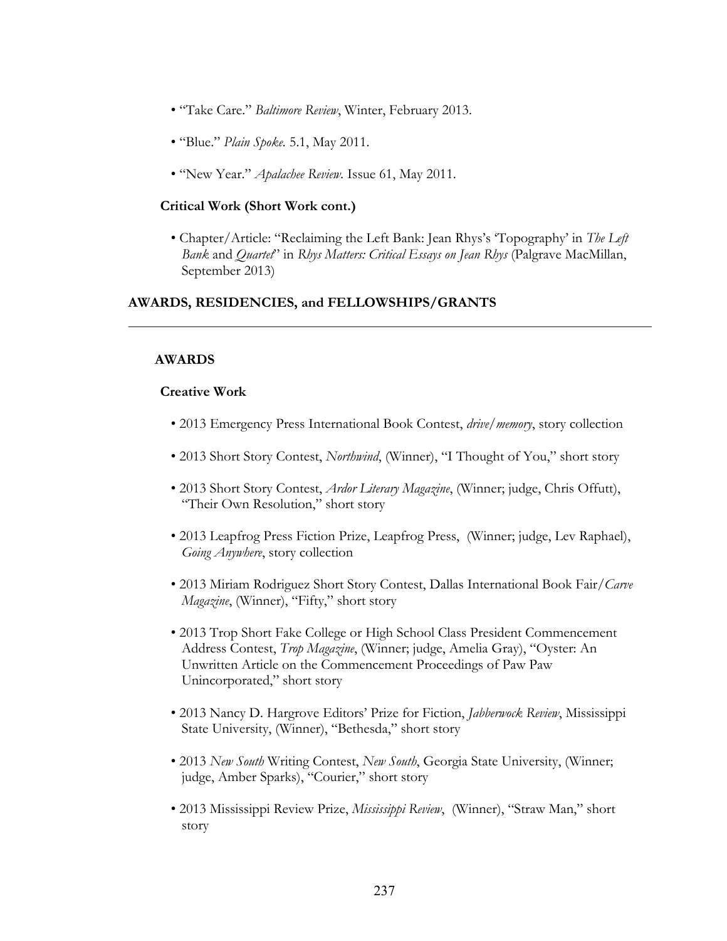- "Take Care." *Baltimore Review*, Winter, February 2013.
- "Blue." *Plain Spoke.* 5.1, May 2011.
- "New Year." *Apalachee Review.* Issue 61, May 2011.

#### **Critical Work (Short Work cont.)**

• Chapter/Article: "Reclaiming the Left Bank: Jean Rhys's 'Topography' in *The Left Bank* and *Quartet*" in *Rhys Matters: Critical Essays on Jean Rhys* (Palgrave MacMillan, September 2013)

#### **AWARDS, RESIDENCIES, and FELLOWSHIPS/GRANTS**

## **AWARDS**

## **Creative Work**

- 2013 Emergency Press International Book Contest, *drive/memory*, story collection
- 2013 Short Story Contest, *Northwind*, (Winner), "I Thought of You," short story
- 2013 Short Story Contest, *Ardor Literary Magazine*, (Winner; judge, Chris Offutt), "Their Own Resolution," short story
- 2013 Leapfrog Press Fiction Prize, Leapfrog Press, (Winner; judge, Lev Raphael), *Going Anywhere*, story collection
- 2013 Miriam Rodriguez Short Story Contest, Dallas International Book Fair/*Carve Magazine*, (Winner), "Fifty," short story
- 2013 Trop Short Fake College or High School Class President Commencement Address Contest, *Trop Magazine*, (Winner; judge, Amelia Gray), "Oyster: An Unwritten Article on the Commencement Proceedings of Paw Paw Unincorporated," short story
- 2013 Nancy D. Hargrove Editors' Prize for Fiction, *Jabberwock Review*, Mississippi State University, (Winner), "Bethesda," short story
- 2013 *New South* Writing Contest, *New South*, Georgia State University, (Winner; judge, Amber Sparks), "Courier," short story
- 2013 Mississippi Review Prize, *Mississippi Review*, (Winner), "Straw Man," short story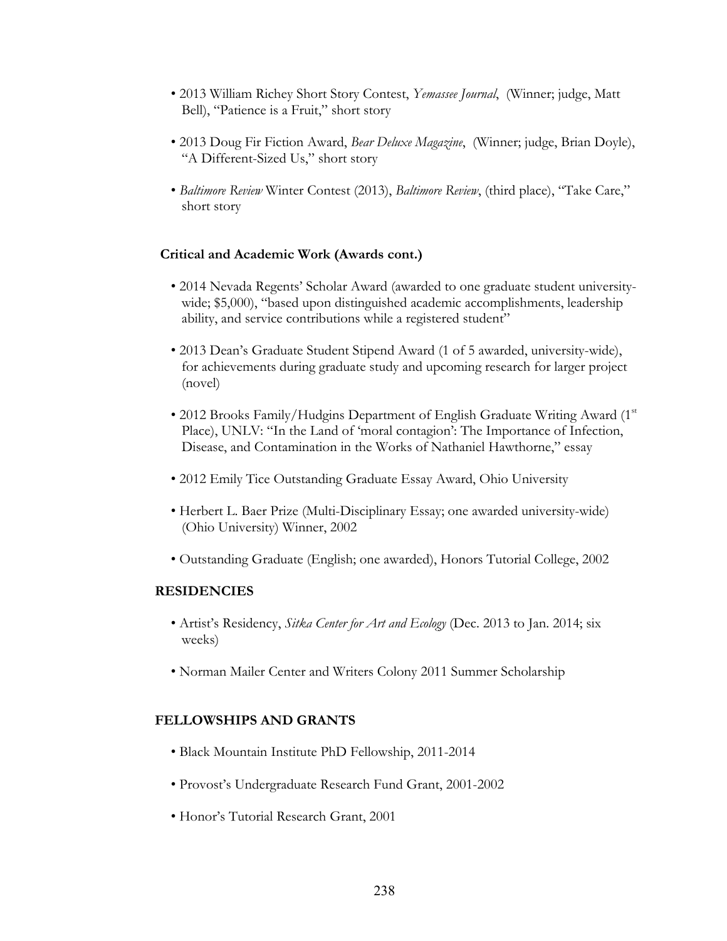- 2013 William Richey Short Story Contest, *Yemassee Journal*, (Winner; judge, Matt Bell), "Patience is a Fruit," short story
- 2013 Doug Fir Fiction Award, *Bear Deluxe Magazine*, (Winner; judge, Brian Doyle), "A Different-Sized Us," short story
- *Baltimore Review* Winter Contest (2013), *Baltimore Review*, (third place), "Take Care," short story

## **Critical and Academic Work (Awards cont.)**

- 2014 Nevada Regents' Scholar Award (awarded to one graduate student universitywide; \$5,000), "based upon distinguished academic accomplishments, leadership ability, and service contributions while a registered student"
- 2013 Dean's Graduate Student Stipend Award (1 of 5 awarded, university-wide), for achievements during graduate study and upcoming research for larger project (novel)
- 2012 Brooks Family/Hudgins Department of English Graduate Writing Award  $(1<sup>st</sup>$ Place), UNLV: "In the Land of 'moral contagion': The Importance of Infection, Disease, and Contamination in the Works of Nathaniel Hawthorne," essay
- 2012 Emily Tice Outstanding Graduate Essay Award, Ohio University
- Herbert L. Baer Prize (Multi-Disciplinary Essay; one awarded university-wide) (Ohio University) Winner, 2002
- Outstanding Graduate (English; one awarded), Honors Tutorial College, 2002

## **RESIDENCIES**

- Artist's Residency, *Sitka Center for Art and Ecology* (Dec. 2013 to Jan. 2014; six weeks)
- Norman Mailer Center and Writers Colony 2011 Summer Scholarship

## **FELLOWSHIPS AND GRANTS**

- Black Mountain Institute PhD Fellowship, 2011-2014
- Provost's Undergraduate Research Fund Grant, 2001-2002
- Honor's Tutorial Research Grant, 2001